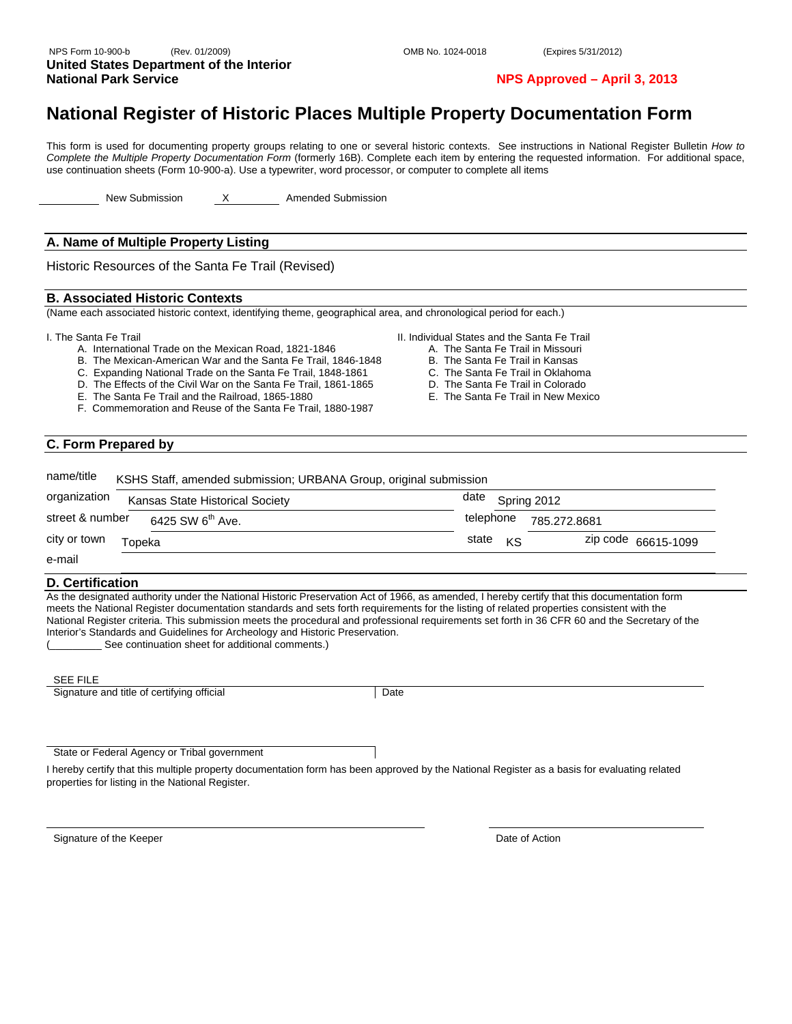#### NPS Form 10-900-b (Rev. 01/2009) OMB No. 1024-0018 (Expires 5/31/2012) **United States Department of the Interior National Park Service NPS Approved – April 3, 2013**

### **National Register of Historic Places Multiple Property Documentation Form**

This form is used for documenting property groups relating to one or several historic contexts. See instructions in National Register Bulletin *How to Complete the Multiple Property Documentation Form* (formerly 16B). Complete each item by entering the requested information. For additional space, use continuation sheets (Form 10-900-a). Use a typewriter, word processor, or computer to complete all items

New Submission X Amended Submission

#### **A. Name of Multiple Property Listing**

Historic Resources of the Santa Fe Trail (Revised)

#### **B. Associated Historic Contexts**

(Name each associated historic context, identifying theme, geographical area, and chronological period for each.)

I. The Santa Fe Trail

- A. International Trade on the Mexican Road, 1821-1846
- B. The Mexican-American War and the Santa Fe Trail, 1846-1848
- C. Expanding National Trade on the Santa Fe Trail, 1848-1861
- D. The Effects of the Civil War on the Santa Fe Trail, 1861-1865
- E. The Santa Fe Trail and the Railroad, 1865-1880
- F. Commemoration and Reuse of the Santa Fe Trail, 1880-1987
- II. Individual States and the Santa Fe Trail
	- A. The Santa Fe Trail in Missouri
	- B. The Santa Fe Trail in Kansas
	- C. The Santa Fe Trail in Oklahoma
	- D. The Santa Fe Trail in Colorado
	- E. The Santa Fe Trail in New Mexico

#### **C. Form Prepared by**

| name/title                                      | KSHS Staff, amended submission; URBANA Group, original submission |  |
|-------------------------------------------------|-------------------------------------------------------------------|--|
| organization<br>Kansas State Historical Society | date<br>Spring 2012                                               |  |
| street & number<br>$6425$ SW $6^{th}$ Ave.      | telephone<br>785.272.8681                                         |  |
| city or town<br>Topeka                          | state<br>zip code 66615-1099<br>KS                                |  |
| e-mail                                          |                                                                   |  |

#### **D. Certification**

As the designated authority under the National Historic Preservation Act of 1966, as amended, I hereby certify that this documentation form meets the National Register documentation standards and sets forth requirements for the listing of related properties consistent with the National Register criteria. This submission meets the procedural and professional requirements set forth in 36 CFR 60 and the Secretary of the Interior's Standards and Guidelines for Archeology and Historic Preservation.

See continuation sheet for additional comments.)

#### SEE FILE

Signature and title of certifying official Date

State or Federal Agency or Tribal government

I hereby certify that this multiple property documentation form has been approved by the National Register as a basis for evaluating related properties for listing in the National Register.

Signature of the Keeper **Date of Action**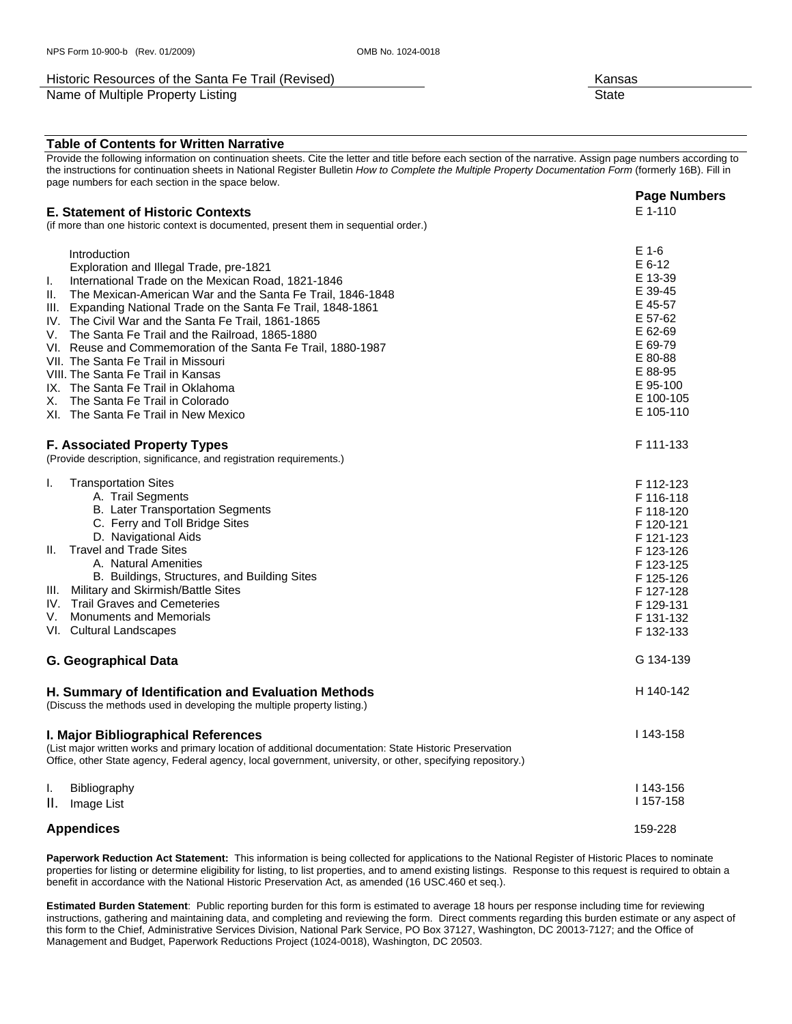#### Historic Resources of the Santa Fe Trail (Revised) Names and American Channel Mansas

Name of Multiple Property Listing State State State State State State State State State State State State State

#### **Table of Contents for Written Narrative**

Provide the following information on continuation sheets. Cite the letter and title before each section of the narrative. Assign page numbers according to the instructions for continuation sheets in National Register Bulletin *How to Complete the Multiple Property Documentation Form* (formerly 16B). Fill in page numbers for each section in the space below. **Page Numbers**

#### **E. Statement of Historic Contexts**  (if more than one historic context is documented, present them in sequential order.) **Introduction**  Exploration and Illegal Trade, pre-1821 I. International Trade on the Mexican Road, 1821-1846 II. The Mexican-American War and the Santa Fe Trail, 1846-1848<br>III. Expanding National Trade on the Santa Fe Trail, 1848-1861 Expanding National Trade on the Santa Fe Trail, 1848-1861 IV. The Civil War and the Santa Fe Trail, 1861-1865 V. The Santa Fe Trail and the Railroad, 1865-1880 VI. Reuse and Commemoration of the Santa Fe Trail, 1880-1987 VII. The Santa Fe Trail in Missouri VIII. The Santa Fe Trail in Kansas IX. The Santa Fe Trail in Oklahoma X. The Santa Fe Trail in Colorado XI. The Santa Fe Trail in New Mexico E 1-110 E 1-6 E 6-12 E 13-39 E 39-45 E 45-57 E 57-62 E 62-69 E 69-79 E 80-88 E 88-95 E 95-100 E 100-105 E 105-110 **F. Associated Property Types**  (Provide description, significance, and registration requirements.) I. Transportation Sites A. Trail Segments B. Later Transportation Segments C. Ferry and Toll Bridge Sites D. Navigational Aids II. Travel and Trade Sites A. Natural Amenities B. Buildings, Structures, and Building Sites III. Military and Skirmish/Battle Sites IV. Trail Graves and Cemeteries V. Monuments and Memorials VI. Cultural Landscapes F 111-133 F 112-123 F 116-118 F 118-120 F 120-121 F 121-123 F 123-126 F 123-125 F 125-126 F 127-128 F 129-131 F 131-132 F 132-133 **G. Geographical Data** G 134-139 **H. Summary of Identification and Evaluation Methods**  (Discuss the methods used in developing the multiple property listing.) H 140-142 **I. Major Bibliographical References**  (List major written works and primary location of additional documentation: State Historic Preservation Office, other State agency, Federal agency, local government, university, or other, specifying repository.) I. Bibliography II. Image List I 143-158 I 143-156 I 157-158

**Appendices** 159-228

**Paperwork Reduction Act Statement:** This information is being collected for applications to the National Register of Historic Places to nominate properties for listing or determine eligibility for listing, to list properties, and to amend existing listings. Response to this request is required to obtain a benefit in accordance with the National Historic Preservation Act, as amended (16 USC.460 et seq.).

**Estimated Burden Statement**: Public reporting burden for this form is estimated to average 18 hours per response including time for reviewing instructions, gathering and maintaining data, and completing and reviewing the form. Direct comments regarding this burden estimate or any aspect of this form to the Chief, Administrative Services Division, National Park Service, PO Box 37127, Washington, DC 20013-7127; and the Office of Management and Budget, Paperwork Reductions Project (1024-0018), Washington, DC 20503.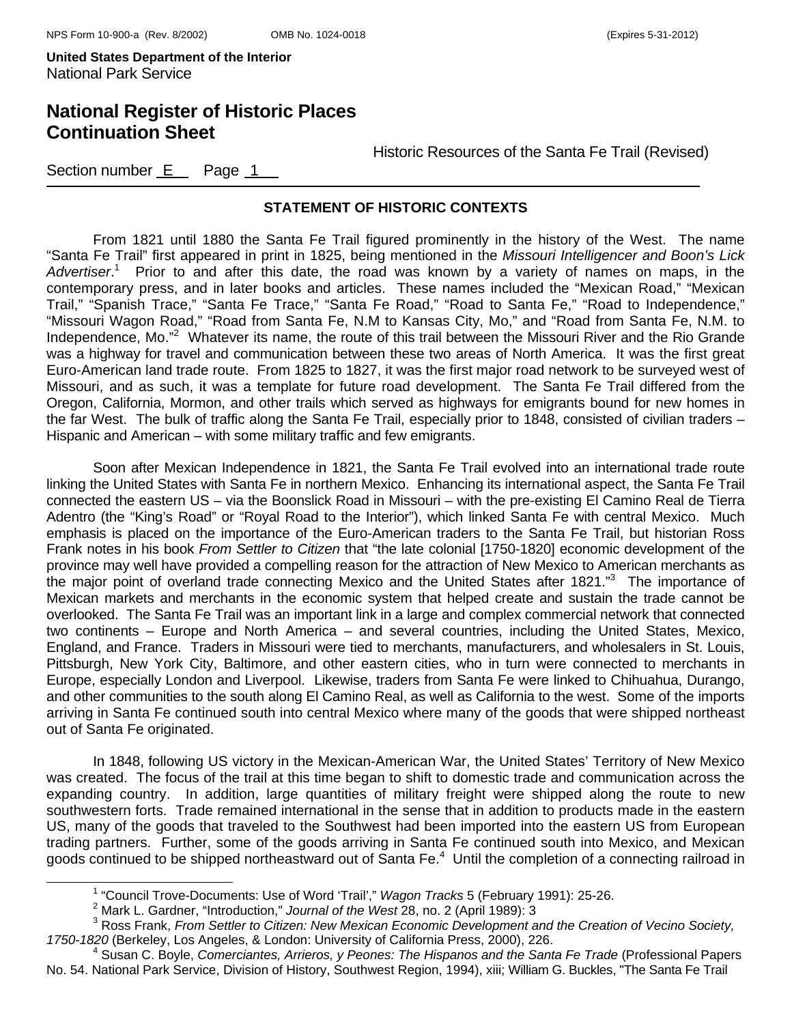## **National Register of Historic Places Continuation Sheet**

Historic Resources of the Santa Fe Trail (Revised)

Section number  $E$  Page 1

#### **STATEMENT OF HISTORIC CONTEXTS**

From 1821 until 1880 the Santa Fe Trail figured prominently in the history of the West. The name "Santa Fe Trail" first appeared in print in 1825, being mentioned in the *Missouri Intelligencer and Boon's Lick*  Advertiser.<sup>1</sup> Prior to and after this date, the road was known by a variety of names on maps, in the contemporary press, and in later books and articles. These names included the "Mexican Road," "Mexican Trail," "Spanish Trace," "Santa Fe Trace," "Santa Fe Road," "Road to Santa Fe," "Road to Independence," "Missouri Wagon Road," "Road from Santa Fe, N.M to Kansas City, Mo," and "Road from Santa Fe, N.M. to Independence, Mo."<sup>2</sup> Whatever its name, the route of this trail between the Missouri River and the Rio Grande was a highway for travel and communication between these two areas of North America. It was the first great Euro-American land trade route. From 1825 to 1827, it was the first major road network to be surveyed west of Missouri, and as such, it was a template for future road development. The Santa Fe Trail differed from the Oregon, California, Mormon, and other trails which served as highways for emigrants bound for new homes in the far West. The bulk of traffic along the Santa Fe Trail, especially prior to 1848, consisted of civilian traders – Hispanic and American – with some military traffic and few emigrants.

Soon after Mexican Independence in 1821, the Santa Fe Trail evolved into an international trade route linking the United States with Santa Fe in northern Mexico. Enhancing its international aspect, the Santa Fe Trail connected the eastern US – via the Boonslick Road in Missouri – with the pre-existing El Camino Real de Tierra Adentro (the "King's Road" or "Royal Road to the Interior"), which linked Santa Fe with central Mexico. Much emphasis is placed on the importance of the Euro-American traders to the Santa Fe Trail, but historian Ross Frank notes in his book *From Settler to Citizen* that "the late colonial [1750-1820] economic development of the province may well have provided a compelling reason for the attraction of New Mexico to American merchants as the major point of overland trade connecting Mexico and the United States after 1821."<sup>3</sup> The importance of Mexican markets and merchants in the economic system that helped create and sustain the trade cannot be overlooked. The Santa Fe Trail was an important link in a large and complex commercial network that connected two continents – Europe and North America – and several countries, including the United States, Mexico, England, and France. Traders in Missouri were tied to merchants, manufacturers, and wholesalers in St. Louis, Pittsburgh, New York City, Baltimore, and other eastern cities, who in turn were connected to merchants in Europe, especially London and Liverpool. Likewise, traders from Santa Fe were linked to Chihuahua, Durango, and other communities to the south along El Camino Real, as well as California to the west. Some of the imports arriving in Santa Fe continued south into central Mexico where many of the goods that were shipped northeast out of Santa Fe originated.

In 1848, following US victory in the Mexican-American War, the United States' Territory of New Mexico was created. The focus of the trail at this time began to shift to domestic trade and communication across the expanding country. In addition, large quantities of military freight were shipped along the route to new southwestern forts. Trade remained international in the sense that in addition to products made in the eastern US, many of the goods that traveled to the Southwest had been imported into the eastern US from European trading partners. Further, some of the goods arriving in Santa Fe continued south into Mexico, and Mexican goods continued to be shipped northeastward out of Santa Fe.<sup>4</sup> Until the completion of a connecting railroad in

<sup>1</sup> <sup>1</sup> "Council Trove-Documents: Use of Word 'Trail'," *Wagon Tracks* 5 (February 1991): 25-26.

<sup>&</sup>lt;sup>2</sup> Mark L. Gardner, "Introduction," *Journal of the West* 28, no. 2 (April 1989): 3

Ross Frank, *From Settler to Citizen: New Mexican Economic Development and the Creation of Vecino Society, 1750-1820* (Berkeley, Los Angeles, & London: University of California Press, 2000), 226. 4

Susan C. Boyle, *Comerciantes, Arrieros, y Peones: The Hispanos and the Santa Fe Trade* (Professional Papers No. 54. National Park Service, Division of History, Southwest Region, 1994), xiii; William G. Buckles, "The Santa Fe Trail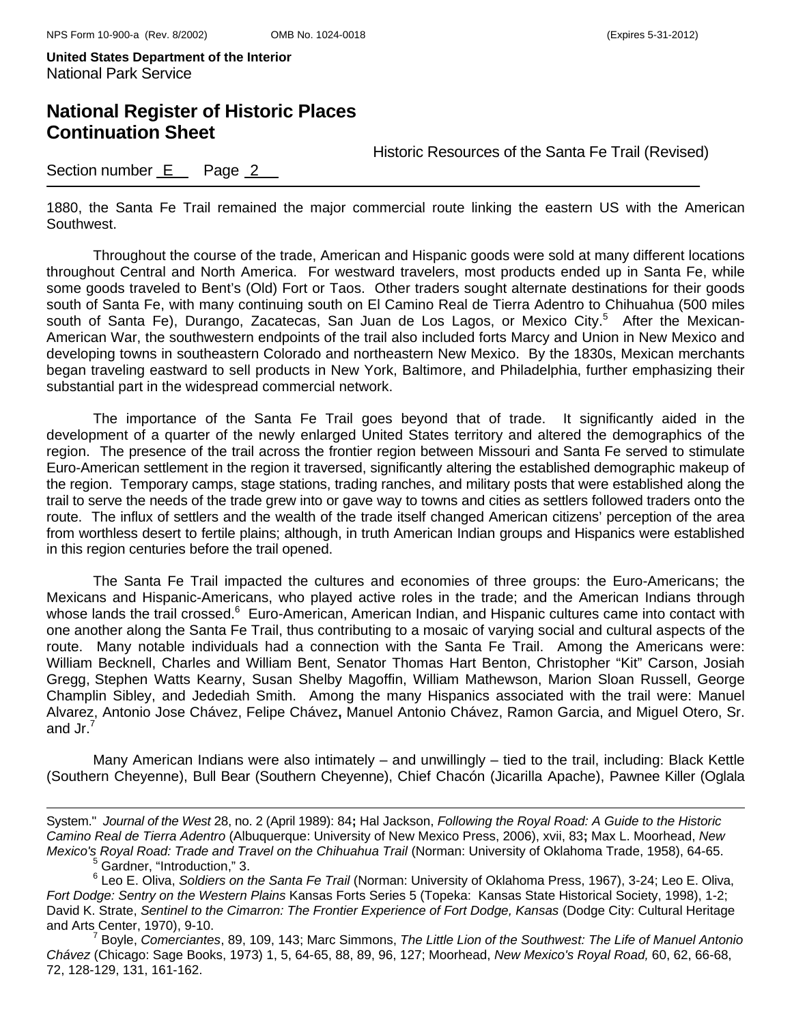## **National Register of Historic Places Continuation Sheet**

Historic Resources of the Santa Fe Trail (Revised)

Section number  $E$  Page  $2$ 

1880, the Santa Fe Trail remained the major commercial route linking the eastern US with the American Southwest.

Throughout the course of the trade, American and Hispanic goods were sold at many different locations throughout Central and North America. For westward travelers, most products ended up in Santa Fe, while some goods traveled to Bent's (Old) Fort or Taos. Other traders sought alternate destinations for their goods south of Santa Fe, with many continuing south on El Camino Real de Tierra Adentro to Chihuahua (500 miles south of Santa Fe), Durango, Zacatecas, San Juan de Los Lagos, or Mexico City.<sup>5</sup> After the Mexican-American War, the southwestern endpoints of the trail also included forts Marcy and Union in New Mexico and developing towns in southeastern Colorado and northeastern New Mexico. By the 1830s, Mexican merchants began traveling eastward to sell products in New York, Baltimore, and Philadelphia, further emphasizing their substantial part in the widespread commercial network.

 The importance of the Santa Fe Trail goes beyond that of trade. It significantly aided in the development of a quarter of the newly enlarged United States territory and altered the demographics of the region. The presence of the trail across the frontier region between Missouri and Santa Fe served to stimulate Euro-American settlement in the region it traversed, significantly altering the established demographic makeup of the region. Temporary camps, stage stations, trading ranches, and military posts that were established along the trail to serve the needs of the trade grew into or gave way to towns and cities as settlers followed traders onto the route. The influx of settlers and the wealth of the trade itself changed American citizens' perception of the area from worthless desert to fertile plains; although, in truth American Indian groups and Hispanics were established in this region centuries before the trail opened.

The Santa Fe Trail impacted the cultures and economies of three groups: the Euro-Americans; the Mexicans and Hispanic-Americans, who played active roles in the trade; and the American Indians through whose lands the trail crossed.<sup>6</sup> Euro-American, American Indian, and Hispanic cultures came into contact with one another along the Santa Fe Trail, thus contributing to a mosaic of varying social and cultural aspects of the route. Many notable individuals had a connection with the Santa Fe Trail. Among the Americans were: William Becknell, Charles and William Bent, Senator Thomas Hart Benton, Christopher "Kit" Carson, Josiah Gregg, Stephen Watts Kearny, Susan Shelby Magoffin, William Mathewson, Marion Sloan Russell, George Champlin Sibley, and Jedediah Smith. Among the many Hispanics associated with the trail were: Manuel Alvarez, Antonio Jose Chávez, Felipe Chávez**,** Manuel Antonio Chávez, Ramon Garcia, and Miguel Otero, Sr. and Jr. $^7$ 

Many American Indians were also intimately – and unwillingly – tied to the trail, including: Black Kettle (Southern Cheyenne), Bull Bear (Southern Cheyenne), Chief Chacón (Jicarilla Apache), Pawnee Killer (Oglala

i<br>L

 Boyle, *Comerciantes*, 89, 109, 143; Marc Simmons, *The Little Lion of the Southwest: The Life of Manuel Antonio Chávez* (Chicago: Sage Books, 1973) 1, 5, 64-65, 88, 89, 96, 127; Moorhead, *New Mexico's Royal Road,* 60, 62, 66-68, 72, 128-129, 131, 161-162.

System." *Journal of the West* 28, no. 2 (April 1989): 84**;** Hal Jackson, *Following the Royal Road: A Guide to the Historic Camino Real de Tierra Adentro* (Albuquerque: University of New Mexico Press, 2006), xvii, 83**;** Max L. Moorhead, *New Mexico's Royal Road: Trade and Travel on the Chihuahua Trail* (Norman: University of Oklahoma Trade, 1958), 64-65.

<sup>&</sup>lt;sup>5</sup> Gardner, "Introduction," 3.

<sup>6</sup> Leo E. Oliva, *Soldiers on the Santa Fe Trail* (Norman: University of Oklahoma Press, 1967), 3-24; Leo E. Oliva, *Fort Dodge: Sentry on the Western Plains* Kansas Forts Series 5 (Topeka: Kansas State Historical Society, 1998), 1-2; David K. Strate, *Sentinel to the Cimarron: The Frontier Experience of Fort Dodge, Kansas* (Dodge City: Cultural Heritage and Arts Center, 1970), 9-10. <sup>7</sup>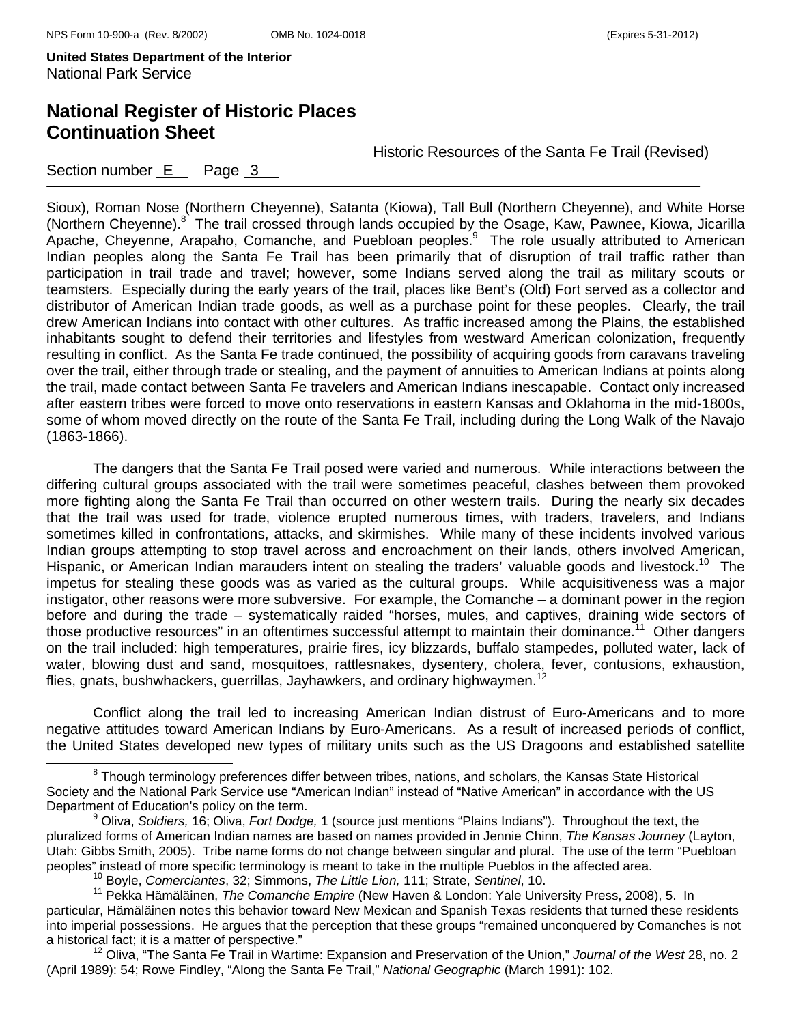## **National Register of Historic Places Continuation Sheet**

Historic Resources of the Santa Fe Trail (Revised)

Section number  $E$  Page  $3$ 

Sioux), Roman Nose (Northern Cheyenne), Satanta (Kiowa), Tall Bull (Northern Cheyenne), and White Horse (Northern Cheyenne).<sup>8</sup> The trail crossed through lands occupied by the Osage, Kaw, Pawnee, Kiowa, Jicarilla Apache, Cheyenne, Arapaho, Comanche, and Puebloan peoples.<sup>9</sup> The role usually attributed to American Indian peoples along the Santa Fe Trail has been primarily that of disruption of trail traffic rather than participation in trail trade and travel; however, some Indians served along the trail as military scouts or teamsters. Especially during the early years of the trail, places like Bent's (Old) Fort served as a collector and distributor of American Indian trade goods, as well as a purchase point for these peoples. Clearly, the trail drew American Indians into contact with other cultures. As traffic increased among the Plains, the established inhabitants sought to defend their territories and lifestyles from westward American colonization, frequently resulting in conflict. As the Santa Fe trade continued, the possibility of acquiring goods from caravans traveling over the trail, either through trade or stealing, and the payment of annuities to American Indians at points along the trail, made contact between Santa Fe travelers and American Indians inescapable. Contact only increased after eastern tribes were forced to move onto reservations in eastern Kansas and Oklahoma in the mid-1800s, some of whom moved directly on the route of the Santa Fe Trail, including during the Long Walk of the Navajo (1863-1866).

 The dangers that the Santa Fe Trail posed were varied and numerous. While interactions between the differing cultural groups associated with the trail were sometimes peaceful, clashes between them provoked more fighting along the Santa Fe Trail than occurred on other western trails. During the nearly six decades that the trail was used for trade, violence erupted numerous times, with traders, travelers, and Indians sometimes killed in confrontations, attacks, and skirmishes. While many of these incidents involved various Indian groups attempting to stop travel across and encroachment on their lands, others involved American, Hispanic, or American Indian marauders intent on stealing the traders' valuable goods and livestock.<sup>10</sup> The impetus for stealing these goods was as varied as the cultural groups. While acquisitiveness was a major instigator, other reasons were more subversive. For example, the Comanche – a dominant power in the region before and during the trade – systematically raided "horses, mules, and captives, draining wide sectors of those productive resources" in an oftentimes successful attempt to maintain their dominance.<sup>11</sup> Other dangers on the trail included: high temperatures, prairie fires, icy blizzards, buffalo stampedes, polluted water, lack of water, blowing dust and sand, mosquitoes, rattlesnakes, dysentery, cholera, fever, contusions, exhaustion, flies, gnats, bushwhackers, guerrillas, Jayhawkers, and ordinary highwaymen.<sup>12</sup>

Conflict along the trail led to increasing American Indian distrust of Euro-Americans and to more negative attitudes toward American Indians by Euro-Americans. As a result of increased periods of conflict, the United States developed new types of military units such as the US Dragoons and established satellite

<sup>8</sup> <sup>8</sup> Though terminology preferences differ between tribes, nations, and scholars, the Kansas State Historical Society and the National Park Service use "American Indian" instead of "Native American" in accordance with the US Department of Education's policy on the term.

Oliva, *Soldiers,* 16; Oliva, *Fort Dodge,* 1 (source just mentions "Plains Indians"). Throughout the text, the pluralized forms of American Indian names are based on names provided in Jennie Chinn, *The Kansas Journey* (Layton, Utah: Gibbs Smith, 2005). Tribe name forms do not change between singular and plural. The use of the term "Puebloan peoples" instead of more specific terminology is meant to take in the multiple Pueblos in the affected area. 10 Boyle, *Comerciantes*, 32; Simmons, *The Little Lion,* 111; Strate, *Sentinel*, 10.

<sup>11</sup> Pekka Hämäläinen, *The Comanche Empire* (New Haven & London: Yale University Press, 2008), 5. In particular, Hämäläinen notes this behavior toward New Mexican and Spanish Texas residents that turned these residents into imperial possessions. He argues that the perception that these groups "remained unconquered by Comanches is not a historical fact; it is a matter of perspective."<br><sup>12</sup> Oliva, "The Santa Fe Trail in Wartime: Expansion and Preservation of the Union," *Journal of the West* 28, no. 2

<sup>(</sup>April 1989): 54; Rowe Findley, "Along the Santa Fe Trail," *National Geographic* (March 1991): 102.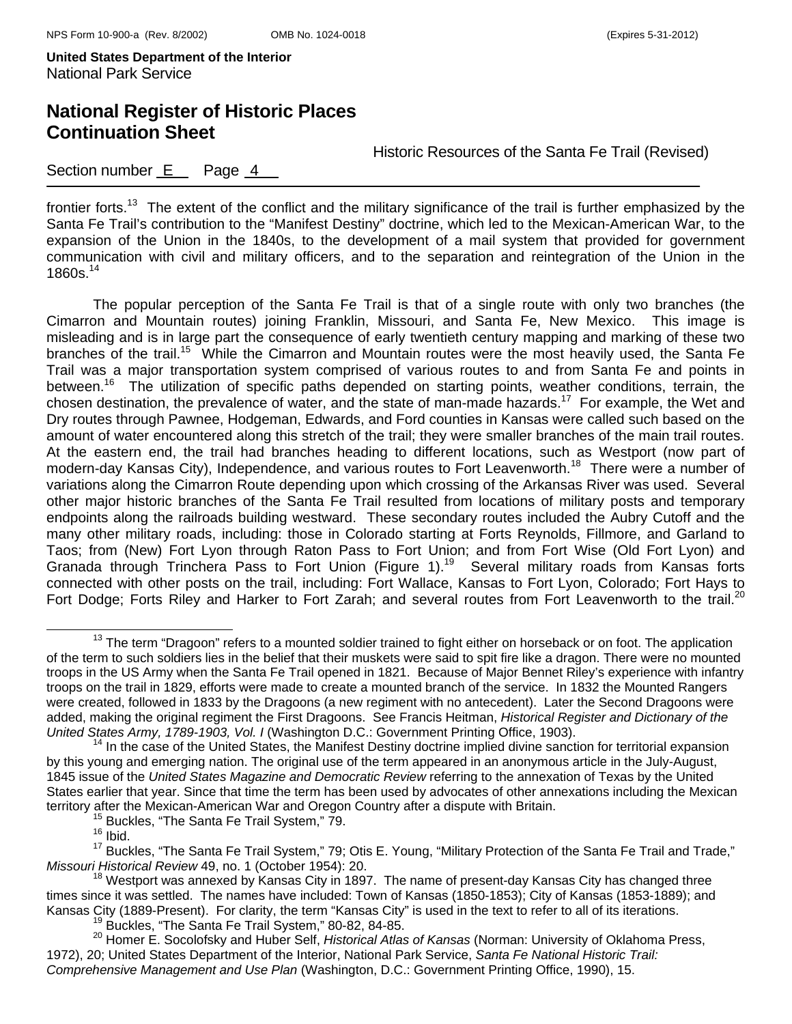## **National Register of Historic Places Continuation Sheet**

Historic Resources of the Santa Fe Trail (Revised)

#### Section number  $E$  Page  $4$

frontier forts.<sup>13</sup> The extent of the conflict and the military significance of the trail is further emphasized by the Santa Fe Trail's contribution to the "Manifest Destiny" doctrine, which led to the Mexican-American War, to the expansion of the Union in the 1840s, to the development of a mail system that provided for government communication with civil and military officers, and to the separation and reintegration of the Union in the  $1860s.<sup>14</sup>$ 

 The popular perception of the Santa Fe Trail is that of a single route with only two branches (the Cimarron and Mountain routes) joining Franklin, Missouri, and Santa Fe, New Mexico. This image is misleading and is in large part the consequence of early twentieth century mapping and marking of these two branches of the trail.<sup>15</sup> While the Cimarron and Mountain routes were the most heavily used, the Santa Fe Trail was a major transportation system comprised of various routes to and from Santa Fe and points in between.<sup>16</sup> The utilization of specific paths depended on starting points, weather conditions, terrain, the chosen destination, the prevalence of water, and the state of man-made hazards.<sup>17</sup> For example, the Wet and Dry routes through Pawnee, Hodgeman, Edwards, and Ford counties in Kansas were called such based on the amount of water encountered along this stretch of the trail; they were smaller branches of the main trail routes. At the eastern end, the trail had branches heading to different locations, such as Westport (now part of modern-day Kansas City), Independence, and various routes to Fort Leavenworth.<sup>18</sup> There were a number of variations along the Cimarron Route depending upon which crossing of the Arkansas River was used. Several other major historic branches of the Santa Fe Trail resulted from locations of military posts and temporary endpoints along the railroads building westward. These secondary routes included the Aubry Cutoff and the many other military roads, including: those in Colorado starting at Forts Reynolds, Fillmore, and Garland to Taos; from (New) Fort Lyon through Raton Pass to Fort Union; and from Fort Wise (Old Fort Lyon) and Granada through Trinchera Pass to Fort Union (Figure 1).<sup>19</sup> Several military roads from Kansas forts connected with other posts on the trail, including: Fort Wallace, Kansas to Fort Lyon, Colorado; Fort Hays to Fort Dodge; Forts Riley and Harker to Fort Zarah; and several routes from Fort Leavenworth to the trail.<sup>20</sup>

<sup>&</sup>lt;sup>13</sup> The term "Dragoon" refers to a mounted soldier trained to fight either on horseback or on foot. The application of the term to such soldiers lies in the belief that their muskets were said to spit fire like a dragon. There were no mounted troops in the US Army when the Santa Fe Trail opened in 1821. Because of Major Bennet Riley's experience with infantry troops on the trail in 1829, efforts were made to create a mounted branch of the service. In 1832 the Mounted Rangers were created, followed in 1833 by the Dragoons (a new regiment with no antecedent). Later the Second Dragoons were added, making the original regiment the First Dragoons. See Francis Heitman, *Historical Register and Dictionary of the United States Army, 1789-1903, Vol. I* (Washington D.C.: Government Printing Office, 1903).<br><sup>14</sup> In the case of the United States, the Manifest Destiny doctrine implied divine sanction for territorial expansion

by this young and emerging nation. The original use of the term appeared in an anonymous article in the July-August, 1845 issue of the *United States Magazine and Democratic Review* referring to the annexation of Texas by the United States earlier that year. Since that time the term has been used by advocates of other annexations including the Mexican territory after the Mexican-American War and Oregon Country after a dispute with Britain.<br><sup>15</sup> Buckles, "The Santa Fe Trail System," 79.<br><sup>16</sup> Ibid.

<sup>&</sup>lt;sup>17</sup> Buckles, "The Santa Fe Trail System," 79; Otis E. Young, "Military Protection of the Santa Fe Trail and Trade," *Missouri Historical Review* 49, no. 1 (October 1954): 20.<br><sup>18</sup> Westport was annexed by Kansas City in 1897. The name of present-day Kansas City has changed three

times since it was settled. The names have included: Town of Kansas (1850-1853); City of Kansas (1853-1889); and Kansas City (1889-Present). For clarity, the term "Kansas City" is used in the text to refer to all of its iterations.<br><sup>19</sup> Buckles, "The Santa Fe Trail System," 80-82, 84-85.

<sup>&</sup>lt;sup>20</sup> Homer E. Socolofsky and Huber Self, *Historical Atlas of Kansas* (Norman: University of Oklahoma Press, 1972), 20; United States Department of the Interior, National Park Service, *Santa Fe National Historic Trail: Comprehensive Management and Use Plan* (Washington, D.C.: Government Printing Office, 1990), 15.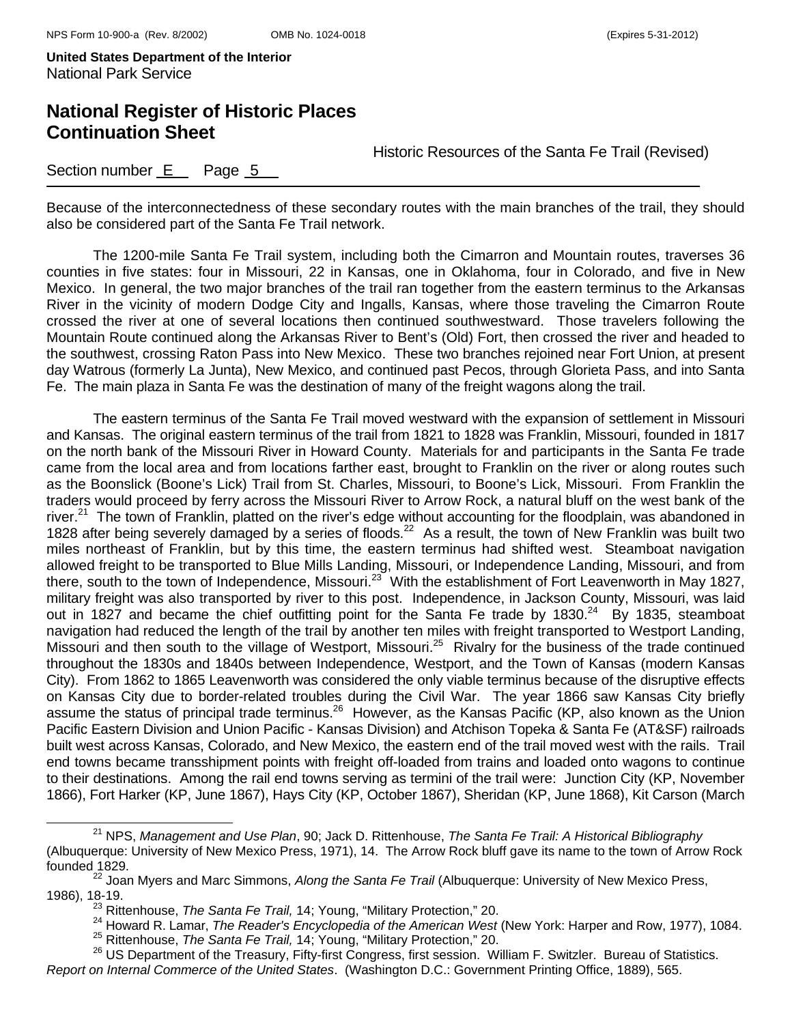## **National Register of Historic Places Continuation Sheet**

Historic Resources of the Santa Fe Trail (Revised)

| Section number E |  | Page 5 |  |
|------------------|--|--------|--|
|------------------|--|--------|--|

Because of the interconnectedness of these secondary routes with the main branches of the trail, they should also be considered part of the Santa Fe Trail network.

 The 1200-mile Santa Fe Trail system, including both the Cimarron and Mountain routes, traverses 36 counties in five states: four in Missouri, 22 in Kansas, one in Oklahoma, four in Colorado, and five in New Mexico. In general, the two major branches of the trail ran together from the eastern terminus to the Arkansas River in the vicinity of modern Dodge City and Ingalls, Kansas, where those traveling the Cimarron Route crossed the river at one of several locations then continued southwestward. Those travelers following the Mountain Route continued along the Arkansas River to Bent's (Old) Fort, then crossed the river and headed to the southwest, crossing Raton Pass into New Mexico. These two branches rejoined near Fort Union, at present day Watrous (formerly La Junta), New Mexico, and continued past Pecos, through Glorieta Pass, and into Santa Fe. The main plaza in Santa Fe was the destination of many of the freight wagons along the trail.

The eastern terminus of the Santa Fe Trail moved westward with the expansion of settlement in Missouri and Kansas. The original eastern terminus of the trail from 1821 to 1828 was Franklin, Missouri, founded in 1817 on the north bank of the Missouri River in Howard County. Materials for and participants in the Santa Fe trade came from the local area and from locations farther east, brought to Franklin on the river or along routes such as the Boonslick (Boone's Lick) Trail from St. Charles, Missouri, to Boone's Lick, Missouri. From Franklin the traders would proceed by ferry across the Missouri River to Arrow Rock, a natural bluff on the west bank of the river.<sup>21</sup> The town of Franklin, platted on the river's edge without accounting for the floodplain, was abandoned in 1828 after being severely damaged by a series of floods.22 As a result, the town of New Franklin was built two miles northeast of Franklin, but by this time, the eastern terminus had shifted west. Steamboat navigation allowed freight to be transported to Blue Mills Landing, Missouri, or Independence Landing, Missouri, and from there, south to the town of Independence, Missouri.<sup>23</sup> With the establishment of Fort Leavenworth in May 1827, military freight was also transported by river to this post. Independence, in Jackson County, Missouri, was laid out in 1827 and became the chief outfitting point for the Santa Fe trade by 1830.<sup>24</sup> By 1835, steamboat navigation had reduced the length of the trail by another ten miles with freight transported to Westport Landing, Missouri and then south to the village of Westport, Missouri.<sup>25</sup> Rivalry for the business of the trade continued throughout the 1830s and 1840s between Independence, Westport, and the Town of Kansas (modern Kansas City). From 1862 to 1865 Leavenworth was considered the only viable terminus because of the disruptive effects on Kansas City due to border-related troubles during the Civil War. The year 1866 saw Kansas City briefly assume the status of principal trade terminus.<sup>26</sup> However, as the Kansas Pacific (KP, also known as the Union Pacific Eastern Division and Union Pacific - Kansas Division) and Atchison Topeka & Santa Fe (AT&SF) railroads built west across Kansas, Colorado, and New Mexico, the eastern end of the trail moved west with the rails. Trail end towns became transshipment points with freight off-loaded from trains and loaded onto wagons to continue to their destinations. Among the rail end towns serving as termini of the trail were: Junction City (KP, November 1866), Fort Harker (KP, June 1867), Hays City (KP, October 1867), Sheridan (KP, June 1868), Kit Carson (March

21 NPS, *Management and Use Plan*, 90; Jack D. Rittenhouse, *The Santa Fe Trail: A Historical Bibliography*  (Albuquerque: University of New Mexico Press, 1971), 14. The Arrow Rock bluff gave its name to the town of Arrow Rock founded 1829.

<sup>22</sup> Joan Myers and Marc Simmons, *Along the Santa Fe Trail* (Albuquerque: University of New Mexico Press,

<sup>1986), 18-19.&</sup>lt;br><sup>23</sup> Rittenhouse, *The Santa Fe Trail,* 14; Young, "Military Protection," 20.<br><sup>24</sup> Howard R. Lamar, *The Reader's Encyclopedia of the American West* (New York: Harper and Row, 1977), 1084.<br><sup>25</sup> Rittenhouse,

*Report on Internal Commerce of the United States*. (Washington D.C.: Government Printing Office, 1889), 565.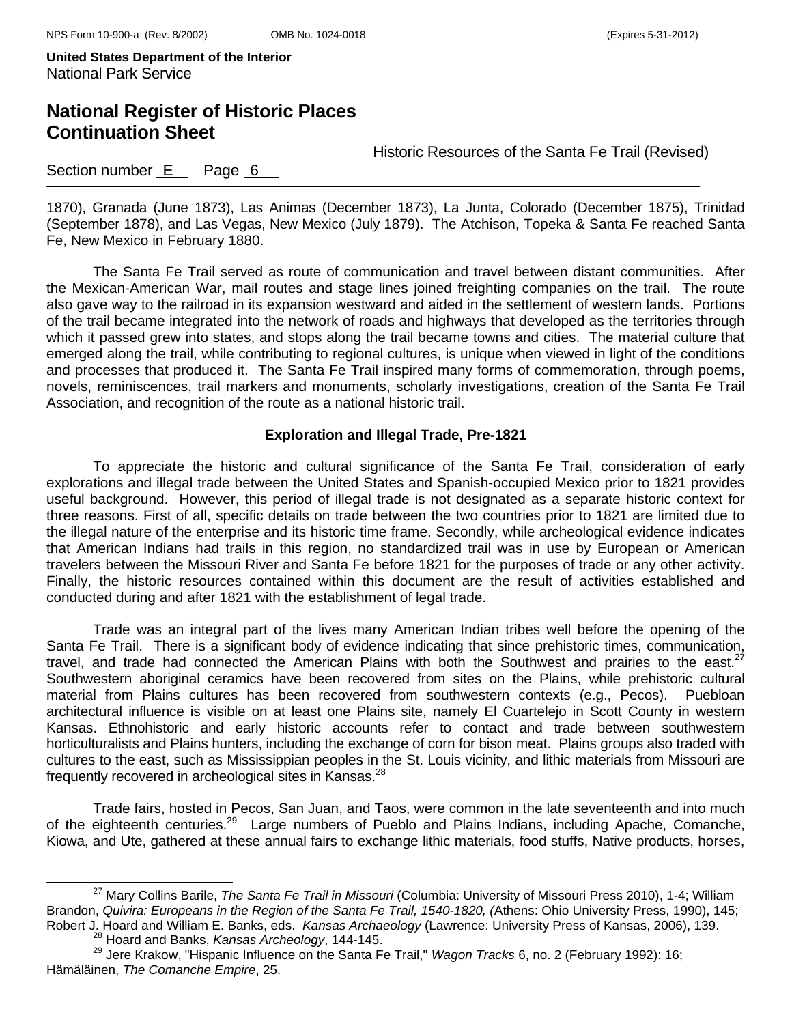## **National Register of Historic Places Continuation Sheet**

Historic Resources of the Santa Fe Trail (Revised)

### Section number **E** Page 6

1870), Granada (June 1873), Las Animas (December 1873), La Junta, Colorado (December 1875), Trinidad (September 1878), and Las Vegas, New Mexico (July 1879). The Atchison, Topeka & Santa Fe reached Santa Fe, New Mexico in February 1880.

The Santa Fe Trail served as route of communication and travel between distant communities. After the Mexican-American War, mail routes and stage lines joined freighting companies on the trail. The route also gave way to the railroad in its expansion westward and aided in the settlement of western lands. Portions of the trail became integrated into the network of roads and highways that developed as the territories through which it passed grew into states, and stops along the trail became towns and cities. The material culture that emerged along the trail, while contributing to regional cultures, is unique when viewed in light of the conditions and processes that produced it. The Santa Fe Trail inspired many forms of commemoration, through poems, novels, reminiscences, trail markers and monuments, scholarly investigations, creation of the Santa Fe Trail Association, and recognition of the route as a national historic trail.

#### **Exploration and Illegal Trade, Pre-1821**

To appreciate the historic and cultural significance of the Santa Fe Trail, consideration of early explorations and illegal trade between the United States and Spanish-occupied Mexico prior to 1821 provides useful background. However, this period of illegal trade is not designated as a separate historic context for three reasons. First of all, specific details on trade between the two countries prior to 1821 are limited due to the illegal nature of the enterprise and its historic time frame. Secondly, while archeological evidence indicates that American Indians had trails in this region, no standardized trail was in use by European or American travelers between the Missouri River and Santa Fe before 1821 for the purposes of trade or any other activity. Finally, the historic resources contained within this document are the result of activities established and conducted during and after 1821 with the establishment of legal trade.

 Trade was an integral part of the lives many American Indian tribes well before the opening of the Santa Fe Trail. There is a significant body of evidence indicating that since prehistoric times, communication, travel, and trade had connected the American Plains with both the Southwest and prairies to the east.<sup>27</sup> Southwestern aboriginal ceramics have been recovered from sites on the Plains, while prehistoric cultural material from Plains cultures has been recovered from southwestern contexts (e.g., Pecos). Puebloan architectural influence is visible on at least one Plains site, namely El Cuartelejo in Scott County in western Kansas. Ethnohistoric and early historic accounts refer to contact and trade between southwestern horticulturalists and Plains hunters, including the exchange of corn for bison meat. Plains groups also traded with cultures to the east, such as Mississippian peoples in the St. Louis vicinity, and lithic materials from Missouri are frequently recovered in archeological sites in Kansas.<sup>28</sup>

 Trade fairs, hosted in Pecos, San Juan, and Taos, were common in the late seventeenth and into much of the eighteenth centuries.<sup>29</sup> Large numbers of Pueblo and Plains Indians, including Apache, Comanche, Kiowa, and Ute, gathered at these annual fairs to exchange lithic materials, food stuffs, Native products, horses,

<sup>27</sup> Mary Collins Barile, *The Santa Fe Trail in Missouri* (Columbia: University of Missouri Press 2010), 1-4; William Brandon, *Quivira: Europeans in the Region of the Santa Fe Trail, 1540-1820, (*Athens: Ohio University Press, 1990), 145; Robert J. Hoard and William E. Banks, eds. *Kansas Archaeology* (Lawrence: University Press of Kansas, 2006), 139. <sup>28</sup> Hoard and Banks, *Kansas Archeology*, 144-145.

<sup>29</sup> Jere Krakow, "Hispanic Influence on the Santa Fe Trail," *Wagon Tracks* 6, no. 2 (February 1992): 16; Hämäläinen, *The Comanche Empire*, 25.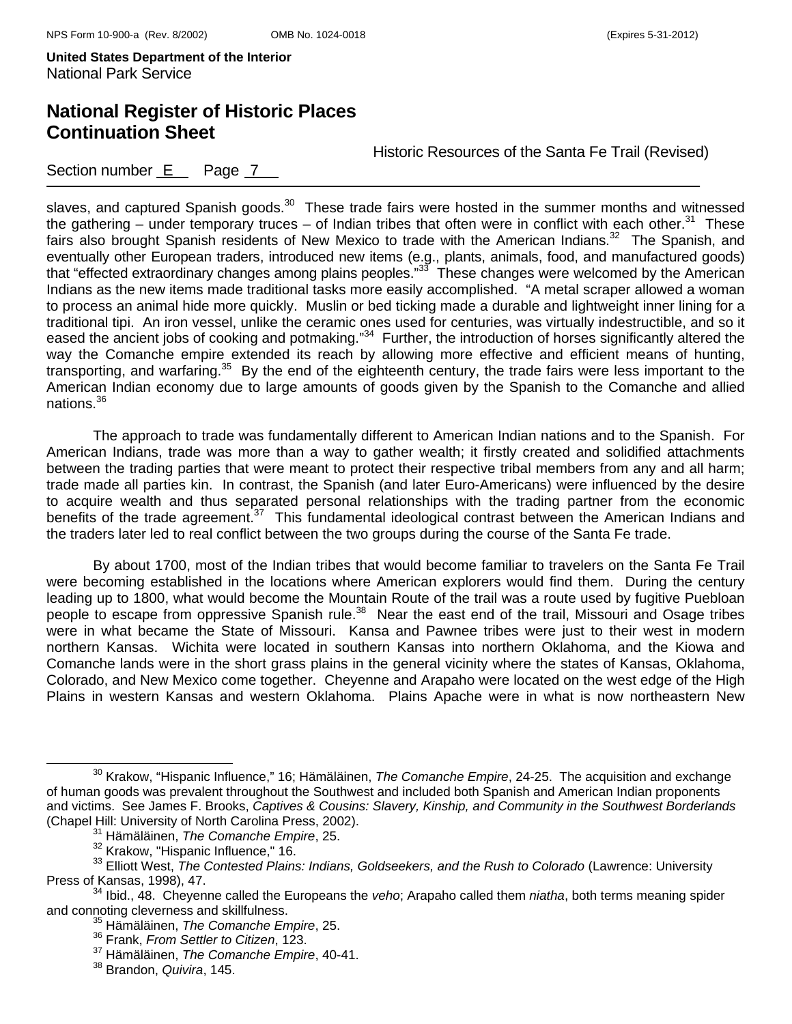## **National Register of Historic Places Continuation Sheet**

Historic Resources of the Santa Fe Trail (Revised)

Section number  $E$  Page  $7$ 

slaves, and captured Spanish goods.<sup>30</sup> These trade fairs were hosted in the summer months and witnessed the gathering – under temporary truces – of Indian tribes that often were in conflict with each other.<sup>31</sup> These fairs also brought Spanish residents of New Mexico to trade with the American Indians.<sup>32</sup> The Spanish, and eventually other European traders, introduced new items (e.g., plants, animals, food, and manufactured goods) that "effected extraordinary changes among plains peoples."33 These changes were welcomed by the American Indians as the new items made traditional tasks more easily accomplished. "A metal scraper allowed a woman to process an animal hide more quickly. Muslin or bed ticking made a durable and lightweight inner lining for a traditional tipi. An iron vessel, unlike the ceramic ones used for centuries, was virtually indestructible, and so it eased the ancient jobs of cooking and potmaking."34 Further, the introduction of horses significantly altered the way the Comanche empire extended its reach by allowing more effective and efficient means of hunting, transporting, and warfaring.<sup>35</sup> By the end of the eighteenth century, the trade fairs were less important to the American Indian economy due to large amounts of goods given by the Spanish to the Comanche and allied nations.36

 The approach to trade was fundamentally different to American Indian nations and to the Spanish. For American Indians, trade was more than a way to gather wealth; it firstly created and solidified attachments between the trading parties that were meant to protect their respective tribal members from any and all harm; trade made all parties kin. In contrast, the Spanish (and later Euro-Americans) were influenced by the desire to acquire wealth and thus separated personal relationships with the trading partner from the economic benefits of the trade agreement.<sup>37</sup> This fundamental ideological contrast between the American Indians and the traders later led to real conflict between the two groups during the course of the Santa Fe trade.

By about 1700, most of the Indian tribes that would become familiar to travelers on the Santa Fe Trail were becoming established in the locations where American explorers would find them. During the century leading up to 1800, what would become the Mountain Route of the trail was a route used by fugitive Puebloan people to escape from oppressive Spanish rule.<sup>38</sup> Near the east end of the trail, Missouri and Osage tribes were in what became the State of Missouri. Kansa and Pawnee tribes were just to their west in modern northern Kansas. Wichita were located in southern Kansas into northern Oklahoma, and the Kiowa and Comanche lands were in the short grass plains in the general vicinity where the states of Kansas, Oklahoma, Colorado, and New Mexico come together. Cheyenne and Arapaho were located on the west edge of the High Plains in western Kansas and western Oklahoma. Plains Apache were in what is now northeastern New

30 Krakow, "Hispanic Influence," 16; Hämäläinen, *The Comanche Empire*, 24-25. The acquisition and exchange of human goods was prevalent throughout the Southwest and included both Spanish and American Indian proponents and victims. See James F. Brooks, *Captives & Cousins: Slavery, Kinship, and Community in the Southwest Borderlands* (Chapel Hill: University of North Carolina Press, 2002). 31 Hämäläinen, *The Comanche Empire*, 25.

<sup>&</sup>lt;sup>33</sup> Elliott West, The Contested Plains: Indians, Goldseekers, and the Rush to Colorado (Lawrence: University

Press of Kansas, 1998), 47.<br><sup>34</sup> Ibid., 48. Cheyenne called the Europeans the *veho*; Arapaho called them *niatha*, both terms meaning spider<br>and connoting cleverness and skillfulness.

<sup>&</sup>lt;sup>35</sup> Hämäläinen, The Comanche Empire, 25.

<sup>36</sup> Frank, *From Settler to Citizen*, 123.

<sup>37</sup> Hämäläinen, *The Comanche Empire*, 40-41.

<sup>38</sup> Brandon, *Quivira*, 145.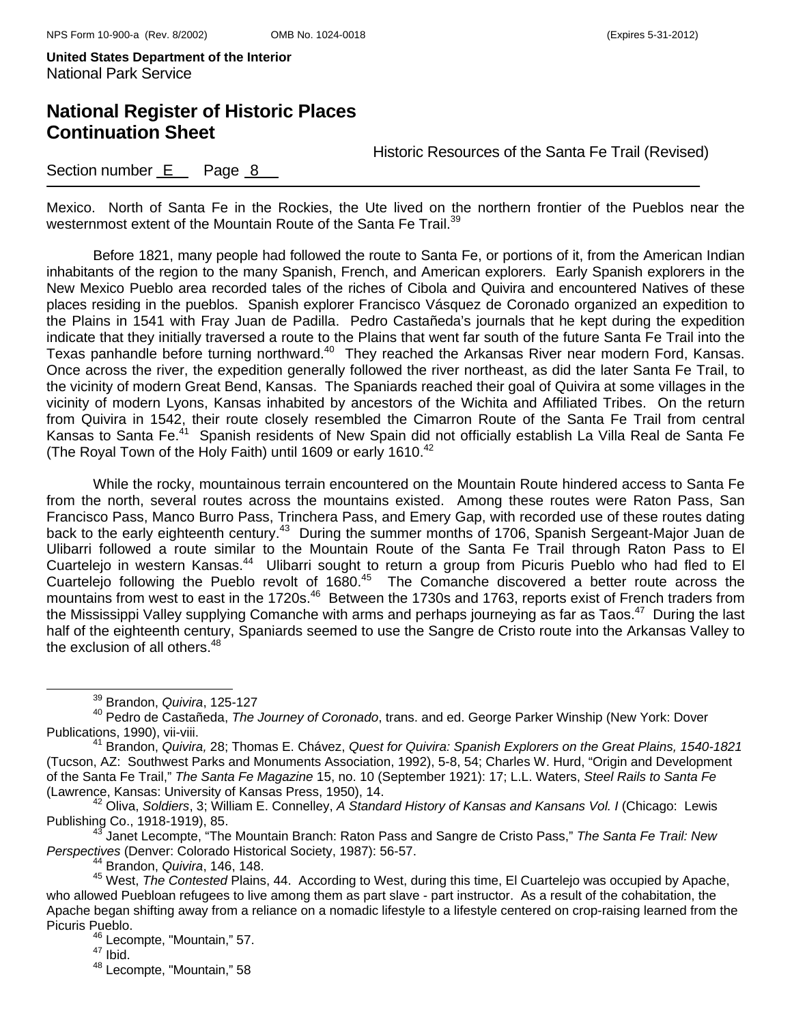## **National Register of Historic Places Continuation Sheet**

Historic Resources of the Santa Fe Trail (Revised)

### Section number  $E$  Page  $8$

Mexico. North of Santa Fe in the Rockies, the Ute lived on the northern frontier of the Pueblos near the westernmost extent of the Mountain Route of the Santa Fe Trail.<sup>39</sup>

 Before 1821, many people had followed the route to Santa Fe, or portions of it, from the American Indian inhabitants of the region to the many Spanish, French, and American explorers. Early Spanish explorers in the New Mexico Pueblo area recorded tales of the riches of Cibola and Quivira and encountered Natives of these places residing in the pueblos. Spanish explorer Francisco Vásquez de Coronado organized an expedition to the Plains in 1541 with Fray Juan de Padilla. Pedro Castañeda's journals that he kept during the expedition indicate that they initially traversed a route to the Plains that went far south of the future Santa Fe Trail into the Texas panhandle before turning northward.<sup>40</sup> They reached the Arkansas River near modern Ford, Kansas. Once across the river, the expedition generally followed the river northeast, as did the later Santa Fe Trail, to the vicinity of modern Great Bend, Kansas. The Spaniards reached their goal of Quivira at some villages in the vicinity of modern Lyons, Kansas inhabited by ancestors of the Wichita and Affiliated Tribes. On the return from Quivira in 1542, their route closely resembled the Cimarron Route of the Santa Fe Trail from central Kansas to Santa Fe.<sup>41</sup> Spanish residents of New Spain did not officially establish La Villa Real de Santa Fe (The Royal Town of the Holy Faith) until 1609 or early 1610. $42$ 

While the rocky, mountainous terrain encountered on the Mountain Route hindered access to Santa Fe from the north, several routes across the mountains existed. Among these routes were Raton Pass, San Francisco Pass, Manco Burro Pass, Trinchera Pass, and Emery Gap, with recorded use of these routes dating back to the early eighteenth century.43 During the summer months of 1706, Spanish Sergeant-Major Juan de Ulibarri followed a route similar to the Mountain Route of the Santa Fe Trail through Raton Pass to El Cuartelejo in western Kansas.<sup>44</sup> Ulibarri sought to return a group from Picuris Pueblo who had fled to El Cuartelejo following the Pueblo revolt of 1680.45 The Comanche discovered a better route across the mountains from west to east in the 1720s.<sup>46</sup> Between the 1730s and 1763, reports exist of French traders from the Mississippi Valley supplying Comanche with arms and perhaps journeying as far as Taos.<sup>47</sup> During the last half of the eighteenth century, Spaniards seemed to use the Sangre de Cristo route into the Arkansas Valley to the exclusion of all others.<sup>48</sup>

39 Brandon, *Quivira*, 125-127

<sup>40</sup> Pedro de Castañeda, *The Journey of Coronado*, trans. and ed. George Parker Winship (New York: Dover

<sup>&</sup>lt;sup>41</sup> Brandon, *Quivira, 28; Thomas E. Chávez, Quest for Quivira: Spanish Explorers on the Great Plains, 1540-1821* (Tucson, AZ: Southwest Parks and Monuments Association, 1992), 5-8, 54; Charles W. Hurd, "Origin and Development of the Santa Fe Trail," *The Santa Fe Magazine* 15, no. 10 (September 1921): 17; L.L. Waters, *Steel Rails to Santa Fe*

<sup>&</sup>lt;sup>42</sup> Oliva, Soldiers, 3; William E. Connelley, *A Standard History of Kansas and Kansans Vol. I* (Chicago: Lewis Publishing Co., 1918-1919), 85.<br><sup>43</sup> Janet Lecompte, "The Mountain Branch: Raton Pass and Sangre de Cristo Pass," *The Santa Fe Trail: New* 

*Perspectives* (Denver: Colorado Historical Society, 1987): 56-57. 44 Brandon, *Quivira*, 146, 148.

<sup>45</sup> West, *The Contested* Plains, 44. According to West, during this time, El Cuartelejo was occupied by Apache, who allowed Puebloan refugees to live among them as part slave - part instructor. As a result of the cohabitation, the Apache began shifting away from a reliance on a nomadic lifestyle to a lifestyle centered on crop-raising learned from the Picuris Pueblo.

 $46 \text{ Lecompte},$  "Mountain," 57.<br> $47 \text{ lbid}.$ 

<sup>48</sup> Lecompte, "Mountain," 58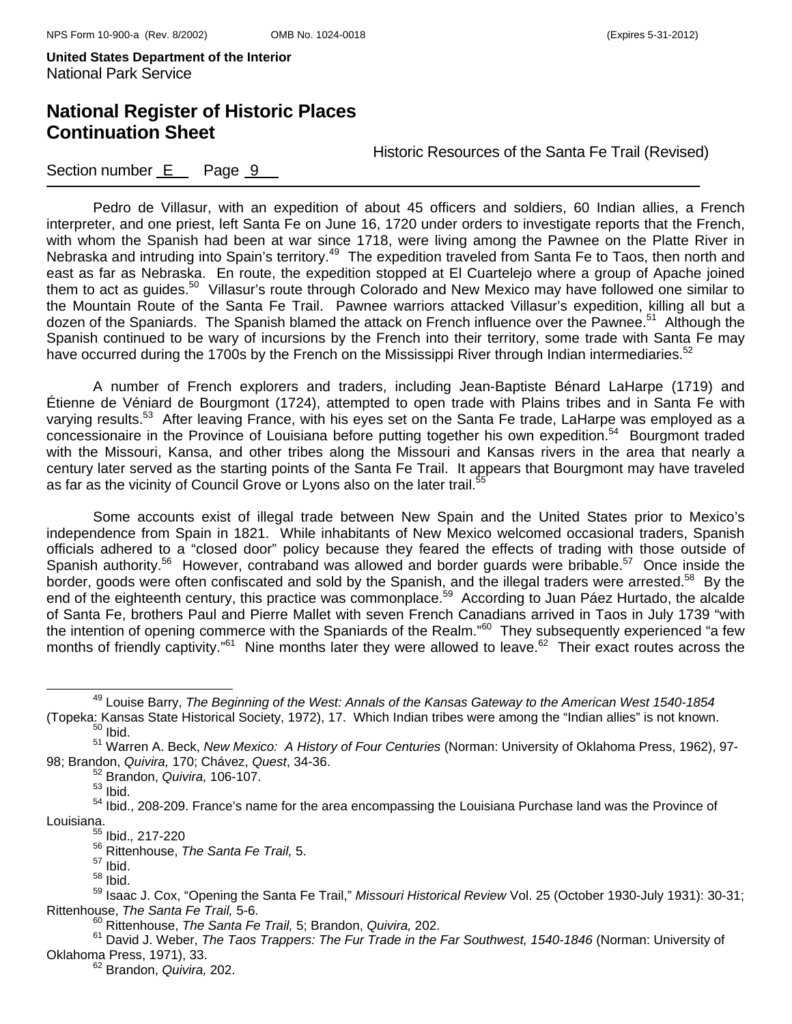## **National Register of Historic Places Continuation Sheet**

Historic Resources of the Santa Fe Trail (Revised)

#### Section number E Page 9

Pedro de Villasur, with an expedition of about 45 officers and soldiers, 60 Indian allies, a French interpreter, and one priest, left Santa Fe on June 16, 1720 under orders to investigate reports that the French, with whom the Spanish had been at war since 1718, were living among the Pawnee on the Platte River in Nebraska and intruding into Spain's territory.<sup>49</sup> The expedition traveled from Santa Fe to Taos, then north and east as far as Nebraska. En route, the expedition stopped at El Cuartelejo where a group of Apache joined them to act as guides.<sup>50</sup> Villasur's route through Colorado and New Mexico may have followed one similar to the Mountain Route of the Santa Fe Trail. Pawnee warriors attacked Villasur's expedition, killing all but a dozen of the Spaniards. The Spanish blamed the attack on French influence over the Pawnee.<sup>51</sup> Although the Spanish continued to be wary of incursions by the French into their territory, some trade with Santa Fe may have occurred during the 1700s by the French on the Mississippi River through Indian intermediaries.<sup>52</sup>

A number of French explorers and traders, including Jean-Baptiste Bénard LaHarpe (1719) and Étienne de Véniard de Bourgmont (1724), attempted to open trade with Plains tribes and in Santa Fe with varying results.<sup>53</sup> After leaving France, with his eyes set on the Santa Fe trade, LaHarpe was employed as a concessionaire in the Province of Louisiana before putting together his own expedition.<sup>54</sup> Bourgmont traded with the Missouri, Kansa, and other tribes along the Missouri and Kansas rivers in the area that nearly a century later served as the starting points of the Santa Fe Trail. It appears that Bourgmont may have traveled as far as the vicinity of Council Grove or Lyons also on the later trail.<sup>5</sup>

Some accounts exist of illegal trade between New Spain and the United States prior to Mexico's independence from Spain in 1821. While inhabitants of New Mexico welcomed occasional traders, Spanish officials adhered to a "closed door" policy because they feared the effects of trading with those outside of Spanish authority.<sup>56</sup> However, contraband was allowed and border guards were bribable.<sup>57</sup> Once inside the border, goods were often confiscated and sold by the Spanish, and the illegal traders were arrested.<sup>58</sup> By the end of the eighteenth century, this practice was commonplace.<sup>59</sup> According to Juan Páez Hurtado, the alcalde of Santa Fe, brothers Paul and Pierre Mallet with seven French Canadians arrived in Taos in July 1739 "with the intention of opening commerce with the Spaniards of the Realm."<sup>60</sup> They subsequently experienced "a few months of friendly captivity."<sup>61</sup> Nine months later they were allowed to leave.<sup>62</sup> Their exact routes across the

52 Brandon, *Quivira,* 106-107.

55 Ibid.*,* 217-220

49 Louise Barry, *The Beginning of the West: Annals of the Kansas Gateway to the American West 1540-1854*  (Topeka: Kansas State Historical Society, 1972), 17. Which Indian tribes were among the "Indian allies" is not known. 50 Ibid.

<sup>51</sup> Warren A. Beck, *New Mexico: A History of Four Centuries* (Norman: University of Oklahoma Press, 1962), 97- 98; Brandon, *Quivira,* 170; Chávez, *Quest*, 34-36.

 $53$  Ibid.

<sup>&</sup>lt;sup>54</sup> Ibid., 208-209. France's name for the area encompassing the Louisiana Purchase land was the Province of Louisiana.

<sup>56</sup> Rittenhouse, *The Santa Fe Trail,* 5.

 $57$  Ibid.

<sup>58</sup> Ibid.

<sup>59</sup> Isaac J. Cox, "Opening the Santa Fe Trail," *Missouri Historical Review* Vol. 25 (October 1930-July 1931): 30-31; Rittenhouse, *The Santa Fe Trail,* 5-6.

<sup>60</sup> Rittenhouse, *The Santa Fe Trail,* 5; Brandon, *Quivira,* 202.

<sup>61</sup> David J. Weber, *The Taos Trappers: The Fur Trade in the Far Southwest, 1540-1846* (Norman: University of Oklahoma Press, 1971), 33. 62 Brandon, *Quivira,* 202.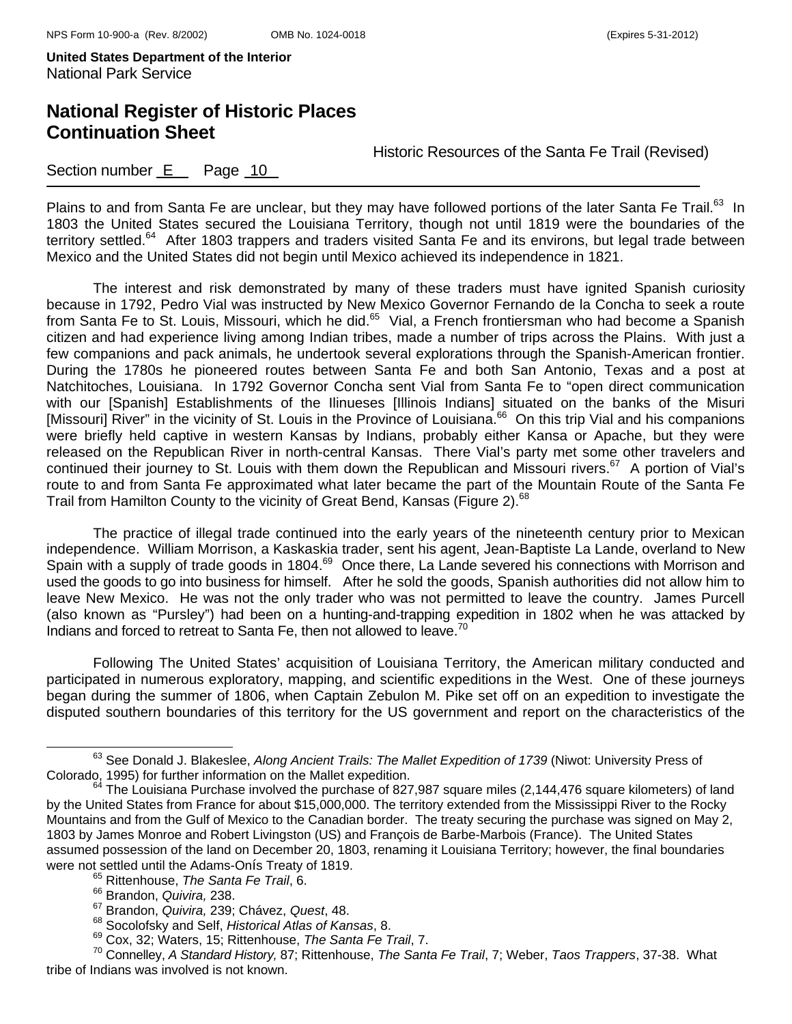## **National Register of Historic Places Continuation Sheet**

Historic Resources of the Santa Fe Trail (Revised)

#### Section number E Page 10

Plains to and from Santa Fe are unclear, but they may have followed portions of the later Santa Fe Trail.<sup>63</sup> In 1803 the United States secured the Louisiana Territory, though not until 1819 were the boundaries of the territory settled.<sup>64</sup> After 1803 trappers and traders visited Santa Fe and its environs, but legal trade between Mexico and the United States did not begin until Mexico achieved its independence in 1821.

The interest and risk demonstrated by many of these traders must have ignited Spanish curiosity because in 1792, Pedro Vial was instructed by New Mexico Governor Fernando de la Concha to seek a route from Santa Fe to St. Louis, Missouri, which he did.<sup>65</sup> Vial, a French frontiersman who had become a Spanish citizen and had experience living among Indian tribes, made a number of trips across the Plains. With just a few companions and pack animals, he undertook several explorations through the Spanish-American frontier. During the 1780s he pioneered routes between Santa Fe and both San Antonio, Texas and a post at Natchitoches, Louisiana. In 1792 Governor Concha sent Vial from Santa Fe to "open direct communication with our [Spanish] Establishments of the Ilinueses [Illinois Indians] situated on the banks of the Misuri [Missouri] River" in the vicinity of St. Louis in the Province of Louisiana.<sup>66</sup> On this trip Vial and his companions were briefly held captive in western Kansas by Indians, probably either Kansa or Apache, but they were released on the Republican River in north-central Kansas. There Vial's party met some other travelers and continued their journey to St. Louis with them down the Republican and Missouri rivers.<sup>67</sup> A portion of Vial's route to and from Santa Fe approximated what later became the part of the Mountain Route of the Santa Fe Trail from Hamilton County to the vicinity of Great Bend, Kansas (Figure 2).<sup>68</sup>

 The practice of illegal trade continued into the early years of the nineteenth century prior to Mexican independence. William Morrison, a Kaskaskia trader, sent his agent, Jean-Baptiste La Lande, overland to New Spain with a supply of trade goods in 1804.<sup>69</sup> Once there, La Lande severed his connections with Morrison and used the goods to go into business for himself. After he sold the goods, Spanish authorities did not allow him to leave New Mexico. He was not the only trader who was not permitted to leave the country. James Purcell (also known as "Pursley") had been on a hunting-and-trapping expedition in 1802 when he was attacked by Indians and forced to retreat to Santa Fe, then not allowed to leave.<sup>70</sup>

 Following The United States' acquisition of Louisiana Territory, the American military conducted and participated in numerous exploratory, mapping, and scientific expeditions in the West. One of these journeys began during the summer of 1806, when Captain Zebulon M. Pike set off on an expedition to investigate the disputed southern boundaries of this territory for the US government and report on the characteristics of the

<sup>&</sup>lt;sup>63</sup> See Donald J. Blakeslee, *Along Ancient Trails: The Mallet Expedition of 1739* (Niwot: University Press of Colorado, 1995) for further information on the Mallet expedition.

 $64$  The Louisiana Purchase involved the purchase of 827,987 square miles (2,144,476 square kilometers) of land by the United States from France for about \$15,000,000. The territory extended from the Mississippi River to the Rocky Mountains and from the Gulf of Mexico to the Canadian border. The treaty securing the purchase was signed on May 2, 1803 by James Monroe and Robert Livingston (US) and François de Barbe-Marbois (France). The United States assumed possession of the land on December 20, 1803, renaming it Louisiana Territory; however, the final boundaries were not settled until the Adams-Onís Treaty of 1819.<br><sup>65</sup> Rittenhouse, *The Santa Fe Trail*, 6.

<sup>66</sup> Brandon, *Quivira,* 238.

<sup>67</sup> Brandon, *Quivira,* 239; Chávez, *Quest*, 48.

<sup>68</sup> Socolofsky and Self, *Historical Atlas of Kansas*, 8.

<sup>69</sup> Cox, 32; Waters, 15; Rittenhouse, *The Santa Fe Trail*, 7.

<sup>70</sup> Connelley, *A Standard History,* 87; Rittenhouse, *The Santa Fe Trail*, 7; Weber, *Taos Trappers*, 37-38. What tribe of Indians was involved is not known.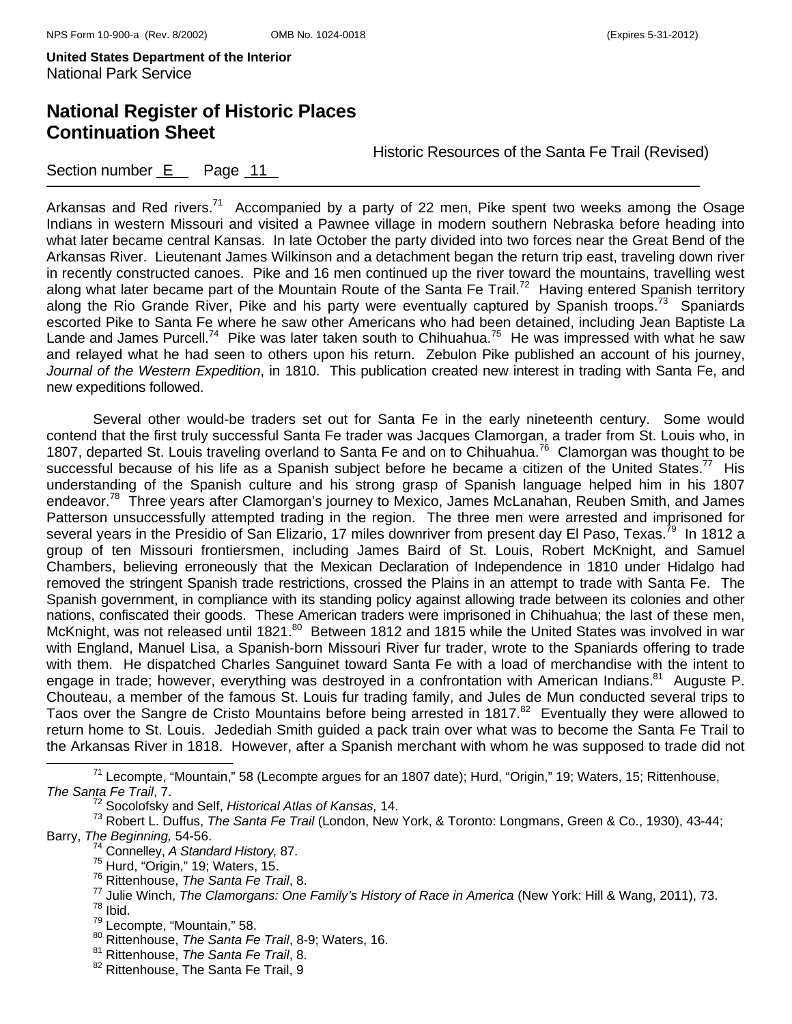# **National Register of Historic Places Continuation Sheet**

Historic Resources of the Santa Fe Trail (Revised)

Section number  $E$  Page 11

Arkansas and Red rivers.<sup>71</sup> Accompanied by a party of 22 men, Pike spent two weeks among the Osage Indians in western Missouri and visited a Pawnee village in modern southern Nebraska before heading into what later became central Kansas. In late October the party divided into two forces near the Great Bend of the Arkansas River. Lieutenant James Wilkinson and a detachment began the return trip east, traveling down river in recently constructed canoes. Pike and 16 men continued up the river toward the mountains, travelling west along what later became part of the Mountain Route of the Santa Fe Trail.<sup>72</sup> Having entered Spanish territory along the Rio Grande River, Pike and his party were eventually captured by Spanish troops.<sup>73</sup> Spaniards escorted Pike to Santa Fe where he saw other Americans who had been detained, including Jean Baptiste La Lande and James Purcell.<sup>74</sup> Pike was later taken south to Chihuahua.<sup>75</sup> He was impressed with what he saw and relayed what he had seen to others upon his return. Zebulon Pike published an account of his journey, *Journal of the Western Expedition*, in 1810. This publication created new interest in trading with Santa Fe, and new expeditions followed.

 Several other would-be traders set out for Santa Fe in the early nineteenth century. Some would contend that the first truly successful Santa Fe trader was Jacques Clamorgan, a trader from St. Louis who, in 1807, departed St. Louis traveling overland to Santa Fe and on to Chihuahua.76 Clamorgan was thought to be successful because of his life as a Spanish subject before he became a citizen of the United States.<sup>77</sup> His understanding of the Spanish culture and his strong grasp of Spanish language helped him in his 1807 endeavor.<sup>78</sup> Three years after Clamorgan's journey to Mexico, James McLanahan, Reuben Smith, and James Patterson unsuccessfully attempted trading in the region. The three men were arrested and imprisoned for several years in the Presidio of San Elizario, 17 miles downriver from present day El Paso, Texas.<sup>79</sup> In 1812 a group of ten Missouri frontiersmen, including James Baird of St. Louis, Robert McKnight, and Samuel Chambers, believing erroneously that the Mexican Declaration of Independence in 1810 under Hidalgo had removed the stringent Spanish trade restrictions, crossed the Plains in an attempt to trade with Santa Fe. The Spanish government, in compliance with its standing policy against allowing trade between its colonies and other nations, confiscated their goods. These American traders were imprisoned in Chihuahua; the last of these men, Malone, connective their gester. These interest in the relation of the United States was involved in war with England, Manuel Lisa, a Spanish-born Missouri River fur trader, wrote to the Spaniards offering to trade with them. He dispatched Charles Sanguinet toward Santa Fe with a load of merchandise with the intent to engage in trade; however, everything was destroyed in a confrontation with American Indians.<sup>81</sup> Auguste P. Chouteau, a member of the famous St. Louis fur trading family, and Jules de Mun conducted several trips to Taos over the Sangre de Cristo Mountains before being arrested in 1817.<sup>82</sup> Eventually they were allowed to return home to St. Louis. Jedediah Smith guided a pack train over what was to become the Santa Fe Trail to the Arkansas River in 1818. However, after a Spanish merchant with whom he was supposed to trade did not

71 Lecompte, "Mountain," 58 (Lecompte argues for an 1807 date); Hurd, "Origin," 19; Waters, 15; Rittenhouse, *The Santa Fe Trail*, 7.

<sup>72</sup> Socolofsky and Self, *Historical Atlas of Kansas,* 14.

<sup>73</sup> Robert L. Duffus, *The Santa Fe Trail* (London, New York, & Toronto: Longmans, Green & Co., 1930), 43-44; Barry, *The Beginning,* 54-56.

<sup>&</sup>lt;sup>74</sup> Connelley, *A Standard History, 87.*<br><sup>75</sup> Hurd, "Origin," 19; Waters, 15.

<sup>&</sup>lt;sup>76</sup> Rittenhouse, *The Santa Fe Trail*, 8.<br><sup>77</sup> Julie Winch, *The Clamorgans: One Family's History of Race in America* (New York: Hill & Wang, 2011), 73.<br><sup>78</sup> Lecompte, "Mountain," 58.

<sup>&</sup>lt;sup>80</sup> Rittenhouse, The Santa Fe Trail, 8-9; Waters, 16.

<sup>81</sup> Rittenhouse, *The Santa Fe Trail*, 8.

<sup>82</sup> Rittenhouse, The Santa Fe Trail, 9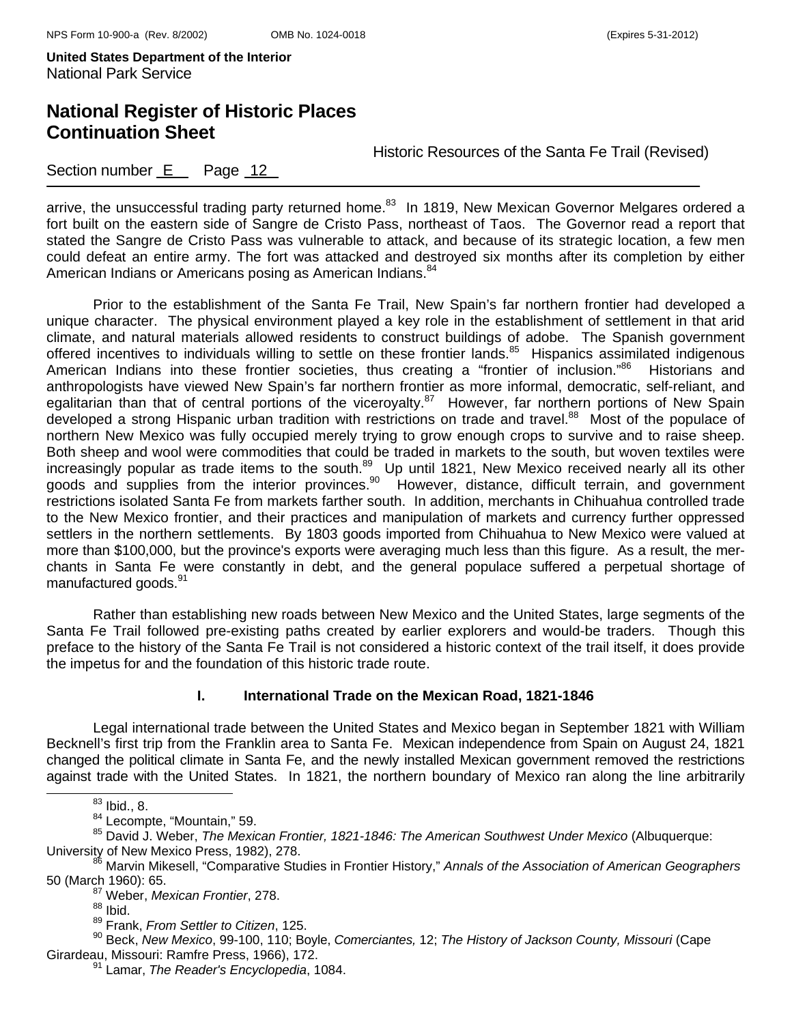## **National Register of Historic Places Continuation Sheet**

Historic Resources of the Santa Fe Trail (Revised)

### Section number  $E$  Page 12

arrive, the unsuccessful trading party returned home.<sup>83</sup> In 1819, New Mexican Governor Melgares ordered a fort built on the eastern side of Sangre de Cristo Pass, northeast of Taos. The Governor read a report that stated the Sangre de Cristo Pass was vulnerable to attack, and because of its strategic location, a few men could defeat an entire army. The fort was attacked and destroyed six months after its completion by either American Indians or Americans posing as American Indians.<sup>84</sup>

Prior to the establishment of the Santa Fe Trail, New Spain's far northern frontier had developed a unique character. The physical environment played a key role in the establishment of settlement in that arid climate, and natural materials allowed residents to construct buildings of adobe. The Spanish government offered incentives to individuals willing to settle on these frontier lands.<sup>85</sup> Hispanics assimilated indigenous American Indians into these frontier societies, thus creating a "frontier of inclusion."<sup>86</sup> Historians and anthropologists have viewed New Spain's far northern frontier as more informal, democratic, self-reliant, and egalitarian than that of central portions of the viceroyalty.<sup>87</sup> However, far northern portions of New Spain developed a strong Hispanic urban tradition with restrictions on trade and travel.<sup>88</sup> Most of the populace of northern New Mexico was fully occupied merely trying to grow enough crops to survive and to raise sheep. Both sheep and wool were commodities that could be traded in markets to the south, but woven textiles were increasingly popular as trade items to the south.<sup>89</sup> Up until 1821, New Mexico received nearly all its other goods and supplies from the interior provinces.<sup>90</sup> However, distance, difficult terrain, and government restrictions isolated Santa Fe from markets farther south. In addition, merchants in Chihuahua controlled trade to the New Mexico frontier, and their practices and manipulation of markets and currency further oppressed settlers in the northern settlements. By 1803 goods imported from Chihuahua to New Mexico were valued at more than \$100,000, but the province's exports were averaging much less than this figure. As a result, the merchants in Santa Fe were constantly in debt, and the general populace suffered a perpetual shortage of manufactured goods.<sup>91</sup>

Rather than establishing new roads between New Mexico and the United States, large segments of the Santa Fe Trail followed pre-existing paths created by earlier explorers and would-be traders. Though this preface to the history of the Santa Fe Trail is not considered a historic context of the trail itself, it does provide the impetus for and the foundation of this historic trade route.

#### **I. International Trade on the Mexican Road, 1821-1846**

Legal international trade between the United States and Mexico began in September 1821 with William Becknell's first trip from the Franklin area to Santa Fe. Mexican independence from Spain on August 24, 1821 changed the political climate in Santa Fe, and the newly installed Mexican government removed the restrictions against trade with the United States. In 1821, the northern boundary of Mexico ran along the line arbitrarily

 $^{83}$  Ibid., 8.<br> $^{84}$  Lecompte, "Mountain," 59.

85 David J. Weber, The Mexican Frontier, 1821-1846: The American Southwest Under Mexico (Albuquerque: University of New Mexico Press, 1982), 278.<br><sup>86</sup> Marvin Mikesell, "Comparative Studies in Frontier History," *Annals of the Association of American Geographers* 

50 (March 1960): 65. 87 Weber, *Mexican Frontier*, 278.

90 Beck, *New Mexico*, 99-100, 110; Boyle, *Comerciantes,* 12; *The History of Jackson County, Missouri* (Cape

 $88$  Ibid.

<sup>89</sup> Frank, *From Settler to Citizen*, 125.

Girardeau, Missouri: Ramfre Press, 1966), 172. 91 Lamar, *The Reader's Encyclopedia*, 1084.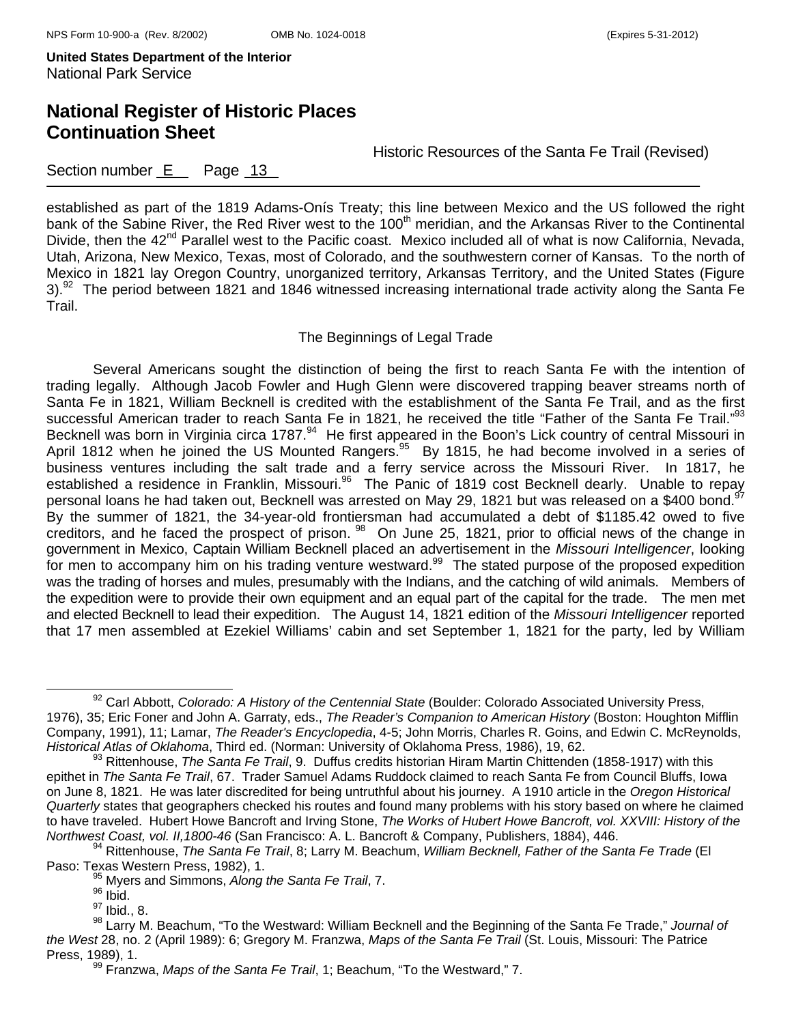Historic Resources of the Santa Fe Trail (Revised)

### Section number  $E$  Page 13

established as part of the 1819 Adams-Onís Treaty; this line between Mexico and the US followed the right bank of the Sabine River, the Red River west to the 100<sup>th</sup> meridian, and the Arkansas River to the Continental Divide, then the 42<sup>nd</sup> Parallel west to the Pacific coast. Mexico included all of what is now California, Nevada, Utah, Arizona, New Mexico, Texas, most of Colorado, and the southwestern corner of Kansas. To the north of Mexico in 1821 lay Oregon Country, unorganized territory, Arkansas Territory, and the United States (Figure 3).<sup>92</sup> The period between 1821 and 1846 witnessed increasing international trade activity along the Santa Fe Trail.

#### The Beginnings of Legal Trade

 Several Americans sought the distinction of being the first to reach Santa Fe with the intention of trading legally. Although Jacob Fowler and Hugh Glenn were discovered trapping beaver streams north of Santa Fe in 1821, William Becknell is credited with the establishment of the Santa Fe Trail, and as the first successful American trader to reach Santa Fe in 1821, he received the title "Father of the Santa Fe Trail."<sup>93</sup> Becknell was born in Virginia circa 1787.<sup>94</sup> He first appeared in the Boon's Lick country of central Missouri in April 1812 when he joined the US Mounted Rangers.95 By 1815, he had become involved in a series of business ventures including the salt trade and a ferry service across the Missouri River. In 1817, he established a residence in Franklin, Missouri.<sup>96</sup> The Panic of 1819 cost Becknell dearly. Unable to repay personal loans he had taken out, Becknell was arrested on May 29, 1821 but was released on a \$400 bond.<sup>97</sup> By the summer of 1821, the 34-year-old frontiersman had accumulated a debt of \$1185.42 owed to five creditors, and he faced the prospect of prison. <sup>98</sup> On June 25, 1821, prior to official news of the change in government in Mexico, Captain William Becknell placed an advertisement in the *Missouri Intelligencer*, looking for men to accompany him on his trading venture westward.<sup>99</sup> The stated purpose of the proposed expedition was the trading of horses and mules, presumably with the Indians, and the catching of wild animals. Members of the expedition were to provide their own equipment and an equal part of the capital for the trade. The men met and elected Becknell to lead their expedition. The August 14, 1821 edition of the *Missouri Intelligencer* reported that 17 men assembled at Ezekiel Williams' cabin and set September 1, 1821 for the party, led by William

92 Carl Abbott, *Colorado: A History of the Centennial State* (Boulder: Colorado Associated University Press, 1976), 35; Eric Foner and John A. Garraty, eds., *The Reader's Companion to American History* (Boston: Houghton Mifflin Company, 1991), 11; Lamar, *The Reader's Encyclopedia*, 4-5; John Morris, Charles R. Goins, and Edwin C. McReynolds,

<sup>&</sup>lt;sup>93</sup> Rittenhouse, *The Santa Fe Trail*, 9. Duffus credits historian Hiram Martin Chittenden (1858-1917) with this epithet in *The Santa Fe Trail*, 67. Trader Samuel Adams Ruddock claimed to reach Santa Fe from Council Bluffs, Iowa on June 8, 1821. He was later discredited for being untruthful about his journey. A 1910 article in the *Oregon Historical Quarterly* states that geographers checked his routes and found many problems with his story based on where he claimed to have traveled. Hubert Howe Bancroft and Irving Stone, *The Works of Hubert Howe Bancroft, vol. XXVIII: History of the*  Northwest Coast, vol. II, 1800-46 (San Francisco: A. L. Bancroft & Company, Publishers, 1884), 446.<br><sup>94</sup> Rittenhouse, *The Santa Fe Trail*, 8: Larry M. Beachum, *William Becknell, Father of the Santa Fe Trade* (El

Paso: Texas Western Press, 1982), 1.<br><sup>95</sup> Myers and Simmons, *Along the Santa Fe Trail*, 7.

 $96$  Ibid.

 $97$  Ibid., 8.

<sup>98</sup> Larry M. Beachum, "To the Westward: William Becknell and the Beginning of the Santa Fe Trade," *Journal of the West* 28, no. 2 (April 1989): 6; Gregory M. Franzwa, *Maps of the Santa Fe Trail* (St. Louis, Missouri: The Patrice Press, 1989), 1.<br><sup>99</sup> Franzwa, *Maps of the Santa Fe Trail*, 1; Beachum, "To the Westward," 7.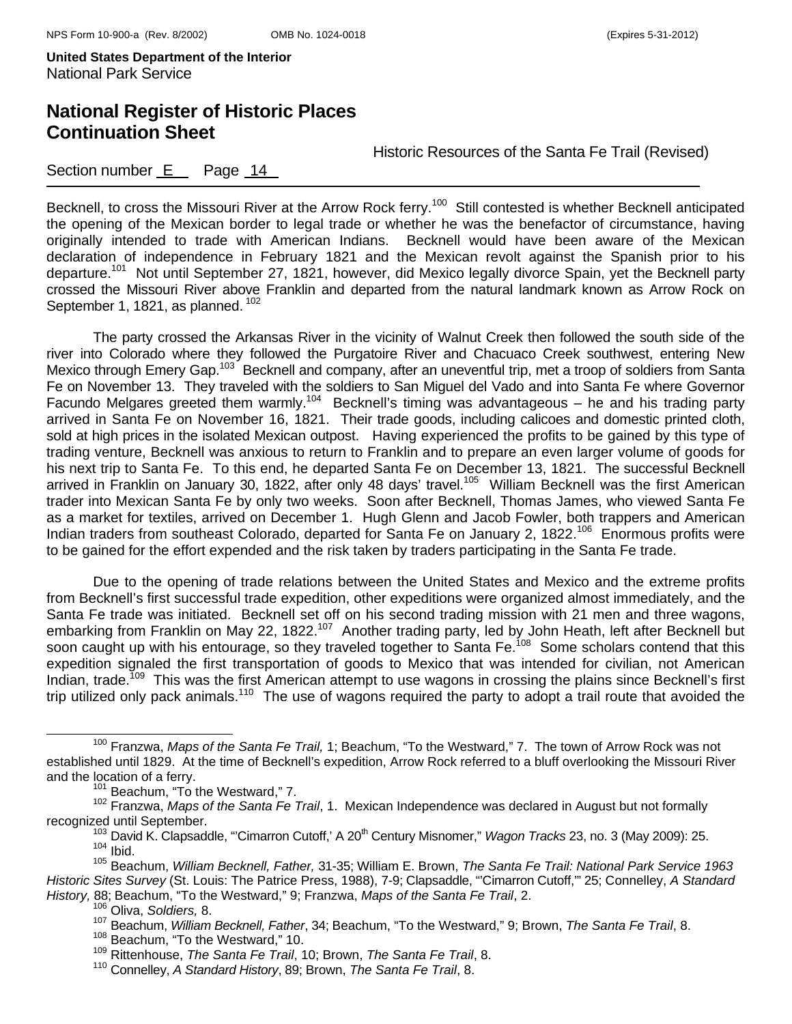## **National Register of Historic Places Continuation Sheet**

Historic Resources of the Santa Fe Trail (Revised)

### Section number  $E$  Page 14

Becknell, to cross the Missouri River at the Arrow Rock ferry.<sup>100</sup> Still contested is whether Becknell anticipated the opening of the Mexican border to legal trade or whether he was the benefactor of circumstance, having originally intended to trade with American Indians. Becknell would have been aware of the Mexican declaration of independence in February 1821 and the Mexican revolt against the Spanish prior to his departure.<sup>101</sup> Not until September 27, 1821, however, did Mexico legally divorce Spain, yet the Becknell party crossed the Missouri River above Franklin and departed from the natural landmark known as Arrow Rock on September 1, 1821, as planned. <sup>102</sup>

 The party crossed the Arkansas River in the vicinity of Walnut Creek then followed the south side of the river into Colorado where they followed the Purgatoire River and Chacuaco Creek southwest, entering New Mexico through Emery Gap.<sup>103</sup> Becknell and company, after an uneventful trip, met a troop of soldiers from Santa Fe on November 13. They traveled with the soldiers to San Miguel del Vado and into Santa Fe where Governor Facundo Melgares greeted them warmly.<sup>104</sup> Becknell's timing was advantageous – he and his trading party arrived in Santa Fe on November 16, 1821. Their trade goods, including calicoes and domestic printed cloth, sold at high prices in the isolated Mexican outpost. Having experienced the profits to be gained by this type of trading venture, Becknell was anxious to return to Franklin and to prepare an even larger volume of goods for his next trip to Santa Fe. To this end, he departed Santa Fe on December 13, 1821. The successful Becknell arrived in Franklin on January 30, 1822, after only 48 days' travel.<sup>105</sup> William Becknell was the first American trader into Mexican Santa Fe by only two weeks. Soon after Becknell, Thomas James, who viewed Santa Fe as a market for textiles, arrived on December 1. Hugh Glenn and Jacob Fowler, both trappers and American Indian traders from southeast Colorado, departed for Santa Fe on January 2, 1822.<sup>106</sup> Enormous profits were to be gained for the effort expended and the risk taken by traders participating in the Santa Fe trade.

 Due to the opening of trade relations between the United States and Mexico and the extreme profits from Becknell's first successful trade expedition, other expeditions were organized almost immediately, and the Santa Fe trade was initiated. Becknell set off on his second trading mission with 21 men and three wagons, embarking from Franklin on May 22, 1822.<sup>107</sup> Another trading party, led by John Heath, left after Becknell but soon caught up with his entourage, so they traveled together to Santa Fe.<sup>108</sup> Some scholars contend that this expedition signaled the first transportation of goods to Mexico that was intended for civilian, not American Indian, trade.<sup>109</sup> This was the first American attempt to use wagons in crossing the plains since Becknell's first trip utilized only pack animals.<sup>110</sup> The use of wagons required the party to adopt a trail route that avoided the

100 Franzwa, *Maps of the Santa Fe Trail,* 1; Beachum, "To the Westward," 7. The town of Arrow Rock was not established until 1829. At the time of Becknell's expedition, Arrow Rock referred to a bluff overlooking the Missouri River and the location of a ferry.<br> $101$  Beachum, "To the Westward," 7.

<sup>102</sup> Franzwa, *Maps of the Santa Fe Trail*, 1. Mexican Independence was declared in August but not formally

recognized until September.<br><sup>103</sup> David K. Clapsaddle, "'Cimarron Cutoff,' A 20<sup>th</sup> Century Misnomer," *Wagon Tracks* 23, no. 3 (May 2009): 25.<br><sup>104</sup> Ibid.

<sup>105</sup> Beachum, *William Becknell, Father,* 31-35; William E. Brown, *The Santa Fe Trail: National Park Service 1963 Historic Sites Survey* (St. Louis: The Patrice Press, 1988), 7-9; Clapsaddle, "'Cimarron Cutoff,'" 25; Connelley, *A Standard History,* 88; Beachum, "To the Westward," 9; Franzwa, *Maps of the Santa Fe Trail*, 2.

<sup>106</sup> Oliva, *Soldiers,* 8.

<sup>107</sup> Beachum, *William Becknell, Father*, 34; Beachum, "To the Westward," 9; Brown, *The Santa Fe Trail*, 8.

<sup>&</sup>lt;sup>108</sup> Beachum, "To the Westward," 10.

<sup>109</sup> Rittenhouse, *The Santa Fe Trail*, 10; Brown, *The Santa Fe Trail*, 8.

<sup>110</sup> Connelley, *A Standard History*, 89; Brown, *The Santa Fe Trail*, 8.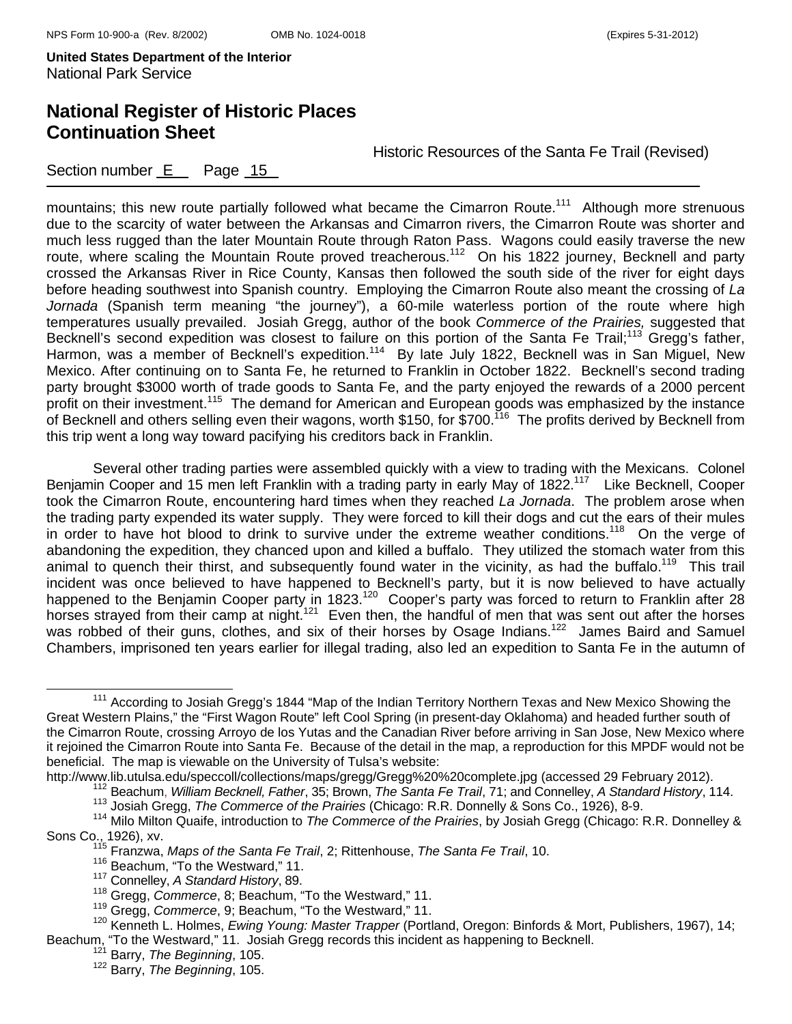Section number E Page 15

# **National Register of Historic Places Continuation Sheet**

Historic Resources of the Santa Fe Trail (Revised)

mountains; this new route partially followed what became the Cimarron Route.<sup>111</sup> Although more strenuous due to the scarcity of water between the Arkansas and Cimarron rivers, the Cimarron Route was shorter and much less rugged than the later Mountain Route through Raton Pass. Wagons could easily traverse the new route, where scaling the Mountain Route proved treacherous.<sup>112</sup> On his 1822 journey, Becknell and party crossed the Arkansas River in Rice County, Kansas then followed the south side of the river for eight days before heading southwest into Spanish country. Employing the Cimarron Route also meant the crossing of *La Jornada* (Spanish term meaning "the journey"), a 60-mile waterless portion of the route where high temperatures usually prevailed. Josiah Gregg, author of the book *Commerce of the Prairies,* suggested that Becknell's second expedition was closest to failure on this portion of the Santa Fe Trail;<sup>113</sup> Gregg's father, Harmon, was a member of Becknell's expedition.<sup>114</sup> By late July 1822, Becknell was in San Miguel, New Mexico. After continuing on to Santa Fe, he returned to Franklin in October 1822. Becknell's second trading party brought \$3000 worth of trade goods to Santa Fe, and the party enjoyed the rewards of a 2000 percent profit on their investment.<sup>115</sup> The demand for American and European goods was emphasized by the instance of Becknell and others selling even their wagons, worth \$150, for \$700.<sup>116</sup> The profits derived by Becknell from this trip went a long way toward pacifying his creditors back in Franklin.

Several other trading parties were assembled quickly with a view to trading with the Mexicans. Colonel Benjamin Cooper and 15 men left Franklin with a trading party in early May of 1822.<sup>117</sup> Like Becknell, Cooper took the Cimarron Route, encountering hard times when they reached *La Jornada*. The problem arose when the trading party expended its water supply. They were forced to kill their dogs and cut the ears of their mules in order to have hot blood to drink to survive under the extreme weather conditions.<sup>118</sup> On the verge of abandoning the expedition, they chanced upon and killed a buffalo. They utilized the stomach water from this animal to quench their thirst, and subsequently found water in the vicinity, as had the buffalo.<sup>119</sup> This trail incident was once believed to have happened to Becknell's party, but it is now believed to have actually happened to the Benjamin Cooper party in 1823.<sup>120</sup> Cooper's party was forced to return to Franklin after 28 horses strayed from their camp at night.<sup>121</sup> Even then, the handful of men that was sent out after the horses was robbed of their guns, clothes, and six of their horses by Osage Indians.<sup>122</sup> James Baird and Samuel Chambers, imprisoned ten years earlier for illegal trading, also led an expedition to Santa Fe in the autumn of

http://www.lib.utulsa.edu/speccoll/collections/maps/gregg/Gregg%20%20complete.jpg (accessed 29 February 2012).<br><sup>112</sup> Beachum, *William Becknell, Father*, 35; Brown, *The Santa Fe Trail*, 71; and Connelley, *A Standard Hist* Sons Co., 1926), xv.<br><sup>115</sup> Franzwa, *Maps of the Santa Fe Trail*, 2; Rittenhouse, *The Santa Fe Trail*, 10.

119 Gregg, *Commerce*, 9; Beachum, "To the Westward," 11.

<sup>&</sup>lt;sup>111</sup> According to Josiah Gregg's 1844 "Map of the Indian Territory Northern Texas and New Mexico Showing the Great Western Plains," the "First Wagon Route" left Cool Spring (in present-day Oklahoma) and headed further south of the Cimarron Route, crossing Arroyo de los Yutas and the Canadian River before arriving in San Jose, New Mexico where it rejoined the Cimarron Route into Santa Fe. Because of the detail in the map, a reproduction for this MPDF would not be beneficial. The map is viewable on the University of Tulsa's website:

<sup>&</sup>lt;sup>116</sup> Beachum, "To the Westward," 11.

<sup>117</sup> Connelley, *A Standard History*, 89.

<sup>118</sup> Gregg, *Commerce*, 8; Beachum, "To the Westward," 11.

<sup>120</sup> Kenneth L. Holmes, *Ewing Young: Master Trapper* (Portland, Oregon: Binfords & Mort, Publishers, 1967), 14; Beachum, "To the Westward," 11. Josiah Gregg records this incident as happening to Becknell. 121 Barry, *The Beginning*, 105.

<sup>122</sup> Barry, *The Beginning*, 105.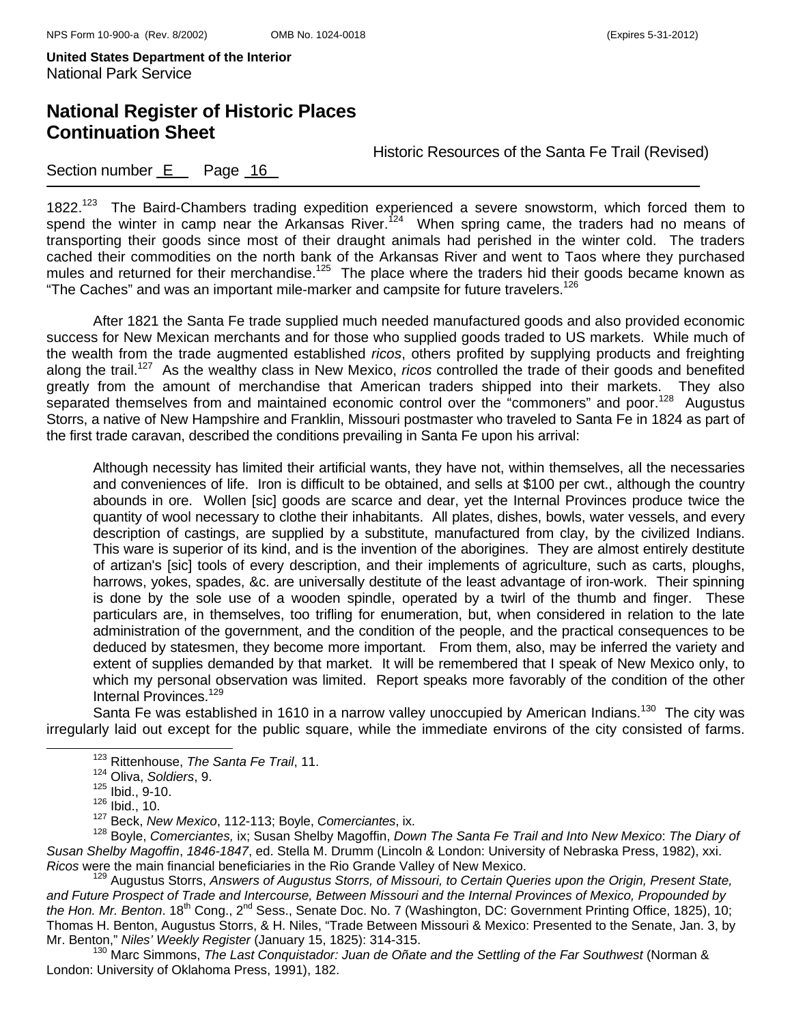## **National Register of Historic Places Continuation Sheet**

Historic Resources of the Santa Fe Trail (Revised)

### Section number  $E$  Page 16

1822.<sup>123</sup> The Baird-Chambers trading expedition experienced a severe snowstorm, which forced them to spend the winter in camp near the Arkansas River.<sup>124</sup> When spring came, the traders had no means of transporting their goods since most of their draught animals had perished in the winter cold. The traders cached their commodities on the north bank of the Arkansas River and went to Taos where they purchased mules and returned for their merchandise.<sup>125</sup> The place where the traders hid their goods became known as "The Caches" and was an important mile-marker and campsite for future travelers.<sup>126</sup>

 After 1821 the Santa Fe trade supplied much needed manufactured goods and also provided economic success for New Mexican merchants and for those who supplied goods traded to US markets. While much of the wealth from the trade augmented established *ricos*, others profited by supplying products and freighting along the trail.127 As the wealthy class in New Mexico, *ricos* controlled the trade of their goods and benefited greatly from the amount of merchandise that American traders shipped into their markets. They also separated themselves from and maintained economic control over the "commoners" and poor.<sup>128</sup> Augustus Storrs, a native of New Hampshire and Franklin, Missouri postmaster who traveled to Santa Fe in 1824 as part of the first trade caravan, described the conditions prevailing in Santa Fe upon his arrival:

Although necessity has limited their artificial wants, they have not, within themselves, all the necessaries and conveniences of life. Iron is difficult to be obtained, and sells at \$100 per cwt., although the country abounds in ore. Wollen [sic] goods are scarce and dear, yet the Internal Provinces produce twice the quantity of wool necessary to clothe their inhabitants. All plates, dishes, bowls, water vessels, and every description of castings, are supplied by a substitute, manufactured from clay, by the civilized Indians. This ware is superior of its kind, and is the invention of the aborigines. They are almost entirely destitute of artizan's [sic] tools of every description, and their implements of agriculture, such as carts, ploughs, harrows, yokes, spades, &c. are universally destitute of the least advantage of iron-work. Their spinning is done by the sole use of a wooden spindle, operated by a twirl of the thumb and finger. These particulars are, in themselves, too trifling for enumeration, but, when considered in relation to the late administration of the government, and the condition of the people, and the practical consequences to be deduced by statesmen, they become more important. From them, also, may be inferred the variety and extent of supplies demanded by that market. It will be remembered that I speak of New Mexico only, to which my personal observation was limited. Report speaks more favorably of the condition of the other Internal Provinces.<sup>129</sup>

Santa Fe was established in 1610 in a narrow valley unoccupied by American Indians.<sup>130</sup> The city was irregularly laid out except for the public square, while the immediate environs of the city consisted of farms.

127 Beck, *New Mexico*, 112-113; Boyle, *Comerciantes*, ix. 128 Boyle, *Comerciantes,* ix; Susan Shelby Magoffin, *Down The Santa Fe Trail and Into New Mexico*: *The Diary of Susan Shelby Magoffin*, *1846-1847*, ed. Stella M. Drumm (Lincoln & London: University of Nebraska Press, 1982), xxi. *Ricos* were the main financial beneficiaries in the Rio Grande Valley of New Mexico.<br><sup>129</sup> Augustus Storrs, *Answers of Augustus Storrs, of Missouri, to Certain Queries upon the Origin, Present State,* 

*and Future Prospect of Trade and Intercourse, Between Missouri and the Internal Provinces of Mexico, Propounded by the Hon. Mr. Benton*. 18th Cong., 2nd Sess., Senate Doc. No. 7 (Washington, DC: Government Printing Office, 1825), 10; Thomas H. Benton, Augustus Storrs, & H. Niles, "Trade Between Missouri & Mexico: Presented to the Senate, Jan. 3, by<br>Mr. Benton," Niles' Weekly Register (January 15, 1825): 314-315.

<sup>130</sup> Marc Simmons, *The Last Conquistador: Juan de Oñate and the Settling of the Far Southwest* (Norman & London: University of Oklahoma Press, 1991), 182.

123 Rittenhouse, *The Santa Fe Trail*, 11.

<sup>124</sup> Oliva, *Soldiers*, 9.

 $125$  Ibid., 9-10.

 $126$  Ibid., 10.<br> $127$  Beck, New Mexico, 112-113; Boyle, Comerciantes, ix.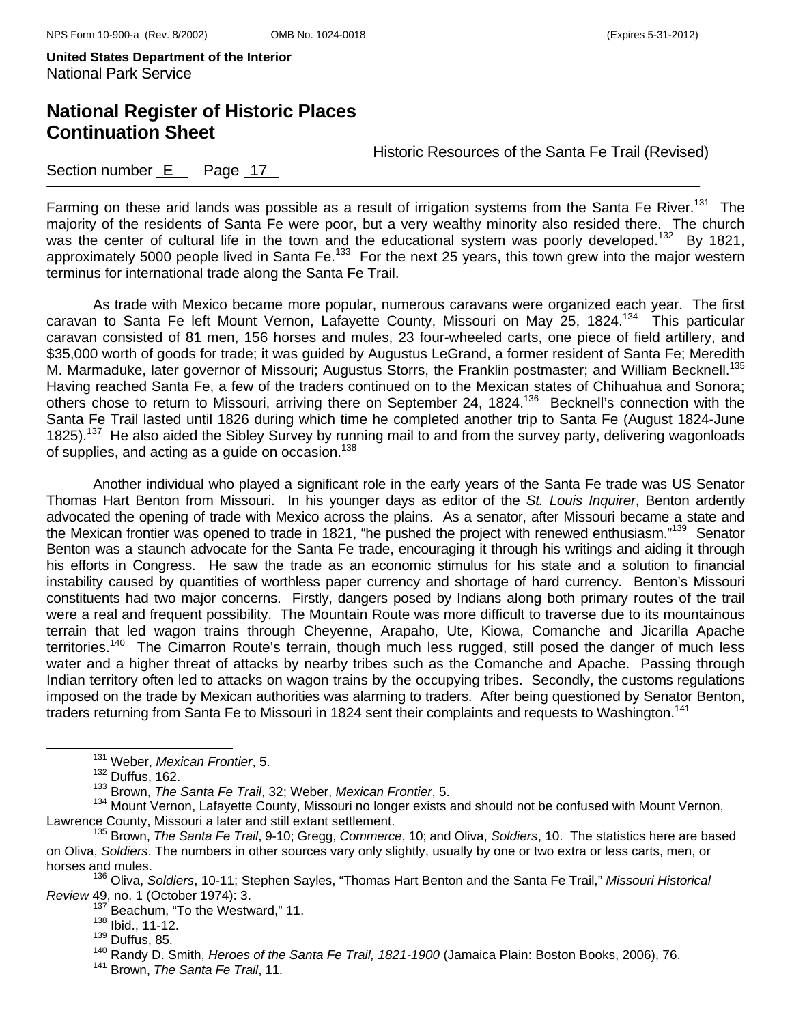## **National Register of Historic Places Continuation Sheet**

Historic Resources of the Santa Fe Trail (Revised)

Section number  $E$  Page 17

Farming on these arid lands was possible as a result of irrigation systems from the Santa Fe River.<sup>131</sup> The majority of the residents of Santa Fe were poor, but a very wealthy minority also resided there. The church was the center of cultural life in the town and the educational system was poorly developed.<sup>132</sup> By 1821, approximately 5000 people lived in Santa Fe.<sup>133</sup> For the next 25 years, this town grew into the major western terminus for international trade along the Santa Fe Trail.

As trade with Mexico became more popular, numerous caravans were organized each year. The first caravan to Santa Fe left Mount Vernon, Lafayette County, Missouri on May 25, 1824.134 This particular caravan consisted of 81 men, 156 horses and mules, 23 four-wheeled carts, one piece of field artillery, and \$35,000 worth of goods for trade; it was guided by Augustus LeGrand, a former resident of Santa Fe; Meredith M. Marmaduke, later governor of Missouri; Augustus Storrs, the Franklin postmaster; and William Becknell.<sup>135</sup> Having reached Santa Fe, a few of the traders continued on to the Mexican states of Chihuahua and Sonora; others chose to return to Missouri, arriving there on September 24, 1824.<sup>136</sup> Becknell's connection with the Santa Fe Trail lasted until 1826 during which time he completed another trip to Santa Fe (August 1824-June 1825).<sup>137</sup> He also aided the Sibley Survey by running mail to and from the survey party, delivering wagonloads of supplies, and acting as a guide on occasion.<sup>138</sup>

Another individual who played a significant role in the early years of the Santa Fe trade was US Senator Thomas Hart Benton from Missouri. In his younger days as editor of the *St. Louis Inquirer*, Benton ardently advocated the opening of trade with Mexico across the plains. As a senator, after Missouri became a state and the Mexican frontier was opened to trade in 1821, "he pushed the project with renewed enthusiasm."<sup>139</sup> Senator Benton was a staunch advocate for the Santa Fe trade, encouraging it through his writings and aiding it through his efforts in Congress. He saw the trade as an economic stimulus for his state and a solution to financial instability caused by quantities of worthless paper currency and shortage of hard currency. Benton's Missouri constituents had two major concerns. Firstly, dangers posed by Indians along both primary routes of the trail were a real and frequent possibility. The Mountain Route was more difficult to traverse due to its mountainous terrain that led wagon trains through Cheyenne, Arapaho, Ute, Kiowa, Comanche and Jicarilla Apache territories.<sup>140</sup> The Cimarron Route's terrain, though much less rugged, still posed the danger of much less water and a higher threat of attacks by nearby tribes such as the Comanche and Apache. Passing through Indian territory often led to attacks on wagon trains by the occupying tribes. Secondly, the customs regulations imposed on the trade by Mexican authorities was alarming to traders. After being questioned by Senator Benton, traders returning from Santa Fe to Missouri in 1824 sent their complaints and requests to Washington.<sup>141</sup>

<sup>134</sup> Mount Vernon, Lafayette County, Missouri no longer exists and should not be confused with Mount Vernon, Lawrence County, Missouri a later and still extant settlement.<br><sup>135</sup> Brown, *The Santa Fe Trail*, 9-10; Gregg, *Commerce*, 10; and Oliva, *Soldiers*, 10. The statistics here are based

on Oliva, *Soldiers*. The numbers in other sources vary only slightly, usually by one or two extra or less carts, men, or horses and mules.

136 Oliva, *Soldiers*, 10-11; Stephen Sayles, "Thomas Hart Benton and the Santa Fe Trail," *Missouri Historical Review* 49, no. 1 (October 1974): 3.

<sup>137</sup> Beachum, "To the Westward," 11.

131 Weber, *Mexican Frontier*, 5.

 $132$  Duffus, 162.

<sup>133</sup> Brown, *The Santa Fe Trail*, 32; Weber, *Mexican Frontier*, 5.

<sup>138</sup> Ibid., 11-12.

 $139$  Duffus, 85.

<sup>140</sup> Barrec, So.<br><sup>140</sup> Randy D. Smith, *Heroes of the Santa Fe Trail, 1821-1900* (Jamaica Plain: Boston Books, 2006), 76.<br><sup>141</sup> Brown, *The Santa Fe Trail*, 11.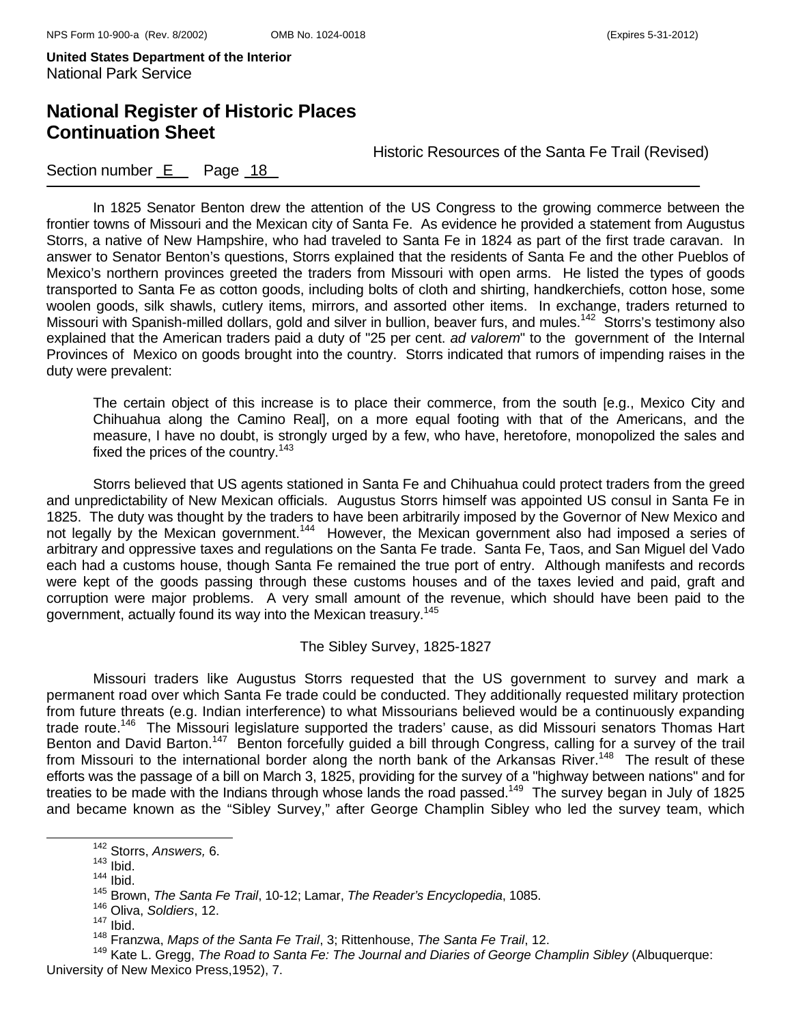## **National Register of Historic Places Continuation Sheet**

Historic Resources of the Santa Fe Trail (Revised)

#### Section number  $E$  Page 18

 In 1825 Senator Benton drew the attention of the US Congress to the growing commerce between the frontier towns of Missouri and the Mexican city of Santa Fe. As evidence he provided a statement from Augustus Storrs, a native of New Hampshire, who had traveled to Santa Fe in 1824 as part of the first trade caravan. In answer to Senator Benton's questions, Storrs explained that the residents of Santa Fe and the other Pueblos of Mexico's northern provinces greeted the traders from Missouri with open arms. He listed the types of goods transported to Santa Fe as cotton goods, including bolts of cloth and shirting, handkerchiefs, cotton hose, some woolen goods, silk shawls, cutlery items, mirrors, and assorted other items. In exchange, traders returned to Missouri with Spanish-milled dollars, gold and silver in bullion, beaver furs, and mules.<sup>142</sup> Storrs's testimony also explained that the American traders paid a duty of "25 per cent. *ad valorem*" to the government of the Internal Provinces of Mexico on goods brought into the country. Storrs indicated that rumors of impending raises in the duty were prevalent:

The certain object of this increase is to place their commerce, from the south [e.g., Mexico City and Chihuahua along the Camino Real], on a more equal footing with that of the Americans, and the measure, I have no doubt, is strongly urged by a few, who have, heretofore, monopolized the sales and fixed the prices of the country.<sup>143</sup>

 Storrs believed that US agents stationed in Santa Fe and Chihuahua could protect traders from the greed and unpredictability of New Mexican officials. Augustus Storrs himself was appointed US consul in Santa Fe in 1825. The duty was thought by the traders to have been arbitrarily imposed by the Governor of New Mexico and not legally by the Mexican government.<sup>144</sup> However, the Mexican government also had imposed a series of arbitrary and oppressive taxes and regulations on the Santa Fe trade. Santa Fe, Taos, and San Miguel del Vado each had a customs house, though Santa Fe remained the true port of entry. Although manifests and records were kept of the goods passing through these customs houses and of the taxes levied and paid, graft and corruption were major problems. A very small amount of the revenue, which should have been paid to the government, actually found its way into the Mexican treasury.<sup>145</sup>

#### The Sibley Survey, 1825-1827

 Missouri traders like Augustus Storrs requested that the US government to survey and mark a permanent road over which Santa Fe trade could be conducted. They additionally requested military protection from future threats (e.g. Indian interference) to what Missourians believed would be a continuously expanding trade route.<sup>146</sup> The Missouri legislature supported the traders' cause, as did Missouri senators Thomas Hart Benton and David Barton.<sup>147</sup> Benton forcefully guided a bill through Congress, calling for a survey of the trail from Missouri to the international border along the north bank of the Arkansas River.<sup>148</sup> The result of these efforts was the passage of a bill on March 3, 1825, providing for the survey of a "highway between nations" and for treaties to be made with the Indians through whose lands the road passed.149 The survey began in July of 1825 and became known as the "Sibley Survey," after George Champlin Sibley who led the survey team, which

142 Storrs, *Answers,* 6. 143 Ibid.

 $144$  Ibid.

<sup>145</sup> Brown, *The Santa Fe Trail*, 10-12; Lamar, *The Reader's Encyclopedia*, 1085.

<sup>146</sup> Oliva, *Soldiers*, 12.

 $147$  Ibid.

<sup>148</sup> Franzwa, *Maps of the Santa Fe Trail*, 3; Rittenhouse, *The Santa Fe Trail*, 12.

<sup>149</sup> Kate L. Gregg, *The Road to Santa Fe: The Journal and Diaries of George Champlin Sibley* (Albuquerque: University of New Mexico Press,1952), 7.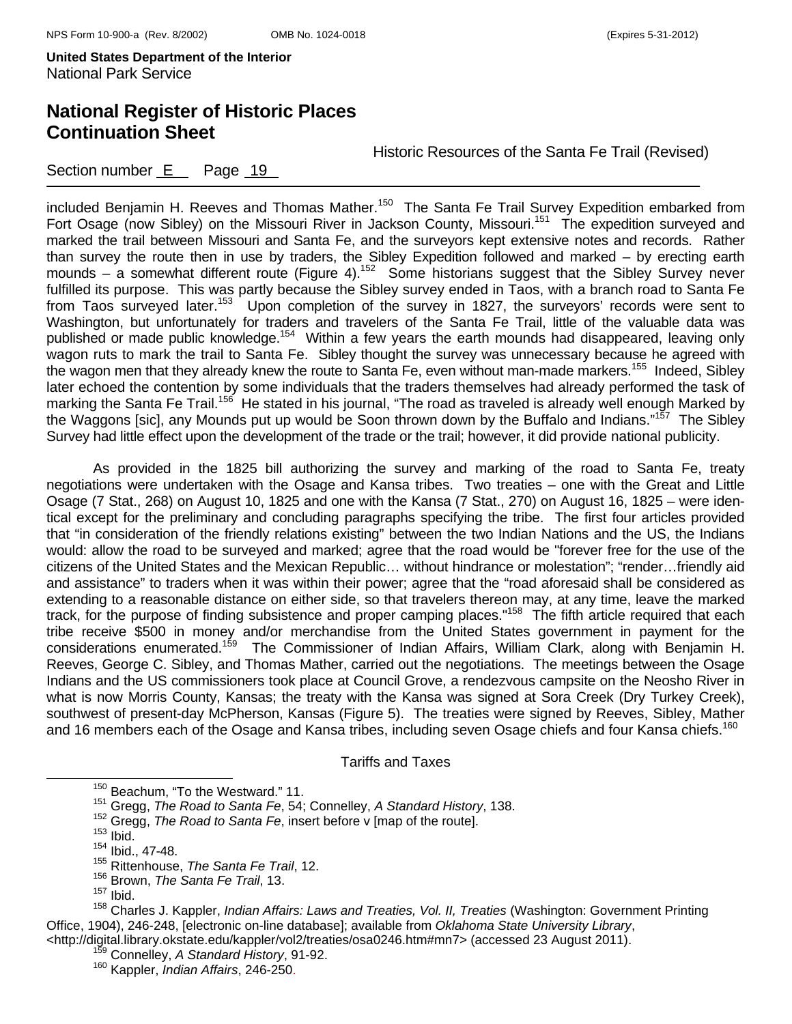## **National Register of Historic Places Continuation Sheet**

Historic Resources of the Santa Fe Trail (Revised)

Section number  $E$  Page 19

included Benjamin H. Reeves and Thomas Mather.<sup>150</sup> The Santa Fe Trail Survey Expedition embarked from Fort Osage (now Sibley) on the Missouri River in Jackson County, Missouri.<sup>151</sup> The expedition surveyed and marked the trail between Missouri and Santa Fe, and the surveyors kept extensive notes and records. Rather than survey the route then in use by traders, the Sibley Expedition followed and marked – by erecting earth mounds – a somewhat different route (Figure 4).<sup>152</sup> Some historians suggest that the Sibley Survey never fulfilled its purpose. This was partly because the Sibley survey ended in Taos, with a branch road to Santa Fe from Taos surveyed later.<sup>153</sup> Upon completion of the survey in 1827, the surveyors' records were sent to Washington, but unfortunately for traders and travelers of the Santa Fe Trail, little of the valuable data was published or made public knowledge.154 Within a few years the earth mounds had disappeared, leaving only wagon ruts to mark the trail to Santa Fe. Sibley thought the survey was unnecessary because he agreed with the wagon men that they already knew the route to Santa Fe, even without man-made markers.<sup>155</sup> Indeed, Sibley later echoed the contention by some individuals that the traders themselves had already performed the task of marking the Santa Fe Trail.<sup>156</sup> He stated in his journal, "The road as traveled is already well enough Marked by the Waggons [sic], any Mounds put up would be Soon thrown down by the Buffalo and Indians."<sup>157</sup> The Sibley Survey had little effect upon the development of the trade or the trail; however, it did provide national publicity.

 As provided in the 1825 bill authorizing the survey and marking of the road to Santa Fe, treaty negotiations were undertaken with the Osage and Kansa tribes. Two treaties – one with the Great and Little Osage (7 Stat., 268) on August 10, 1825 and one with the Kansa (7 Stat., 270) on August 16, 1825 – were identical except for the preliminary and concluding paragraphs specifying the tribe. The first four articles provided that "in consideration of the friendly relations existing" between the two Indian Nations and the US, the Indians would: allow the road to be surveyed and marked; agree that the road would be "forever free for the use of the citizens of the United States and the Mexican Republic… without hindrance or molestation"; "render…friendly aid and assistance" to traders when it was within their power; agree that the "road aforesaid shall be considered as extending to a reasonable distance on either side, so that travelers thereon may, at any time, leave the marked track, for the purpose of finding subsistence and proper camping places."158 The fifth article required that each tribe receive \$500 in money and/or merchandise from the United States government in payment for the considerations enumerated.159 The Commissioner of Indian Affairs, William Clark, along with Benjamin H. Reeves, George C. Sibley, and Thomas Mather, carried out the negotiations. The meetings between the Osage Indians and the US commissioners took place at Council Grove, a rendezvous campsite on the Neosho River in what is now Morris County, Kansas; the treaty with the Kansa was signed at Sora Creek (Dry Turkey Creek), southwest of present-day McPherson, Kansas (Figure 5). The treaties were signed by Reeves, Sibley, Mather and 16 members each of the Osage and Kansa tribes, including seven Osage chiefs and four Kansa chiefs.<sup>160</sup>

Tariffs and Taxes

<sup>&</sup>lt;sup>150</sup> Beachum, "To the Westward." 11.

<sup>151</sup> Gregg, *The Road to Santa Fe*, 54; Connelley, *A Standard History*, 138.

<sup>&</sup>lt;sup>152</sup> Gregg, *The Road to Santa Fe*, insert before v [map of the route].<br><sup>153</sup> Ibid.

<sup>154</sup> Ibid., 47-48.

<sup>155</sup> Rittenhouse, *The Santa Fe Trail*, 12.

<sup>156</sup> Brown, *The Santa Fe Trail*, 13.

 $157$  Ibid.

<sup>158</sup> Charles J. Kappler, *Indian Affairs: Laws and Treaties, Vol. II, Treaties* (Washington: Government Printing Office, 1904), 246-248, [electronic on-line database]; available from *Oklahoma State University Library*, <http://digital.library.okstate.edu/kappler/vol2/treaties/osa0246.htm#mn7> (accessed 23 August 2011). 159 Connelley, *A Standard History*, 91-92.

<sup>160</sup> Kappler, *Indian Affairs*, 246-250.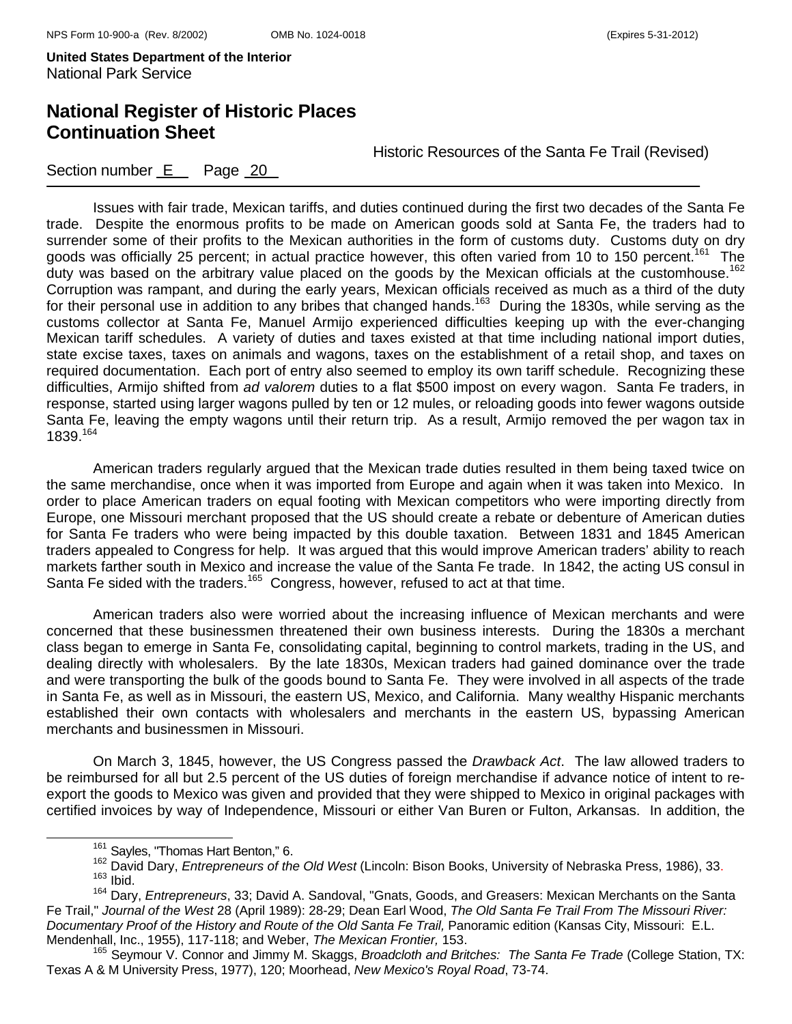## **National Register of Historic Places Continuation Sheet**

Historic Resources of the Santa Fe Trail (Revised)

### Section number E Page 20

Issues with fair trade, Mexican tariffs, and duties continued during the first two decades of the Santa Fe trade. Despite the enormous profits to be made on American goods sold at Santa Fe, the traders had to surrender some of their profits to the Mexican authorities in the form of customs duty. Customs duty on dry goods was officially 25 percent; in actual practice however, this often varied from 10 to 150 percent.<sup>161</sup> The duty was based on the arbitrary value placed on the goods by the Mexican officials at the customhouse.<sup>162</sup> Corruption was rampant, and during the early years, Mexican officials received as much as a third of the duty for their personal use in addition to any bribes that changed hands.<sup>163</sup> During the 1830s, while serving as the customs collector at Santa Fe, Manuel Armijo experienced difficulties keeping up with the ever-changing Mexican tariff schedules. A variety of duties and taxes existed at that time including national import duties, state excise taxes, taxes on animals and wagons, taxes on the establishment of a retail shop, and taxes on required documentation. Each port of entry also seemed to employ its own tariff schedule. Recognizing these difficulties, Armijo shifted from *ad valorem* duties to a flat \$500 impost on every wagon. Santa Fe traders, in response, started using larger wagons pulled by ten or 12 mules, or reloading goods into fewer wagons outside Santa Fe, leaving the empty wagons until their return trip. As a result, Armijo removed the per wagon tax in 1839.164

American traders regularly argued that the Mexican trade duties resulted in them being taxed twice on the same merchandise, once when it was imported from Europe and again when it was taken into Mexico. In order to place American traders on equal footing with Mexican competitors who were importing directly from Europe, one Missouri merchant proposed that the US should create a rebate or debenture of American duties for Santa Fe traders who were being impacted by this double taxation. Between 1831 and 1845 American traders appealed to Congress for help. It was argued that this would improve American traders' ability to reach markets farther south in Mexico and increase the value of the Santa Fe trade. In 1842, the acting US consul in Santa Fe sided with the traders.<sup>165</sup> Congress, however, refused to act at that time.

American traders also were worried about the increasing influence of Mexican merchants and were concerned that these businessmen threatened their own business interests. During the 1830s a merchant class began to emerge in Santa Fe, consolidating capital, beginning to control markets, trading in the US, and dealing directly with wholesalers. By the late 1830s, Mexican traders had gained dominance over the trade and were transporting the bulk of the goods bound to Santa Fe. They were involved in all aspects of the trade in Santa Fe, as well as in Missouri, the eastern US, Mexico, and California. Many wealthy Hispanic merchants established their own contacts with wholesalers and merchants in the eastern US, bypassing American merchants and businessmen in Missouri.

 On March 3, 1845, however, the US Congress passed the *Drawback Act*. The law allowed traders to be reimbursed for all but 2.5 percent of the US duties of foreign merchandise if advance notice of intent to reexport the goods to Mexico was given and provided that they were shipped to Mexico in original packages with certified invoices by way of Independence, Missouri or either Van Buren or Fulton, Arkansas. In addition, the

<sup>&</sup>lt;sup>161</sup> Sayles, "Thomas Hart Benton," 6.<br><sup>162</sup> David Dary, *Entrepreneurs of the Old West* (Lincoln: Bison Books, University of Nebraska Press, 1986), 33.<br><sup>163</sup> Ibid.

<sup>164</sup> Dary, *Entrepreneurs*, 33; David A. Sandoval, "Gnats, Goods, and Greasers: Mexican Merchants on the Santa Fe Trail," *Journal of the West* 28 (April 1989): 28-29; Dean Earl Wood, *The Old Santa Fe Trail From The Missouri River: Documentary Proof of the History and Route of the Old Santa Fe Trail,* Panoramic edition (Kansas City, Missouri: E.L. Mendenhall, Inc., 1955), 117-118; and Weber, *The Mexican Frontier,* 153.

<sup>165</sup> Seymour V. Connor and Jimmy M. Skaggs, *Broadcloth and Britches: The Santa Fe Trade* (College Station, TX: Texas A & M University Press, 1977), 120; Moorhead, *New Mexico's Royal Road*, 73-74.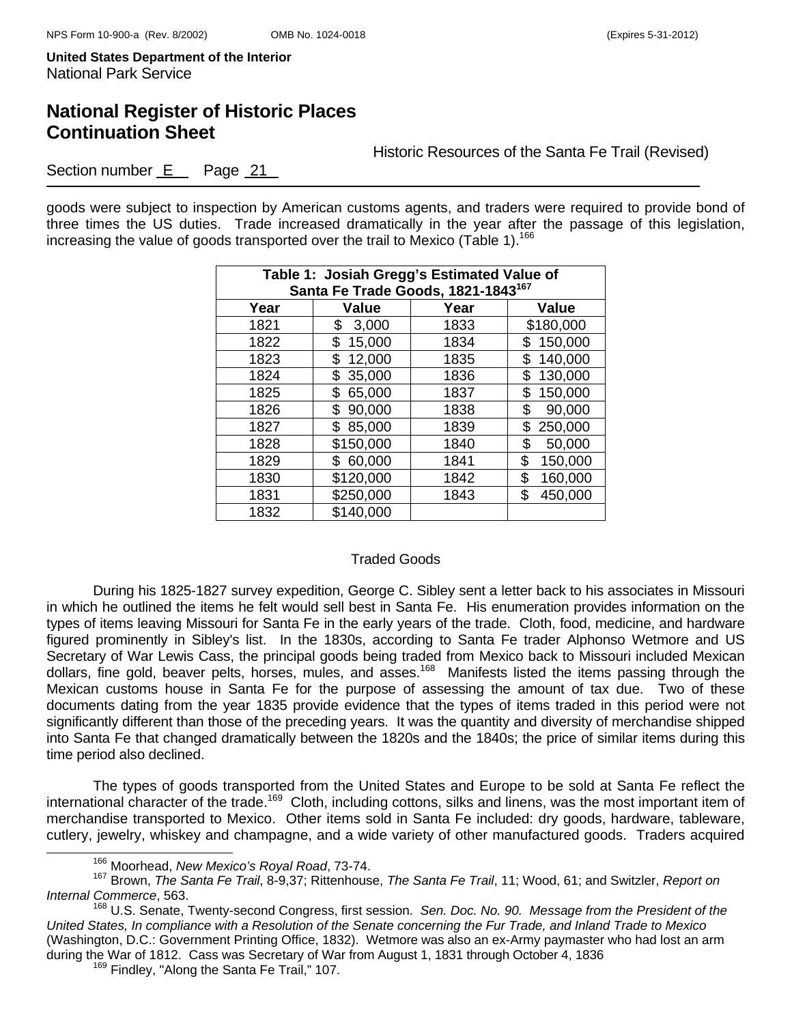## **National Register of Historic Places Continuation Sheet**

Historic Resources of the Santa Fe Trail (Revised)

Section number E Page 21

goods were subject to inspection by American customs agents, and traders were required to provide bond of three times the US duties. Trade increased dramatically in the year after the passage of this legislation, increasing the value of goods transported over the trail to Mexico (Table 1).<sup>166</sup>

| Table 1: Josiah Gregg's Estimated Value of<br>Santa Fe Trade Goods, 1821-1843 <sup>167</sup> |              |      |               |  |  |  |
|----------------------------------------------------------------------------------------------|--------------|------|---------------|--|--|--|
| Year                                                                                         | Value        | Year | <b>Value</b>  |  |  |  |
| 1821                                                                                         | 3,000<br>\$  | 1833 | \$180,000     |  |  |  |
| 1822                                                                                         | 15,000<br>\$ | 1834 | 150,000       |  |  |  |
| 1823                                                                                         | 12,000<br>\$ | 1835 | 140,000<br>\$ |  |  |  |
| 1824                                                                                         | 35,000<br>\$ | 1836 | 130,000<br>\$ |  |  |  |
| 1825                                                                                         | 65,000<br>\$ | 1837 | 150,000<br>\$ |  |  |  |
| 1826                                                                                         | 90,000<br>\$ | 1838 | \$<br>90,000  |  |  |  |
| 1827                                                                                         | 85,000<br>\$ | 1839 | 250,000<br>\$ |  |  |  |
| 1828                                                                                         | \$150,000    | 1840 | \$<br>50,000  |  |  |  |
| 1829                                                                                         | 60,000       | 1841 | \$<br>150,000 |  |  |  |
| 1830                                                                                         | \$120,000    | 1842 | \$<br>160,000 |  |  |  |
| 1831                                                                                         | \$250,000    | 1843 | 450,000<br>\$ |  |  |  |
| 1832                                                                                         | \$140,000    |      |               |  |  |  |

#### Traded Goods

 During his 1825-1827 survey expedition, George C. Sibley sent a letter back to his associates in Missouri in which he outlined the items he felt would sell best in Santa Fe. His enumeration provides information on the types of items leaving Missouri for Santa Fe in the early years of the trade. Cloth, food, medicine, and hardware figured prominently in Sibley's list. In the 1830s, according to Santa Fe trader Alphonso Wetmore and US Secretary of War Lewis Cass, the principal goods being traded from Mexico back to Missouri included Mexican dollars, fine gold, beaver pelts, horses, mules, and asses.<sup>168</sup> Manifests listed the items passing through the Mexican customs house in Santa Fe for the purpose of assessing the amount of tax due. Two of these documents dating from the year 1835 provide evidence that the types of items traded in this period were not significantly different than those of the preceding years. It was the quantity and diversity of merchandise shipped into Santa Fe that changed dramatically between the 1820s and the 1840s; the price of similar items during this time period also declined.

 The types of goods transported from the United States and Europe to be sold at Santa Fe reflect the international character of the trade.<sup>169</sup> Cloth, including cottons, silks and linens, was the most important item of merchandise transported to Mexico. Other items sold in Santa Fe included: dry goods, hardware, tableware, cutlery, jewelry, whiskey and champagne, and a wide variety of other manufactured goods. Traders acquired

166 Moorhead, *New Mexico's Royal Road*, 73-74.

<sup>167</sup> Brown, *The Santa Fe Trail*, 8-9,37; Rittenhouse, *The Santa Fe Trail*, 11; Wood, 61; and Switzler, *Report on Internal Commerce*, 563.

<sup>168</sup> U.S. Senate, Twenty-second Congress, first session. *Sen. Doc. No. 90. Message from the President of the United States, In compliance with a Resolution of the Senate concerning the Fur Trade, and Inland Trade to Mexico*  (Washington, D.C.: Government Printing Office, 1832). Wetmore was also an ex-Army paymaster who had lost an arm during the War of 1812. Cass was Secretary of War from August 1, 1831 through October 4, 1836<br><sup>169</sup> Findley, "Along the Santa Fe Trail," 107.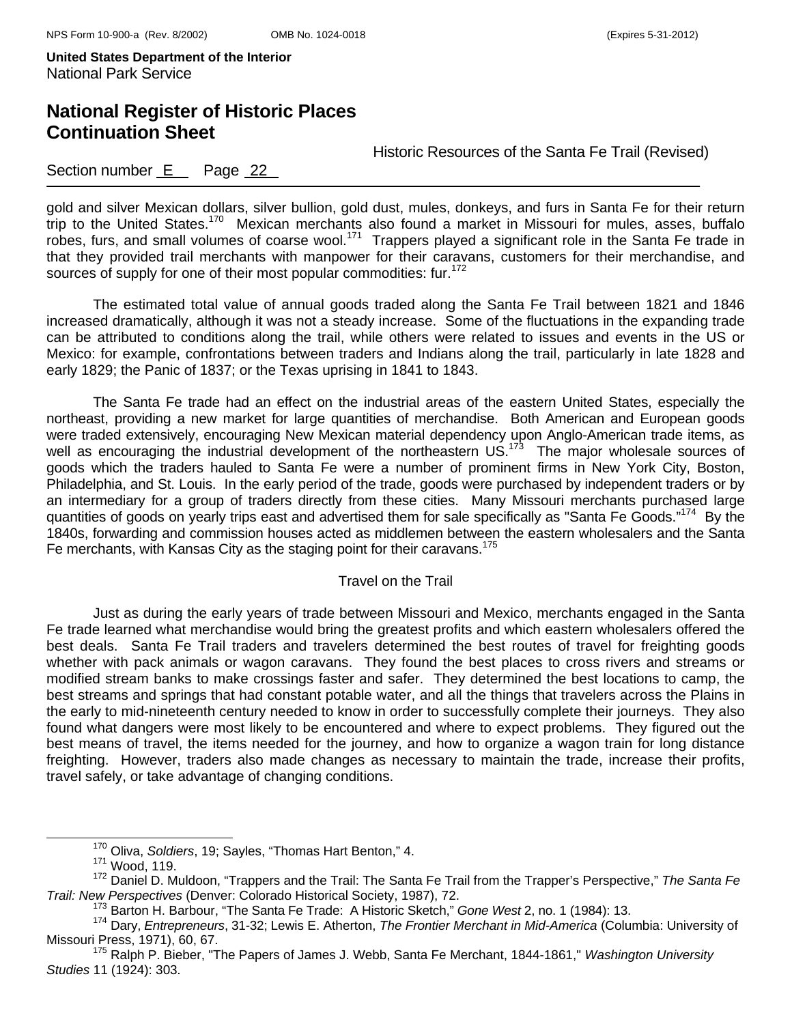## **National Register of Historic Places Continuation Sheet**

Historic Resources of the Santa Fe Trail (Revised)

### Section number E Page 22

gold and silver Mexican dollars, silver bullion, gold dust, mules, donkeys, and furs in Santa Fe for their return trip to the United States.<sup>170</sup> Mexican merchants also found a market in Missouri for mules, asses, buffalo robes, furs, and small volumes of coarse wool.<sup>171</sup> Trappers played a significant role in the Santa Fe trade in that they provided trail merchants with manpower for their caravans, customers for their merchandise, and sources of supply for one of their most popular commodities: fur.<sup>172</sup>

The estimated total value of annual goods traded along the Santa Fe Trail between 1821 and 1846 increased dramatically, although it was not a steady increase. Some of the fluctuations in the expanding trade can be attributed to conditions along the trail, while others were related to issues and events in the US or Mexico: for example, confrontations between traders and Indians along the trail, particularly in late 1828 and early 1829; the Panic of 1837; or the Texas uprising in 1841 to 1843.

 The Santa Fe trade had an effect on the industrial areas of the eastern United States, especially the northeast, providing a new market for large quantities of merchandise. Both American and European goods were traded extensively, encouraging New Mexican material dependency upon Anglo-American trade items, as well as encouraging the industrial development of the northeastern US.<sup>173</sup> The major wholesale sources of goods which the traders hauled to Santa Fe were a number of prominent firms in New York City, Boston, Philadelphia, and St. Louis. In the early period of the trade, goods were purchased by independent traders or by an intermediary for a group of traders directly from these cities. Many Missouri merchants purchased large quantities of goods on yearly trips east and advertised them for sale specifically as "Santa Fe Goods."<sup>174</sup> By the 1840s, forwarding and commission houses acted as middlemen between the eastern wholesalers and the Santa Fe merchants, with Kansas City as the staging point for their caravans.<sup>175</sup>

#### Travel on the Trail

Just as during the early years of trade between Missouri and Mexico, merchants engaged in the Santa Fe trade learned what merchandise would bring the greatest profits and which eastern wholesalers offered the best deals. Santa Fe Trail traders and travelers determined the best routes of travel for freighting goods whether with pack animals or wagon caravans. They found the best places to cross rivers and streams or modified stream banks to make crossings faster and safer. They determined the best locations to camp, the best streams and springs that had constant potable water, and all the things that travelers across the Plains in the early to mid-nineteenth century needed to know in order to successfully complete their journeys. They also found what dangers were most likely to be encountered and where to expect problems. They figured out the best means of travel, the items needed for the journey, and how to organize a wagon train for long distance freighting. However, traders also made changes as necessary to maintain the trade, increase their profits, travel safely, or take advantage of changing conditions.

170 Oliva, *Soldiers*, 19; Sayles, "Thomas Hart Benton," 4. 171 Wood, 119.

<sup>172</sup> Daniel D. Muldoon, "Trappers and the Trail: The Santa Fe Trail from the Trapper's Perspective," *The Santa Fe* 

<sup>&</sup>lt;sup>173</sup> Barton H. Barbour, "The Santa Fe Trade: A Historic Sketch," Gone West 2, no. 1 (1984): 13.<br><sup>174</sup> Dary, *Entrepreneurs*, 31-32; Lewis E. Atherton, *The Frontier Merchant in Mid-America* (Columbia: University of<br>Missou

<sup>&</sup>lt;sup>175</sup> Ralph P. Bieber, "The Papers of James J. Webb, Santa Fe Merchant, 1844-1861," *Washington University Studies* 11 (1924): 303.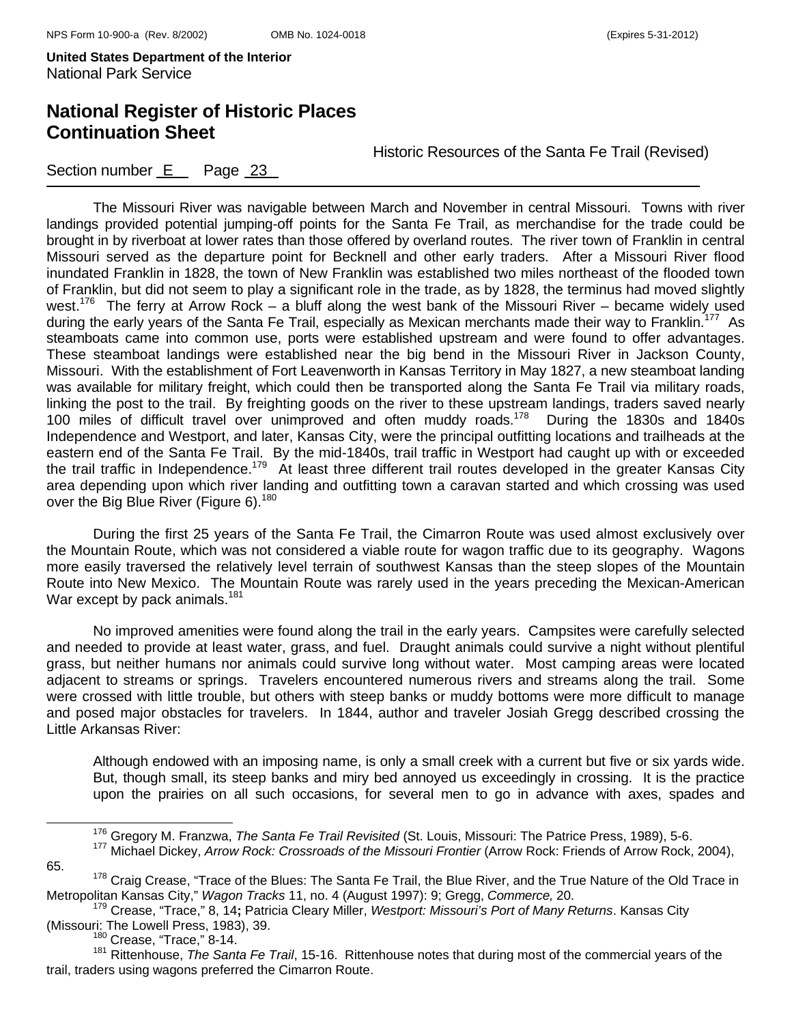## **National Register of Historic Places Continuation Sheet**

Historic Resources of the Santa Fe Trail (Revised)

### Section number E Page 23

The Missouri River was navigable between March and November in central Missouri. Towns with river landings provided potential jumping-off points for the Santa Fe Trail, as merchandise for the trade could be brought in by riverboat at lower rates than those offered by overland routes. The river town of Franklin in central Missouri served as the departure point for Becknell and other early traders. After a Missouri River flood inundated Franklin in 1828, the town of New Franklin was established two miles northeast of the flooded town of Franklin, but did not seem to play a significant role in the trade, as by 1828, the terminus had moved slightly west.<sup>176</sup> The ferry at Arrow Rock – a bluff along the west bank of the Missouri River – became widely used during the early years of the Santa Fe Trail, especially as Mexican merchants made their way to Franklin.<sup>177</sup> As steamboats came into common use, ports were established upstream and were found to offer advantages. These steamboat landings were established near the big bend in the Missouri River in Jackson County, Missouri. With the establishment of Fort Leavenworth in Kansas Territory in May 1827, a new steamboat landing was available for military freight, which could then be transported along the Santa Fe Trail via military roads, linking the post to the trail. By freighting goods on the river to these upstream landings, traders saved nearly 100 miles of difficult travel over unimproved and often muddy roads.178 During the 1830s and 1840s Independence and Westport, and later, Kansas City, were the principal outfitting locations and trailheads at the eastern end of the Santa Fe Trail. By the mid-1840s, trail traffic in Westport had caught up with or exceeded the trail traffic in Independence.179 At least three different trail routes developed in the greater Kansas City area depending upon which river landing and outfitting town a caravan started and which crossing was used over the Big Blue River (Figure 6).<sup>180</sup>

During the first 25 years of the Santa Fe Trail, the Cimarron Route was used almost exclusively over the Mountain Route, which was not considered a viable route for wagon traffic due to its geography. Wagons more easily traversed the relatively level terrain of southwest Kansas than the steep slopes of the Mountain Route into New Mexico. The Mountain Route was rarely used in the years preceding the Mexican-American War except by pack animals.<sup>181</sup>

 No improved amenities were found along the trail in the early years. Campsites were carefully selected and needed to provide at least water, grass, and fuel. Draught animals could survive a night without plentiful grass, but neither humans nor animals could survive long without water. Most camping areas were located adjacent to streams or springs. Travelers encountered numerous rivers and streams along the trail. Some were crossed with little trouble, but others with steep banks or muddy bottoms were more difficult to manage and posed major obstacles for travelers. In 1844, author and traveler Josiah Gregg described crossing the Little Arkansas River:

Although endowed with an imposing name, is only a small creek with a current but five or six yards wide. But, though small, its steep banks and miry bed annoyed us exceedingly in crossing. It is the practice upon the prairies on all such occasions, for several men to go in advance with axes, spades and

<sup>&</sup>lt;sup>176</sup> Gregory M. Franzwa, *The Santa Fe Trail Revisited* (St. Louis, Missouri: The Patrice Press, 1989), 5-6.<br><sup>177</sup> Michael Dickey, *Arrow Rock: Crossroads of the Missouri Frontier* (Arrow Rock: Friends of Arrow Rock, 2004 65.

<sup>&</sup>lt;sup>178</sup> Craig Crease, "Trace of the Blues: The Santa Fe Trail, the Blue River, and the True Nature of the Old Trace in Metropolitan Kansas City," *Wagon Tracks* 11, no. 4 (August 1997): 9; Gregg, *Commerce,* 20.

<sup>179</sup> Crease, "Trace," 8, 14**;** Patricia Cleary Miller, *Westport: Missouri's Port of Many Returns*. Kansas City (Missouri: The Lowell Press, 1983), 39.<br><sup>180</sup> Crease, "Trace," 8-14.

<sup>181</sup> Rittenhouse, *The Santa Fe Trail*, 15-16. Rittenhouse notes that during most of the commercial years of the trail, traders using wagons preferred the Cimarron Route.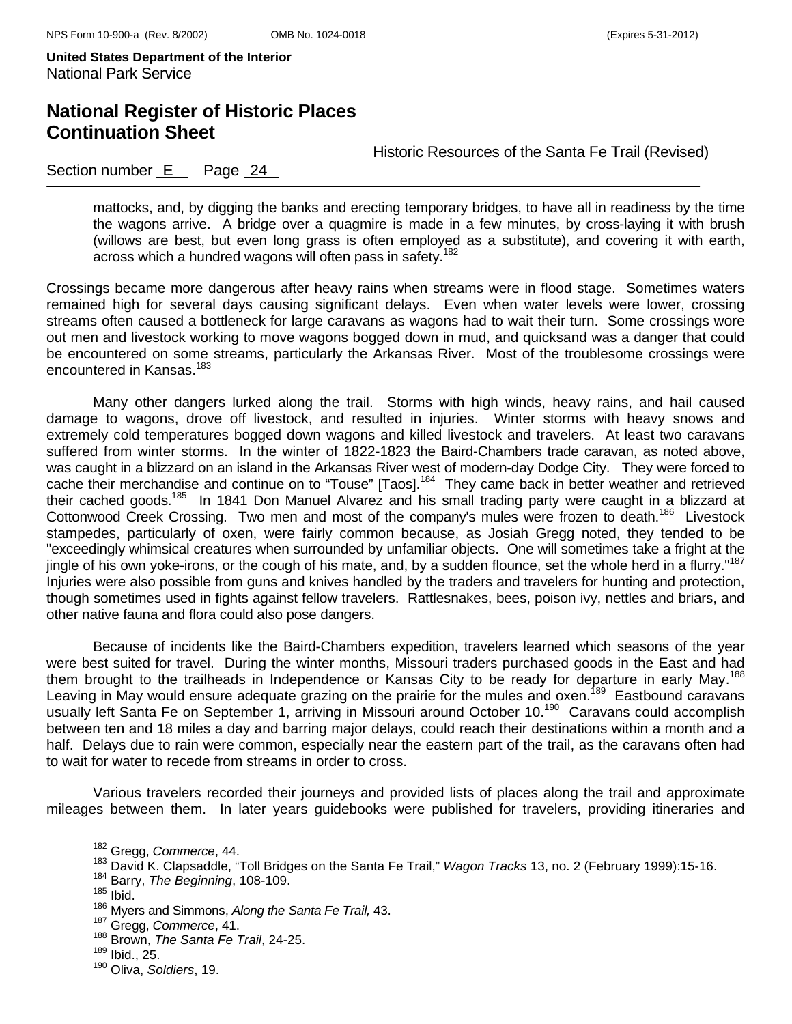## **National Register of Historic Places Continuation Sheet**

Historic Resources of the Santa Fe Trail (Revised)

#### Section number  $E$  Page 24

mattocks, and, by digging the banks and erecting temporary bridges, to have all in readiness by the time the wagons arrive. A bridge over a quagmire is made in a few minutes, by cross-laying it with brush (willows are best, but even long grass is often employed as a substitute), and covering it with earth, across which a hundred wagons will often pass in safety.<sup>182</sup>

Crossings became more dangerous after heavy rains when streams were in flood stage. Sometimes waters remained high for several days causing significant delays. Even when water levels were lower, crossing streams often caused a bottleneck for large caravans as wagons had to wait their turn. Some crossings wore out men and livestock working to move wagons bogged down in mud, and quicksand was a danger that could be encountered on some streams, particularly the Arkansas River. Most of the troublesome crossings were encountered in Kansas.<sup>183</sup>

Many other dangers lurked along the trail. Storms with high winds, heavy rains, and hail caused damage to wagons, drove off livestock, and resulted in injuries. Winter storms with heavy snows and extremely cold temperatures bogged down wagons and killed livestock and travelers. At least two caravans suffered from winter storms. In the winter of 1822-1823 the Baird-Chambers trade caravan, as noted above, was caught in a blizzard on an island in the Arkansas River west of modern-day Dodge City. They were forced to cache their merchandise and continue on to "Touse" [Taos].<sup>184</sup> They came back in better weather and retrieved their cached goods.<sup>185</sup> In 1841 Don Manuel Alvarez and his small trading party were caught in a blizzard at Cottonwood Creek Crossing. Two men and most of the company's mules were frozen to death.<sup>186</sup> Livestock stampedes, particularly of oxen, were fairly common because, as Josiah Gregg noted, they tended to be "exceedingly whimsical creatures when surrounded by unfamiliar objects. One will sometimes take a fright at the jingle of his own yoke-irons, or the cough of his mate, and, by a sudden flounce, set the whole herd in a flurry."<sup>187</sup> Injuries were also possible from guns and knives handled by the traders and travelers for hunting and protection, though sometimes used in fights against fellow travelers. Rattlesnakes, bees, poison ivy, nettles and briars, and other native fauna and flora could also pose dangers.

Because of incidents like the Baird-Chambers expedition, travelers learned which seasons of the year were best suited for travel. During the winter months, Missouri traders purchased goods in the East and had them brought to the trailheads in Independence or Kansas City to be ready for departure in early May.<sup>188</sup> Leaving in May would ensure adequate grazing on the prairie for the mules and oxen.<sup>189</sup> Eastbound caravans usually left Santa Fe on September 1, arriving in Missouri around October 10.<sup>190</sup> Caravans could accomplish between ten and 18 miles a day and barring major delays, could reach their destinations within a month and a half. Delays due to rain were common, especially near the eastern part of the trail, as the caravans often had to wait for water to recede from streams in order to cross.

Various travelers recorded their journeys and provided lists of places along the trail and approximate mileages between them. In later years guidebooks were published for travelers, providing itineraries and

182 Gregg, *Commerce*, 44.

<sup>&</sup>lt;sup>183</sup> David K. Clapsaddle, "Toll Bridges on the Santa Fe Trail," *Wagon Tracks* 13, no. 2 (February 1999):15-16.<br><sup>184</sup> Barry, *The Beginning*, 108-109.

 $185$  Ibid.

<sup>186</sup> Myers and Simmons, *Along the Santa Fe Trail,* 43.

<sup>187</sup> Gregg, *Commerce*, 41.

<sup>188</sup> Brown, *The Santa Fe Trail*, 24-25.

<sup>189</sup> Ibid., 25.

<sup>190</sup> Oliva, *Soldiers*, 19.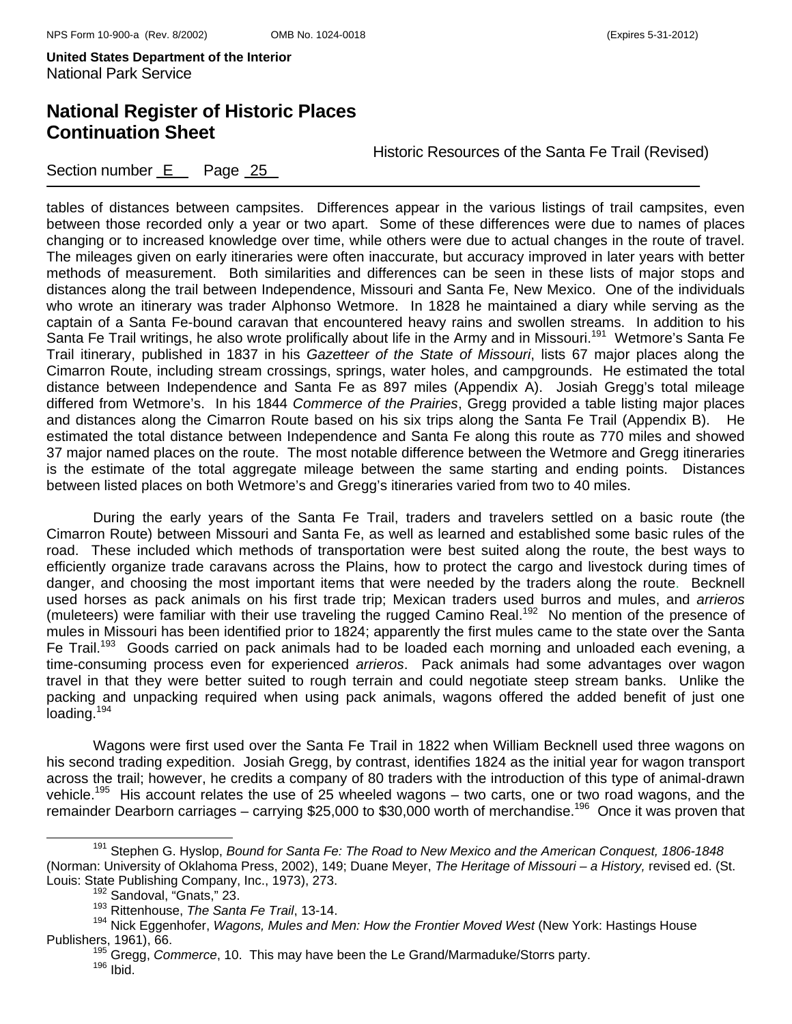Section number E Page 25

## **National Register of Historic Places Continuation Sheet**

Historic Resources of the Santa Fe Trail (Revised)

tables of distances between campsites. Differences appear in the various listings of trail campsites, even between those recorded only a year or two apart. Some of these differences were due to names of places changing or to increased knowledge over time, while others were due to actual changes in the route of travel. The mileages given on early itineraries were often inaccurate, but accuracy improved in later years with better methods of measurement. Both similarities and differences can be seen in these lists of major stops and distances along the trail between Independence, Missouri and Santa Fe, New Mexico. One of the individuals who wrote an itinerary was trader Alphonso Wetmore. In 1828 he maintained a diary while serving as the captain of a Santa Fe-bound caravan that encountered heavy rains and swollen streams. In addition to his Santa Fe Trail writings, he also wrote prolifically about life in the Army and in Missouri.<sup>191</sup> Wetmore's Santa Fe Trail itinerary, published in 1837 in his *Gazetteer of the State of Missouri*, lists 67 major places along the Cimarron Route, including stream crossings, springs, water holes, and campgrounds. He estimated the total distance between Independence and Santa Fe as 897 miles (Appendix A). Josiah Gregg's total mileage differed from Wetmore's. In his 1844 *Commerce of the Prairies*, Gregg provided a table listing major places and distances along the Cimarron Route based on his six trips along the Santa Fe Trail (Appendix B).He estimated the total distance between Independence and Santa Fe along this route as 770 miles and showed 37 major named places on the route. The most notable difference between the Wetmore and Gregg itineraries is the estimate of the total aggregate mileage between the same starting and ending points. Distances between listed places on both Wetmore's and Gregg's itineraries varied from two to 40 miles.

During the early years of the Santa Fe Trail, traders and travelers settled on a basic route (the Cimarron Route) between Missouri and Santa Fe, as well as learned and established some basic rules of the road. These included which methods of transportation were best suited along the route, the best ways to efficiently organize trade caravans across the Plains, how to protect the cargo and livestock during times of danger, and choosing the most important items that were needed by the traders along the route. Becknell used horses as pack animals on his first trade trip; Mexican traders used burros and mules, and *arrieros* (muleteers) were familiar with their use traveling the rugged Camino Real.192 No mention of the presence of mules in Missouri has been identified prior to 1824; apparently the first mules came to the state over the Santa Fe Trail.<sup>193</sup> Goods carried on pack animals had to be loaded each morning and unloaded each evening, a time-consuming process even for experienced *arrieros*. Pack animals had some advantages over wagon travel in that they were better suited to rough terrain and could negotiate steep stream banks. Unlike the packing and unpacking required when using pack animals, wagons offered the added benefit of just one loading.<sup>194</sup>

Wagons were first used over the Santa Fe Trail in 1822 when William Becknell used three wagons on his second trading expedition. Josiah Gregg, by contrast, identifies 1824 as the initial year for wagon transport across the trail; however, he credits a company of 80 traders with the introduction of this type of animal-drawn vehicle.<sup>195</sup> His account relates the use of 25 wheeled wagons – two carts, one or two road wagons, and the remainder Dearborn carriages – carrying \$25,000 to \$30,000 worth of merchandise.<sup>196</sup> Once it was proven that

191 Stephen G. Hyslop, *Bound for Santa Fe: The Road to New Mexico and the American Conquest, 1806-1848* (Norman: University of Oklahoma Press, 2002), 149; Duane Meyer, *The Heritage of Missouri – a History,* revised ed. (St. Louis: State Publishing Company, Inc., 1973), 273.<br><sup>192</sup> Sandoval, "Gnats," 23.

<sup>193</sup> Rittenhouse, *The Santa Fe Trail*, 13-14.

<sup>194</sup> Nick Eggenhofer, *Wagons, Mules and Men: How the Frontier Moved West* (New York: Hastings House Publishers, 1961), 66.<br><sup>195</sup> Gregg, *Commerce*, 10. This may have been the Le Grand/Marmaduke/Storrs party.<br><sup>196</sup> Ibid.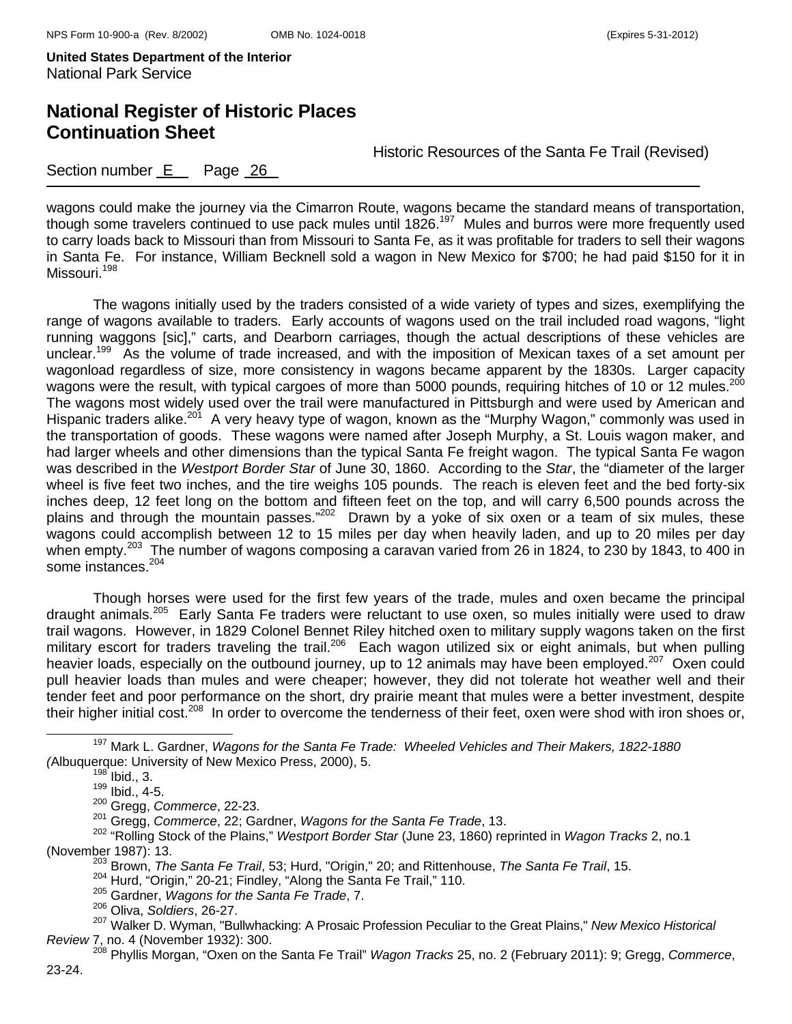## **National Register of Historic Places Continuation Sheet**

Historic Resources of the Santa Fe Trail (Revised)

#### Section number E Page 26

wagons could make the journey via the Cimarron Route, wagons became the standard means of transportation, though some travelers continued to use pack mules until 1826.<sup>197</sup> Mules and burros were more frequently used to carry loads back to Missouri than from Missouri to Santa Fe, as it was profitable for traders to sell their wagons in Santa Fe. For instance, William Becknell sold a wagon in New Mexico for \$700; he had paid \$150 for it in Missouri.<sup>198</sup>

The wagons initially used by the traders consisted of a wide variety of types and sizes, exemplifying the range of wagons available to traders. Early accounts of wagons used on the trail included road wagons, "light running waggons [sic]," carts, and Dearborn carriages, though the actual descriptions of these vehicles are unclear.<sup>199</sup> As the volume of trade increased, and with the imposition of Mexican taxes of a set amount per wagonload regardless of size, more consistency in wagons became apparent by the 1830s. Larger capacity wagons were the result, with typical cargoes of more than 5000 pounds, requiring hitches of 10 or 12 mules.<sup>200</sup> The wagons most widely used over the trail were manufactured in Pittsburgh and were used by American and Hispanic traders alike.<sup>201</sup> A very heavy type of wagon, known as the "Murphy Wagon," commonly was used in the transportation of goods. These wagons were named after Joseph Murphy, a St. Louis wagon maker, and had larger wheels and other dimensions than the typical Santa Fe freight wagon. The typical Santa Fe wagon was described in the *Westport Border Star* of June 30, 1860. According to the *Star*, the "diameter of the larger wheel is five feet two inches, and the tire weighs 105 pounds. The reach is eleven feet and the bed forty-six inches deep, 12 feet long on the bottom and fifteen feet on the top, and will carry 6,500 pounds across the plains and through the mountain passes."<sup>202</sup> Drawn by a yoke of six oxen or a team of six mules, these wagons could accomplish between 12 to 15 miles per day when heavily laden, and up to 20 miles per day when empty.<sup>203</sup> The number of wagons composing a caravan varied from 26 in 1824, to 230 by 1843, to 400 in some instances.<sup>204</sup>

Though horses were used for the first few years of the trade, mules and oxen became the principal draught animals.205 Early Santa Fe traders were reluctant to use oxen, so mules initially were used to draw trail wagons. However, in 1829 Colonel Bennet Riley hitched oxen to military supply wagons taken on the first military escort for traders traveling the trail.<sup>206</sup> Each wagon utilized six or eight animals, but when pulling heavier loads, especially on the outbound journey, up to 12 animals may have been employed.<sup>207</sup> Oxen could pull heavier loads than mules and were cheaper; however, they did not tolerate hot weather well and their tender feet and poor performance on the short, dry prairie meant that mules were a better investment, despite their higher initial cost.<sup>208</sup> In order to overcome the tenderness of their feet, oxen were shod with iron shoes or,

- 204 Hurd, "Origin," 20-21; Findley, "Along the Santa Fe Trail," 110. 205 Gardner, *Wagons for the Santa Fe Trade*, 7.
- 
- 206 Oliva, *Soldiers*, 26-27.

<sup>208</sup> Phyllis Morgan, "Oxen on the Santa Fe Trail" *Wagon Tracks* 25, no. 2 (February 2011): 9; Gregg, *Commerce*,

197 Mark L. Gardner, *Wagons for the Santa Fe Trade: Wheeled Vehicles and Their Makers, 1822-1880 (*Albuquerque: University of New Mexico Press, 2000), 5. 198 Ibid., 3.

<sup>199</sup> Ibid., 3.<br><sup>199</sup> Ibid., 4-5.<br><sup>200</sup> Gregg, *Commerce*, 22-23.

<sup>200</sup> Gregg, *Commerce*, 22-23. 201 Gregg, *Commerce*, 22; Gardner, *Wagons for the Santa Fe Trade*, 13.

<sup>202 &</sup>quot;Rolling Stock of the Plains," *Westport Border Star* (June 23, 1860) reprinted in *Wagon Tracks* 2, no.1 (November 1987): 13. 203 Brown, *The Santa Fe Trail*, 53; Hurd, "Origin," 20; and Rittenhouse, *The Santa Fe Trail*, 15.

<sup>207</sup> Walker D. Wyman, "Bullwhacking: A Prosaic Profession Peculiar to the Great Plains," *New Mexico Historical Review* 7, no. 4 (November 1932): 300.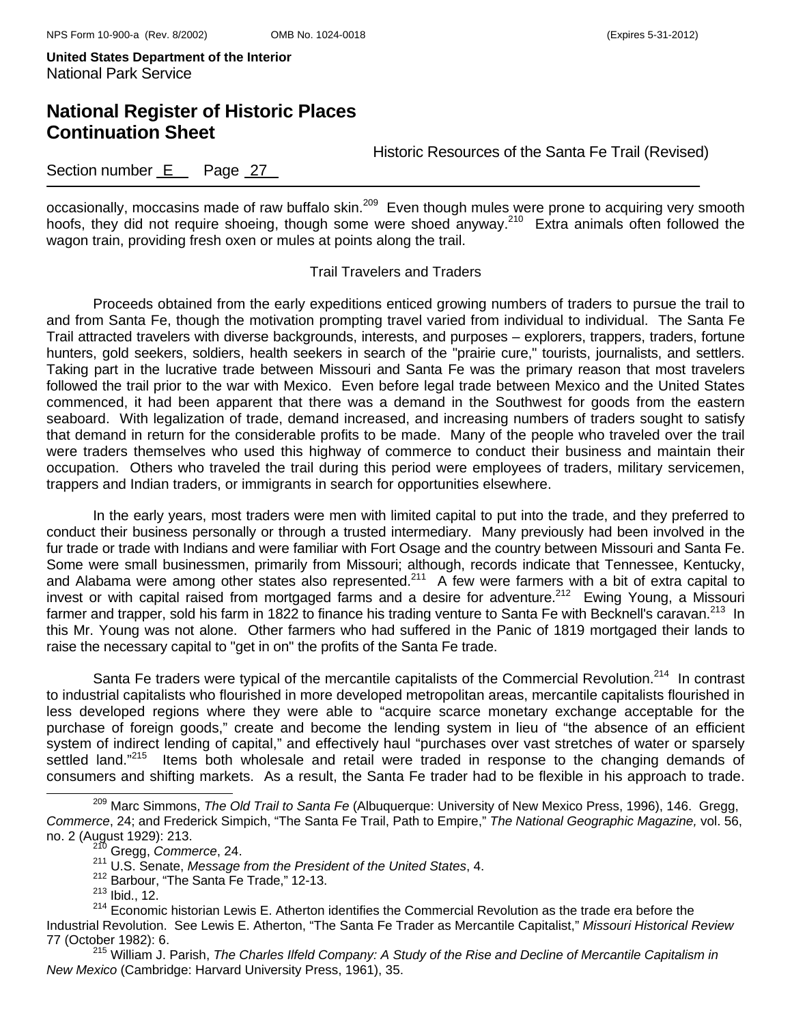## **National Register of Historic Places Continuation Sheet**

Historic Resources of the Santa Fe Trail (Revised)

### Section number E Page 27

occasionally, moccasins made of raw buffalo skin.<sup>209</sup> Even though mules were prone to acquiring very smooth hoofs, they did not require shoeing, though some were shoed anyway.210 Extra animals often followed the wagon train, providing fresh oxen or mules at points along the trail.

#### Trail Travelers and Traders

Proceeds obtained from the early expeditions enticed growing numbers of traders to pursue the trail to and from Santa Fe, though the motivation prompting travel varied from individual to individual. The Santa Fe Trail attracted travelers with diverse backgrounds, interests, and purposes – explorers, trappers, traders, fortune hunters, gold seekers, soldiers, health seekers in search of the "prairie cure," tourists, journalists, and settlers. Taking part in the lucrative trade between Missouri and Santa Fe was the primary reason that most travelers followed the trail prior to the war with Mexico. Even before legal trade between Mexico and the United States commenced, it had been apparent that there was a demand in the Southwest for goods from the eastern seaboard. With legalization of trade, demand increased, and increasing numbers of traders sought to satisfy that demand in return for the considerable profits to be made. Many of the people who traveled over the trail were traders themselves who used this highway of commerce to conduct their business and maintain their occupation. Others who traveled the trail during this period were employees of traders, military servicemen, trappers and Indian traders, or immigrants in search for opportunities elsewhere.

In the early years, most traders were men with limited capital to put into the trade, and they preferred to conduct their business personally or through a trusted intermediary. Many previously had been involved in the fur trade or trade with Indians and were familiar with Fort Osage and the country between Missouri and Santa Fe. Some were small businessmen, primarily from Missouri; although, records indicate that Tennessee, Kentucky, and Alabama were among other states also represented.<sup>211</sup> A few were farmers with a bit of extra capital to invest or with capital raised from mortgaged farms and a desire for adventure.<sup>212</sup> Ewing Young, a Missouri farmer and trapper, sold his farm in 1822 to finance his trading venture to Santa Fe with Becknell's caravan.<sup>213</sup> In this Mr. Young was not alone. Other farmers who had suffered in the Panic of 1819 mortgaged their lands to raise the necessary capital to "get in on" the profits of the Santa Fe trade.

Santa Fe traders were typical of the mercantile capitalists of the Commercial Revolution.<sup>214</sup> In contrast to industrial capitalists who flourished in more developed metropolitan areas, mercantile capitalists flourished in less developed regions where they were able to "acquire scarce monetary exchange acceptable for the purchase of foreign goods," create and become the lending system in lieu of "the absence of an efficient system of indirect lending of capital," and effectively haul "purchases over vast stretches of water or sparsely settled land."<sup>215</sup> Items both wholesale and retail were traded in response to the changing demands of consumers and shifting markets. As a result, the Santa Fe trader had to be flexible in his approach to trade.

- 212 Barbour, "The Santa Fe Trade," 12-13.
- $213$  Ibid., 12.

*New Mexico* (Cambridge: Harvard University Press, 1961), 35.

209 Marc Simmons, *The Old Trail to Santa Fe* (Albuquerque: University of New Mexico Press, 1996), 146. Gregg, *Commerce*, 24; and Frederick Simpich, "The Santa Fe Trail, Path to Empire," *The National Geographic Magazine,* vol. 56, no. 2 (August 1929): 213. 210 Gregg, *Commerce*, 24.

<sup>211</sup> U.S. Senate, *Message from the President of the United States*, 4.

<sup>&</sup>lt;sup>214</sup> Economic historian Lewis E. Atherton identifies the Commercial Revolution as the trade era before the Industrial Revolution. See Lewis E. Atherton, "The Santa Fe Trader as Mercantile Capitalist," *Missouri Historical Review* 77 (October 1982): 6. 215 William J. Parish, *The Charles Ilfeld Company: A Study of the Rise and Decline of Mercantile Capitalism in*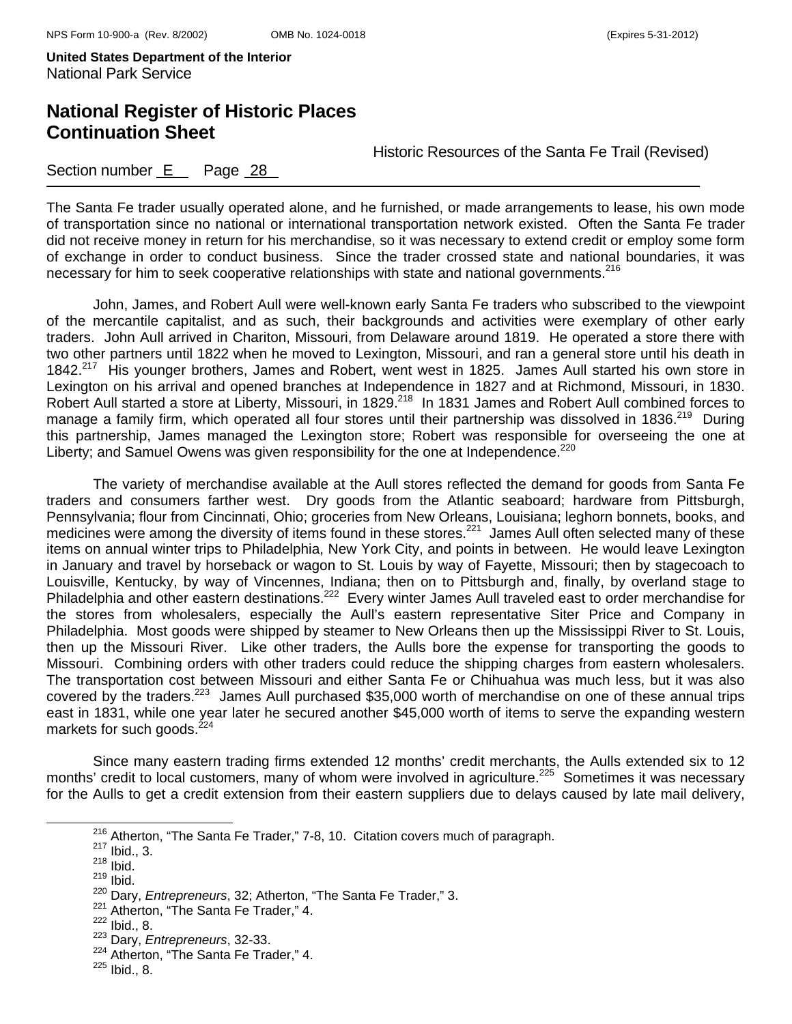## **National Register of Historic Places Continuation Sheet**

Historic Resources of the Santa Fe Trail (Revised)

#### Section number  $E$  Page 28

The Santa Fe trader usually operated alone, and he furnished, or made arrangements to lease, his own mode of transportation since no national or international transportation network existed. Often the Santa Fe trader did not receive money in return for his merchandise, so it was necessary to extend credit or employ some form of exchange in order to conduct business. Since the trader crossed state and national boundaries, it was necessary for him to seek cooperative relationships with state and national governments.<sup>216</sup>

John, James, and Robert Aull were well-known early Santa Fe traders who subscribed to the viewpoint of the mercantile capitalist, and as such, their backgrounds and activities were exemplary of other early traders. John Aull arrived in Chariton, Missouri, from Delaware around 1819. He operated a store there with two other partners until 1822 when he moved to Lexington, Missouri, and ran a general store until his death in 1842.<sup>217</sup> His younger brothers, James and Robert, went west in 1825. James Aull started his own store in Lexington on his arrival and opened branches at Independence in 1827 and at Richmond, Missouri, in 1830. Robert Aull started a store at Liberty, Missouri, in 1829.<sup>218</sup> In 1831 James and Robert Aull combined forces to manage a family firm, which operated all four stores until their partnership was dissolved in 1836.<sup>219</sup> During this partnership, James managed the Lexington store; Robert was responsible for overseeing the one at Liberty; and Samuel Owens was given responsibility for the one at Independence.<sup>220</sup>

The variety of merchandise available at the Aull stores reflected the demand for goods from Santa Fe traders and consumers farther west. Dry goods from the Atlantic seaboard; hardware from Pittsburgh, Pennsylvania; flour from Cincinnati, Ohio; groceries from New Orleans, Louisiana; leghorn bonnets, books, and medicines were among the diversity of items found in these stores.<sup>221</sup> James Aull often selected many of these items on annual winter trips to Philadelphia, New York City, and points in between. He would leave Lexington in January and travel by horseback or wagon to St. Louis by way of Fayette, Missouri; then by stagecoach to Louisville, Kentucky, by way of Vincennes, Indiana; then on to Pittsburgh and, finally, by overland stage to Philadelphia and other eastern destinations.<sup>222</sup> Every winter James Aull traveled east to order merchandise for the stores from wholesalers, especially the Aull's eastern representative Siter Price and Company in Philadelphia. Most goods were shipped by steamer to New Orleans then up the Mississippi River to St. Louis, then up the Missouri River. Like other traders, the Aulls bore the expense for transporting the goods to Missouri. Combining orders with other traders could reduce the shipping charges from eastern wholesalers. The transportation cost between Missouri and either Santa Fe or Chihuahua was much less, but it was also covered by the traders.<sup>223</sup> James Aull purchased \$35,000 worth of merchandise on one of these annual trips east in 1831, while one year later he secured another \$45,000 worth of items to serve the expanding western markets for such goods. $224$ 

Since many eastern trading firms extended 12 months' credit merchants, the Aulls extended six to 12 months' credit to local customers, many of whom were involved in agriculture.<sup>225</sup> Sometimes it was necessary for the Aulls to get a credit extension from their eastern suppliers due to delays caused by late mail delivery,

<sup>&</sup>lt;sup>216</sup> Atherton, "The Santa Fe Trader," 7-8, 10. Citation covers much of paragraph.<br><sup>217</sup> Ibid., 3.

 $218$  Ibid.

<sup>219</sup> Ibid.

<sup>220</sup> Dary, *Entrepreneurs*, 32; Atherton, "The Santa Fe Trader," 3.

<sup>&</sup>lt;sup>221</sup> Atherton, "The Santa Fe Trader," 4.

 $\frac{222}{223}$  Ibid., 8.<br> $\frac{223}{223}$  Dary, *Entrepreneurs*, 32-33.

<sup>&</sup>lt;sup>224</sup> Atherton, "The Santa Fe Trader," 4.

 $225$  Ibid., 8.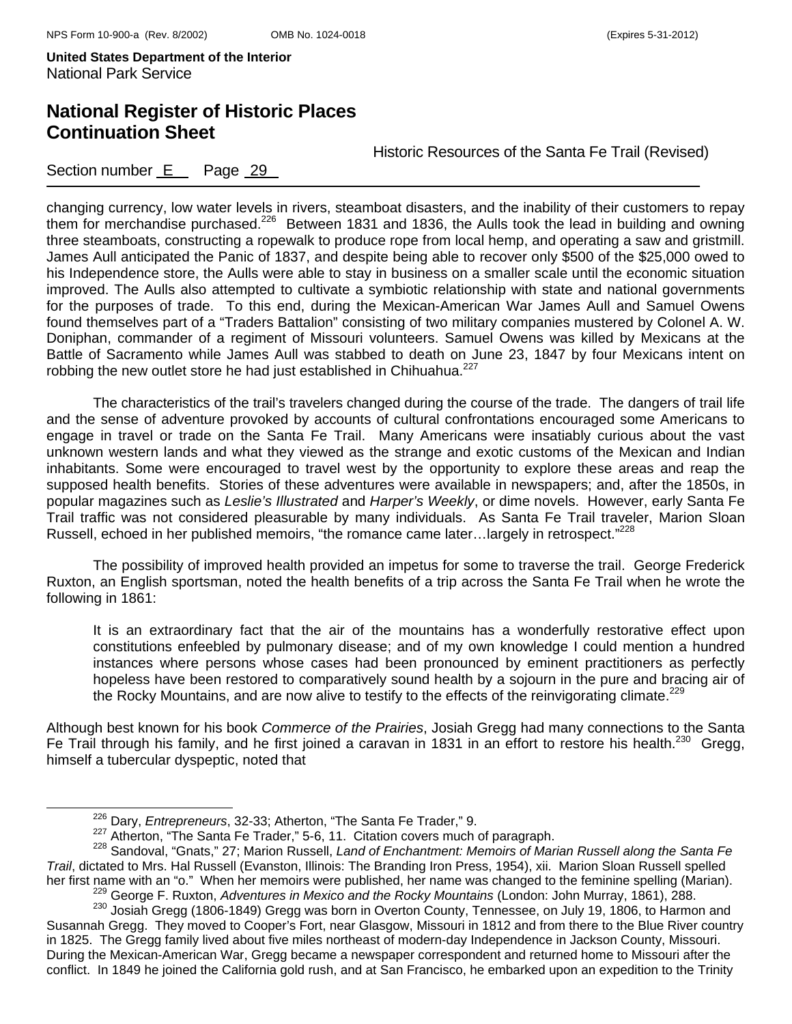## **National Register of Historic Places Continuation Sheet**

Historic Resources of the Santa Fe Trail (Revised)

Section number E Page 29

changing currency, low water levels in rivers, steamboat disasters, and the inability of their customers to repay them for merchandise purchased.226 Between 1831 and 1836, the Aulls took the lead in building and owning three steamboats, constructing a ropewalk to produce rope from local hemp, and operating a saw and gristmill. James Aull anticipated the Panic of 1837, and despite being able to recover only \$500 of the \$25,000 owed to his Independence store, the Aulls were able to stay in business on a smaller scale until the economic situation improved. The Aulls also attempted to cultivate a symbiotic relationship with state and national governments for the purposes of trade. To this end, during the Mexican-American War James Aull and Samuel Owens found themselves part of a "Traders Battalion" consisting of two military companies mustered by Colonel A. W. Doniphan, commander of a regiment of Missouri volunteers. Samuel Owens was killed by Mexicans at the Battle of Sacramento while James Aull was stabbed to death on June 23, 1847 by four Mexicans intent on robbing the new outlet store he had just established in Chihuahua.<sup>227</sup>

The characteristics of the trail's travelers changed during the course of the trade. The dangers of trail life and the sense of adventure provoked by accounts of cultural confrontations encouraged some Americans to engage in travel or trade on the Santa Fe Trail. Many Americans were insatiably curious about the vast unknown western lands and what they viewed as the strange and exotic customs of the Mexican and Indian inhabitants. Some were encouraged to travel west by the opportunity to explore these areas and reap the supposed health benefits. Stories of these adventures were available in newspapers; and, after the 1850s, in popular magazines such as *Leslie's Illustrated* and *Harper's Weekly*, or dime novels. However, early Santa Fe Trail traffic was not considered pleasurable by many individuals. As Santa Fe Trail traveler, Marion Sloan Russell, echoed in her published memoirs, "the romance came later...largely in retrospect."<sup>228</sup>

The possibility of improved health provided an impetus for some to traverse the trail. George Frederick Ruxton, an English sportsman, noted the health benefits of a trip across the Santa Fe Trail when he wrote the following in 1861:

It is an extraordinary fact that the air of the mountains has a wonderfully restorative effect upon constitutions enfeebled by pulmonary disease; and of my own knowledge I could mention a hundred instances where persons whose cases had been pronounced by eminent practitioners as perfectly hopeless have been restored to comparatively sound health by a sojourn in the pure and bracing air of the Rocky Mountains, and are now alive to testify to the effects of the reinvigorating climate.<sup>229</sup>

Although best known for his book *Commerce of the Prairies*, Josiah Gregg had many connections to the Santa Fe Trail through his family, and he first joined a caravan in 1831 in an effort to restore his health.<sup>230</sup> Gregg, himself a tubercular dyspeptic, noted that

<sup>&</sup>lt;sup>226</sup> Dary, *Entrepreneurs*, 32-33; Atherton, "The Santa Fe Trader," 9.<br><sup>227</sup> Atherton, "The Santa Fe Trader," 5-6, 11. Citation covers much of paragraph.

<sup>227</sup> Atherton, "The Santa Fe Trader," 5-6, 11. Citation covers much of paragraph. 228 Sandoval, "Gnats," 27; Marion Russell, *Land of Enchantment: Memoirs of Marian Russell along the Santa Fe Trail*, dictated to Mrs. Hal Russell (Evanston, Illinois: The Branding Iron Press, 1954), xii. Marion Sloan Russell spelled<br>her first name with an "o." When her memoirs were published, her name was changed to the feminine 229<br>
George F. Ruxton, Adventures in Mexico and the Rocky Mountains (London: John Murray, 1861), 288.<br>
<sup>230</sup> Josiah Gregg (1806-1849) Gregg was born in Overton County, Tennessee, on July 19, 1806, to Harmon and

Susannah Gregg. They moved to Cooper's Fort, near Glasgow, Missouri in 1812 and from there to the Blue River country in 1825. The Gregg family lived about five miles northeast of modern-day Independence in Jackson County, Missouri. During the Mexican-American War, Gregg became a newspaper correspondent and returned home to Missouri after the conflict. In 1849 he joined the California gold rush, and at San Francisco, he embarked upon an expedition to the Trinity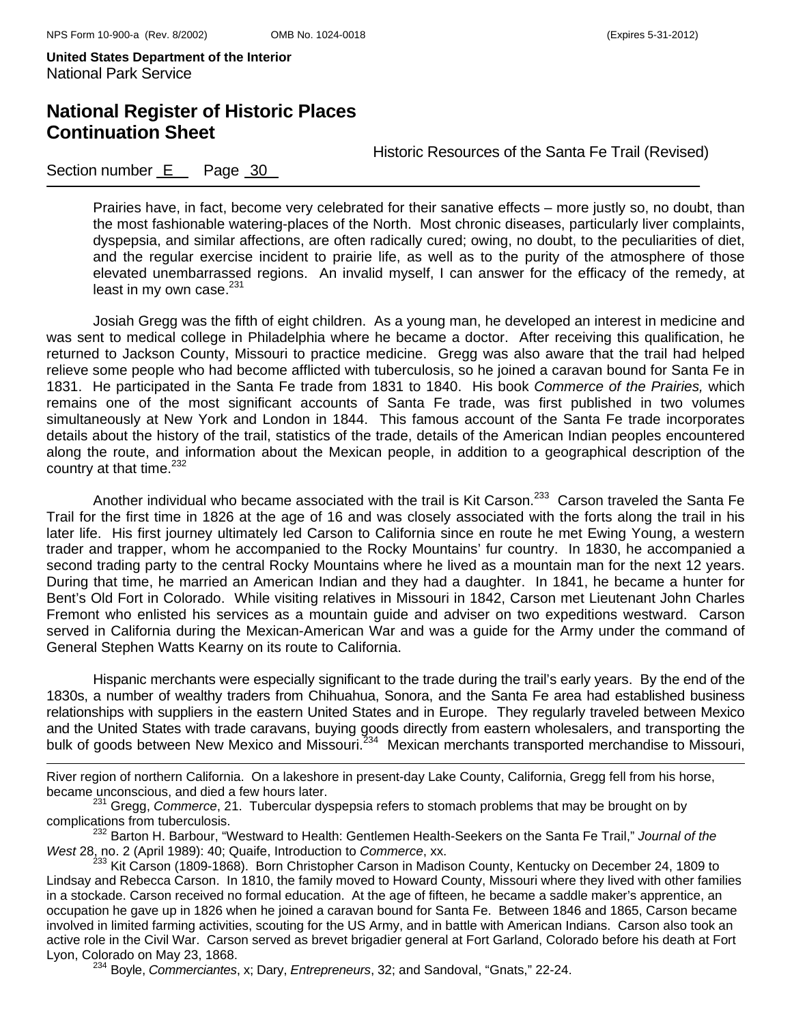i<br>L

**United States Department of the Interior**  National Park Service

## **National Register of Historic Places Continuation Sheet**

Historic Resources of the Santa Fe Trail (Revised)

### Section number E Page 30

Prairies have, in fact, become very celebrated for their sanative effects – more justly so, no doubt, than the most fashionable watering-places of the North. Most chronic diseases, particularly liver complaints, dyspepsia, and similar affections, are often radically cured; owing, no doubt, to the peculiarities of diet, and the regular exercise incident to prairie life, as well as to the purity of the atmosphere of those elevated unembarrassed regions. An invalid myself, I can answer for the efficacy of the remedy, at least in my own case. $231$ 

Josiah Gregg was the fifth of eight children. As a young man, he developed an interest in medicine and was sent to medical college in Philadelphia where he became a doctor. After receiving this qualification, he returned to Jackson County, Missouri to practice medicine. Gregg was also aware that the trail had helped relieve some people who had become afflicted with tuberculosis, so he joined a caravan bound for Santa Fe in 1831. He participated in the Santa Fe trade from 1831 to 1840. His book *Commerce of the Prairies,* which remains one of the most significant accounts of Santa Fe trade, was first published in two volumes simultaneously at New York and London in 1844. This famous account of the Santa Fe trade incorporates details about the history of the trail, statistics of the trade, details of the American Indian peoples encountered along the route, and information about the Mexican people, in addition to a geographical description of the country at that time.232

Another individual who became associated with the trail is Kit Carson.<sup>233</sup> Carson traveled the Santa Fe Trail for the first time in 1826 at the age of 16 and was closely associated with the forts along the trail in his later life. His first journey ultimately led Carson to California since en route he met Ewing Young, a western trader and trapper, whom he accompanied to the Rocky Mountains' fur country. In 1830, he accompanied a second trading party to the central Rocky Mountains where he lived as a mountain man for the next 12 years. During that time, he married an American Indian and they had a daughter. In 1841, he became a hunter for Bent's Old Fort in Colorado. While visiting relatives in Missouri in 1842, Carson met Lieutenant John Charles Fremont who enlisted his services as a mountain guide and adviser on two expeditions westward. Carson served in California during the Mexican-American War and was a guide for the Army under the command of General Stephen Watts Kearny on its route to California.

Hispanic merchants were especially significant to the trade during the trail's early years. By the end of the 1830s, a number of wealthy traders from Chihuahua, Sonora, and the Santa Fe area had established business relationships with suppliers in the eastern United States and in Europe. They regularly traveled between Mexico and the United States with trade caravans, buying goods directly from eastern wholesalers, and transporting the bulk of goods between New Mexico and Missouri.<sup>234</sup> Mexican merchants transported merchandise to Missouri,

River region of northern California. On a lakeshore in present-day Lake County, California, Gregg fell from his horse, became unconscious, and died a few hours later.

<sup>231</sup> Gregg, *Commerce*, 21. Tubercular dyspepsia refers to stomach problems that may be brought on by complications from tuberculosis.

<sup>232</sup> Barton H. Barbour, "Westward to Health: Gentlemen Health-Seekers on the Santa Fe Trail," *Journal of the West* 28, no. 2 (April 1989): 40; Quaife, Introduction to *Commerce*, xx.

<sup>233</sup> Kit Carson (1809-1868). Born Christopher Carson in Madison County, Kentucky on December 24, 1809 to Lindsay and Rebecca Carson. In 1810, the family moved to Howard County, Missouri where they lived with other families in a stockade. Carson received no formal education. At the age of fifteen, he became a saddle maker's apprentice, an occupation he gave up in 1826 when he joined a caravan bound for Santa Fe. Between 1846 and 1865, Carson became involved in limited farming activities, scouting for the US Army, and in battle with American Indians. Carson also took an active role in the Civil War. Carson served as brevet brigadier general at Fort Garland, Colorado before his death at Fort Lyon, Colorado on May 23, 1868. 234 Boyle, *Commerciantes*, x; Dary, *Entrepreneurs*, 32; and Sandoval, "Gnats," 22-24.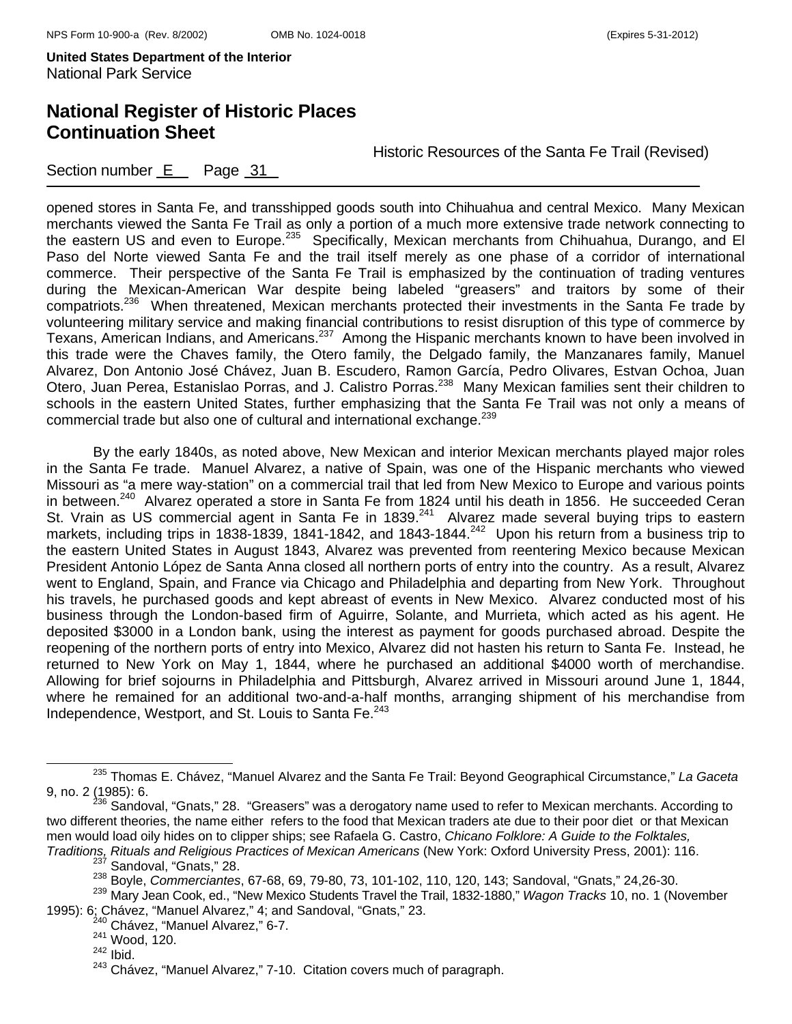## **National Register of Historic Places Continuation Sheet**

Historic Resources of the Santa Fe Trail (Revised)

Section number E Page 31

opened stores in Santa Fe, and transshipped goods south into Chihuahua and central Mexico. Many Mexican merchants viewed the Santa Fe Trail as only a portion of a much more extensive trade network connecting to the eastern US and even to Europe.<sup>235</sup> Specifically, Mexican merchants from Chihuahua, Durango, and El Paso del Norte viewed Santa Fe and the trail itself merely as one phase of a corridor of international commerce. Their perspective of the Santa Fe Trail is emphasized by the continuation of trading ventures during the Mexican-American War despite being labeled "greasers" and traitors by some of their compatriots.236 When threatened, Mexican merchants protected their investments in the Santa Fe trade by volunteering military service and making financial contributions to resist disruption of this type of commerce by Texans, American Indians, and Americans.237 Among the Hispanic merchants known to have been involved in this trade were the Chaves family, the Otero family, the Delgado family, the Manzanares family, Manuel Alvarez, Don Antonio José Chávez, Juan B. Escudero, Ramon García, Pedro Olivares, Estvan Ochoa, Juan Otero, Juan Perea, Estanislao Porras, and J. Calistro Porras.238 Many Mexican families sent their children to schools in the eastern United States, further emphasizing that the Santa Fe Trail was not only a means of commercial trade but also one of cultural and international exchange.<sup>239</sup>

By the early 1840s, as noted above, New Mexican and interior Mexican merchants played major roles in the Santa Fe trade. Manuel Alvarez, a native of Spain, was one of the Hispanic merchants who viewed Missouri as "a mere way-station" on a commercial trail that led from New Mexico to Europe and various points in between.<sup>240</sup> Alvarez operated a store in Santa Fe from 1824 until his death in 1856. He succeeded Ceran St. Vrain as US commercial agent in Santa Fe in 1839.<sup>241</sup> Alvarez made several buying trips to eastern markets, including trips in 1838-1839, 1841-1842, and 1843-1844.<sup>242</sup> Upon his return from a business trip to the eastern United States in August 1843, Alvarez was prevented from reentering Mexico because Mexican President Antonio López de Santa Anna closed all northern ports of entry into the country. As a result, Alvarez went to England, Spain, and France via Chicago and Philadelphia and departing from New York. Throughout his travels, he purchased goods and kept abreast of events in New Mexico. Alvarez conducted most of his business through the London-based firm of Aguirre, Solante, and Murrieta, which acted as his agent. He deposited \$3000 in a London bank, using the interest as payment for goods purchased abroad. Despite the reopening of the northern ports of entry into Mexico, Alvarez did not hasten his return to Santa Fe. Instead, he returned to New York on May 1, 1844, where he purchased an additional \$4000 worth of merchandise. Allowing for brief sojourns in Philadelphia and Pittsburgh, Alvarez arrived in Missouri around June 1, 1844, where he remained for an additional two-and-a-half months, arranging shipment of his merchandise from Independence, Westport, and St. Louis to Santa Fe.<sup>243</sup>

235 Thomas E. Chávez, "Manuel Alvarez and the Santa Fe Trail: Beyond Geographical Circumstance," *La Gaceta*

<sup>9,</sup> no. 2 (1985): 6.<br><sup>236</sup> Sandoval, "Gnats," 28. "Greasers" was a derogatory name used to refer to Mexican merchants. According to two different theories, the name either refers to the food that Mexican traders ate due to their poor diet or that Mexican men would load oily hides on to clipper ships; see Rafaela G. Castro, *Chicano Folklore: A Guide to the Folktales, Traditions, Rituals and Religious Practices of Mexican Americans* (New York: Oxford University Press, 2001): 116. 237 Sandoval, "Gnats," 28.

<sup>238</sup> Boyle, *Commerciantes*, 67-68, 69, 79-80, 73, 101-102, 110, 120, 143; Sandoval, "Gnats," 24,26-30.

<sup>239</sup> Mary Jean Cook, ed., "New Mexico Students Travel the Trail, 1832-1880," *Wagon Tracks* 10, no. 1 (November 1995): 6; Chávez, "Manuel Alvarez," 4; and Sandoval, "Gnats," 23.

<sup>&</sup>lt;sup>240</sup> Chávez, "Manuel Alvarez," 6-7.

<sup>241</sup> Wood, 120.

 $242$  Ibid.

<sup>243</sup> Chávez, "Manuel Alvarez," 7-10. Citation covers much of paragraph.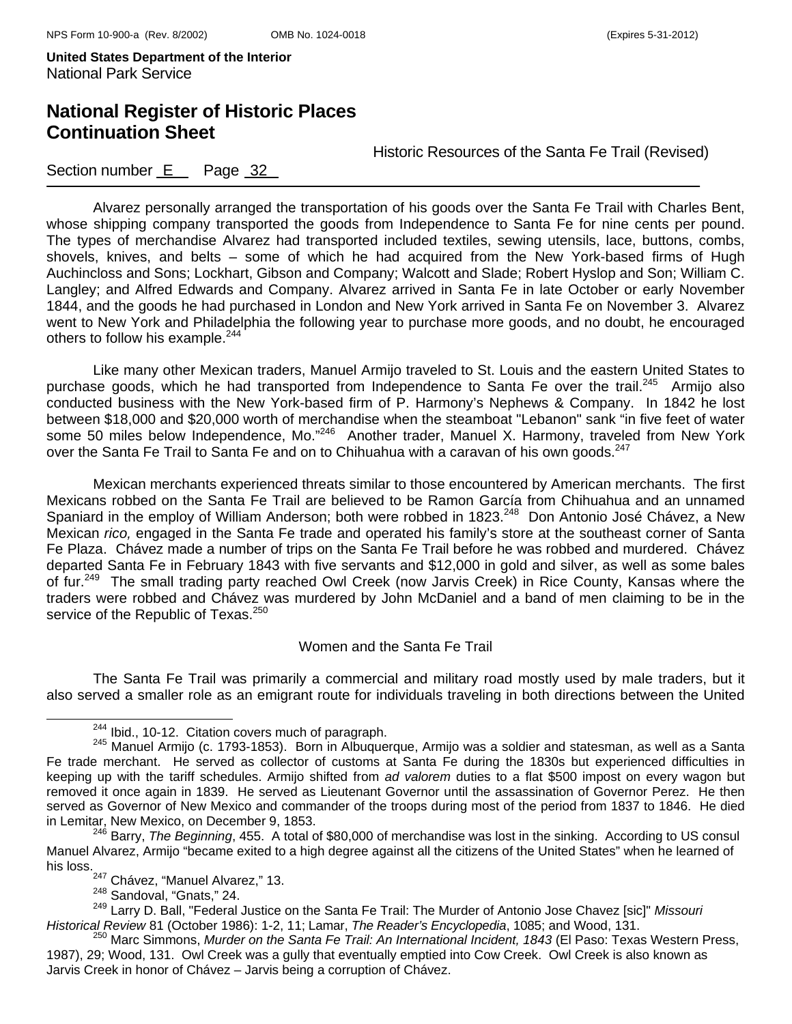## **National Register of Historic Places Continuation Sheet**

Historic Resources of the Santa Fe Trail (Revised)

#### Section number E Page 32

Alvarez personally arranged the transportation of his goods over the Santa Fe Trail with Charles Bent, whose shipping company transported the goods from Independence to Santa Fe for nine cents per pound. The types of merchandise Alvarez had transported included textiles, sewing utensils, lace, buttons, combs, shovels, knives, and belts – some of which he had acquired from the New York-based firms of Hugh Auchincloss and Sons; Lockhart, Gibson and Company; Walcott and Slade; Robert Hyslop and Son; William C. Langley; and Alfred Edwards and Company. Alvarez arrived in Santa Fe in late October or early November 1844, and the goods he had purchased in London and New York arrived in Santa Fe on November 3. Alvarez went to New York and Philadelphia the following year to purchase more goods, and no doubt, he encouraged others to follow his example.<sup>244</sup>

Like many other Mexican traders, Manuel Armijo traveled to St. Louis and the eastern United States to purchase goods, which he had transported from Independence to Santa Fe over the trail.<sup>245</sup> Armiio also conducted business with the New York-based firm of P. Harmony's Nephews & Company. In 1842 he lost between \$18,000 and \$20,000 worth of merchandise when the steamboat "Lebanon" sank "in five feet of water some 50 miles below Independence, Mo."<sup>246</sup> Another trader, Manuel X. Harmony, traveled from New York over the Santa Fe Trail to Santa Fe and on to Chihuahua with a caravan of his own goods.<sup>247</sup>

Mexican merchants experienced threats similar to those encountered by American merchants. The first Mexicans robbed on the Santa Fe Trail are believed to be Ramon García from Chihuahua and an unnamed Spaniard in the employ of William Anderson; both were robbed in 1823.248 Don Antonio José Chávez, a New Mexican *rico,* engaged in the Santa Fe trade and operated his family's store at the southeast corner of Santa Fe Plaza. Chávez made a number of trips on the Santa Fe Trail before he was robbed and murdered. Chávez departed Santa Fe in February 1843 with five servants and \$12,000 in gold and silver, as well as some bales of fur.<sup>249</sup> The small trading party reached Owl Creek (now Jarvis Creek) in Rice County, Kansas where the traders were robbed and Chávez was murdered by John McDaniel and a band of men claiming to be in the service of the Republic of Texas.<sup>250</sup>

#### Women and the Santa Fe Trail

The Santa Fe Trail was primarily a commercial and military road mostly used by male traders, but it also served a smaller role as an emigrant route for individuals traveling in both directions between the United

250 Marc Simmons, *Murder on the Santa Fe Trail: An International Incident, 1843* (El Paso: Texas Western Press, 1987), 29; Wood, 131. Owl Creek was a gully that eventually emptied into Cow Creek. Owl Creek is also known as Jarvis Creek in honor of Chávez – Jarvis being a corruption of Chávez.

<sup>&</sup>lt;sup>244</sup> Ibid., 10-12. Citation covers much of paragraph.<br><sup>245</sup> Manuel Armijo (c. 1793-1853). Born in Albuquerque, Armijo was a soldier and statesman, as well as a Santa Fe trade merchant. He served as collector of customs at Santa Fe during the 1830s but experienced difficulties in keeping up with the tariff schedules. Armijo shifted from *ad valorem* duties to a flat \$500 impost on every wagon but removed it once again in 1839. He served as Lieutenant Governor until the assassination of Governor Perez. He then served as Governor of New Mexico and commander of the troops during most of the period from 1837 to 1846. He died in Lemitar, New Mexico, on December 9, 1853.

<sup>&</sup>lt;sup>2</sup> Barry, *The Beginning*, 455. A total of \$80,000 of merchandise was lost in the sinking. According to US consul Manuel Alvarez, Armijo "became exited to a high degree against all the citizens of the United States" when he learned of his loss.

<sup>&</sup>lt;sup>247</sup> Chávez, "Manuel Alvarez," 13.

<sup>248</sup> Sandoval, "Gnats," 24. 249 Larry D. Ball, "Federal Justice on the Santa Fe Trail: The Murder of Antonio Jose Chavez [sic]" *Missouri Historical Review* 81 (October 1986): 1-2, 11; Lamar, *The Reader's Encyclopedia*, 1085; and Wood, 131.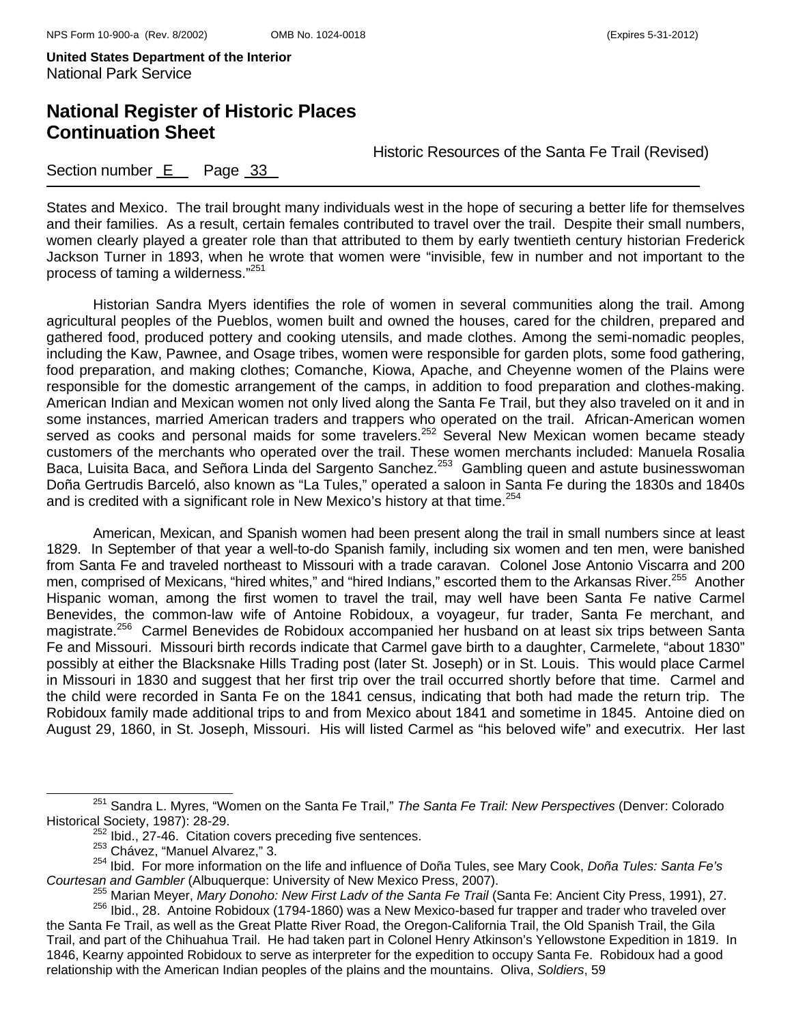## **National Register of Historic Places Continuation Sheet**

Historic Resources of the Santa Fe Trail (Revised)

Section number E Page 33

States and Mexico. The trail brought many individuals west in the hope of securing a better life for themselves and their families. As a result, certain females contributed to travel over the trail. Despite their small numbers, women clearly played a greater role than that attributed to them by early twentieth century historian Frederick Jackson Turner in 1893, when he wrote that women were "invisible, few in number and not important to the process of taming a wilderness."251

Historian Sandra Myers identifies the role of women in several communities along the trail. Among agricultural peoples of the Pueblos, women built and owned the houses, cared for the children, prepared and gathered food, produced pottery and cooking utensils, and made clothes. Among the semi-nomadic peoples, including the Kaw, Pawnee, and Osage tribes, women were responsible for garden plots, some food gathering, food preparation, and making clothes; Comanche, Kiowa, Apache, and Cheyenne women of the Plains were responsible for the domestic arrangement of the camps, in addition to food preparation and clothes-making. American Indian and Mexican women not only lived along the Santa Fe Trail, but they also traveled on it and in some instances, married American traders and trappers who operated on the trail. African-American women served as cooks and personal maids for some travelers.<sup>252</sup> Several New Mexican women became steady customers of the merchants who operated over the trail. These women merchants included: Manuela Rosalia Baca, Luisita Baca, and Señora Linda del Sargento Sanchez.<sup>253</sup> Gambling queen and astute businesswoman Doña Gertrudis Barceló, also known as "La Tules," operated a saloon in Santa Fe during the 1830s and 1840s and is credited with a significant role in New Mexico's history at that time.<sup>254</sup>

American, Mexican, and Spanish women had been present along the trail in small numbers since at least 1829. In September of that year a well-to-do Spanish family, including six women and ten men, were banished from Santa Fe and traveled northeast to Missouri with a trade caravan. Colonel Jose Antonio Viscarra and 200 men, comprised of Mexicans, "hired whites," and "hired Indians," escorted them to the Arkansas River.<sup>255</sup> Another Hispanic woman, among the first women to travel the trail, may well have been Santa Fe native Carmel Benevides, the common-law wife of Antoine Robidoux, a voyageur, fur trader, Santa Fe merchant, and magistrate.<sup>256</sup> Carmel Benevides de Robidoux accompanied her husband on at least six trips between Santa Fe and Missouri. Missouri birth records indicate that Carmel gave birth to a daughter, Carmelete, "about 1830" possibly at either the Blacksnake Hills Trading post (later St. Joseph) or in St. Louis. This would place Carmel in Missouri in 1830 and suggest that her first trip over the trail occurred shortly before that time. Carmel and the child were recorded in Santa Fe on the 1841 census, indicating that both had made the return trip. The Robidoux family made additional trips to and from Mexico about 1841 and sometime in 1845. Antoine died on August 29, 1860, in St. Joseph, Missouri. His will listed Carmel as "his beloved wife" and executrix. Her last

251 Sandra L. Myres, "Women on the Santa Fe Trail," *The Santa Fe Trail: New Perspectives* (Denver: Colorado Historical Society, 1987): 28-29.<br><sup>252</sup> Ibid., 27-46. Citation covers preceding five sentences.<br><sup>253</sup> Chávez, "Manuel Alvarez," 3.

<sup>254</sup> Ibid. For more information on the life and influence of Doña Tules, see Mary Cook, *Doña Tules: Santa Fe's*  Courtesan and Gambler (Albuquerque: University of New Mexico Press, 2007).<br><sup>255</sup> Marian Meyer, *Mary Donoho: New First Ladv of the Santa Fe Trail* (Santa Fe: Ancient City Press, 1991), 27.<br><sup>256</sup> Ibid., 28. Antoine Robidoux

the Santa Fe Trail, as well as the Great Platte River Road, the Oregon-California Trail, the Old Spanish Trail, the Gila Trail, and part of the Chihuahua Trail. He had taken part in Colonel Henry Atkinson's Yellowstone Expedition in 1819. In 1846, Kearny appointed Robidoux to serve as interpreter for the expedition to occupy Santa Fe. Robidoux had a good relationship with the American Indian peoples of the plains and the mountains. Oliva, *Soldiers*, 59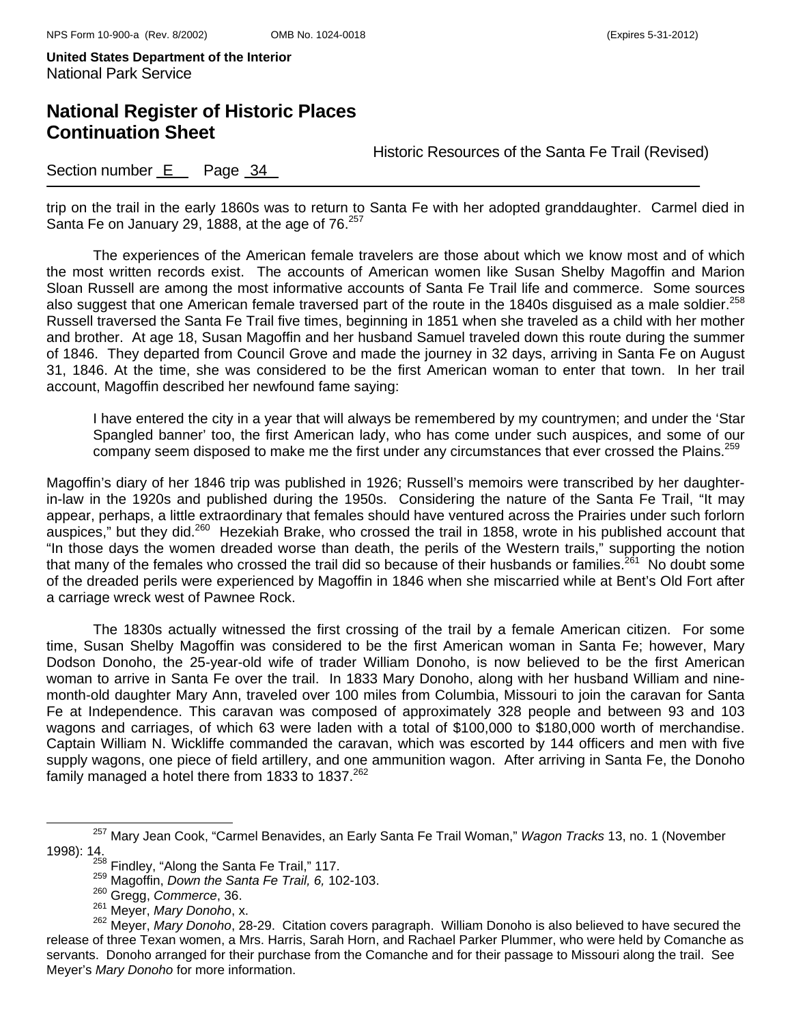## **National Register of Historic Places Continuation Sheet**

Historic Resources of the Santa Fe Trail (Revised)

Section number  $E$  Page  $34$ 

trip on the trail in the early 1860s was to return to Santa Fe with her adopted granddaughter. Carmel died in Santa Fe on January 29, 1888, at the age of 76.<sup>257</sup>

The experiences of the American female travelers are those about which we know most and of which the most written records exist. The accounts of American women like Susan Shelby Magoffin and Marion Sloan Russell are among the most informative accounts of Santa Fe Trail life and commerce. Some sources also suggest that one American female traversed part of the route in the 1840s disguised as a male soldier.<sup>258</sup> Russell traversed the Santa Fe Trail five times, beginning in 1851 when she traveled as a child with her mother and brother. At age 18, Susan Magoffin and her husband Samuel traveled down this route during the summer of 1846. They departed from Council Grove and made the journey in 32 days, arriving in Santa Fe on August 31, 1846. At the time, she was considered to be the first American woman to enter that town. In her trail account, Magoffin described her newfound fame saying:

I have entered the city in a year that will always be remembered by my countrymen; and under the 'Star Spangled banner' too, the first American lady, who has come under such auspices, and some of our company seem disposed to make me the first under any circumstances that ever crossed the Plains.<sup>259</sup>

Magoffin's diary of her 1846 trip was published in 1926; Russell's memoirs were transcribed by her daughterin-law in the 1920s and published during the 1950s. Considering the nature of the Santa Fe Trail, "It may appear, perhaps, a little extraordinary that females should have ventured across the Prairies under such forlorn auspices," but they did.<sup>260</sup> Hezekiah Brake, who crossed the trail in 1858, wrote in his published account that "In those days the women dreaded worse than death, the perils of the Western trails," supporting the notion that many of the females who crossed the trail did so because of their husbands or families.<sup>261</sup> No doubt some of the dreaded perils were experienced by Magoffin in 1846 when she miscarried while at Bent's Old Fort after a carriage wreck west of Pawnee Rock.

The 1830s actually witnessed the first crossing of the trail by a female American citizen. For some time, Susan Shelby Magoffin was considered to be the first American woman in Santa Fe; however, Mary Dodson Donoho, the 25-year-old wife of trader William Donoho, is now believed to be the first American woman to arrive in Santa Fe over the trail. In 1833 Mary Donoho, along with her husband William and ninemonth-old daughter Mary Ann, traveled over 100 miles from Columbia, Missouri to join the caravan for Santa Fe at Independence. This caravan was composed of approximately 328 people and between 93 and 103 wagons and carriages, of which 63 were laden with a total of \$100,000 to \$180,000 worth of merchandise. Captain William N. Wickliffe commanded the caravan, which was escorted by 144 officers and men with five supply wagons, one piece of field artillery, and one ammunition wagon. After arriving in Santa Fe, the Donoho family managed a hotel there from 1833 to 1837. $262$ 

257 Mary Jean Cook, "Carmel Benavides, an Early Santa Fe Trail Woman," *Wagon Tracks* 13, no. 1 (November 1998): 14. 258 Findley, "Along the Santa Fe Trail," 117. 259 Magoffin, *Down the Santa Fe Trail, 6,* 102-103.

<sup>&</sup>lt;sup>260</sup> Gregg, *Commerce*, 36.<br><sup>261</sup> Meyer, *Mary Donoho*, x.

<sup>262</sup> Meyer, *Mary Donoho*, 28-29. Citation covers paragraph. William Donoho is also believed to have secured the release of three Texan women, a Mrs. Harris, Sarah Horn, and Rachael Parker Plummer, who were held by Comanche as servants. Donoho arranged for their purchase from the Comanche and for their passage to Missouri along the trail. See Meyer's *Mary Donoho* for more information.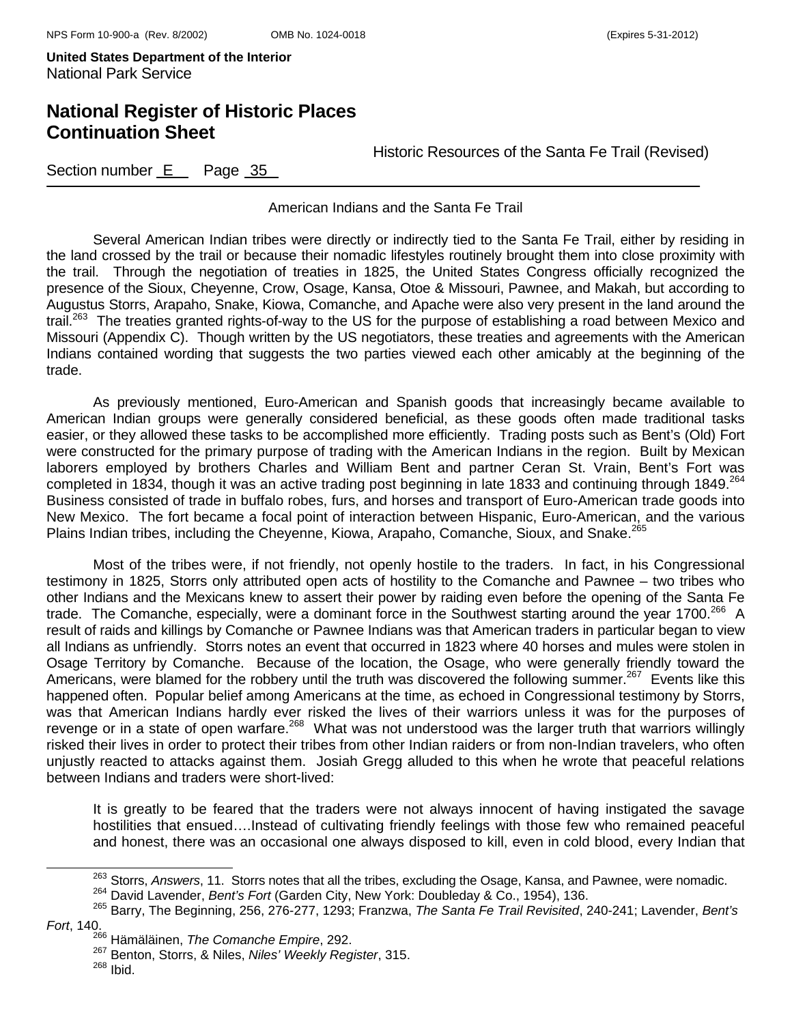### **National Register of Historic Places Continuation Sheet**

Historic Resources of the Santa Fe Trail (Revised)

Section number E Page 35

American Indians and the Santa Fe Trail

Several American Indian tribes were directly or indirectly tied to the Santa Fe Trail, either by residing in the land crossed by the trail or because their nomadic lifestyles routinely brought them into close proximity with the trail. Through the negotiation of treaties in 1825, the United States Congress officially recognized the presence of the Sioux, Cheyenne, Crow, Osage, Kansa, Otoe & Missouri, Pawnee, and Makah, but according to Augustus Storrs, Arapaho, Snake, Kiowa, Comanche, and Apache were also very present in the land around the trail.<sup>263</sup> The treaties granted rights-of-way to the US for the purpose of establishing a road between Mexico and Missouri (Appendix C). Though written by the US negotiators, these treaties and agreements with the American Indians contained wording that suggests the two parties viewed each other amicably at the beginning of the trade.

As previously mentioned, Euro-American and Spanish goods that increasingly became available to American Indian groups were generally considered beneficial, as these goods often made traditional tasks easier, or they allowed these tasks to be accomplished more efficiently. Trading posts such as Bent's (Old) Fort were constructed for the primary purpose of trading with the American Indians in the region. Built by Mexican laborers employed by brothers Charles and William Bent and partner Ceran St. Vrain, Bent's Fort was completed in 1834, though it was an active trading post beginning in late 1833 and continuing through 1849.<sup>264</sup> Business consisted of trade in buffalo robes, furs, and horses and transport of Euro-American trade goods into New Mexico. The fort became a focal point of interaction between Hispanic, Euro-American, and the various Plains Indian tribes, including the Cheyenne, Kiowa, Arapaho, Comanche, Sioux, and Snake.<sup>265</sup>

Most of the tribes were, if not friendly, not openly hostile to the traders. In fact, in his Congressional testimony in 1825, Storrs only attributed open acts of hostility to the Comanche and Pawnee – two tribes who other Indians and the Mexicans knew to assert their power by raiding even before the opening of the Santa Fe trade. The Comanche, especially, were a dominant force in the Southwest starting around the year 1700.<sup>266</sup> A result of raids and killings by Comanche or Pawnee Indians was that American traders in particular began to view all Indians as unfriendly. Storrs notes an event that occurred in 1823 where 40 horses and mules were stolen in Osage Territory by Comanche. Because of the location, the Osage, who were generally friendly toward the Americans, were blamed for the robbery until the truth was discovered the following summer.<sup>267</sup> Events like this happened often. Popular belief among Americans at the time, as echoed in Congressional testimony by Storrs, was that American Indians hardly ever risked the lives of their warriors unless it was for the purposes of revenge or in a state of open warfare.<sup>268</sup> What was not understood was the larger truth that warriors willingly risked their lives in order to protect their tribes from other Indian raiders or from non-Indian travelers, who often unjustly reacted to attacks against them. Josiah Gregg alluded to this when he wrote that peaceful relations between Indians and traders were short-lived:

It is greatly to be feared that the traders were not always innocent of having instigated the savage hostilities that ensued….Instead of cultivating friendly feelings with those few who remained peaceful and honest, there was an occasional one always disposed to kill, even in cold blood, every Indian that

*Fort*, 140.

268 Ibid.

 $^{263}$  Storrs, Answers, 11. Storrs notes that all the tribes, excluding the Osage, Kansa, and Pawnee, were nomadic.<br><sup>264</sup> David Lavender, *Bent's Fort* (Garden City, New York: Doubleday & Co., 1954), 136.<br><sup>265</sup> Barry, Th

<sup>266</sup> Hämäläinen, *The Comanche Empire*, 292.

<sup>267</sup> Benton, Storrs, & Niles, *Niles' Weekly Register*, 315.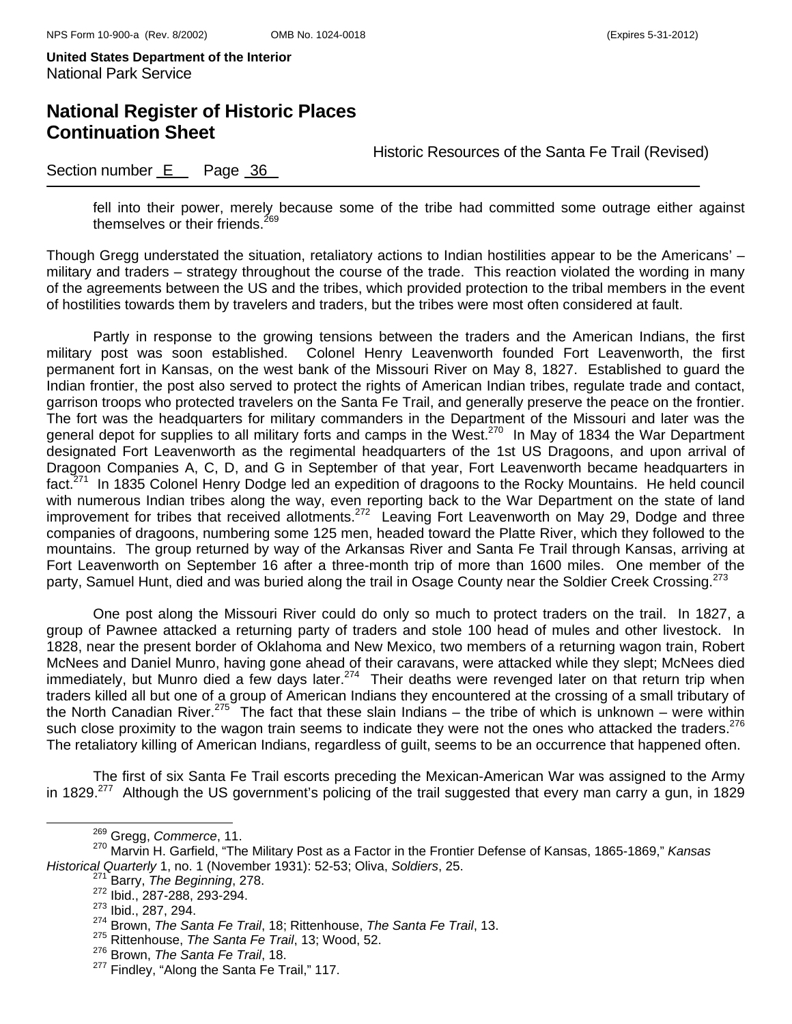## **National Register of Historic Places Continuation Sheet**

Historic Resources of the Santa Fe Trail (Revised)

### Section number E Page 36

fell into their power, merely because some of the tribe had committed some outrage either against themselves or their friends. $^{269}$ 

Though Gregg understated the situation, retaliatory actions to Indian hostilities appear to be the Americans' – military and traders – strategy throughout the course of the trade. This reaction violated the wording in many of the agreements between the US and the tribes, which provided protection to the tribal members in the event of hostilities towards them by travelers and traders, but the tribes were most often considered at fault.

Partly in response to the growing tensions between the traders and the American Indians, the first military post was soon established. Colonel Henry Leavenworth founded Fort Leavenworth, the first permanent fort in Kansas, on the west bank of the Missouri River on May 8, 1827. Established to guard the Indian frontier, the post also served to protect the rights of American Indian tribes, regulate trade and contact, garrison troops who protected travelers on the Santa Fe Trail, and generally preserve the peace on the frontier. The fort was the headquarters for military commanders in the Department of the Missouri and later was the general depot for supplies to all military forts and camps in the West.<sup>270</sup> In May of 1834 the War Department designated Fort Leavenworth as the regimental headquarters of the 1st US Dragoons, and upon arrival of Dragoon Companies A, C, D, and G in September of that year, Fort Leavenworth became headquarters in fact.<sup>271</sup> In 1835 Colonel Henry Dodge led an expedition of dragoons to the Rocky Mountains. He held council with numerous Indian tribes along the way, even reporting back to the War Department on the state of land improvement for tribes that received allotments.272 Leaving Fort Leavenworth on May 29, Dodge and three companies of dragoons, numbering some 125 men, headed toward the Platte River, which they followed to the mountains. The group returned by way of the Arkansas River and Santa Fe Trail through Kansas, arriving at Fort Leavenworth on September 16 after a three-month trip of more than 1600 miles. One member of the party, Samuel Hunt, died and was buried along the trail in Osage County near the Soldier Creek Crossing.<sup>273</sup>

One post along the Missouri River could do only so much to protect traders on the trail. In 1827, a group of Pawnee attacked a returning party of traders and stole 100 head of mules and other livestock. In 1828, near the present border of Oklahoma and New Mexico, two members of a returning wagon train, Robert McNees and Daniel Munro, having gone ahead of their caravans, were attacked while they slept; McNees died immediately, but Munro died a few days later.<sup>274</sup> Their deaths were revenged later on that return trip when traders killed all but one of a group of American Indians they encountered at the crossing of a small tributary of the North Canadian River.<sup>275</sup> The fact that these slain Indians – the tribe of which is unknown – were within such close proximity to the wagon train seems to indicate they were not the ones who attacked the traders.<sup>276</sup> The retaliatory killing of American Indians, regardless of guilt, seems to be an occurrence that happened often.

The first of six Santa Fe Trail escorts preceding the Mexican-American War was assigned to the Army in 1829.<sup>277</sup> Although the US government's policing of the trail suggested that every man carry a gun, in 1829

269 Gregg, *Commerce*, 11.

<sup>270</sup> Marvin H. Garfield, "The Military Post as a Factor in the Frontier Defense of Kansas, 1865-1869," *Kansas Historical Quarterly* 1, no. 1 (November 1931): 52-53; Oliva, *Soldiers*, 25.

<sup>271</sup> Barry, *The Beginning*, 278.

<sup>272</sup> Ibid., 287-288, 293-294.

<sup>273</sup> Ibid., 287, 294.

<sup>274</sup> Brown, *The Santa Fe Trail*, 18; Rittenhouse, *The Santa Fe Trail*, 13.

<sup>275</sup> Rittenhouse, *The Santa Fe Trail*, 13; Wood, 52.

<sup>276</sup> Brown, *The Santa Fe Trail*, 18.

<sup>&</sup>lt;sup>277</sup> Findley, "Along the Santa Fe Trail," 117.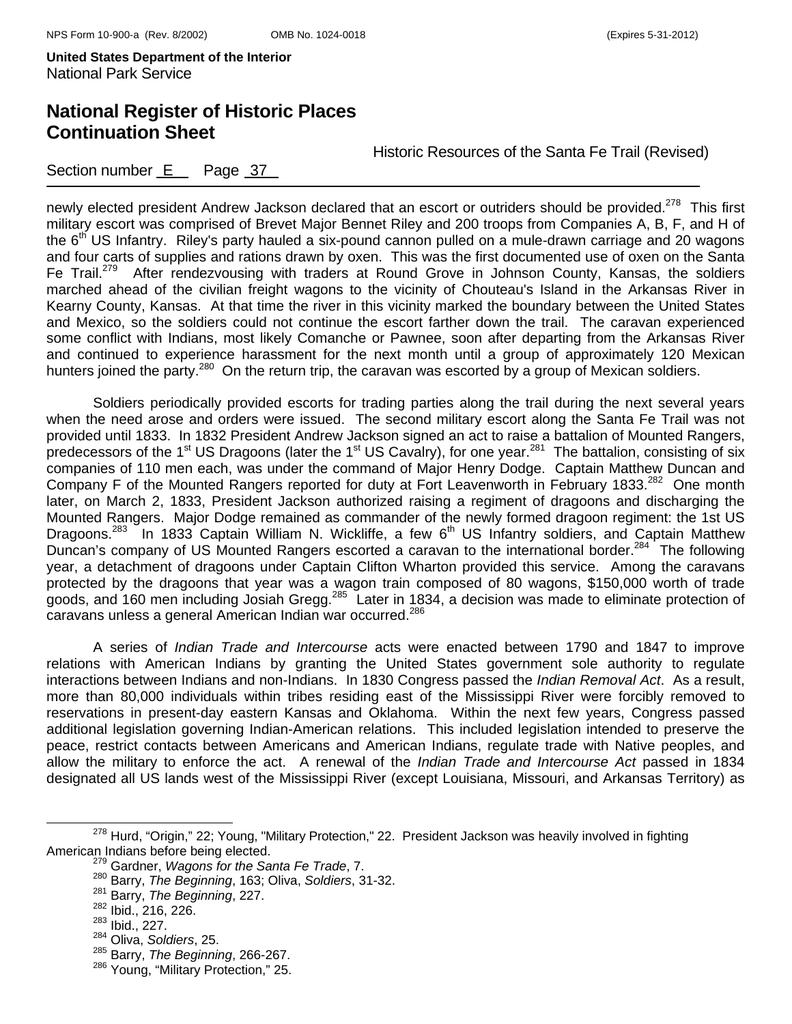Section number  $E$  Page 37

# **National Register of Historic Places Continuation Sheet**

Historic Resources of the Santa Fe Trail (Revised)

newly elected president Andrew Jackson declared that an escort or outriders should be provided.<sup>278</sup> This first military escort was comprised of Brevet Major Bennet Riley and 200 troops from Companies A, B, F, and H of the  $6<sup>th</sup>$  US Infantry. Riley's party hauled a six-pound cannon pulled on a mule-drawn carriage and 20 wagons and four carts of supplies and rations drawn by oxen. This was the first documented use of oxen on the Santa Fe Trail.<sup>279</sup> After rendezvousing with traders at Round Grove in Johnson County, Kansas, the soldiers marched ahead of the civilian freight wagons to the vicinity of Chouteau's Island in the Arkansas River in Kearny County, Kansas. At that time the river in this vicinity marked the boundary between the United States and Mexico, so the soldiers could not continue the escort farther down the trail. The caravan experienced some conflict with Indians, most likely Comanche or Pawnee, soon after departing from the Arkansas River and continued to experience harassment for the next month until a group of approximately 120 Mexican hunters joined the party.<sup>280</sup> On the return trip, the caravan was escorted by a group of Mexican soldiers.

Soldiers periodically provided escorts for trading parties along the trail during the next several years when the need arose and orders were issued. The second military escort along the Santa Fe Trail was not provided until 1833. In 1832 President Andrew Jackson signed an act to raise a battalion of Mounted Rangers, predecessors of the 1<sup>st</sup> US Dragoons (later the 1<sup>st</sup> US Cavalry), for one year.<sup>281</sup> The battalion, consisting of six companies of 110 men each, was under the command of Major Henry Dodge. Captain Matthew Duncan and Company F of the Mounted Rangers reported for duty at Fort Leavenworth in February 1833.<sup>282</sup> One month later, on March 2, 1833, President Jackson authorized raising a regiment of dragoons and discharging the Mounted Rangers. Major Dodge remained as commander of the newly formed dragoon regiment: the 1st US Dragoons.<sup>283</sup> In 1833 Captain William N. Wickliffe, a few 6<sup>th</sup> US Infantry soldiers, and Captain Matthew Duncan's company of US Mounted Rangers escorted a caravan to the international border.<sup>284</sup> The following year, a detachment of dragoons under Captain Clifton Wharton provided this service. Among the caravans protected by the dragoons that year was a wagon train composed of 80 wagons, \$150,000 worth of trade goods, and 160 men including Josiah Gregg.<sup>285</sup> Later in 1834, a decision was made to eliminate protection of caravans unless a general American Indian war occurred.286

A series of *Indian Trade and Intercourse* acts were enacted between 1790 and 1847 to improve relations with American Indians by granting the United States government sole authority to regulate interactions between Indians and non-Indians. In 1830 Congress passed the *Indian Removal Act*. As a result, more than 80,000 individuals within tribes residing east of the Mississippi River were forcibly removed to reservations in present-day eastern Kansas and Oklahoma. Within the next few years, Congress passed additional legislation governing Indian-American relations. This included legislation intended to preserve the peace, restrict contacts between Americans and American Indians, regulate trade with Native peoples, and allow the military to enforce the act. A renewal of the *Indian Trade and Intercourse Act* passed in 1834 designated all US lands west of the Mississippi River (except Louisiana, Missouri, and Arkansas Territory) as

<sup>&</sup>lt;sup>278</sup> Hurd, "Origin," 22; Young, "Military Protection," 22. President Jackson was heavily involved in fighting<br>American Indians before being elected.

<sup>&</sup>lt;sup>279</sup> Gardner, *Wagons for the Santa Fe Trade*, 7.

<sup>280</sup> Barry, *The Beginning*, 163; Oliva, *Soldiers*, 31-32.

<sup>281</sup> Barry, *The Beginning*, 227.

<sup>282</sup> Ibid., 216, 226.

<sup>283</sup> Ibid., 227.

<sup>284</sup> Oliva, *Soldiers*, 25.

<sup>285</sup> Barry, *The Beginning*, 266-267.

<sup>286</sup> Young, "Military Protection," 25.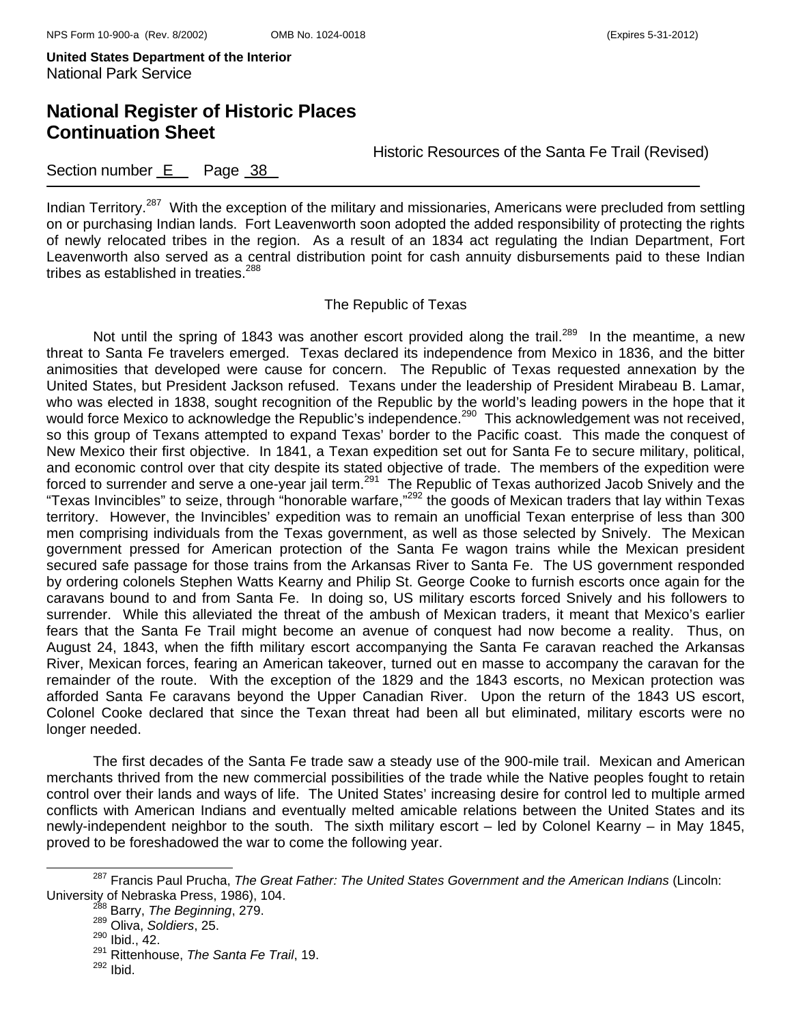# **National Register of Historic Places Continuation Sheet**

Historic Resources of the Santa Fe Trail (Revised)

### Section number E Page 38

Indian Territory.<sup>287</sup> With the exception of the military and missionaries, Americans were precluded from settling on or purchasing Indian lands. Fort Leavenworth soon adopted the added responsibility of protecting the rights of newly relocated tribes in the region. As a result of an 1834 act regulating the Indian Department, Fort Leavenworth also served as a central distribution point for cash annuity disbursements paid to these Indian tribes as established in treaties.<sup>288</sup>

#### The Republic of Texas

Not until the spring of 1843 was another escort provided along the trail.<sup>289</sup> In the meantime, a new threat to Santa Fe travelers emerged. Texas declared its independence from Mexico in 1836, and the bitter animosities that developed were cause for concern. The Republic of Texas requested annexation by the United States, but President Jackson refused. Texans under the leadership of President Mirabeau B. Lamar, who was elected in 1838, sought recognition of the Republic by the world's leading powers in the hope that it who was slocied in 1999, bedgivenessly intervelydance by the world's badility perfect in the hope that it would force Mexico to acknowledge the Republic's independence.<sup>290</sup> This acknowledgement was not received, so this group of Texans attempted to expand Texas' border to the Pacific coast. This made the conquest of New Mexico their first objective. In 1841, a Texan expedition set out for Santa Fe to secure military, political, and economic control over that city despite its stated objective of trade. The members of the expedition were forced to surrender and serve a one-year jail term.<sup>291</sup> The Republic of Texas authorized Jacob Snively and the "Texas Invincibles" to seize, through "honorable warfare,"292 the goods of Mexican traders that lay within Texas territory. However, the Invincibles' expedition was to remain an unofficial Texan enterprise of less than 300 men comprising individuals from the Texas government, as well as those selected by Snively. The Mexican government pressed for American protection of the Santa Fe wagon trains while the Mexican president secured safe passage for those trains from the Arkansas River to Santa Fe. The US government responded by ordering colonels Stephen Watts Kearny and Philip St. George Cooke to furnish escorts once again for the caravans bound to and from Santa Fe. In doing so, US military escorts forced Snively and his followers to surrender. While this alleviated the threat of the ambush of Mexican traders, it meant that Mexico's earlier fears that the Santa Fe Trail might become an avenue of conquest had now become a reality. Thus, on August 24, 1843, when the fifth military escort accompanying the Santa Fe caravan reached the Arkansas River, Mexican forces, fearing an American takeover, turned out en masse to accompany the caravan for the remainder of the route. With the exception of the 1829 and the 1843 escorts, no Mexican protection was afforded Santa Fe caravans beyond the Upper Canadian River. Upon the return of the 1843 US escort, Colonel Cooke declared that since the Texan threat had been all but eliminated, military escorts were no longer needed.

The first decades of the Santa Fe trade saw a steady use of the 900-mile trail. Mexican and American merchants thrived from the new commercial possibilities of the trade while the Native peoples fought to retain control over their lands and ways of life. The United States' increasing desire for control led to multiple armed conflicts with American Indians and eventually melted amicable relations between the United States and its newly-independent neighbor to the south. The sixth military escort – led by Colonel Kearny – in May 1845, proved to be foreshadowed the war to come the following year.

287 Francis Paul Prucha, *The Great Father: The United States Government and the American Indians* (Lincoln: University of Nebraska Press, 1986), 104.<br><sup>288</sup> Barry, *The Beginning*, 279.

<sup>289</sup> Oliva, *Soldiers*, 25.

 $290$  Ibid., 42.

<sup>&</sup>lt;sup>291</sup> Rittenhouse, *The Santa Fe Trail*, 19.<br><sup>292</sup> Ibid.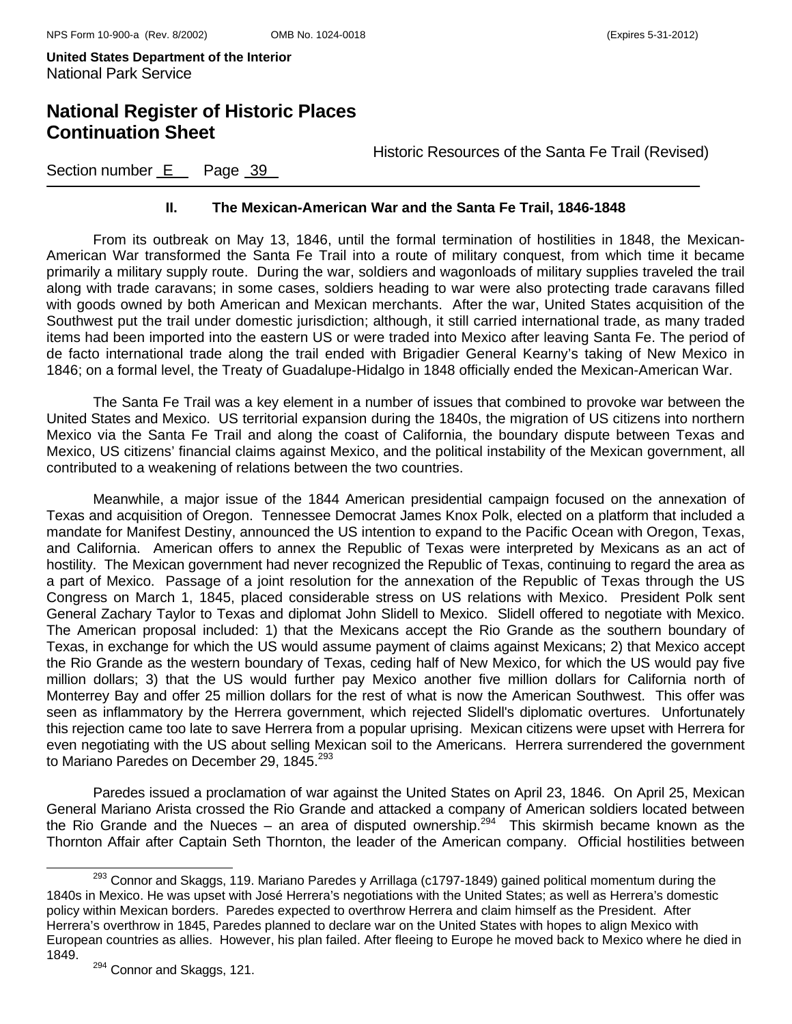### **National Register of Historic Places Continuation Sheet**

Historic Resources of the Santa Fe Trail (Revised)

Section number E Page 39

#### **II. The Mexican-American War and the Santa Fe Trail, 1846-1848**

From its outbreak on May 13, 1846, until the formal termination of hostilities in 1848, the Mexican-American War transformed the Santa Fe Trail into a route of military conquest, from which time it became primarily a military supply route. During the war, soldiers and wagonloads of military supplies traveled the trail along with trade caravans; in some cases, soldiers heading to war were also protecting trade caravans filled with goods owned by both American and Mexican merchants. After the war, United States acquisition of the Southwest put the trail under domestic jurisdiction; although, it still carried international trade, as many traded items had been imported into the eastern US or were traded into Mexico after leaving Santa Fe. The period of de facto international trade along the trail ended with Brigadier General Kearny's taking of New Mexico in 1846; on a formal level, the Treaty of Guadalupe-Hidalgo in 1848 officially ended the Mexican-American War.

The Santa Fe Trail was a key element in a number of issues that combined to provoke war between the United States and Mexico. US territorial expansion during the 1840s, the migration of US citizens into northern Mexico via the Santa Fe Trail and along the coast of California, the boundary dispute between Texas and Mexico, US citizens' financial claims against Mexico, and the political instability of the Mexican government, all contributed to a weakening of relations between the two countries.

Meanwhile, a major issue of the 1844 American presidential campaign focused on the annexation of Texas and acquisition of Oregon. Tennessee Democrat James Knox Polk, elected on a platform that included a mandate for Manifest Destiny, announced the US intention to expand to the Pacific Ocean with Oregon, Texas, and California. American offers to annex the Republic of Texas were interpreted by Mexicans as an act of hostility. The Mexican government had never recognized the Republic of Texas, continuing to regard the area as a part of Mexico. Passage of a joint resolution for the annexation of the Republic of Texas through the US Congress on March 1, 1845, placed considerable stress on US relations with Mexico. President Polk sent General Zachary Taylor to Texas and diplomat John Slidell to Mexico. Slidell offered to negotiate with Mexico. The American proposal included: 1) that the Mexicans accept the Rio Grande as the southern boundary of Texas, in exchange for which the US would assume payment of claims against Mexicans; 2) that Mexico accept the Rio Grande as the western boundary of Texas, ceding half of New Mexico, for which the US would pay five million dollars; 3) that the US would further pay Mexico another five million dollars for California north of Monterrey Bay and offer 25 million dollars for the rest of what is now the American Southwest. This offer was seen as inflammatory by the Herrera government, which rejected Slidell's diplomatic overtures. Unfortunately this rejection came too late to save Herrera from a popular uprising. Mexican citizens were upset with Herrera for even negotiating with the US about selling Mexican soil to the Americans. Herrera surrendered the government to Mariano Paredes on December 29, 1845.<sup>293</sup>

Paredes issued a proclamation of war against the United States on April 23, 1846. On April 25, Mexican General Mariano Arista crossed the Rio Grande and attacked a company of American soldiers located between the Rio Grande and the Nueces – an area of disputed ownership.<sup>294</sup> This skirmish became known as the Thornton Affair after Captain Seth Thornton, the leader of the American company. Official hostilities between

<sup>&</sup>lt;sup>293</sup> Connor and Skaggs, 119. Mariano Paredes y Arrillaga (c1797-1849) gained political momentum during the 1840s in Mexico. He was upset with José Herrera's negotiations with the United States; as well as Herrera's domestic policy within Mexican borders. Paredes expected to overthrow Herrera and claim himself as the President. After Herrera's overthrow in 1845, Paredes planned to declare war on the United States with hopes to align Mexico with European countries as allies. However, his plan failed. After fleeing to Europe he moved back to Mexico where he died in 1849.

<sup>&</sup>lt;sup>294</sup> Connor and Skaggs, 121.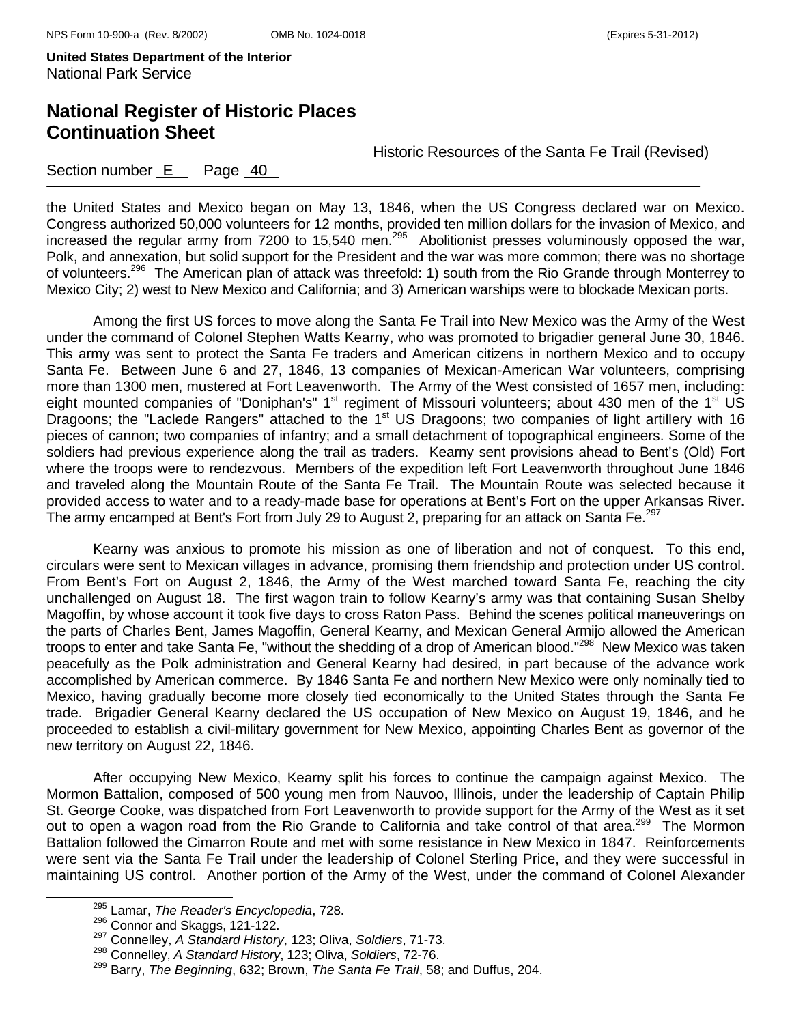## **National Register of Historic Places Continuation Sheet**

Historic Resources of the Santa Fe Trail (Revised)

### Section number E Page 40

the United States and Mexico began on May 13, 1846, when the US Congress declared war on Mexico. Congress authorized 50,000 volunteers for 12 months, provided ten million dollars for the invasion of Mexico, and increased the regular army from 7200 to 15,540 men.<sup>295</sup> Abolitionist presses voluminously opposed the war, Polk, and annexation, but solid support for the President and the war was more common; there was no shortage of volunteers.296 The American plan of attack was threefold: 1) south from the Rio Grande through Monterrey to Mexico City; 2) west to New Mexico and California; and 3) American warships were to blockade Mexican ports.

Among the first US forces to move along the Santa Fe Trail into New Mexico was the Army of the West under the command of Colonel Stephen Watts Kearny, who was promoted to brigadier general June 30, 1846. This army was sent to protect the Santa Fe traders and American citizens in northern Mexico and to occupy Santa Fe. Between June 6 and 27, 1846, 13 companies of Mexican-American War volunteers, comprising more than 1300 men, mustered at Fort Leavenworth. The Army of the West consisted of 1657 men, including: eight mounted companies of "Doniphan's" 1<sup>st</sup> regiment of Missouri volunteers; about 430 men of the 1<sup>st</sup> US Dragoons; the "Laclede Rangers" attached to the 1<sup>st</sup> US Dragoons; two companies of light artillery with 16 pieces of cannon; two companies of infantry; and a small detachment of topographical engineers. Some of the soldiers had previous experience along the trail as traders. Kearny sent provisions ahead to Bent's (Old) Fort where the troops were to rendezvous. Members of the expedition left Fort Leavenworth throughout June 1846 and traveled along the Mountain Route of the Santa Fe Trail. The Mountain Route was selected because it provided access to water and to a ready-made base for operations at Bent's Fort on the upper Arkansas River. The army encamped at Bent's Fort from July 29 to August 2, preparing for an attack on Santa Fe.<sup>297</sup>

 Kearny was anxious to promote his mission as one of liberation and not of conquest. To this end, circulars were sent to Mexican villages in advance, promising them friendship and protection under US control. From Bent's Fort on August 2, 1846, the Army of the West marched toward Santa Fe, reaching the city unchallenged on August 18. The first wagon train to follow Kearny's army was that containing Susan Shelby Magoffin, by whose account it took five days to cross Raton Pass. Behind the scenes political maneuverings on the parts of Charles Bent, James Magoffin, General Kearny, and Mexican General Armijo allowed the American troops to enter and take Santa Fe, "without the shedding of a drop of American blood."<sup>298</sup> New Mexico was taken peacefully as the Polk administration and General Kearny had desired, in part because of the advance work accomplished by American commerce. By 1846 Santa Fe and northern New Mexico were only nominally tied to Mexico, having gradually become more closely tied economically to the United States through the Santa Fe trade. Brigadier General Kearny declared the US occupation of New Mexico on August 19, 1846, and he proceeded to establish a civil-military government for New Mexico, appointing Charles Bent as governor of the new territory on August 22, 1846.

 After occupying New Mexico, Kearny split his forces to continue the campaign against Mexico. The Mormon Battalion, composed of 500 young men from Nauvoo, Illinois, under the leadership of Captain Philip St. George Cooke, was dispatched from Fort Leavenworth to provide support for the Army of the West as it set out to open a wagon road from the Rio Grande to California and take control of that area.<sup>299</sup> The Mormon Battalion followed the Cimarron Route and met with some resistance in New Mexico in 1847. Reinforcements were sent via the Santa Fe Trail under the leadership of Colonel Sterling Price, and they were successful in maintaining US control. Another portion of the Army of the West, under the command of Colonel Alexander

<sup>&</sup>lt;sup>295</sup> Lamar, *The Reader's Encyclopedia*, 728.<br><sup>296</sup> Connor and Skaggs, 121-122.

<sup>&</sup>lt;sup>297</sup> Connelley, *A Standard History*, 123; Oliva, *Soldiers*, 71-73.

<sup>298</sup> Connelley, *A Standard History*, 123; Oliva, *Soldiers*, 72-76.

<sup>299</sup> Barry, *The Beginning*, 632; Brown, *The Santa Fe Trail*, 58; and Duffus, 204.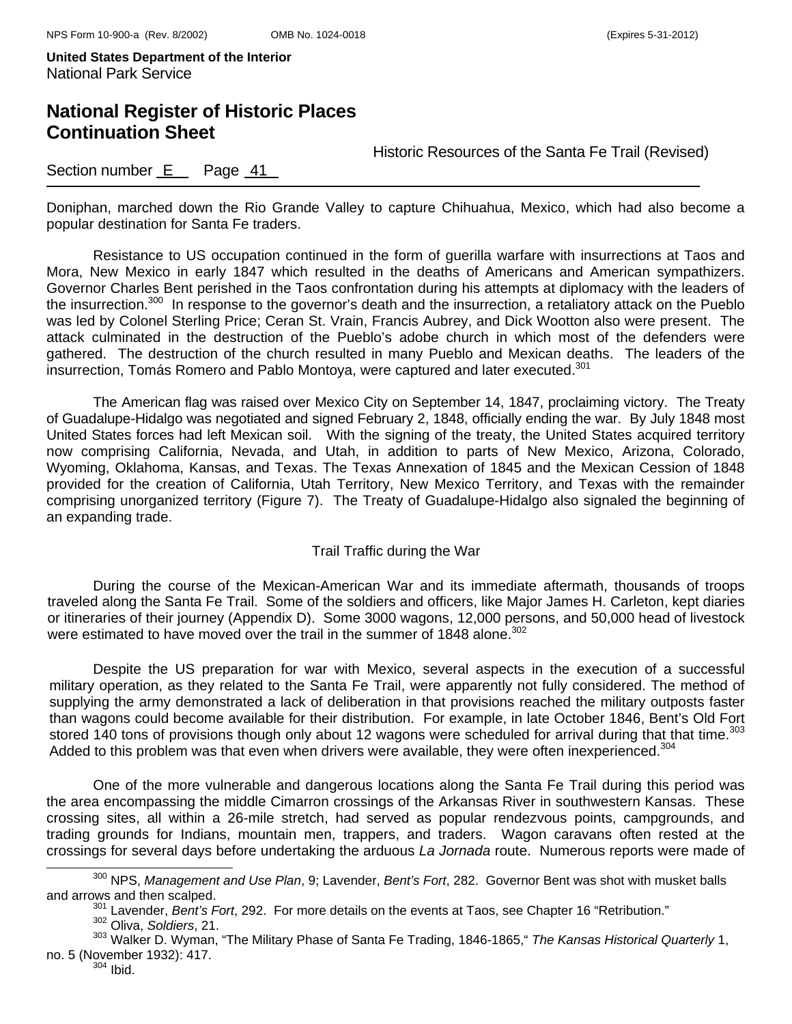### **National Register of Historic Places Continuation Sheet**

Historic Resources of the Santa Fe Trail (Revised)

### Section number  $E$  Page  $41$

Doniphan, marched down the Rio Grande Valley to capture Chihuahua, Mexico, which had also become a popular destination for Santa Fe traders.

Resistance to US occupation continued in the form of guerilla warfare with insurrections at Taos and Mora, New Mexico in early 1847 which resulted in the deaths of Americans and American sympathizers. Governor Charles Bent perished in the Taos confrontation during his attempts at diplomacy with the leaders of the insurrection.<sup>300</sup> In response to the governor's death and the insurrection, a retaliatory attack on the Pueblo was led by Colonel Sterling Price; Ceran St. Vrain, Francis Aubrey, and Dick Wootton also were present. The attack culminated in the destruction of the Pueblo's adobe church in which most of the defenders were gathered. The destruction of the church resulted in many Pueblo and Mexican deaths. The leaders of the insurrection, Tomás Romero and Pablo Montoya, were captured and later executed.<sup>301</sup>

The American flag was raised over Mexico City on September 14, 1847, proclaiming victory. The Treaty of Guadalupe-Hidalgo was negotiated and signed February 2, 1848, officially ending the war. By July 1848 most United States forces had left Mexican soil. With the signing of the treaty, the United States acquired territory now comprising California, Nevada, and Utah, in addition to parts of New Mexico, Arizona, Colorado, Wyoming, Oklahoma, Kansas, and Texas. The Texas Annexation of 1845 and the Mexican Cession of 1848 provided for the creation of California, Utah Territory, New Mexico Territory, and Texas with the remainder comprising unorganized territory (Figure 7). The Treaty of Guadalupe-Hidalgo also signaled the beginning of an expanding trade.

#### Trail Traffic during the War

During the course of the Mexican-American War and its immediate aftermath, thousands of troops traveled along the Santa Fe Trail. Some of the soldiers and officers, like Major James H. Carleton, kept diaries or itineraries of their journey (Appendix D). Some 3000 wagons, 12,000 persons, and 50,000 head of livestock were estimated to have moved over the trail in the summer of 1848 alone.<sup>302</sup>

Despite the US preparation for war with Mexico, several aspects in the execution of a successful military operation, as they related to the Santa Fe Trail, were apparently not fully considered. The method of supplying the army demonstrated a lack of deliberation in that provisions reached the military outposts faster than wagons could become available for their distribution. For example, in late October 1846, Bent's Old Fort stored 140 tons of provisions though only about 12 wagons were scheduled for arrival during that that time.<sup>303</sup> Added to this problem was that even when drivers were available, they were often inexperienced.<sup>304</sup>

 One of the more vulnerable and dangerous locations along the Santa Fe Trail during this period was the area encompassing the middle Cimarron crossings of the Arkansas River in southwestern Kansas. These crossing sites, all within a 26-mile stretch, had served as popular rendezvous points, campgrounds, and trading grounds for Indians, mountain men, trappers, and traders. Wagon caravans often rested at the crossings for several days before undertaking the arduous *La Jornada* route. Numerous reports were made of

<sup>&</sup>lt;sup>300</sup> NPS, *Management and Use Plan*, 9; Lavender, *Bent's Fort*, 282. Governor Bent was shot with musket balls and arrows and then scalped.

<sup>&</sup>lt;sup>301</sup> Lavender, *Bent's Fort*, 292. For more details on the events at Taos, see Chapter 16 "Retribution." <br><sup>302</sup> Oliva. *Soldiers*. 21.

<sup>303</sup> Walker D. Wyman, "The Military Phase of Santa Fe Trading, 1846-1865," *The Kansas Historical Quarterly* 1, no. 5 (November 1932): 417.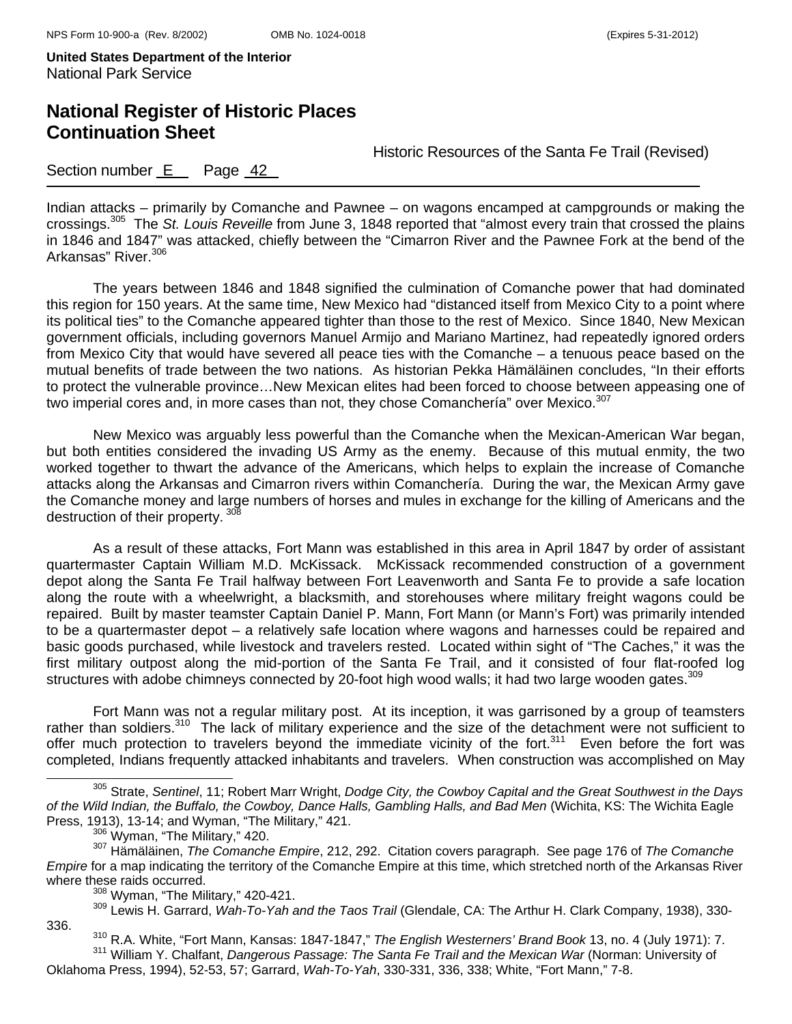# **National Register of Historic Places Continuation Sheet**

Historic Resources of the Santa Fe Trail (Revised)

### Section number **E** Page 42

Indian attacks – primarily by Comanche and Pawnee – on wagons encamped at campgrounds or making the crossings.305 The *St. Louis Reveille* from June 3, 1848 reported that "almost every train that crossed the plains in 1846 and 1847" was attacked, chiefly between the "Cimarron River and the Pawnee Fork at the bend of the Arkansas" River.<sup>306</sup>

 The years between 1846 and 1848 signified the culmination of Comanche power that had dominated this region for 150 years. At the same time, New Mexico had "distanced itself from Mexico City to a point where its political ties" to the Comanche appeared tighter than those to the rest of Mexico. Since 1840, New Mexican government officials, including governors Manuel Armijo and Mariano Martinez, had repeatedly ignored orders from Mexico City that would have severed all peace ties with the Comanche – a tenuous peace based on the mutual benefits of trade between the two nations. As historian Pekka Hämäläinen concludes, "In their efforts to protect the vulnerable province…New Mexican elites had been forced to choose between appeasing one of two imperial cores and, in more cases than not, they chose Comanchería" over Mexico.<sup>307</sup>

 New Mexico was arguably less powerful than the Comanche when the Mexican-American War began, but both entities considered the invading US Army as the enemy. Because of this mutual enmity, the two worked together to thwart the advance of the Americans, which helps to explain the increase of Comanche attacks along the Arkansas and Cimarron rivers within Comanchería. During the war, the Mexican Army gave the Comanche money and large numbers of horses and mules in exchange for the killing of Americans and the destruction of their property. 308

As a result of these attacks, Fort Mann was established in this area in April 1847 by order of assistant quartermaster Captain William M.D. McKissack. McKissack recommended construction of a government depot along the Santa Fe Trail halfway between Fort Leavenworth and Santa Fe to provide a safe location along the route with a wheelwright, a blacksmith, and storehouses where military freight wagons could be repaired. Built by master teamster Captain Daniel P. Mann, Fort Mann (or Mann's Fort) was primarily intended to be a quartermaster depot – a relatively safe location where wagons and harnesses could be repaired and basic goods purchased, while livestock and travelers rested. Located within sight of "The Caches," it was the first military outpost along the mid-portion of the Santa Fe Trail, and it consisted of four flat-roofed log structures with adobe chimneys connected by 20-foot high wood walls; it had two large wooden gates.<sup>309</sup>

 Fort Mann was not a regular military post. At its inception, it was garrisoned by a group of teamsters rather than soldiers.<sup>310</sup> The lack of military experience and the size of the detachment were not sufficient to offer much protection to travelers beyond the immediate vicinity of the fort.<sup>311</sup> Even before the fort was completed, Indians frequently attacked inhabitants and travelers. When construction was accomplished on May

 305 Strate, *Sentinel*, 11; Robert Marr Wright, *Dodge City, the Cowboy Capital and the Great Southwest in the Days of the Wild Indian, the Buffalo, the Cowboy, Dance Halls, Gambling Halls, and Bad Men* (Wichita, KS: The Wichita Eagle

Press, 1913), 13-14; and Wyman, "The Military," 421. 306 Wyman, "The Military," 420. 307 Hämäläinen, *The Comanche Empire*, 212, 292. Citation covers paragraph. See page 176 of *The Comanche Empire* for a map indicating the territory of the Comanche Empire at this time, which stretched north of the Arkansas River where these raids occurred.<br><sup>308</sup> Wyman, "The Military," 420-421.

<sup>309</sup> Lewis H. Garrard, Wah-To-Yah and the Taos Trail (Glendale, CA: The Arthur H. Clark Company, 1938), 330-336.

<sup>310</sup> R.A. White, "Fort Mann, Kansas: 1847-1847," *The English Westerners' Brand Book* 13, no. 4 (July 1971): 7.<br><sup>311</sup> William Y. Chalfant, *Dangerous Passage: The Santa Fe Trail and the Mexican War* (Norman: University of

Oklahoma Press, 1994), 52-53, 57; Garrard, *Wah-To-Yah*, 330-331, 336, 338; White, "Fort Mann," 7-8.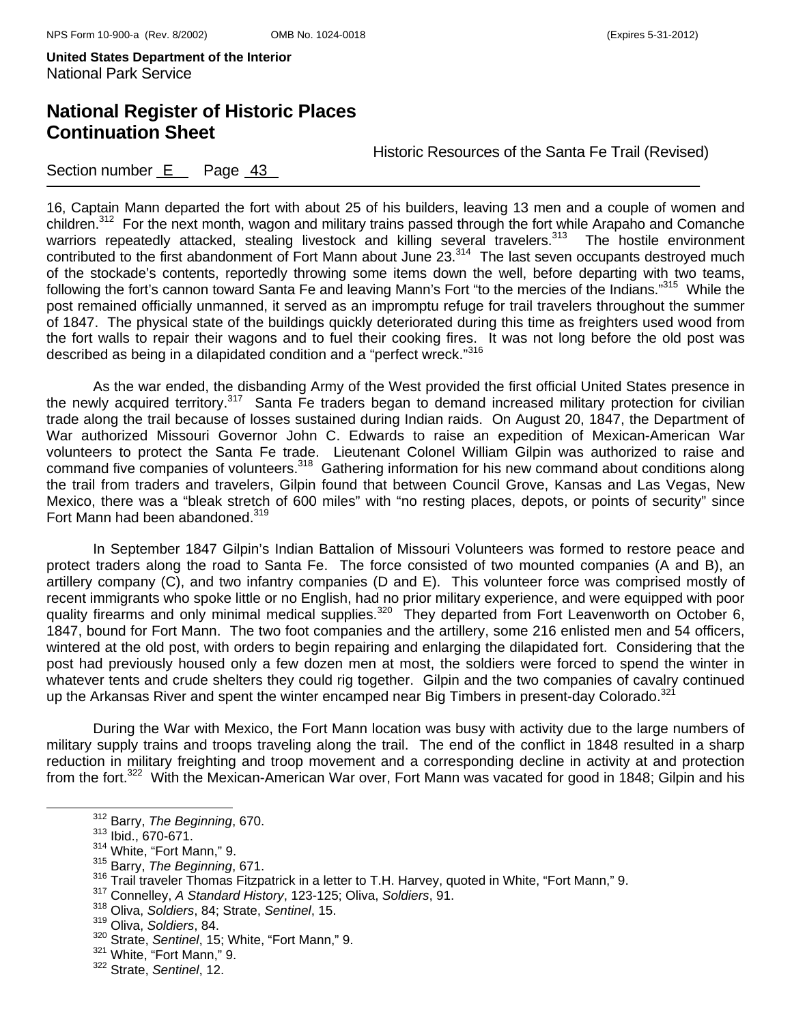# **National Register of Historic Places Continuation Sheet**

Historic Resources of the Santa Fe Trail (Revised)

### Section number  $E$  Page  $43$

16, Captain Mann departed the fort with about 25 of his builders, leaving 13 men and a couple of women and children.<sup>312</sup> For the next month, wagon and military trains passed through the fort while Arapaho and Comanche warriors repeatedly attacked, stealing livestock and killing several travelers.<sup>313</sup> The hostile environment contributed to the first abandonment of Fort Mann about June 23.<sup>314</sup> The last seven occupants destroyed much of the stockade's contents, reportedly throwing some items down the well, before departing with two teams, following the fort's cannon toward Santa Fe and leaving Mann's Fort "to the mercies of the Indians."<sup>315</sup> While the post remained officially unmanned, it served as an impromptu refuge for trail travelers throughout the summer of 1847. The physical state of the buildings quickly deteriorated during this time as freighters used wood from the fort walls to repair their wagons and to fuel their cooking fires. It was not long before the old post was described as being in a dilapidated condition and a "perfect wreck."316

 As the war ended, the disbanding Army of the West provided the first official United States presence in the newly acquired territory.<sup>317</sup> Santa Fe traders began to demand increased military protection for civilian trade along the trail because of losses sustained during Indian raids. On August 20, 1847, the Department of War authorized Missouri Governor John C. Edwards to raise an expedition of Mexican-American War volunteers to protect the Santa Fe trade. Lieutenant Colonel William Gilpin was authorized to raise and command five companies of volunteers.<sup>318</sup> Gathering information for his new command about conditions along the trail from traders and travelers, Gilpin found that between Council Grove, Kansas and Las Vegas, New Mexico, there was a "bleak stretch of 600 miles" with "no resting places, depots, or points of security" since Fort Mann had been abandoned.<sup>319</sup>

 In September 1847 Gilpin's Indian Battalion of Missouri Volunteers was formed to restore peace and protect traders along the road to Santa Fe. The force consisted of two mounted companies (A and B), an artillery company (C), and two infantry companies (D and E). This volunteer force was comprised mostly of recent immigrants who spoke little or no English, had no prior military experience, and were equipped with poor quality firearms and only minimal medical supplies.<sup>320</sup> They departed from Fort Leavenworth on October 6, 1847, bound for Fort Mann. The two foot companies and the artillery, some 216 enlisted men and 54 officers, wintered at the old post, with orders to begin repairing and enlarging the dilapidated fort. Considering that the post had previously housed only a few dozen men at most, the soldiers were forced to spend the winter in whatever tents and crude shelters they could rig together. Gilpin and the two companies of cavalry continued up the Arkansas River and spent the winter encamped near Big Timbers in present-day Colorado.<sup>321</sup>

During the War with Mexico, the Fort Mann location was busy with activity due to the large numbers of military supply trains and troops traveling along the trail. The end of the conflict in 1848 resulted in a sharp reduction in military freighting and troop movement and a corresponding decline in activity at and protection from the fort.322 With the Mexican-American War over, Fort Mann was vacated for good in 1848; Gilpin and his

318 Oliva, *Soldiers*, 84; Strate, *Sentinel*, 15.

312 Barry, *The Beginning*, 670.

<sup>313</sup> Ibid., 670-671.

<sup>314</sup> White, "Fort Mann," 9.

<sup>315</sup> Barry, *The Beginning*, 671.

<sup>316</sup> Trail traveler Thomas Fitzpatrick in a letter to T.H. Harvey, quoted in White, "Fort Mann," 9. 317 Connelley, *A Standard History*, 123-125; Oliva, *Soldiers*, 91.

<sup>319</sup> Oliva, *Soldiers*, 84.

<sup>320</sup> Strate, *Sentinel*, 15; White, "Fort Mann," 9.

<sup>&</sup>lt;sup>321</sup> White, "Fort Mann," 9.

<sup>322</sup> Strate, *Sentinel*, 12.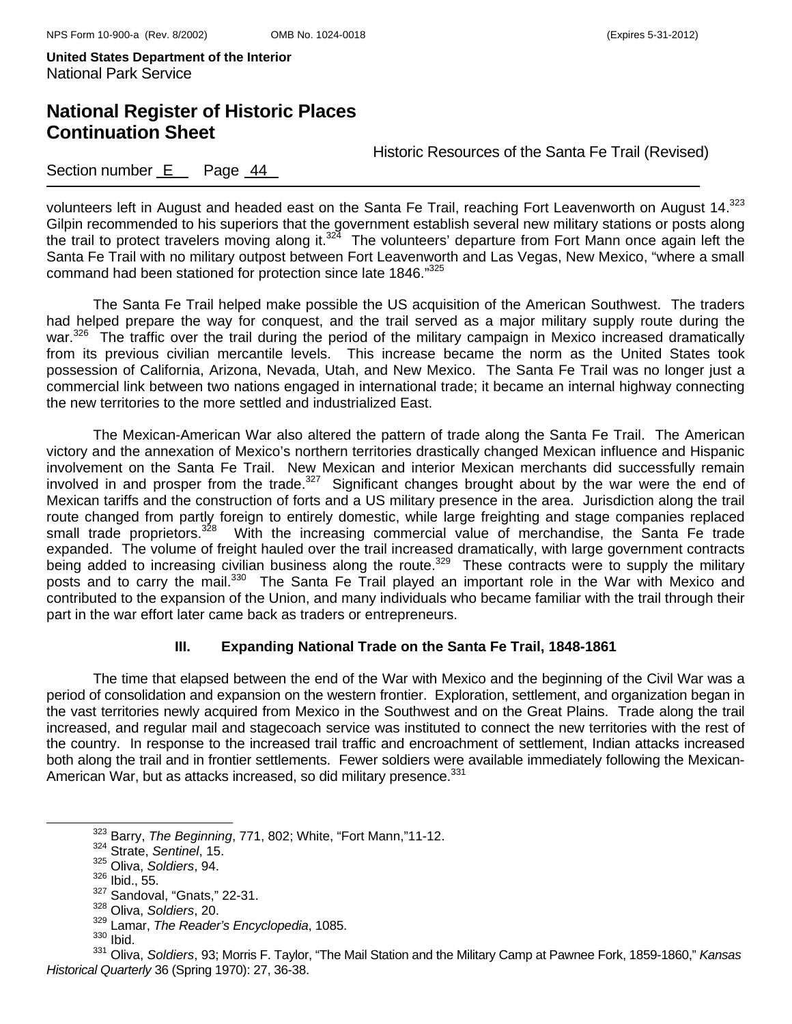# **National Register of Historic Places Continuation Sheet**

Historic Resources of the Santa Fe Trail (Revised)

### Section number  $E$  Page  $44$

volunteers left in August and headed east on the Santa Fe Trail, reaching Fort Leavenworth on August 14.<sup>323</sup> Gilpin recommended to his superiors that the government establish several new military stations or posts along the trail to protect travelers moving along it.<sup>324</sup> The volunteers' departure from Fort Mann once again left the Santa Fe Trail with no military outpost between Fort Leavenworth and Las Vegas, New Mexico, "where a small command had been stationed for protection since late 1846."325

 The Santa Fe Trail helped make possible the US acquisition of the American Southwest. The traders had helped prepare the way for conquest, and the trail served as a major military supply route during the war.<sup>326</sup> The traffic over the trail during the period of the military campaign in Mexico increased dramatically from its previous civilian mercantile levels. This increase became the norm as the United States took possession of California, Arizona, Nevada, Utah, and New Mexico. The Santa Fe Trail was no longer just a commercial link between two nations engaged in international trade; it became an internal highway connecting the new territories to the more settled and industrialized East.

 The Mexican-American War also altered the pattern of trade along the Santa Fe Trail. The American victory and the annexation of Mexico's northern territories drastically changed Mexican influence and Hispanic involvement on the Santa Fe Trail. New Mexican and interior Mexican merchants did successfully remain involved in and prosper from the trade.<sup>327</sup> Significant changes brought about by the war were the end of Mexican tariffs and the construction of forts and a US military presence in the area. Jurisdiction along the trail route changed from partly foreign to entirely domestic, while large freighting and stage companies replaced small trade proprietors.<sup>328</sup> With the increasing commercial value of merchandise, the Santa Fe trade expanded. The volume of freight hauled over the trail increased dramatically, with large government contracts being added to increasing civilian business along the route.<sup>329</sup> These contracts were to supply the military posts and to carry the mail.<sup>330</sup> The Santa Fe Trail played an important role in the War with Mexico and contributed to the expansion of the Union, and many individuals who became familiar with the trail through their part in the war effort later came back as traders or entrepreneurs.

#### **III. Expanding National Trade on the Santa Fe Trail, 1848-1861**

 The time that elapsed between the end of the War with Mexico and the beginning of the Civil War was a period of consolidation and expansion on the western frontier. Exploration, settlement, and organization began in the vast territories newly acquired from Mexico in the Southwest and on the Great Plains. Trade along the trail increased, and regular mail and stagecoach service was instituted to connect the new territories with the rest of the country. In response to the increased trail traffic and encroachment of settlement, Indian attacks increased both along the trail and in frontier settlements. Fewer soldiers were available immediately following the Mexican-American War, but as attacks increased, so did military presence.<sup>331</sup>

323 Barry, *The Beginning*, 771, 802; White, "Fort Mann,"11-12.

<sup>324</sup> Strate, *Sentinel*, 15.

<sup>325</sup> Oliva, *Soldiers*, 94. 326 Ibid., 55.

<sup>327</sup> Sandoval, "Gnats," 22-31.

<sup>328</sup> Oliva, *Soldiers*, 20.

<sup>329</sup> Lamar, *The Reader's Encyclopedia*, 1085.

 $330$  Ibid.

<sup>331</sup> Oliva, *Soldiers*, 93; Morris F. Taylor, "The Mail Station and the Military Camp at Pawnee Fork, 1859-1860," *Kansas Historical Quarterly* 36 (Spring 1970): 27, 36-38.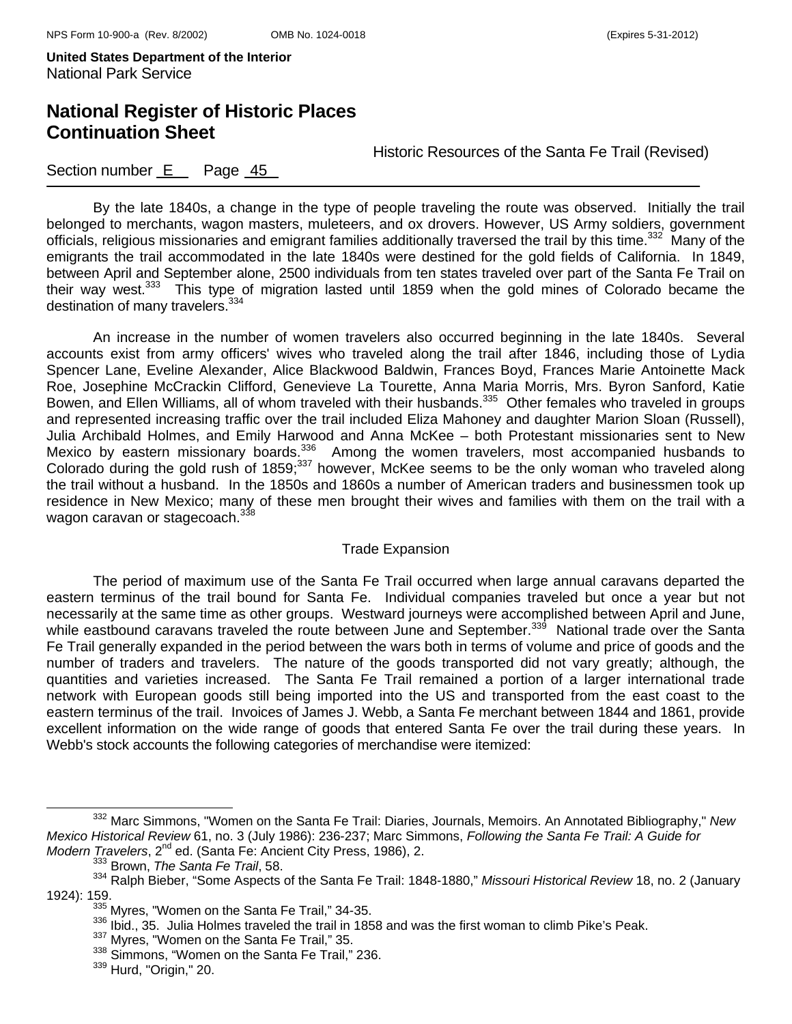# **National Register of Historic Places Continuation Sheet**

Historic Resources of the Santa Fe Trail (Revised)

### Section number  $E$  Page  $45$

By the late 1840s, a change in the type of people traveling the route was observed. Initially the trail belonged to merchants, wagon masters, muleteers, and ox drovers. However, US Army soldiers, government officials, religious missionaries and emigrant families additionally traversed the trail by this time.332 Many of the emigrants the trail accommodated in the late 1840s were destined for the gold fields of California. In 1849, between April and September alone, 2500 individuals from ten states traveled over part of the Santa Fe Trail on their way west.<sup>333</sup> This type of migration lasted until 1859 when the gold mines of Colorado became the destination of many travelers.<sup>334</sup>

An increase in the number of women travelers also occurred beginning in the late 1840s. Several accounts exist from army officers' wives who traveled along the trail after 1846, including those of Lydia Spencer Lane, Eveline Alexander, Alice Blackwood Baldwin, Frances Boyd, Frances Marie Antoinette Mack Roe, Josephine McCrackin Clifford, Genevieve La Tourette, Anna Maria Morris, Mrs. Byron Sanford, Katie Bowen, and Ellen Williams, all of whom traveled with their husbands.<sup>335</sup> Other females who traveled in groups and represented increasing traffic over the trail included Eliza Mahoney and daughter Marion Sloan (Russell), Julia Archibald Holmes, and Emily Harwood and Anna McKee – both Protestant missionaries sent to New Mexico by eastern missionary boards.336 Among the women travelers, most accompanied husbands to Colorado during the gold rush of 1859;<sup>337</sup> however, McKee seems to be the only woman who traveled along the trail without a husband. In the 1850s and 1860s a number of American traders and businessmen took up residence in New Mexico; many of these men brought their wives and families with them on the trail with a wagon caravan or stagecoach.<sup>338</sup>

#### Trade Expansion

The period of maximum use of the Santa Fe Trail occurred when large annual caravans departed the eastern terminus of the trail bound for Santa Fe. Individual companies traveled but once a year but not necessarily at the same time as other groups. Westward journeys were accomplished between April and June, while eastbound caravans traveled the route between June and September.<sup>339</sup> National trade over the Santa Fe Trail generally expanded in the period between the wars both in terms of volume and price of goods and the number of traders and travelers. The nature of the goods transported did not vary greatly; although, the quantities and varieties increased. The Santa Fe Trail remained a portion of a larger international trade network with European goods still being imported into the US and transported from the east coast to the eastern terminus of the trail. Invoices of James J. Webb, a Santa Fe merchant between 1844 and 1861, provide excellent information on the wide range of goods that entered Santa Fe over the trail during these years. In Webb's stock accounts the following categories of merchandise were itemized:

332 Marc Simmons, "Women on the Santa Fe Trail: Diaries, Journals, Memoirs. An Annotated Bibliography," *New Mexico Historical Review* 61, no. 3 (July 1986): 236-237; Marc Simmons, *Following the Santa Fe Trail: A Guide for Modern Travelers*, 2<sup>nd</sup> ed. (Santa Fe: Ancient City Press, 1986), 2.<br><sup>333</sup> Brown, *The Santa Fe Trail*, 58.

<sup>334</sup> Ralph Bieber, "Some Aspects of the Santa Fe Trail: 1848-1880," *Missouri Historical Review* 18, no. 2 (January

 $^{335}$  Myres, "Women on the Santa Fe Trail," 34-35.<br> $^{336}$  Ibid., 35. Julia Holmes traveled the trail in 1858 and was the first woman to climb Pike's Peak.<br> $^{337}$  Myres, "Women on the Santa Fe Trail," 35.

<sup>338</sup> Simmons, "Women on the Santa Fe Trail," 236.

<sup>339</sup> Hurd, "Origin," 20.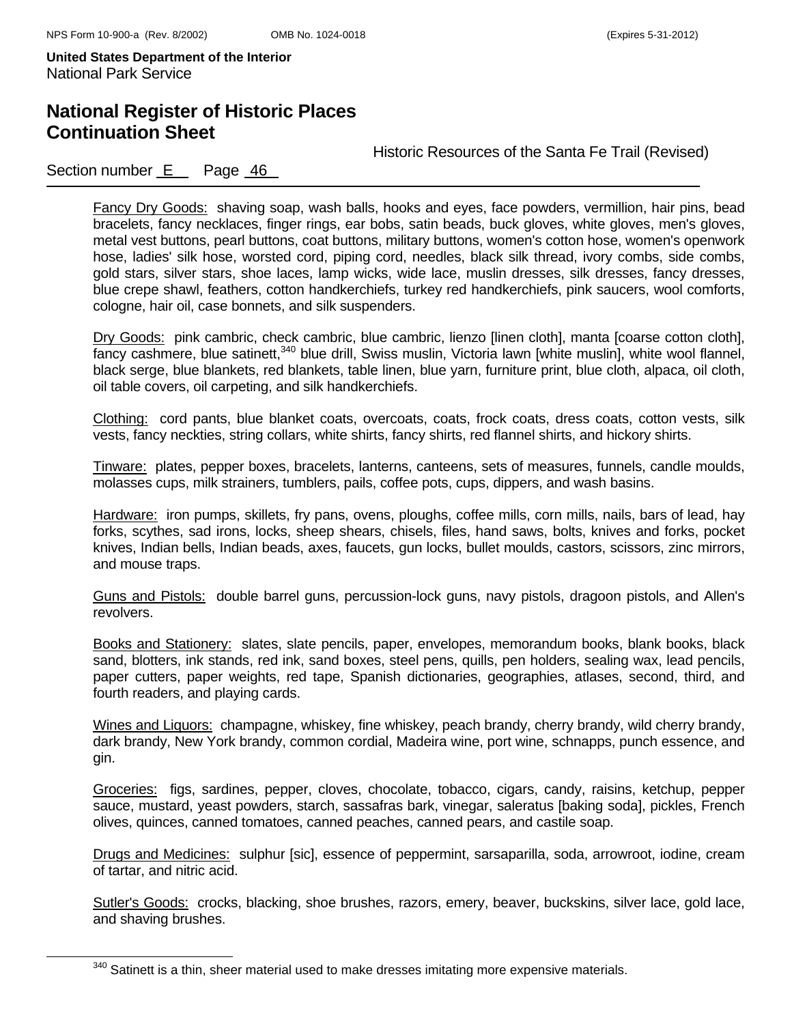# **National Register of Historic Places Continuation Sheet**

Historic Resources of the Santa Fe Trail (Revised)

### Section number E Page 46

Fancy Dry Goods: shaving soap, wash balls, hooks and eyes, face powders, vermillion, hair pins, bead bracelets, fancy necklaces, finger rings, ear bobs, satin beads, buck gloves, white gloves, men's gloves, metal vest buttons, pearl buttons, coat buttons, military buttons, women's cotton hose, women's openwork hose, ladies' silk hose, worsted cord, piping cord, needles, black silk thread, ivory combs, side combs, gold stars, silver stars, shoe laces, lamp wicks, wide lace, muslin dresses, silk dresses, fancy dresses, blue crepe shawl, feathers, cotton handkerchiefs, turkey red handkerchiefs, pink saucers, wool comforts, cologne, hair oil, case bonnets, and silk suspenders.

Dry Goods: pink cambric, check cambric, blue cambric, lienzo [linen cloth], manta [coarse cotton cloth], fancy cashmere, blue satinett,<sup>340</sup> blue drill, Swiss muslin, Victoria lawn [white muslin], white wool flannel, black serge, blue blankets, red blankets, table linen, blue yarn, furniture print, blue cloth, alpaca, oil cloth, oil table covers, oil carpeting, and silk handkerchiefs.

Clothing: cord pants, blue blanket coats, overcoats, coats, frock coats, dress coats, cotton vests, silk vests, fancy neckties, string collars, white shirts, fancy shirts, red flannel shirts, and hickory shirts.

Tinware: plates, pepper boxes, bracelets, lanterns, canteens, sets of measures, funnels, candle moulds, molasses cups, milk strainers, tumblers, pails, coffee pots, cups, dippers, and wash basins.

Hardware: iron pumps, skillets, fry pans, ovens, ploughs, coffee mills, corn mills, nails, bars of lead, hav forks, scythes, sad irons, locks, sheep shears, chisels, files, hand saws, bolts, knives and forks, pocket knives, Indian bells, Indian beads, axes, faucets, gun locks, bullet moulds, castors, scissors, zinc mirrors, and mouse traps.

Guns and Pistols: double barrel guns, percussion-lock guns, navy pistols, dragoon pistols, and Allen's revolvers.

Books and Stationery: slates, slate pencils, paper, envelopes, memorandum books, blank books, black sand, blotters, ink stands, red ink, sand boxes, steel pens, quills, pen holders, sealing wax, lead pencils, paper cutters, paper weights, red tape, Spanish dictionaries, geographies, atlases, second, third, and fourth readers, and playing cards.

Wines and Liquors: champagne, whiskey, fine whiskey, peach brandy, cherry brandy, wild cherry brandy, dark brandy, New York brandy, common cordial, Madeira wine, port wine, schnapps, punch essence, and gin.

Groceries: figs, sardines, pepper, cloves, chocolate, tobacco, cigars, candy, raisins, ketchup, pepper sauce, mustard, yeast powders, starch, sassafras bark, vinegar, saleratus [baking soda], pickles, French olives, quinces, canned tomatoes, canned peaches, canned pears, and castile soap.

Drugs and Medicines: sulphur [sic], essence of peppermint, sarsaparilla, soda, arrowroot, iodine, cream of tartar, and nitric acid.

Sutler's Goods: crocks, blacking, shoe brushes, razors, emery, beaver, buckskins, silver lace, gold lace, and shaving brushes.

 $340$  Satinett is a thin, sheer material used to make dresses imitating more expensive materials.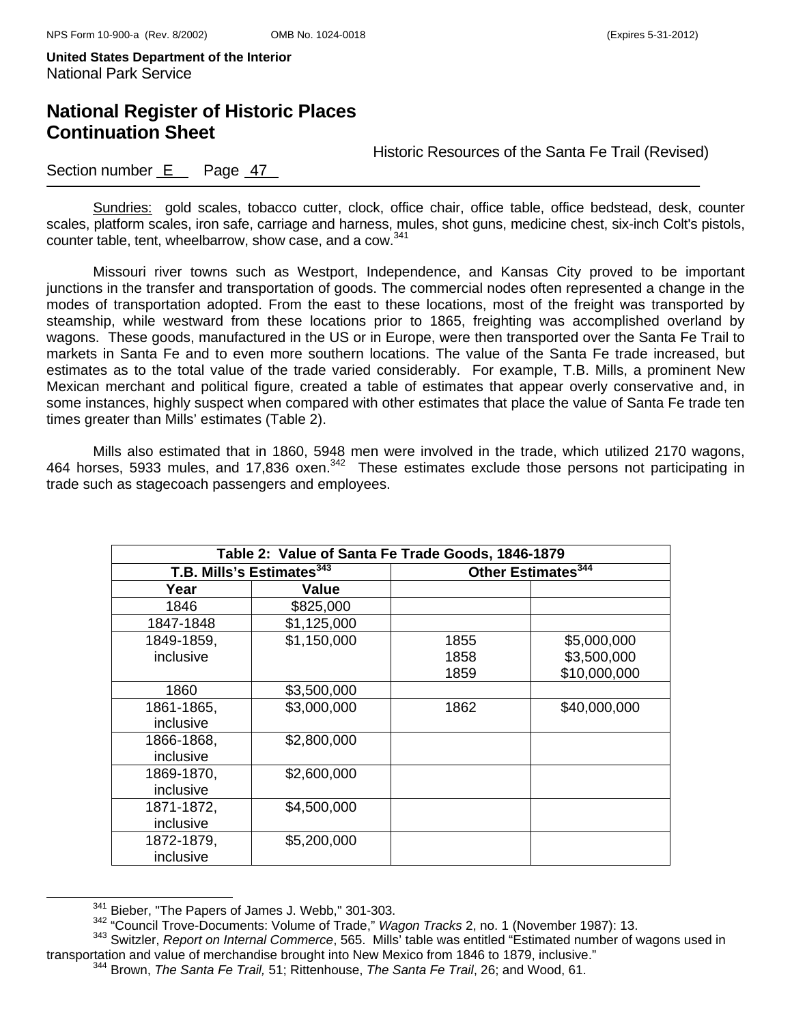# **National Register of Historic Places Continuation Sheet**

Historic Resources of the Santa Fe Trail (Revised)

### Section number  $E$  Page  $47$

Sundries: gold scales, tobacco cutter, clock, office chair, office table, office bedstead, desk, counter scales, platform scales, iron safe, carriage and harness, mules, shot guns, medicine chest, six-inch Colt's pistols, counter table, tent, wheelbarrow, show case, and a cow.<sup>341</sup>

Missouri river towns such as Westport, Independence, and Kansas City proved to be important junctions in the transfer and transportation of goods. The commercial nodes often represented a change in the modes of transportation adopted. From the east to these locations, most of the freight was transported by steamship, while westward from these locations prior to 1865, freighting was accomplished overland by wagons. These goods, manufactured in the US or in Europe, were then transported over the Santa Fe Trail to markets in Santa Fe and to even more southern locations. The value of the Santa Fe trade increased, but estimates as to the total value of the trade varied considerably. For example, T.B. Mills, a prominent New Mexican merchant and political figure, created a table of estimates that appear overly conservative and, in some instances, highly suspect when compared with other estimates that place the value of Santa Fe trade ten times greater than Mills' estimates (Table 2).

Mills also estimated that in 1860, 5948 men were involved in the trade, which utilized 2170 wagons, 464 horses, 5933 mules, and 17,836 oxen. $342$  These estimates exclude those persons not participating in trade such as stagecoach passengers and employees.

| Table 2: Value of Santa Fe Trade Goods, 1846-1879 |             |                                |              |
|---------------------------------------------------|-------------|--------------------------------|--------------|
| T.B. Mills's Estimates <sup>343</sup>             |             | Other Estimates <sup>344</sup> |              |
| Year                                              | Value       |                                |              |
| 1846                                              | \$825,000   |                                |              |
| 1847-1848                                         | \$1,125,000 |                                |              |
| 1849-1859,                                        | \$1,150,000 | 1855                           | \$5,000,000  |
| inclusive                                         |             | 1858                           | \$3,500,000  |
|                                                   |             | 1859                           | \$10,000,000 |
| 1860                                              | \$3,500,000 |                                |              |
| 1861-1865,                                        | \$3,000,000 | 1862                           | \$40,000,000 |
| inclusive                                         |             |                                |              |
| 1866-1868,                                        | \$2,800,000 |                                |              |
| inclusive                                         |             |                                |              |
| 1869-1870,                                        | \$2,600,000 |                                |              |
| inclusive                                         |             |                                |              |
| 1871-1872,                                        | \$4,500,000 |                                |              |
| inclusive                                         |             |                                |              |
| 1872-1879,                                        | \$5,200,000 |                                |              |
| inclusive                                         |             |                                |              |

 $341$  Bieber, "The Papers of James J. Webb," 301-303.<br> $342$  "Council Trove-Documents: Volume of Trade," *Wagon Tracks* 2, no. 1 (November 1987): 13.

<sup>&</sup>lt;sup>343</sup> Switzler, *Report on Internal Commerce*, 565. Mills' table was entitled "Estimated number of wagons used in transportation and value of merchandise brought into New Mexico from 1846 to 1879, inclusive."

<sup>344</sup> Brown, *The Santa Fe Trail,* 51; Rittenhouse, *The Santa Fe Trail*, 26; and Wood, 61.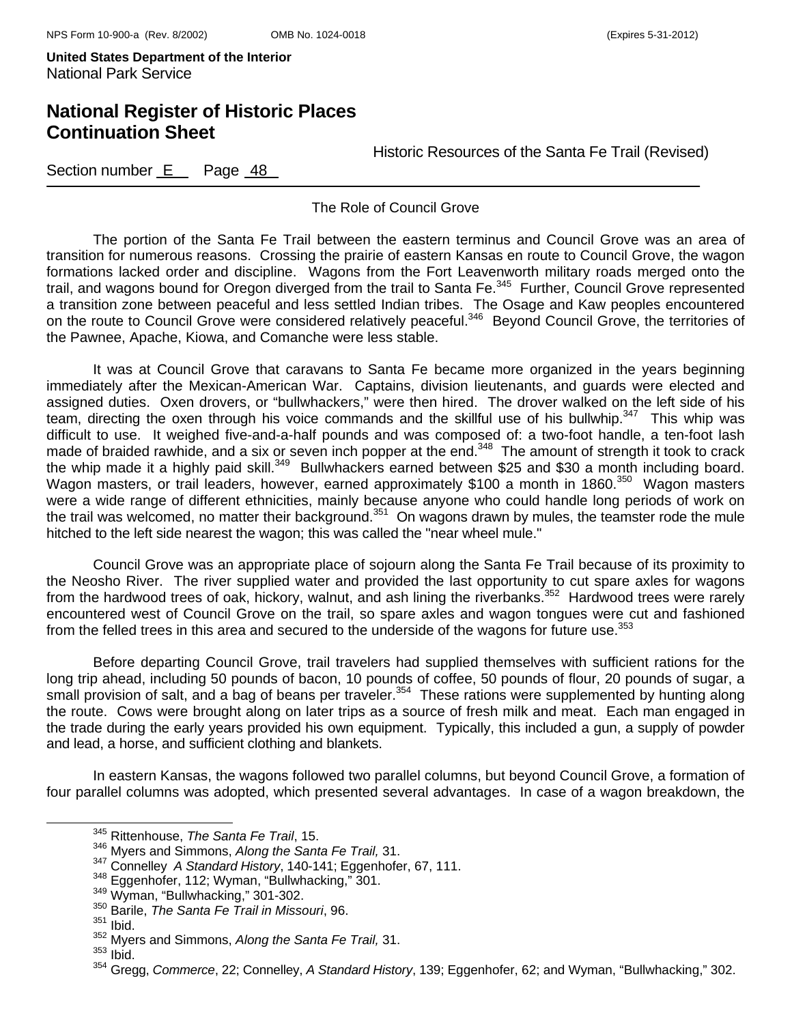### **National Register of Historic Places Continuation Sheet**

Historic Resources of the Santa Fe Trail (Revised)

Section number  $E$  Page  $48$ 

The Role of Council Grove

The portion of the Santa Fe Trail between the eastern terminus and Council Grove was an area of transition for numerous reasons. Crossing the prairie of eastern Kansas en route to Council Grove, the wagon formations lacked order and discipline. Wagons from the Fort Leavenworth military roads merged onto the trail, and wagons bound for Oregon diverged from the trail to Santa Fe.<sup>345</sup> Further, Council Grove represented a transition zone between peaceful and less settled Indian tribes. The Osage and Kaw peoples encountered on the route to Council Grove were considered relatively peaceful.<sup>346</sup> Beyond Council Grove, the territories of the Pawnee, Apache, Kiowa, and Comanche were less stable.

 It was at Council Grove that caravans to Santa Fe became more organized in the years beginning immediately after the Mexican-American War. Captains, division lieutenants, and guards were elected and assigned duties. Oxen drovers, or "bullwhackers," were then hired. The drover walked on the left side of his team, directing the oxen through his voice commands and the skillful use of his bullwhip.<sup>347</sup> This whip was difficult to use. It weighed five-and-a-half pounds and was composed of: a two-foot handle, a ten-foot lash made of braided rawhide, and a six or seven inch popper at the end.<sup>348</sup> The amount of strength it took to crack the whip made it a highly paid skill.<sup>349</sup> Bullwhackers earned between \$25 and \$30 a month including board. Wagon masters, or trail leaders, however, earned approximately \$100 a month in 1860.<sup>350</sup> Wagon masters were a wide range of different ethnicities, mainly because anyone who could handle long periods of work on the trail was welcomed, no matter their background.<sup>351</sup> On wagons drawn by mules, the teamster rode the mule hitched to the left side nearest the wagon; this was called the "near wheel mule."

Council Grove was an appropriate place of sojourn along the Santa Fe Trail because of its proximity to the Neosho River. The river supplied water and provided the last opportunity to cut spare axles for wagons from the hardwood trees of oak, hickory, walnut, and ash lining the riverbanks.<sup>352</sup> Hardwood trees were rarely encountered west of Council Grove on the trail, so spare axles and wagon tongues were cut and fashioned from the felled trees in this area and secured to the underside of the wagons for future use.<sup>353</sup>

 Before departing Council Grove, trail travelers had supplied themselves with sufficient rations for the long trip ahead, including 50 pounds of bacon, 10 pounds of coffee, 50 pounds of flour, 20 pounds of sugar, a small provision of salt, and a bag of beans per traveler.<sup>354</sup> These rations were supplemented by hunting along the route. Cows were brought along on later trips as a source of fresh milk and meat. Each man engaged in the trade during the early years provided his own equipment. Typically, this included a gun, a supply of powder and lead, a horse, and sufficient clothing and blankets.

In eastern Kansas, the wagons followed two parallel columns, but beyond Council Grove, a formation of four parallel columns was adopted, which presented several advantages. In case of a wagon breakdown, the

345 Rittenhouse, *The Santa Fe Trail*, 15.

<sup>346</sup> Myers and Simmons, *Along the Santa Fe Trail,* 31.

<sup>347</sup> Connelley *A Standard History*, 140-141; Eggenhofer, 67, 111. 348 Eggenhofer, 112; Wyman, "Bullwhacking," 301. 349 Wyman, "Bullwhacking," 301-302. 350 Barile, *The Santa Fe Trail in Missouri*, 96.

<sup>351</sup> Ibid.

<sup>352</sup> Myers and Simmons, *Along the Santa Fe Trail,* 31.

 $353$  Ibid.

<sup>354</sup> Gregg, *Commerce*, 22; Connelley, *A Standard History*, 139; Eggenhofer, 62; and Wyman, "Bullwhacking," 302.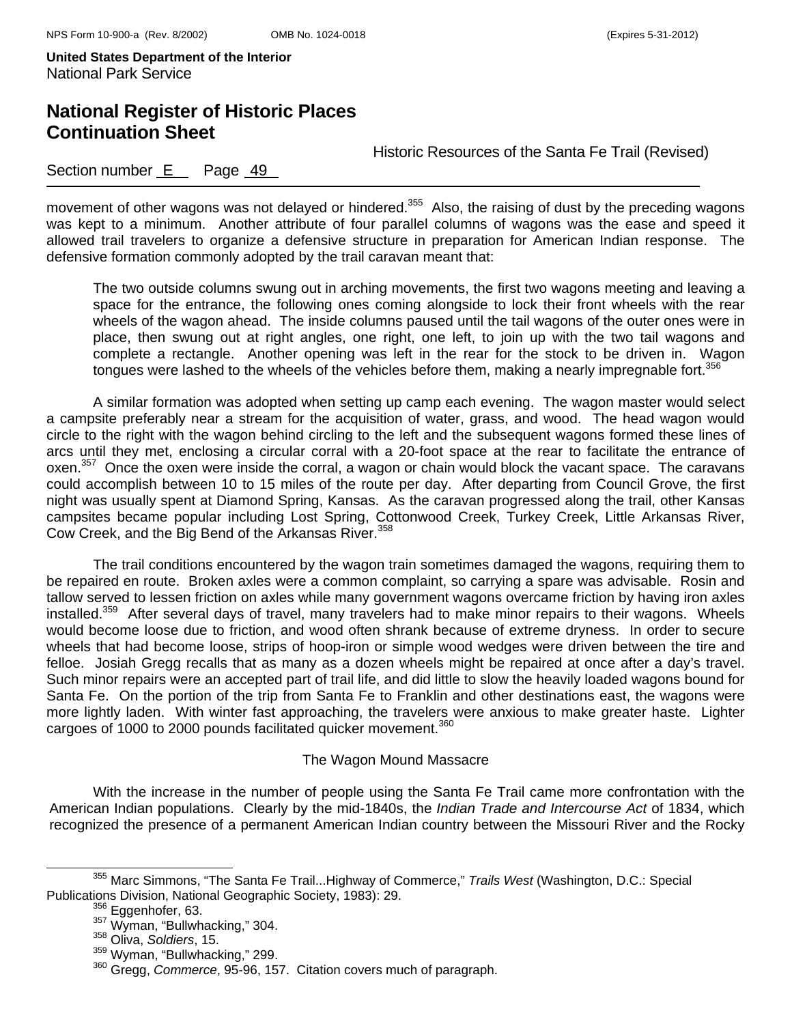# **National Register of Historic Places Continuation Sheet**

Historic Resources of the Santa Fe Trail (Revised)

### Section number  $E$  Page  $49$

movement of other wagons was not delayed or hindered.<sup>355</sup> Also, the raising of dust by the preceding wagons was kept to a minimum. Another attribute of four parallel columns of wagons was the ease and speed it allowed trail travelers to organize a defensive structure in preparation for American Indian response. The defensive formation commonly adopted by the trail caravan meant that:

The two outside columns swung out in arching movements, the first two wagons meeting and leaving a space for the entrance, the following ones coming alongside to lock their front wheels with the rear wheels of the wagon ahead. The inside columns paused until the tail wagons of the outer ones were in place, then swung out at right angles, one right, one left, to join up with the two tail wagons and complete a rectangle. Another opening was left in the rear for the stock to be driven in. Wagon tongues were lashed to the wheels of the vehicles before them, making a nearly impregnable fort.<sup>356</sup>

A similar formation was adopted when setting up camp each evening. The wagon master would select a campsite preferably near a stream for the acquisition of water, grass, and wood. The head wagon would circle to the right with the wagon behind circling to the left and the subsequent wagons formed these lines of arcs until they met, enclosing a circular corral with a 20-foot space at the rear to facilitate the entrance of oxen.<sup>357</sup> Once the oxen were inside the corral, a wagon or chain would block the vacant space. The caravans could accomplish between 10 to 15 miles of the route per day. After departing from Council Grove, the first night was usually spent at Diamond Spring, Kansas. As the caravan progressed along the trail, other Kansas campsites became popular including Lost Spring, Cottonwood Creek, Turkey Creek, Little Arkansas River, Cow Creek, and the Big Bend of the Arkansas River.<sup>358</sup>

The trail conditions encountered by the wagon train sometimes damaged the wagons, requiring them to be repaired en route. Broken axles were a common complaint, so carrying a spare was advisable. Rosin and tallow served to lessen friction on axles while many government wagons overcame friction by having iron axles installed.<sup>359</sup> After several days of travel, many travelers had to make minor repairs to their wagons. Wheels would become loose due to friction, and wood often shrank because of extreme dryness. In order to secure wheels that had become loose, strips of hoop-iron or simple wood wedges were driven between the tire and felloe. Josiah Gregg recalls that as many as a dozen wheels might be repaired at once after a day's travel. Such minor repairs were an accepted part of trail life, and did little to slow the heavily loaded wagons bound for Santa Fe. On the portion of the trip from Santa Fe to Franklin and other destinations east, the wagons were more lightly laden. With winter fast approaching, the travelers were anxious to make greater haste. Lighter cargoes of 1000 to 2000 pounds facilitated quicker movement.<sup>360</sup>

#### The Wagon Mound Massacre

With the increase in the number of people using the Santa Fe Trail came more confrontation with the American Indian populations. Clearly by the mid-1840s, the *Indian Trade and Intercourse Act* of 1834, which recognized the presence of a permanent American Indian country between the Missouri River and the Rocky

<sup>&</sup>lt;sup>355</sup> Marc Simmons, "The Santa Fe Trail...Highway of Commerce," *Trails West* (Washington, D.C.: Special Publications Division, National Geographic Society, 1983): 29.

<sup>&</sup>lt;sup>356</sup> Eggenhofer, 63.<br><sup>357</sup> Wyman, "Bullwhacking," 304.<br><sup>358</sup> Oliva, *Soldiers*, 15.<br><sup>359</sup> Wyman, "Bullwhacking," 299.

<sup>&</sup>lt;sup>360</sup> Gregg, *Commerce*, 95-96, 157. Citation covers much of paragraph.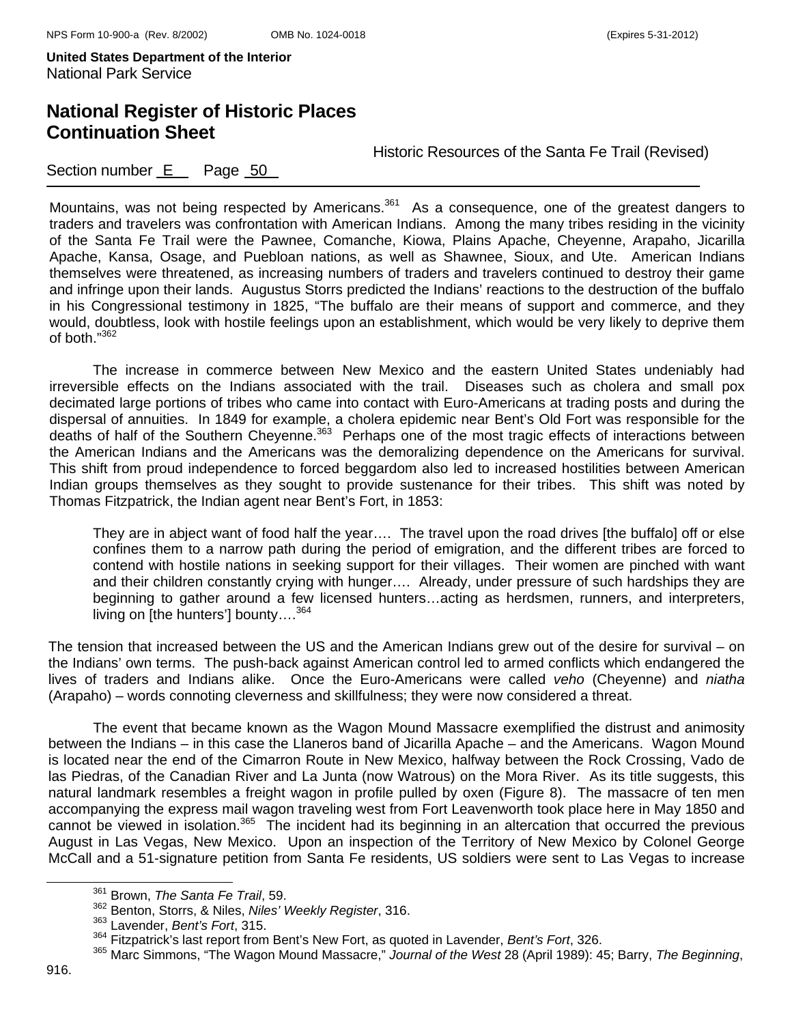# **National Register of Historic Places Continuation Sheet**

Historic Resources of the Santa Fe Trail (Revised)

### Section number E Page 50

Mountains, was not being respected by Americans.<sup>361</sup> As a consequence, one of the greatest dangers to traders and travelers was confrontation with American Indians. Among the many tribes residing in the vicinity of the Santa Fe Trail were the Pawnee, Comanche, Kiowa, Plains Apache, Cheyenne, Arapaho, Jicarilla Apache, Kansa, Osage, and Puebloan nations, as well as Shawnee, Sioux, and Ute. American Indians themselves were threatened, as increasing numbers of traders and travelers continued to destroy their game and infringe upon their lands. Augustus Storrs predicted the Indians' reactions to the destruction of the buffalo in his Congressional testimony in 1825, "The buffalo are their means of support and commerce, and they would, doubtless, look with hostile feelings upon an establishment, which would be very likely to deprive them of both."<sup>362</sup>

The increase in commerce between New Mexico and the eastern United States undeniably had irreversible effects on the Indians associated with the trail. Diseases such as cholera and small pox decimated large portions of tribes who came into contact with Euro-Americans at trading posts and during the dispersal of annuities. In 1849 for example, a cholera epidemic near Bent's Old Fort was responsible for the deaths of half of the Southern Cheyenne.<sup>363</sup> Perhaps one of the most tragic effects of interactions between the American Indians and the Americans was the demoralizing dependence on the Americans for survival. This shift from proud independence to forced beggardom also led to increased hostilities between American Indian groups themselves as they sought to provide sustenance for their tribes. This shift was noted by Thomas Fitzpatrick, the Indian agent near Bent's Fort, in 1853:

They are in abject want of food half the year…. The travel upon the road drives [the buffalo] off or else confines them to a narrow path during the period of emigration, and the different tribes are forced to contend with hostile nations in seeking support for their villages. Their women are pinched with want and their children constantly crying with hunger…. Already, under pressure of such hardships they are beginning to gather around a few licensed hunters…acting as herdsmen, runners, and interpreters, living on [the hunters'] bounty...<sup>364</sup>

The tension that increased between the US and the American Indians grew out of the desire for survival – on the Indians' own terms. The push-back against American control led to armed conflicts which endangered the lives of traders and Indians alike. Once the Euro-Americans were called *veho* (Cheyenne) and *niatha* (Arapaho) – words connoting cleverness and skillfulness; they were now considered a threat.

The event that became known as the Wagon Mound Massacre exemplified the distrust and animosity between the Indians – in this case the Llaneros band of Jicarilla Apache – and the Americans. Wagon Mound is located near the end of the Cimarron Route in New Mexico, halfway between the Rock Crossing, Vado de las Piedras, of the Canadian River and La Junta (now Watrous) on the Mora River. As its title suggests, this natural landmark resembles a freight wagon in profile pulled by oxen (Figure 8). The massacre of ten men accompanying the express mail wagon traveling west from Fort Leavenworth took place here in May 1850 and cannot be viewed in isolation.<sup>365</sup> The incident had its beginning in an altercation that occurred the previous August in Las Vegas, New Mexico. Upon an inspection of the Territory of New Mexico by Colonel George McCall and a 51-signature petition from Santa Fe residents, US soldiers were sent to Las Vegas to increase

361 Brown, *The Santa Fe Trail*, 59.

<sup>362</sup> Benton, Storrs, & Niles, *Niles' Weekly Register*, 316.

<sup>363</sup> Lavender, *Bent's Fort*, 315.

<sup>364</sup> Fitzpatrick's last report from Bent's New Fort, as quoted in Lavender, *Bent's Fort*, 326.

<sup>365</sup> Marc Simmons, "The Wagon Mound Massacre," *Journal of the West* 28 (April 1989): 45; Barry, *The Beginning*,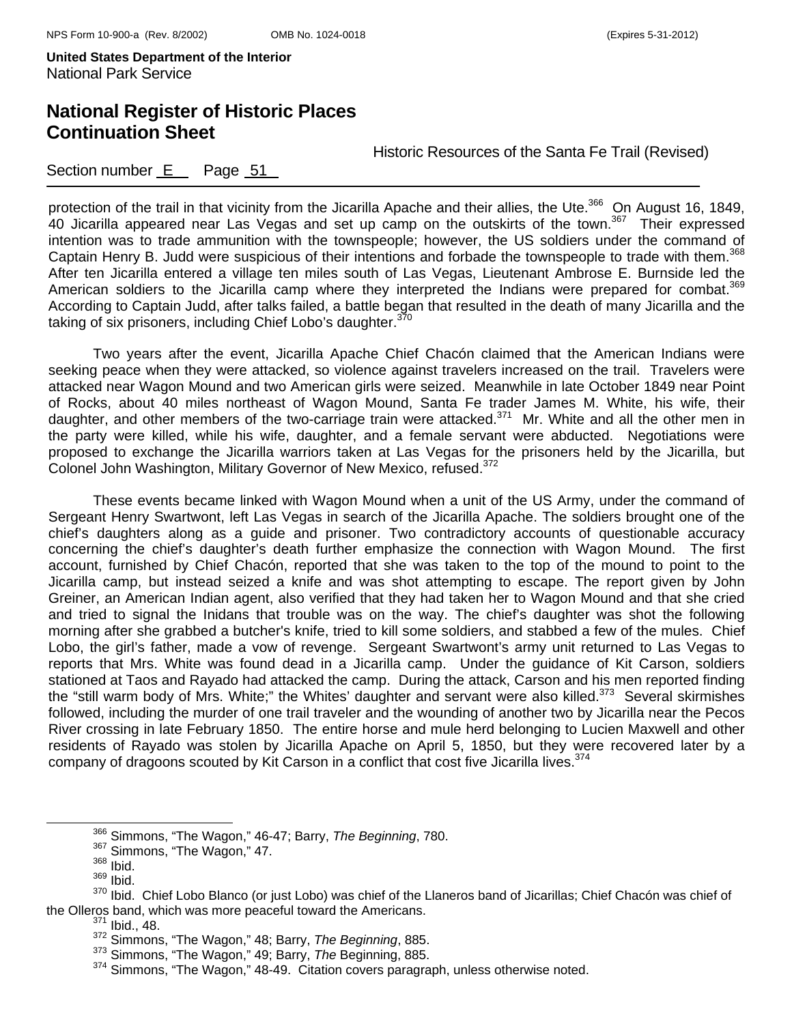# **National Register of Historic Places Continuation Sheet**

Historic Resources of the Santa Fe Trail (Revised)

### Section number E Page 51

protection of the trail in that vicinity from the Jicarilla Apache and their allies, the Ute.<sup>366</sup> On August 16, 1849, 40 Jicarilla appeared near Las Vegas and set up camp on the outskirts of the town.<sup>367</sup> Their expressed intention was to trade ammunition with the townspeople; however, the US soldiers under the command of Captain Henry B. Judd were suspicious of their intentions and forbade the townspeople to trade with them.<sup>368</sup> After ten Jicarilla entered a village ten miles south of Las Vegas, Lieutenant Ambrose E. Burnside led the American soldiers to the Jicarilla camp where they interpreted the Indians were prepared for combat.<sup>369</sup> According to Captain Judd, after talks failed, a battle began that resulted in the death of many Jicarilla and the taking of six prisoners, including Chief Lobo's daughter. $370$ 

Two years after the event, Jicarilla Apache Chief Chacón claimed that the American Indians were seeking peace when they were attacked, so violence against travelers increased on the trail. Travelers were attacked near Wagon Mound and two American girls were seized. Meanwhile in late October 1849 near Point of Rocks, about 40 miles northeast of Wagon Mound, Santa Fe trader James M. White, his wife, their daughter, and other members of the two-carriage train were attacked. $371$  Mr. White and all the other men in the party were killed, while his wife, daughter, and a female servant were abducted. Negotiations were proposed to exchange the Jicarilla warriors taken at Las Vegas for the prisoners held by the Jicarilla, but Colonel John Washington, Military Governor of New Mexico, refused.<sup>372</sup>

These events became linked with Wagon Mound when a unit of the US Army, under the command of Sergeant Henry Swartwont, left Las Vegas in search of the Jicarilla Apache. The soldiers brought one of the chief's daughters along as a guide and prisoner. Two contradictory accounts of questionable accuracy concerning the chief's daughter's death further emphasize the connection with Wagon Mound. The first account, furnished by Chief Chacón, reported that she was taken to the top of the mound to point to the Jicarilla camp, but instead seized a knife and was shot attempting to escape. The report given by John Greiner, an American Indian agent, also verified that they had taken her to Wagon Mound and that she cried and tried to signal the Inidans that trouble was on the way. The chief's daughter was shot the following morning after she grabbed a butcher's knife, tried to kill some soldiers, and stabbed a few of the mules. Chief Lobo, the girl's father, made a vow of revenge. Sergeant Swartwont's army unit returned to Las Vegas to reports that Mrs. White was found dead in a Jicarilla camp. Under the guidance of Kit Carson, soldiers stationed at Taos and Rayado had attacked the camp. During the attack, Carson and his men reported finding the "still warm body of Mrs. White;" the Whites' daughter and servant were also killed.<sup>373</sup> Several skirmishes followed, including the murder of one trail traveler and the wounding of another two by Jicarilla near the Pecos River crossing in late February 1850. The entire horse and mule herd belonging to Lucien Maxwell and other residents of Rayado was stolen by Jicarilla Apache on April 5, 1850, but they were recovered later by a company of dragoons scouted by Kit Carson in a conflict that cost five Jicarilla lives.<sup>374</sup>

366 Simmons, "The Wagon," 46-47; Barry, *The Beginning*, 780.

 $\frac{367}{368}$  Simmons, "The Wagon," 47.<br> $\frac{368}{368}$  Ibid.

<sup>369</sup> Ibid.

<sup>370</sup> Ibid. Chief Lobo Blanco (or just Lobo) was chief of the Llaneros band of Jicarillas; Chief Chacón was chief of the Olleros band, which was more peaceful toward the Americans.<br><sup>371</sup> Ibid., 48.

<sup>372</sup> Simmons, "The Wagon," 48; Barry, *The Beginning*, 885.

<sup>373</sup> Simmons, "The Wagon," 49; Barry, *The* Beginning, 885. 374 Simmons, "The Wagon," 48-49. Citation covers paragraph, unless otherwise noted.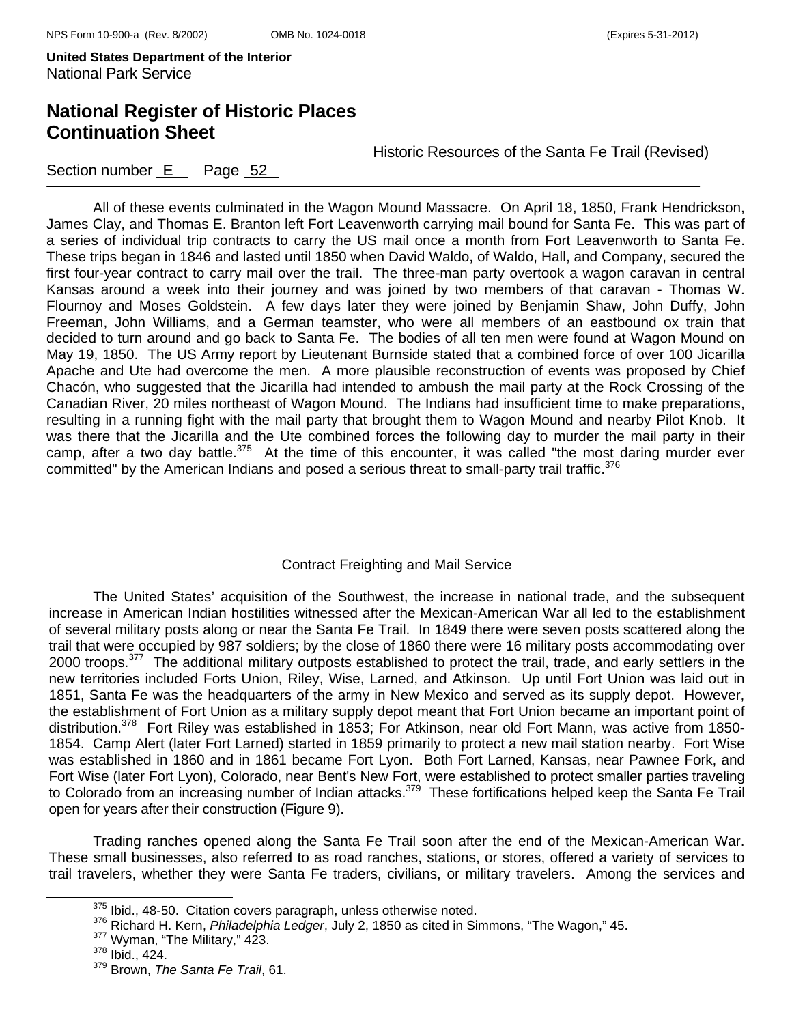# **National Register of Historic Places Continuation Sheet**

Historic Resources of the Santa Fe Trail (Revised)

### Section number  $E$  Page  $52$

All of these events culminated in the Wagon Mound Massacre. On April 18, 1850, Frank Hendrickson, James Clay, and Thomas E. Branton left Fort Leavenworth carrying mail bound for Santa Fe. This was part of a series of individual trip contracts to carry the US mail once a month from Fort Leavenworth to Santa Fe. These trips began in 1846 and lasted until 1850 when David Waldo, of Waldo, Hall, and Company, secured the first four-year contract to carry mail over the trail. The three-man party overtook a wagon caravan in central Kansas around a week into their journey and was joined by two members of that caravan - Thomas W. Flournoy and Moses Goldstein. A few days later they were joined by Benjamin Shaw, John Duffy, John Freeman, John Williams, and a German teamster, who were all members of an eastbound ox train that decided to turn around and go back to Santa Fe. The bodies of all ten men were found at Wagon Mound on May 19, 1850. The US Army report by Lieutenant Burnside stated that a combined force of over 100 Jicarilla Apache and Ute had overcome the men. A more plausible reconstruction of events was proposed by Chief Chacón, who suggested that the Jicarilla had intended to ambush the mail party at the Rock Crossing of the Canadian River, 20 miles northeast of Wagon Mound. The Indians had insufficient time to make preparations, resulting in a running fight with the mail party that brought them to Wagon Mound and nearby Pilot Knob. It

was there that the Jicarilla and the Ute combined forces the following day to murder the mail party in their camp, after a two day battle. $375$  At the time of this encounter, it was called "the most daring murder ever committed" by the American Indians and posed a serious threat to small-party trail traffic.<sup>376</sup>

#### Contract Freighting and Mail Service

The United States' acquisition of the Southwest, the increase in national trade, and the subsequent increase in American Indian hostilities witnessed after the Mexican-American War all led to the establishment of several military posts along or near the Santa Fe Trail. In 1849 there were seven posts scattered along the trail that were occupied by 987 soldiers; by the close of 1860 there were 16 military posts accommodating over 2000 troops.<sup>377</sup> The additional military outposts established to protect the trail, trade, and early settlers in the new territories included Forts Union, Riley, Wise, Larned, and Atkinson. Up until Fort Union was laid out in 1851, Santa Fe was the headquarters of the army in New Mexico and served as its supply depot. However, the establishment of Fort Union as a military supply depot meant that Fort Union became an important point of distribution.<sup>378</sup> Fort Riley was established in 1853; For Atkinson, near old Fort Mann, was active from 1850-1854. Camp Alert (later Fort Larned) started in 1859 primarily to protect a new mail station nearby. Fort Wise was established in 1860 and in 1861 became Fort Lyon. Both Fort Larned, Kansas, near Pawnee Fork, and Fort Wise (later Fort Lyon), Colorado, near Bent's New Fort, were established to protect smaller parties traveling to Colorado from an increasing number of Indian attacks.<sup>379</sup> These fortifications helped keep the Santa Fe Trail open for years after their construction (Figure 9).

Trading ranches opened along the Santa Fe Trail soon after the end of the Mexican-American War. These small businesses, also referred to as road ranches, stations, or stores, offered a variety of services to trail travelers, whether they were Santa Fe traders, civilians, or military travelers. Among the services and

<sup>&</sup>lt;sup>375</sup> Ibid., 48-50. Citation covers paragraph, unless otherwise noted.<br><sup>376</sup> Richard H. Kern, *Philadelphia Ledger*, July 2, 1850 as cited in Simmons, "The Wagon," 45.<br><sup>377</sup> Wyman, "The Military," 423.<br><sup>378</sup> Ibid., 424.

<sup>379</sup> Brown, *The Santa Fe Trail*, 61.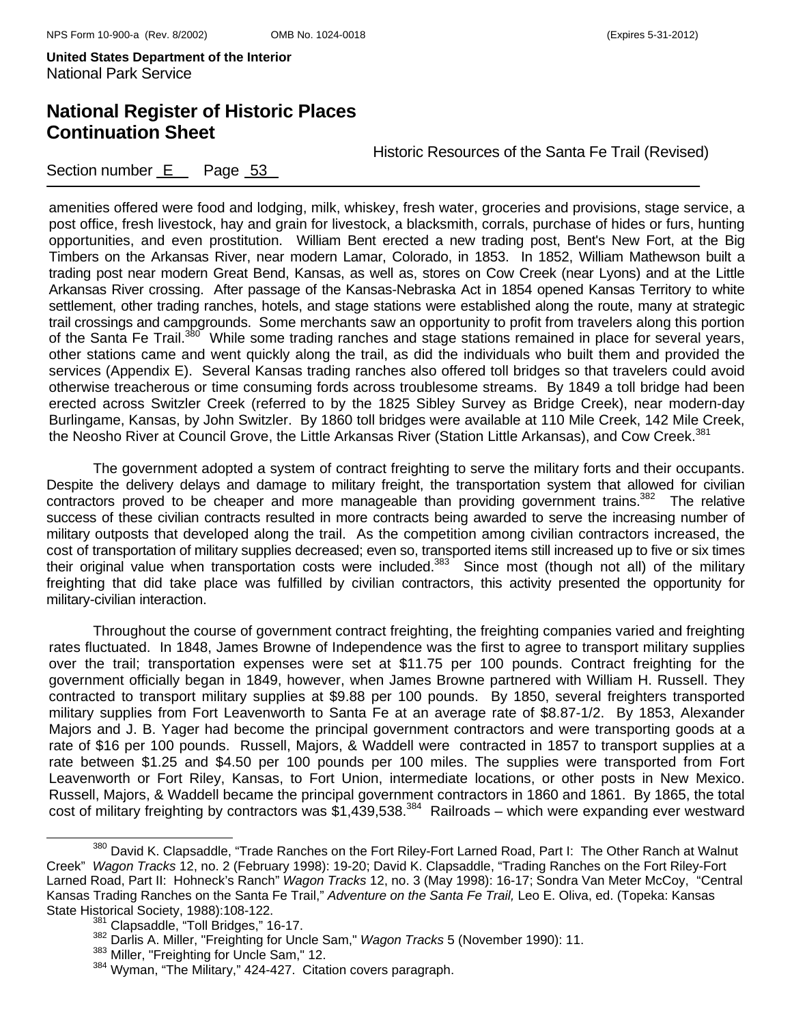Section number E Page 53

# **National Register of Historic Places Continuation Sheet**

Historic Resources of the Santa Fe Trail (Revised)

amenities offered were food and lodging, milk, whiskey, fresh water, groceries and provisions, stage service, a post office, fresh livestock, hay and grain for livestock, a blacksmith, corrals, purchase of hides or furs, hunting opportunities, and even prostitution. William Bent erected a new trading post, Bent's New Fort, at the Big Timbers on the Arkansas River, near modern Lamar, Colorado, in 1853. In 1852, William Mathewson built a trading post near modern Great Bend, Kansas, as well as, stores on Cow Creek (near Lyons) and at the Little Arkansas River crossing. After passage of the Kansas-Nebraska Act in 1854 opened Kansas Territory to white settlement, other trading ranches, hotels, and stage stations were established along the route, many at strategic trail crossings and campgrounds. Some merchants saw an opportunity to profit from travelers along this portion of the Santa Fe Trail.<sup>380</sup> While some trading ranches and stage stations remained in place for several years, other stations came and went quickly along the trail, as did the individuals who built them and provided the services (Appendix E). Several Kansas trading ranches also offered toll bridges so that travelers could avoid otherwise treacherous or time consuming fords across troublesome streams. By 1849 a toll bridge had been erected across Switzler Creek (referred to by the 1825 Sibley Survey as Bridge Creek), near modern-day Burlingame, Kansas, by John Switzler. By 1860 toll bridges were available at 110 Mile Creek, 142 Mile Creek, the Neosho River at Council Grove, the Little Arkansas River (Station Little Arkansas), and Cow Creek.<sup>381</sup>

The government adopted a system of contract freighting to serve the military forts and their occupants. Despite the delivery delays and damage to military freight, the transportation system that allowed for civilian contractors proved to be cheaper and more manageable than providing government trains.<sup>382</sup> The relative success of these civilian contracts resulted in more contracts being awarded to serve the increasing number of military outposts that developed along the trail. As the competition among civilian contractors increased, the cost of transportation of military supplies decreased; even so, transported items still increased up to five or six times their original value when transportation costs were included.<sup>383</sup> Since most (though not all) of the military freighting that did take place was fulfilled by civilian contractors, this activity presented the opportunity for military-civilian interaction.

Throughout the course of government contract freighting, the freighting companies varied and freighting rates fluctuated. In 1848, James Browne of Independence was the first to agree to transport military supplies over the trail; transportation expenses were set at \$11.75 per 100 pounds. Contract freighting for the government officially began in 1849, however, when James Browne partnered with William H. Russell. They contracted to transport military supplies at \$9.88 per 100 pounds. By 1850, several freighters transported military supplies from Fort Leavenworth to Santa Fe at an average rate of \$8.87-1/2. By 1853, Alexander Majors and J. B. Yager had become the principal government contractors and were transporting goods at a rate of \$16 per 100 pounds. Russell, Majors, & Waddell were contracted in 1857 to transport supplies at a rate between \$1.25 and \$4.50 per 100 pounds per 100 miles. The supplies were transported from Fort Leavenworth or Fort Riley, Kansas, to Fort Union, intermediate locations, or other posts in New Mexico. Russell, Majors, & Waddell became the principal government contractors in 1860 and 1861. By 1865, the total cost of military freighting by contractors was \$1,439,538.<sup>384</sup> Railroads – which were expanding ever westward

<sup>&</sup>lt;sup>380</sup> David K. Clapsaddle, "Trade Ranches on the Fort Riley-Fort Larned Road, Part I: The Other Ranch at Walnut Creek" *Wagon Tracks* 12, no. 2 (February 1998): 19-20; David K. Clapsaddle, "Trading Ranches on the Fort Riley-Fort Larned Road, Part II: Hohneck's Ranch" *Wagon Tracks* 12, no. 3 (May 1998): 16-17; Sondra Van Meter McCoy, "Central Kansas Trading Ranches on the Santa Fe Trail," *Adventure on the Santa Fe Trail,* Leo E. Oliva, ed. (Topeka: Kansas State Historical Society, 1988):108-122.<br>
<sup>381</sup> Clapsaddle, "Toll Bridges," 16-17.<br>
<sup>382</sup> Darlis A. Miller, "Freighting for Uncle Sam," *Wagon Tracks* 5 (November 1990): 11.<br>
<sup>383</sup> Miller, "Freighting for Uncle Sam," 12.<br>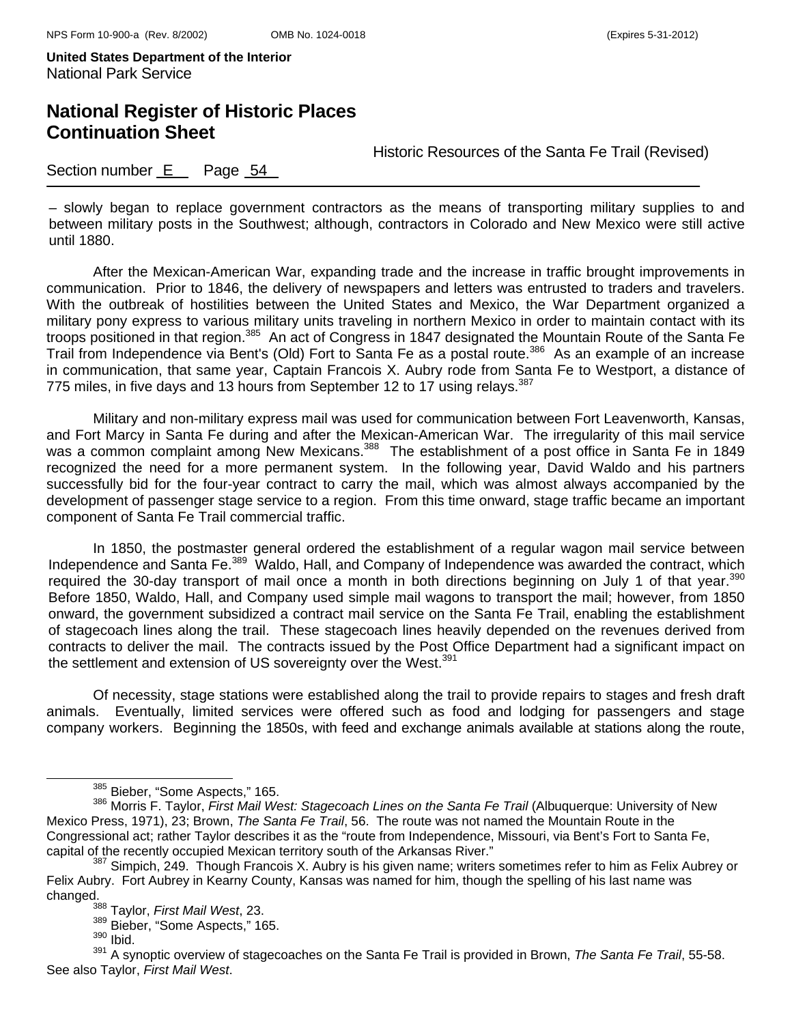## **National Register of Historic Places Continuation Sheet**

Historic Resources of the Santa Fe Trail (Revised)

#### Section number E Page 54

– slowly began to replace government contractors as the means of transporting military supplies to and between military posts in the Southwest; although, contractors in Colorado and New Mexico were still active until 1880.

After the Mexican-American War, expanding trade and the increase in traffic brought improvements in communication. Prior to 1846, the delivery of newspapers and letters was entrusted to traders and travelers. With the outbreak of hostilities between the United States and Mexico, the War Department organized a military pony express to various military units traveling in northern Mexico in order to maintain contact with its troops positioned in that region.385 An act of Congress in 1847 designated the Mountain Route of the Santa Fe Trail from Independence via Bent's (Old) Fort to Santa Fe as a postal route.386 As an example of an increase in communication, that same year, Captain Francois X. Aubry rode from Santa Fe to Westport, a distance of 775 miles, in five days and 13 hours from September 12 to 17 using relays.<sup>387</sup>

Military and non-military express mail was used for communication between Fort Leavenworth, Kansas, and Fort Marcy in Santa Fe during and after the Mexican-American War. The irregularity of this mail service was a common complaint among New Mexicans.<sup>388</sup> The establishment of a post office in Santa Fe in 1849 recognized the need for a more permanent system. In the following year, David Waldo and his partners successfully bid for the four-year contract to carry the mail, which was almost always accompanied by the development of passenger stage service to a region. From this time onward, stage traffic became an important component of Santa Fe Trail commercial traffic.

In 1850, the postmaster general ordered the establishment of a regular wagon mail service between Independence and Santa Fe.<sup>389</sup> Waldo, Hall, and Company of Independence was awarded the contract, which required the 30-day transport of mail once a month in both directions beginning on July 1 of that year.<sup>390</sup> Before 1850, Waldo, Hall, and Company used simple mail wagons to transport the mail; however, from 1850 onward, the government subsidized a contract mail service on the Santa Fe Trail, enabling the establishment of stagecoach lines along the trail. These stagecoach lines heavily depended on the revenues derived from contracts to deliver the mail. The contracts issued by the Post Office Department had a significant impact on the settlement and extension of US sovereignty over the West.<sup>391</sup>

Of necessity, stage stations were established along the trail to provide repairs to stages and fresh draft animals. Eventually, limited services were offered such as food and lodging for passengers and stage company workers.Beginning the 1850s, with feed and exchange animals available at stations along the route,

<sup>&</sup>lt;sup>385</sup> Bieber, "Some Aspects," 165.<br><sup>386</sup> Morris F. Taylor, *First Mail West: Stagecoach Lines on the Santa Fe Trail* (Albuquerque: University of New Mexico Press, 1971), 23; Brown, *The Santa Fe Trail*, 56. The route was not named the Mountain Route in the Congressional act; rather Taylor describes it as the "route from Independence, Missouri, via Bent's Fort to Santa Fe, capital of the recently occupied Mexican territory south of the Arkansas River."<br><sup>387</sup> Simpich, 249. Though Francois X. Aubry is his given name; writers sometimes refer to him as Felix Aubrey or

Felix Aubry. Fort Aubrey in Kearny County, Kansas was named for him, though the spelling of his last name was changed. 388 Taylor, *First Mail West*, 23.

 $\frac{389}{390}$  Bieber, "Some Aspects," 165.

<sup>391</sup> A synoptic overview of stagecoaches on the Santa Fe Trail is provided in Brown, *The Santa Fe Trail*, 55-58. See also Taylor, *First Mail West*.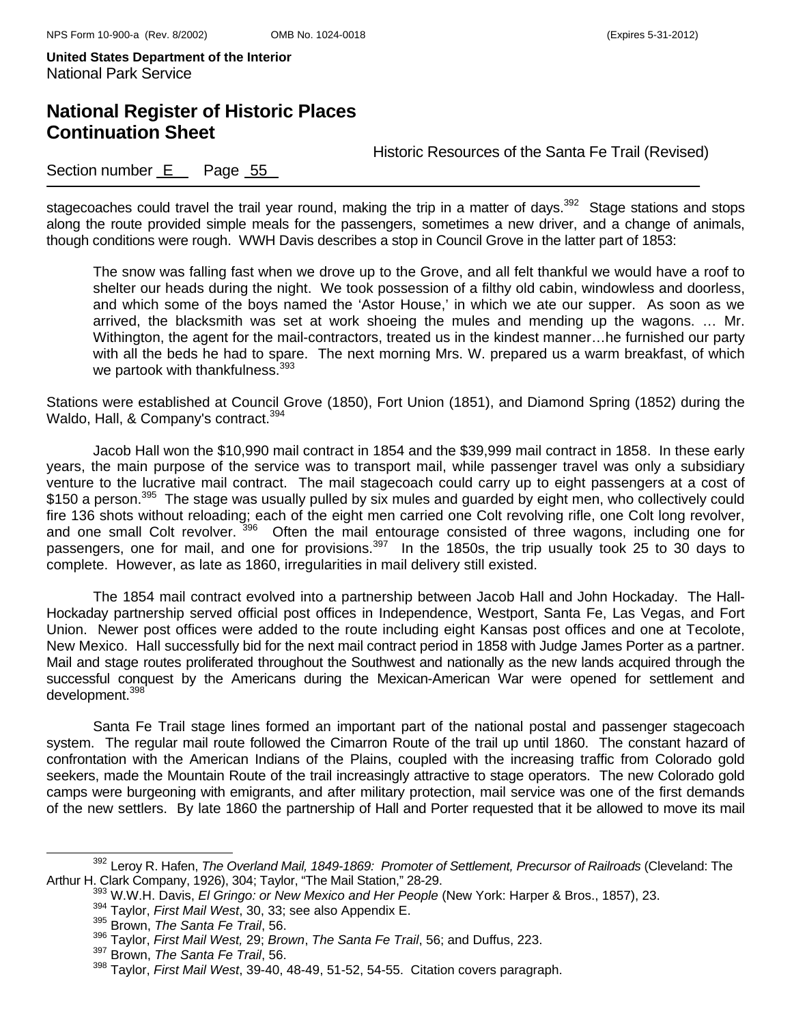## **National Register of Historic Places Continuation Sheet**

Historic Resources of the Santa Fe Trail (Revised)

### Section number E Page 55

stagecoaches could travel the trail year round, making the trip in a matter of days.<sup>392</sup> Stage stations and stops along the route provided simple meals for the passengers, sometimes a new driver, and a change of animals, though conditions were rough. WWH Davis describes a stop in Council Grove in the latter part of 1853:

The snow was falling fast when we drove up to the Grove, and all felt thankful we would have a roof to shelter our heads during the night. We took possession of a filthy old cabin, windowless and doorless, and which some of the boys named the 'Astor House,' in which we ate our supper. As soon as we arrived, the blacksmith was set at work shoeing the mules and mending up the wagons. … Mr. Withington, the agent for the mail-contractors, treated us in the kindest manner…he furnished our party with all the beds he had to spare. The next morning Mrs. W. prepared us a warm breakfast, of which we partook with thankfulness.<sup>393</sup>

Stations were established at Council Grove (1850), Fort Union (1851), and Diamond Spring (1852) during the Waldo, Hall, & Company's contract.<sup>394</sup>

Jacob Hall won the \$10,990 mail contract in 1854 and the \$39,999 mail contract in 1858. In these early years, the main purpose of the service was to transport mail, while passenger travel was only a subsidiary venture to the lucrative mail contract. The mail stagecoach could carry up to eight passengers at a cost of \$150 a person.<sup>395</sup> The stage was usually pulled by six mules and guarded by eight men, who collectively could fire 136 shots without reloading; each of the eight men carried one Colt revolving rifle, one Colt long revolver, and one small Colt revolver. 396 Often the mail entourage consisted of three wagons, including one for passengers, one for mail, and one for provisions.<sup>397</sup> In the 1850s, the trip usually took 25 to 30 days to complete. However, as late as 1860, irregularities in mail delivery still existed.

The 1854 mail contract evolved into a partnership between Jacob Hall and John Hockaday. The Hall-Hockaday partnership served official post offices in Independence, Westport, Santa Fe, Las Vegas, and Fort Union. Newer post offices were added to the route including eight Kansas post offices and one at Tecolote, New Mexico. Hall successfully bid for the next mail contract period in 1858 with Judge James Porter as a partner. Mail and stage routes proliferated throughout the Southwest and nationally as the new lands acquired through the successful conquest by the Americans during the Mexican-American War were opened for settlement and development.<sup>398</sup>

Santa Fe Trail stage lines formed an important part of the national postal and passenger stagecoach system. The regular mail route followed the Cimarron Route of the trail up until 1860. The constant hazard of confrontation with the American Indians of the Plains, coupled with the increasing traffic from Colorado gold seekers, made the Mountain Route of the trail increasingly attractive to stage operators. The new Colorado gold camps were burgeoning with emigrants, and after military protection, mail service was one of the first demands of the new settlers. By late 1860 the partnership of Hall and Porter requested that it be allowed to move its mail

<sup>&</sup>lt;sup>392</sup> Leroy R. Hafen, *The Overland Mail, 1849-1869: Promoter of Settlement, Precursor of Railroads (Cleveland: The* Arthur H. Clark Company, 1926), 304; Taylor, "The Mail Station," 28-29.<br><sup>393</sup> W.W.H. Davis, *El Gringo: or New Mexico and Her People* (New York: Harper & Bros., 1857), 23.<br><sup>394</sup> Taylor, *First Mail West*, 30, 33; see also

<sup>396</sup> Taylor, *First Mail West,* 29; *Brown*, *The Santa Fe Trail*, 56; and Duffus, 223.

<sup>397</sup> Brown, *The Santa Fe Trail*, 56.

<sup>398</sup> Taylor, *First Mail West*, 39-40, 48-49, 51-52, 54-55. Citation covers paragraph.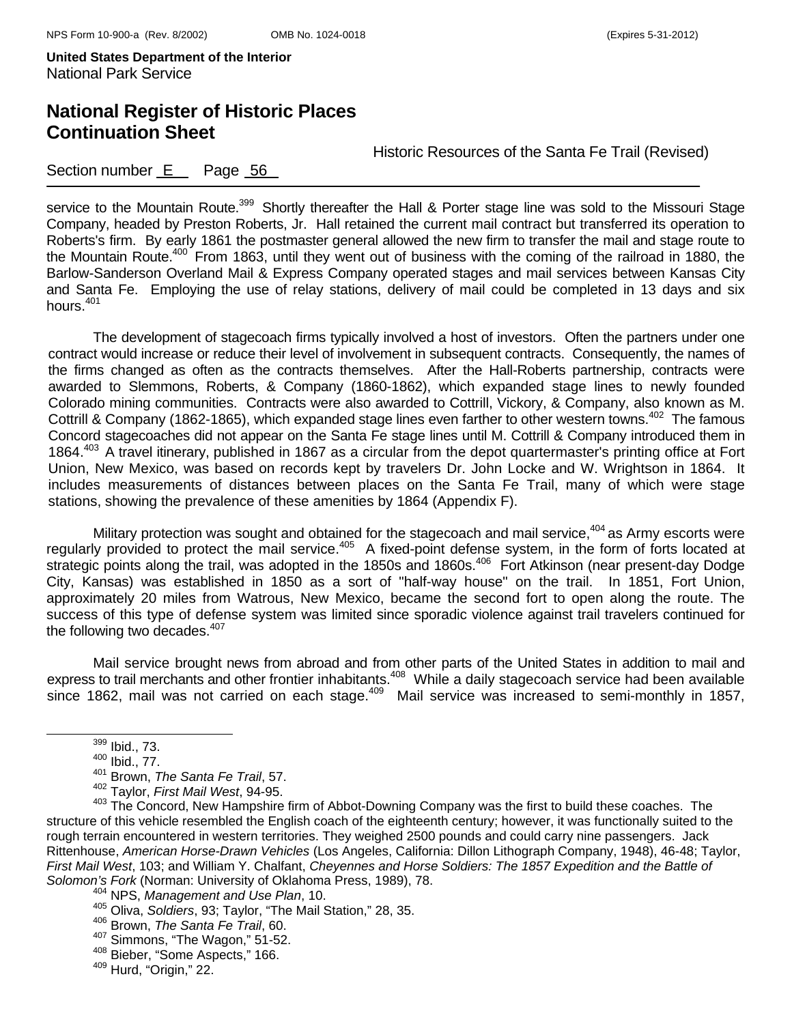# **National Register of Historic Places Continuation Sheet**

Historic Resources of the Santa Fe Trail (Revised)

### Section number E Page 56

service to the Mountain Route.<sup>399</sup> Shortly thereafter the Hall & Porter stage line was sold to the Missouri Stage Company, headed by Preston Roberts, Jr. Hall retained the current mail contract but transferred its operation to Roberts's firm. By early 1861 the postmaster general allowed the new firm to transfer the mail and stage route to the Mountain Route.<sup>400</sup> From 1863, until they went out of business with the coming of the railroad in 1880, the Barlow-Sanderson Overland Mail & Express Company operated stages and mail services between Kansas City and Santa Fe. Employing the use of relay stations, delivery of mail could be completed in 13 days and six hours.<sup>401</sup>

The development of stagecoach firms typically involved a host of investors. Often the partners under one contract would increase or reduce their level of involvement in subsequent contracts. Consequently, the names of the firms changed as often as the contracts themselves. After the Hall-Roberts partnership, contracts were awarded to Slemmons, Roberts, & Company (1860-1862), which expanded stage lines to newly founded Colorado mining communities. Contracts were also awarded to Cottrill, Vickory, & Company, also known as M. Cottrill & Company (1862-1865), which expanded stage lines even farther to other western towns.<sup>402</sup> The famous Concord stagecoaches did not appear on the Santa Fe stage lines until M. Cottrill & Company introduced them in 1864.403 A travel itinerary, published in 1867 as a circular from the depot quartermaster's printing office at Fort Union, New Mexico, was based on records kept by travelers Dr. John Locke and W. Wrightson in 1864. It includes measurements of distances between places on the Santa Fe Trail, many of which were stage stations, showing the prevalence of these amenities by 1864 (Appendix F).

Military protection was sought and obtained for the stagecoach and mail service,<sup>404</sup> as Army escorts were regularly provided to protect the mail service.<sup>405</sup> A fixed-point defense system, in the form of forts located at strategic points along the trail, was adopted in the 1850s and 1860s.<sup>406</sup> Fort Atkinson (near present-day Dodge City, Kansas) was established in 1850 as a sort of "half-way house" on the trail. In 1851, Fort Union, approximately 20 miles from Watrous, New Mexico, became the second fort to open along the route. The success of this type of defense system was limited since sporadic violence against trail travelers continued for the following two decades. $407$ 

Mail service brought news from abroad and from other parts of the United States in addition to mail and express to trail merchants and other frontier inhabitants.<sup>408</sup> While a daily stagecoach service had been available since 1862, mail was not carried on each stage.<sup>409</sup> Mail service was increased to semi-monthly in 1857,

399 Ibid., 73.

<sup>400</sup> Ibid., 77.

<sup>401</sup> Brown, *The Santa Fe Trail*, 57.

<sup>402</sup> Taylor, *First Mail West*, 94-95.

<sup>&</sup>lt;sup>403</sup> The Concord, New Hampshire firm of Abbot-Downing Company was the first to build these coaches. The structure of this vehicle resembled the English coach of the eighteenth century; however, it was functionally suited to the rough terrain encountered in western territories. They weighed 2500 pounds and could carry nine passengers. Jack Rittenhouse, *American Horse-Drawn Vehicles* (Los Angeles, California: Dillon Lithograph Company, 1948), 46-48; Taylor, *First Mail West*, 103; and William Y. Chalfant, *Cheyennes and Horse Soldiers: The 1857 Expedition and the Battle of Solomon's Fork* (Norman: University of Oklahoma Press, 1989), 78.<br><sup>404</sup> NPS, *Management and Use Plan*, 10.

<sup>405</sup> Oliva, *Soldiers*, 93; Taylor, "The Mail Station," 28, 35. 406 Brown, *The Santa Fe Trail*, 60.

 $\frac{408}{408}$  Bieber, "Some Aspects," 166.  $\frac{409}{409}$  Hurd, "Origin," 22.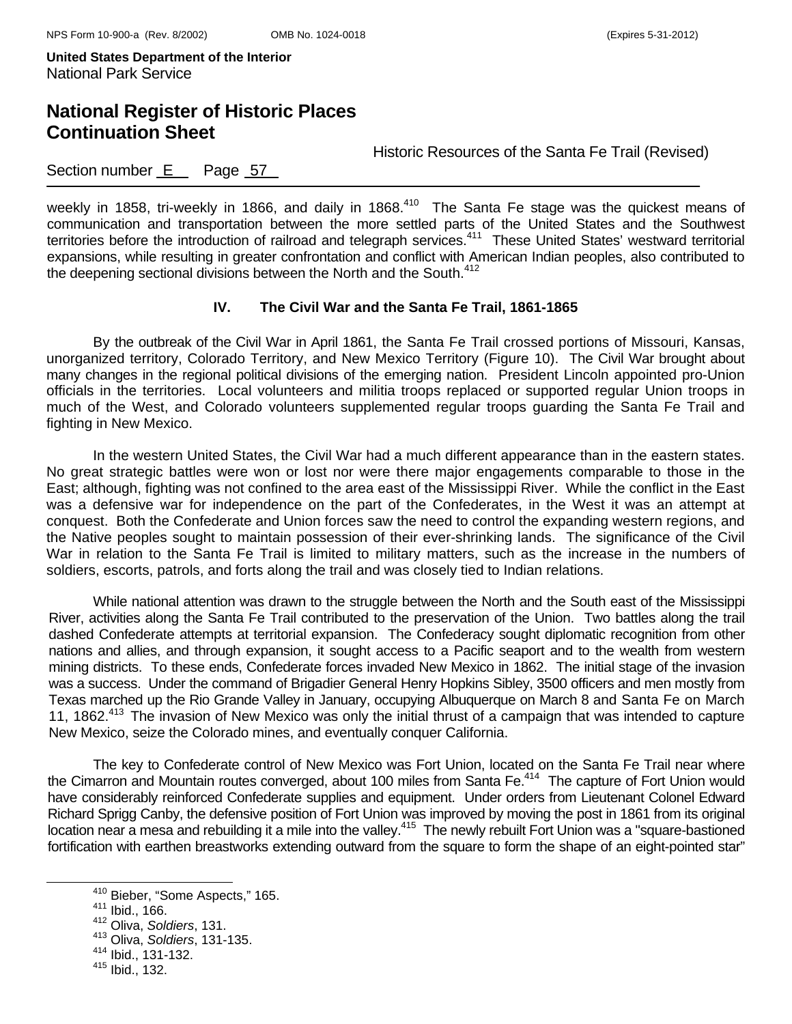### **National Register of Historic Places Continuation Sheet**

Historic Resources of the Santa Fe Trail (Revised)

Section number E Page 57

weekly in 1858, tri-weekly in 1866, and daily in 1868.<sup>410</sup> The Santa Fe stage was the quickest means of communication and transportation between the more settled parts of the United States and the Southwest territories before the introduction of railroad and telegraph services.411 These United States' westward territorial expansions, while resulting in greater confrontation and conflict with American Indian peoples, also contributed to the deepening sectional divisions between the North and the South.<sup>412</sup>

#### **IV. The Civil War and the Santa Fe Trail, 1861-1865**

 By the outbreak of the Civil War in April 1861, the Santa Fe Trail crossed portions of Missouri, Kansas, unorganized territory, Colorado Territory, and New Mexico Territory (Figure 10). The Civil War brought about many changes in the regional political divisions of the emerging nation. President Lincoln appointed pro-Union officials in the territories. Local volunteers and militia troops replaced or supported regular Union troops in much of the West, and Colorado volunteers supplemented regular troops guarding the Santa Fe Trail and fighting in New Mexico.

 In the western United States, the Civil War had a much different appearance than in the eastern states. No great strategic battles were won or lost nor were there major engagements comparable to those in the East; although, fighting was not confined to the area east of the Mississippi River. While the conflict in the East was a defensive war for independence on the part of the Confederates, in the West it was an attempt at conquest. Both the Confederate and Union forces saw the need to control the expanding western regions, and the Native peoples sought to maintain possession of their ever-shrinking lands. The significance of the Civil War in relation to the Santa Fe Trail is limited to military matters, such as the increase in the numbers of soldiers, escorts, patrols, and forts along the trail and was closely tied to Indian relations.

While national attention was drawn to the struggle between the North and the South east of the Mississippi River, activities along the Santa Fe Trail contributed to the preservation of the Union. Two battles along the trail dashed Confederate attempts at territorial expansion. The Confederacy sought diplomatic recognition from other nations and allies, and through expansion, it sought access to a Pacific seaport and to the wealth from western mining districts. To these ends, Confederate forces invaded New Mexico in 1862. The initial stage of the invasion was a success. Under the command of Brigadier General Henry Hopkins Sibley, 3500 officers and men mostly from Texas marched up the Rio Grande Valley in January, occupying Albuquerque on March 8 and Santa Fe on March 11, 1862<sup>413</sup> The invasion of New Mexico was only the initial thrust of a campaign that was intended to capture New Mexico, seize the Colorado mines, and eventually conquer California.

The key to Confederate control of New Mexico was Fort Union, located on the Santa Fe Trail near where the Cimarron and Mountain routes converged, about 100 miles from Santa Fe.<sup>414</sup> The capture of Fort Union would have considerably reinforced Confederate supplies and equipment. Under orders from Lieutenant Colonel Edward Richard Sprigg Canby, the defensive position of Fort Union was improved by moving the post in 1861 from its original location near a mesa and rebuilding it a mile into the valley.<sup>415</sup> The newly rebuilt Fort Union was a "square-bastioned fortification with earthen breastworks extending outward from the square to form the shape of an eight-pointed star"

<sup>&</sup>lt;sup>410</sup> Bieber, "Some Aspects," 165.<br><sup>411</sup> Ibid., 166.

<sup>412</sup> Oliva, *Soldiers*, 131.

<sup>413</sup> Oliva, *Soldiers*, 131-135.

<sup>414</sup> Ibid., 131-132.

 $415$  Ibid., 132.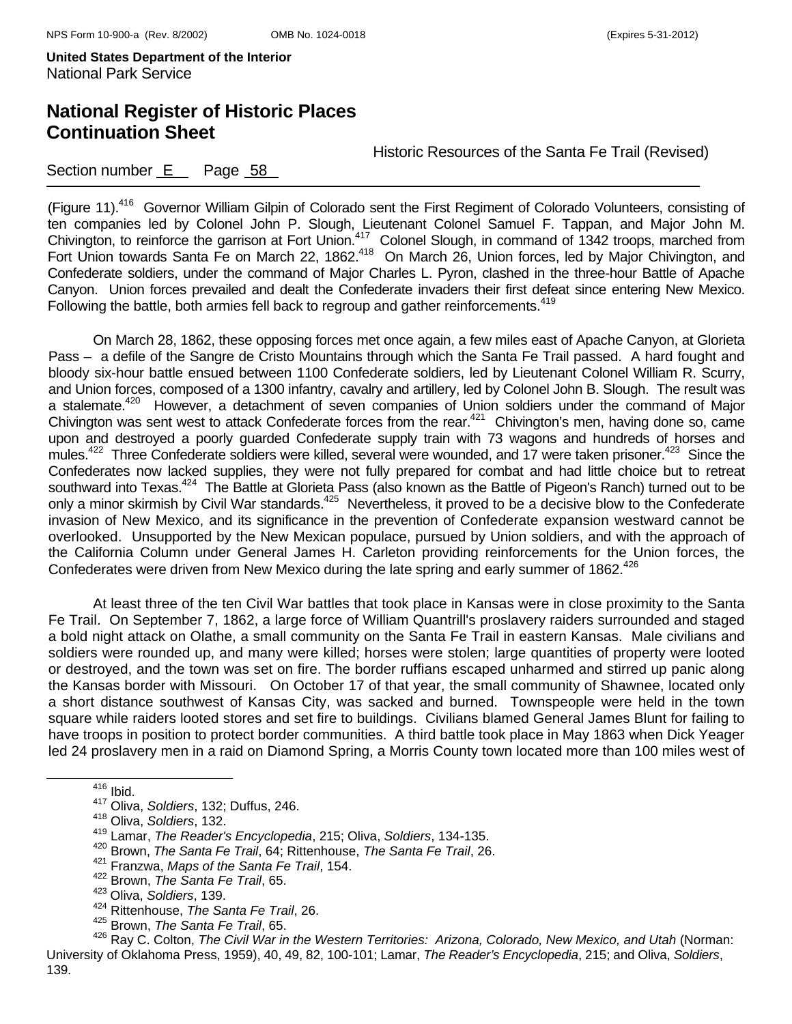### **National Register of Historic Places Continuation Sheet**

Historic Resources of the Santa Fe Trail (Revised)

### Section number  $E$  Page  $58$

(Figure 11).<sup>416</sup> Governor William Gilpin of Colorado sent the First Regiment of Colorado Volunteers, consisting of ten companies led by Colonel John P. Slough, Lieutenant Colonel Samuel F. Tappan, and Major John M. Chivington, to reinforce the garrison at Fort Union.<sup>417</sup> Colonel Slough, in command of 1342 troops, marched from Fort Union towards Santa Fe on March 22, 1862.<sup>418</sup> On March 26, Union forces, led by Major Chivington, and Confederate soldiers, under the command of Major Charles L. Pyron, clashed in the three-hour Battle of Apache Canyon. Union forces prevailed and dealt the Confederate invaders their first defeat since entering New Mexico. Following the battle, both armies fell back to regroup and gather reinforcements.<sup>419</sup>

On March 28, 1862, these opposing forces met once again, a few miles east of Apache Canyon, at Glorieta Pass – a defile of the Sangre de Cristo Mountains through which the Santa Fe Trail passed. A hard fought and bloody six-hour battle ensued between 1100 Confederate soldiers, led by Lieutenant Colonel William R. Scurry, and Union forces, composed of a 1300 infantry, cavalry and artillery, led by Colonel John B. Slough. The result was a stalemate.<sup>420</sup> However, a detachment of seven companies of Union soldiers under the command of Major Chivington was sent west to attack Confederate forces from the rear.<sup>421</sup> Chivington's men, having done so, came upon and destroyed a poorly guarded Confederate supply train with 73 wagons and hundreds of horses and mules.<sup>422</sup> Three Confederate soldiers were killed, several were wounded, and 17 were taken prisoner.<sup>423</sup> Since the Confederates now lacked supplies, they were not fully prepared for combat and had little choice but to retreat southward into Texas.<sup>424</sup> The Battle at Glorieta Pass (also known as the Battle of Pigeon's Ranch) turned out to be only a minor skirmish by Civil War standards.425 Nevertheless, it proved to be a decisive blow to the Confederate invasion of New Mexico, and its significance in the prevention of Confederate expansion westward cannot be overlooked. Unsupported by the New Mexican populace, pursued by Union soldiers, and with the approach of the California Column under General James H. Carleton providing reinforcements for the Union forces, the Confederates were driven from New Mexico during the late spring and early summer of 1862.<sup>426</sup>

At least three of the ten Civil War battles that took place in Kansas were in close proximity to the Santa Fe Trail. On September 7, 1862, a large force of William Quantrill's proslavery raiders surrounded and staged a bold night attack on Olathe, a small community on the Santa Fe Trail in eastern Kansas. Male civilians and soldiers were rounded up, and many were killed; horses were stolen; large quantities of property were looted or destroyed, and the town was set on fire. The border ruffians escaped unharmed and stirred up panic along the Kansas border with Missouri. On October 17 of that year, the small community of Shawnee, located only a short distance southwest of Kansas City, was sacked and burned. Townspeople were held in the town square while raiders looted stores and set fire to buildings. Civilians blamed General James Blunt for failing to have troops in position to protect border communities. A third battle took place in May 1863 when Dick Yeager led 24 proslavery men in a raid on Diamond Spring, a Morris County town located more than 100 miles west of

416 Ibid.

<sup>417</sup> Oliva, *Soldiers*, 132; Duffus, 246.

<sup>418</sup> Oliva, *Soldiers*, 132.

<sup>419</sup> Lamar, *The Reader's Encyclopedia*, 215; Oliva, *Soldiers*, 134-135.

<sup>420</sup> Brown, *The Santa Fe Trail*, 64; Rittenhouse, *The Santa Fe Trail*, 26.

<sup>421</sup> Franzwa, *Maps of the Santa Fe Trail*, 154.

<sup>422</sup> Brown, *The Santa Fe Trail*, 65.

<sup>423</sup> Oliva, *Soldiers*, 139.

<sup>424</sup> Rittenhouse, *The Santa Fe Trail*, 26.

<sup>425</sup> Brown, *The Santa Fe Trail*, 65.

<sup>426</sup> Ray C. Colton, *The Civil War in the Western Territories: Arizona, Colorado, New Mexico, and Utah* (Norman: University of Oklahoma Press, 1959), 40, 49, 82, 100-101; Lamar, *The Reader's Encyclopedia*, 215; and Oliva, *Soldiers*, 139.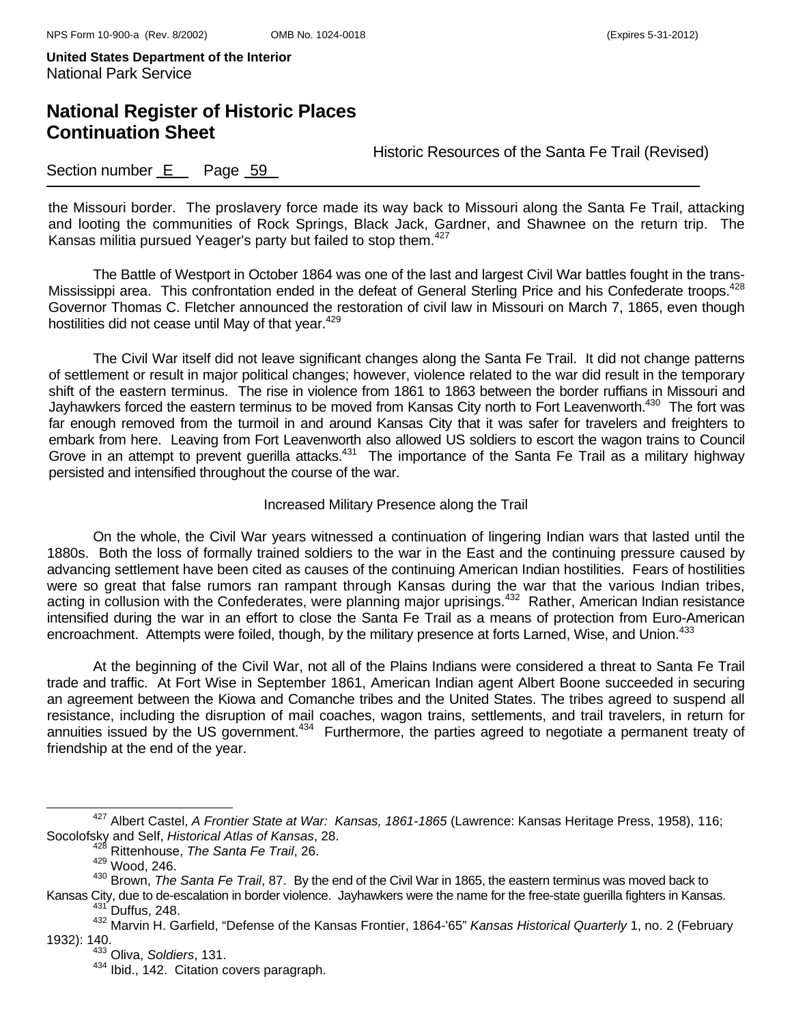## **National Register of Historic Places Continuation Sheet**

Historic Resources of the Santa Fe Trail (Revised)

### Section number E Page 59

the Missouri border. The proslavery force made its way back to Missouri along the Santa Fe Trail, attacking and looting the communities of Rock Springs, Black Jack, Gardner, and Shawnee on the return trip. The Kansas militia pursued Yeager's party but failed to stop them.<sup>427</sup>

The Battle of Westport in October 1864 was one of the last and largest Civil War battles fought in the trans-Mississippi area. This confrontation ended in the defeat of General Sterling Price and his Confederate troops.<sup>428</sup> Governor Thomas C. Fletcher announced the restoration of civil law in Missouri on March 7, 1865, even though hostilities did not cease until May of that year.<sup>429</sup>

The Civil War itself did not leave significant changes along the Santa Fe Trail. It did not change patterns of settlement or result in major political changes; however, violence related to the war did result in the temporary shift of the eastern terminus. The rise in violence from 1861 to 1863 between the border ruffians in Missouri and Jayhawkers forced the eastern terminus to be moved from Kansas City north to Fort Leavenworth.<sup>430</sup> The fort was far enough removed from the turmoil in and around Kansas City that it was safer for travelers and freighters to embark from here. Leaving from Fort Leavenworth also allowed US soldiers to escort the wagon trains to Council Grove in an attempt to prevent guerilla attacks.<sup>431</sup> The importance of the Santa Fe Trail as a military highway persisted and intensified throughout the course of the war.

#### Increased Military Presence along the Trail

On the whole, the Civil War years witnessed a continuation of lingering Indian wars that lasted until the 1880s. Both the loss of formally trained soldiers to the war in the East and the continuing pressure caused by advancing settlement have been cited as causes of the continuing American Indian hostilities. Fears of hostilities were so great that false rumors ran rampant through Kansas during the war that the various Indian tribes, acting in collusion with the Confederates, were planning major uprisings.<sup>432</sup> Rather, American Indian resistance intensified during the war in an effort to close the Santa Fe Trail as a means of protection from Euro-American encroachment. Attempts were foiled, though, by the military presence at forts Larned, Wise, and Union.<sup>433</sup>

At the beginning of the Civil War, not all of the Plains Indians were considered a threat to Santa Fe Trail trade and traffic. At Fort Wise in September 1861, American Indian agent Albert Boone succeeded in securing an agreement between the Kiowa and Comanche tribes and the United States. The tribes agreed to suspend all resistance, including the disruption of mail coaches, wagon trains, settlements, and trail travelers, in return for annuities issued by the US government.434 Furthermore, the parties agreed to negotiate a permanent treaty of friendship at the end of the year.

427 Albert Castel, *A Frontier State at War: Kansas, 1861-1865* (Lawrence: Kansas Heritage Press, 1958), 116; Socolofsky and Self, *Historical Atlas of Kansas*, 28.

<sup>428</sup> Rittenhouse, *The Santa Fe Trail*, 26.

<sup>429</sup> Wood, 246.

<sup>&</sup>lt;sup>430</sup> Brown, *The Santa Fe Trail*, 87. By the end of the Civil War in 1865, the eastern terminus was moved back to<br>Kansas City, due to de-escalation in border violence. Jayhawkers were the name for the free-state guerilla

<sup>&</sup>lt;sup>431'</sup> Duffus, 248.<br><sup>432</sup> Marvin H. Garfield, "Defense of the Kansas Frontier, 1864-'65" *Kansas Historical Quarterly* 1, no. 2 (February

<sup>1932): 140. 433</sup> Oliva, *Soldiers*, 131.

<sup>434</sup> Ibid., 142. Citation covers paragraph.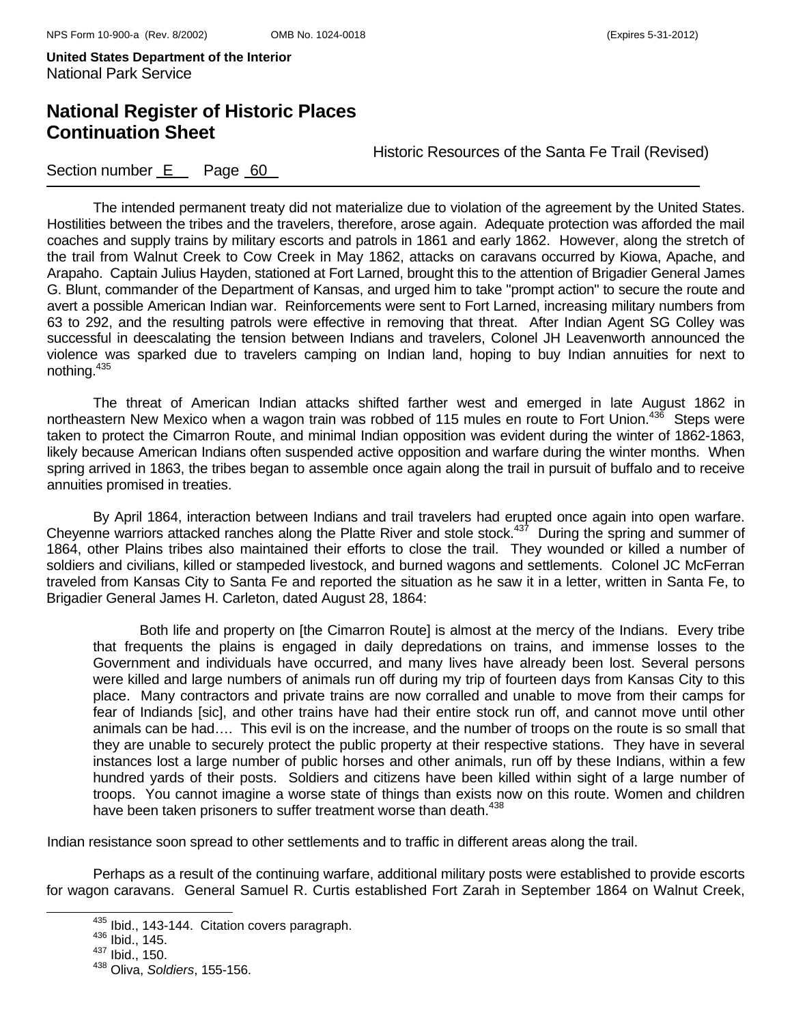# **National Register of Historic Places Continuation Sheet**

Historic Resources of the Santa Fe Trail (Revised)

### Section number E Page 60

The intended permanent treaty did not materialize due to violation of the agreement by the United States. Hostilities between the tribes and the travelers, therefore, arose again. Adequate protection was afforded the mail coaches and supply trains by military escorts and patrols in 1861 and early 1862. However, along the stretch of the trail from Walnut Creek to Cow Creek in May 1862, attacks on caravans occurred by Kiowa, Apache, and Arapaho. Captain Julius Hayden, stationed at Fort Larned, brought this to the attention of Brigadier General James G. Blunt, commander of the Department of Kansas, and urged him to take "prompt action" to secure the route and avert a possible American Indian war. Reinforcements were sent to Fort Larned, increasing military numbers from 63 to 292, and the resulting patrols were effective in removing that threat. After Indian Agent SG Colley was successful in deescalating the tension between Indians and travelers, Colonel JH Leavenworth announced the violence was sparked due to travelers camping on Indian land, hoping to buy Indian annuities for next to nothing. $435$ 

The threat of American Indian attacks shifted farther west and emerged in late August 1862 in northeastern New Mexico when a wagon train was robbed of 115 mules en route to Fort Union.<sup>436</sup> Steps were taken to protect the Cimarron Route, and minimal Indian opposition was evident during the winter of 1862-1863, likely because American Indians often suspended active opposition and warfare during the winter months. When spring arrived in 1863, the tribes began to assemble once again along the trail in pursuit of buffalo and to receive annuities promised in treaties.

By April 1864, interaction between Indians and trail travelers had erupted once again into open warfare. Cheyenne warriors attacked ranches along the Platte River and stole stock.437 During the spring and summer of 1864, other Plains tribes also maintained their efforts to close the trail. They wounded or killed a number of soldiers and civilians, killed or stampeded livestock, and burned wagons and settlements. Colonel JC McFerran traveled from Kansas City to Santa Fe and reported the situation as he saw it in a letter, written in Santa Fe, to Brigadier General James H. Carleton, dated August 28, 1864:

 Both life and property on [the Cimarron Route] is almost at the mercy of the Indians. Every tribe that frequents the plains is engaged in daily depredations on trains, and immense losses to the Government and individuals have occurred, and many lives have already been lost. Several persons were killed and large numbers of animals run off during my trip of fourteen days from Kansas City to this place. Many contractors and private trains are now corralled and unable to move from their camps for fear of Indiands [sic], and other trains have had their entire stock run off, and cannot move until other animals can be had…. This evil is on the increase, and the number of troops on the route is so small that they are unable to securely protect the public property at their respective stations. They have in several instances lost a large number of public horses and other animals, run off by these Indians, within a few hundred yards of their posts. Soldiers and citizens have been killed within sight of a large number of troops. You cannot imagine a worse state of things than exists now on this route. Women and children have been taken prisoners to suffer treatment worse than death.<sup>438</sup>

Indian resistance soon spread to other settlements and to traffic in different areas along the trail.

Perhaps as a result of the continuing warfare, additional military posts were established to provide escorts for wagon caravans. General Samuel R. Curtis established Fort Zarah in September 1864 on Walnut Creek,

 $435$  Ibid., 143-144. Citation covers paragraph.<br> $436$  Ibid., 145.

 $437$  Ibid., 150.

<sup>438</sup> Oliva, *Soldiers*, 155-156.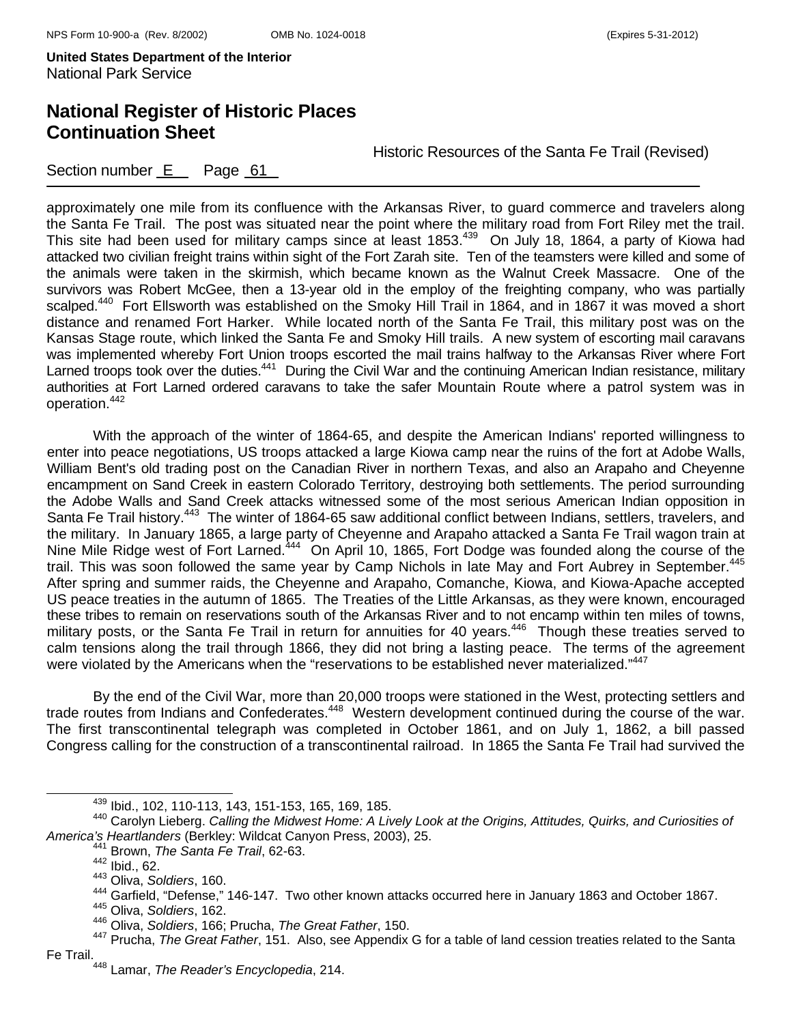# **National Register of Historic Places Continuation Sheet**

Historic Resources of the Santa Fe Trail (Revised)

Section number E Page 61

approximately one mile from its confluence with the Arkansas River, to guard commerce and travelers along the Santa Fe Trail. The post was situated near the point where the military road from Fort Riley met the trail. This site had been used for military camps since at least 1853.<sup>439</sup> On July 18, 1864, a party of Kiowa had attacked two civilian freight trains within sight of the Fort Zarah site. Ten of the teamsters were killed and some of the animals were taken in the skirmish, which became known as the Walnut Creek Massacre. One of the survivors was Robert McGee, then a 13-year old in the employ of the freighting company, who was partially scalped.<sup>440</sup> Fort Ellsworth was established on the Smoky Hill Trail in 1864, and in 1867 it was moved a short distance and renamed Fort Harker. While located north of the Santa Fe Trail, this military post was on the Kansas Stage route, which linked the Santa Fe and Smoky Hill trails. A new system of escorting mail caravans was implemented whereby Fort Union troops escorted the mail trains halfway to the Arkansas River where Fort Larned troops took over the duties.<sup>441</sup> During the Civil War and the continuing American Indian resistance, military authorities at Fort Larned ordered caravans to take the safer Mountain Route where a patrol system was in operation.442

With the approach of the winter of 1864-65, and despite the American Indians' reported willingness to enter into peace negotiations, US troops attacked a large Kiowa camp near the ruins of the fort at Adobe Walls, William Bent's old trading post on the Canadian River in northern Texas, and also an Arapaho and Cheyenne encampment on Sand Creek in eastern Colorado Territory, destroying both settlements. The period surrounding the Adobe Walls and Sand Creek attacks witnessed some of the most serious American Indian opposition in Santa Fe Trail history.<sup>443</sup> The winter of 1864-65 saw additional conflict between Indians, settlers, travelers, and the military. In January 1865, a large party of Cheyenne and Arapaho attacked a Santa Fe Trail wagon train at Nine Mile Ridge west of Fort Larned.<sup>444</sup> On April 10, 1865, Fort Dodge was founded along the course of the trail. This was soon followed the same year by Camp Nichols in late May and Fort Aubrey in September.<sup>445</sup> After spring and summer raids, the Cheyenne and Arapaho, Comanche, Kiowa, and Kiowa-Apache accepted US peace treaties in the autumn of 1865. The Treaties of the Little Arkansas, as they were known, encouraged these tribes to remain on reservations south of the Arkansas River and to not encamp within ten miles of towns, military posts, or the Santa Fe Trail in return for annuities for 40 years.<sup>446</sup> Though these treaties served to calm tensions along the trail through 1866, they did not bring a lasting peace. The terms of the agreement were violated by the Americans when the "reservations to be established never materialized."447

 By the end of the Civil War, more than 20,000 troops were stationed in the West, protecting settlers and trade routes from Indians and Confederates.<sup>448</sup> Western development continued during the course of the war. The first transcontinental telegraph was completed in October 1861, and on July 1, 1862, a bill passed Congress calling for the construction of a transcontinental railroad. In 1865 the Santa Fe Trail had survived the

439 Ibid., 102, 110-113, 143, 151-153, 165, 169, 185.

<sup>440</sup> Carolyn Lieberg. *Calling the Midwest Home: A Lively Look at the Origins, Attitudes, Quirks, and Curiosities of America's Heartlanders* (Berkley: Wildcat Canyon Press, 2003), 25. 441 Brown, *The Santa Fe Trail*, 62-63.

 $442$  Ibid., 62.

<sup>443</sup> Oliva, *Soldiers*, 160.

<sup>&</sup>lt;sup>444</sup> Garfield, "Defense," 146-147. Two other known attacks occurred here in January 1863 and October 1867.<br><sup>445</sup> Oliva, *Soldiers*, 162.

<sup>446</sup> Oliva, *Soldiers*, 166; Prucha, *The Great Father*, 150.

<sup>447</sup> Prucha, *The Great Father*, 151. Also, see Appendix G for a table of land cession treaties related to the Santa Fe Trail.

<sup>448</sup> Lamar, *The Reader's Encyclopedia*, 214.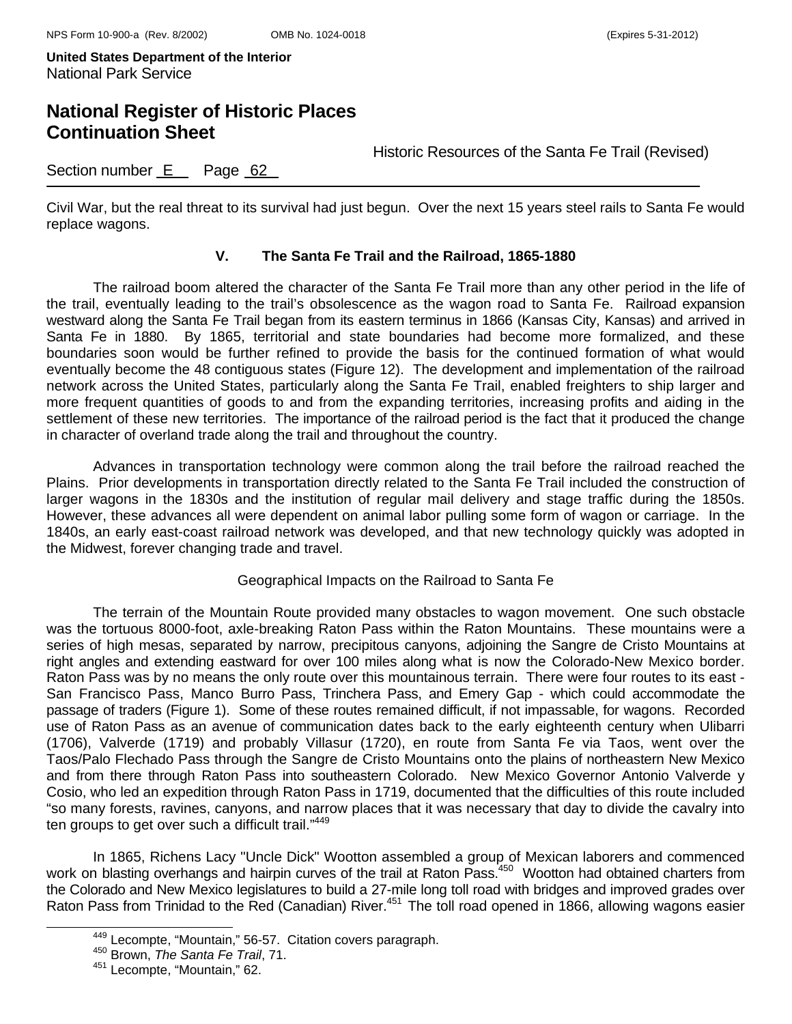### **National Register of Historic Places Continuation Sheet**

Historic Resources of the Santa Fe Trail (Revised)

Section number  $E$  Page  $62$ 

Civil War, but the real threat to its survival had just begun. Over the next 15 years steel rails to Santa Fe would replace wagons.

#### **V. The Santa Fe Trail and the Railroad, 1865-1880**

The railroad boom altered the character of the Santa Fe Trail more than any other period in the life of the trail, eventually leading to the trail's obsolescence as the wagon road to Santa Fe. Railroad expansion westward along the Santa Fe Trail began from its eastern terminus in 1866 (Kansas City, Kansas) and arrived in Santa Fe in 1880. By 1865, territorial and state boundaries had become more formalized, and these boundaries soon would be further refined to provide the basis for the continued formation of what would eventually become the 48 contiguous states (Figure 12). The development and implementation of the railroad network across the United States, particularly along the Santa Fe Trail, enabled freighters to ship larger and more frequent quantities of goods to and from the expanding territories, increasing profits and aiding in the settlement of these new territories. The importance of the railroad period is the fact that it produced the change in character of overland trade along the trail and throughout the country.

Advances in transportation technology were common along the trail before the railroad reached the Plains. Prior developments in transportation directly related to the Santa Fe Trail included the construction of larger wagons in the 1830s and the institution of regular mail delivery and stage traffic during the 1850s. However, these advances all were dependent on animal labor pulling some form of wagon or carriage. In the 1840s, an early east-coast railroad network was developed, and that new technology quickly was adopted in the Midwest, forever changing trade and travel.

#### Geographical Impacts on the Railroad to Santa Fe

The terrain of the Mountain Route provided many obstacles to wagon movement. One such obstacle was the tortuous 8000-foot, axle-breaking Raton Pass within the Raton Mountains. These mountains were a series of high mesas, separated by narrow, precipitous canyons, adjoining the Sangre de Cristo Mountains at right angles and extending eastward for over 100 miles along what is now the Colorado-New Mexico border. Raton Pass was by no means the only route over this mountainous terrain. There were four routes to its east - San Francisco Pass, Manco Burro Pass, Trinchera Pass, and Emery Gap - which could accommodate the passage of traders (Figure 1). Some of these routes remained difficult, if not impassable, for wagons. Recorded use of Raton Pass as an avenue of communication dates back to the early eighteenth century when Ulibarri (1706), Valverde (1719) and probably Villasur (1720), en route from Santa Fe via Taos, went over the Taos/Palo Flechado Pass through the Sangre de Cristo Mountains onto the plains of northeastern New Mexico and from there through Raton Pass into southeastern Colorado. New Mexico Governor Antonio Valverde y Cosio, who led an expedition through Raton Pass in 1719, documented that the difficulties of this route included "so many forests, ravines, canyons, and narrow places that it was necessary that day to divide the cavalry into ten groups to get over such a difficult trail."<sup>449</sup>

In 1865, Richens Lacy "Uncle Dick" Wootton assembled a group of Mexican laborers and commenced work on blasting overhangs and hairpin curves of the trail at Raton Pass.<sup>450</sup> Wootton had obtained charters from the Colorado and New Mexico legislatures to build a 27-mile long toll road with bridges and improved grades over Raton Pass from Trinidad to the Red (Canadian) River.<sup>451</sup> The toll road opened in 1866, allowing wagons easier

449 Lecompte, "Mountain," 56-57. Citation covers paragraph. 450 Brown, *The Santa Fe Trail*, 71.

<sup>451</sup> Lecompte, "Mountain," 62.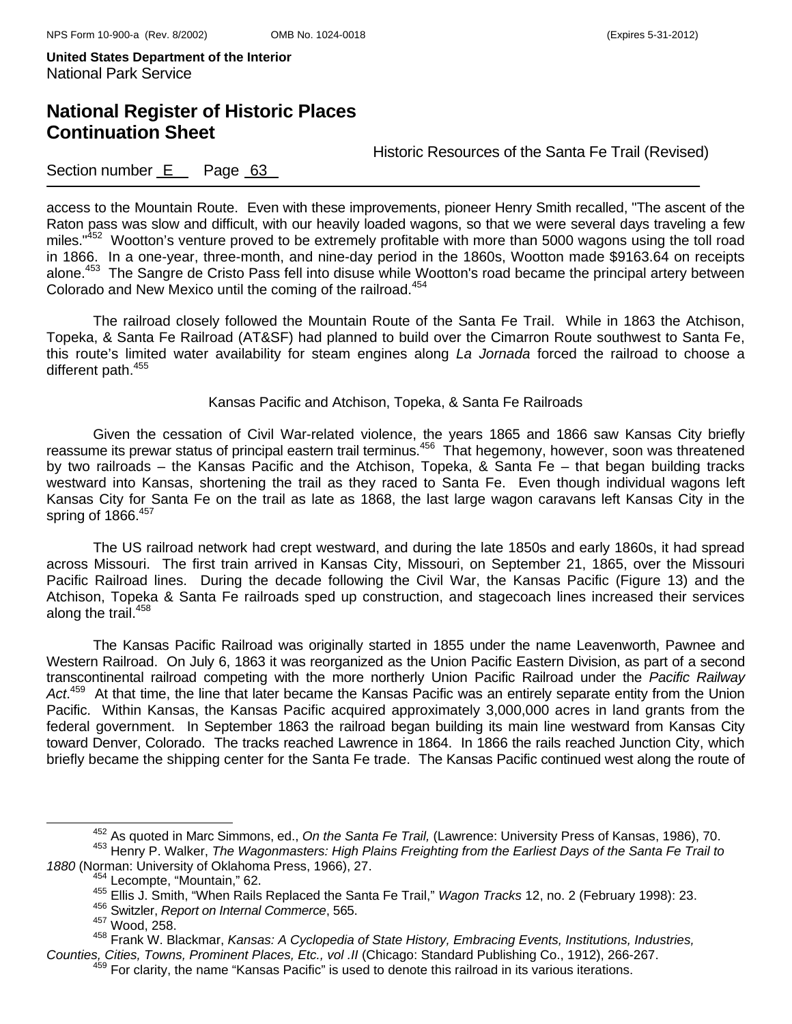# **National Register of Historic Places Continuation Sheet**

Historic Resources of the Santa Fe Trail (Revised)

### Section number  $E$  Page  $63$

access to the Mountain Route. Even with these improvements, pioneer Henry Smith recalled, "The ascent of the Raton pass was slow and difficult, with our heavily loaded wagons, so that we were several days traveling a few miles."<sup>452</sup> Wootton's venture proved to be extremely profitable with more than 5000 wagons using the toll road in 1866. In a one-year, three-month, and nine-day period in the 1860s, Wootton made \$9163.64 on receipts alone.453 The Sangre de Cristo Pass fell into disuse while Wootton's road became the principal artery between Colorado and New Mexico until the coming of the railroad.<sup>454</sup>

The railroad closely followed the Mountain Route of the Santa Fe Trail. While in 1863 the Atchison, Topeka, & Santa Fe Railroad (AT&SF) had planned to build over the Cimarron Route southwest to Santa Fe, this route's limited water availability for steam engines along *La Jornada* forced the railroad to choose a different path.<sup>455</sup>

#### Kansas Pacific and Atchison, Topeka, & Santa Fe Railroads

Given the cessation of Civil War-related violence, the years 1865 and 1866 saw Kansas City briefly reassume its prewar status of principal eastern trail terminus.<sup>456</sup> That hegemony, however, soon was threatened by two railroads – the Kansas Pacific and the Atchison, Topeka, & Santa Fe – that began building tracks westward into Kansas, shortening the trail as they raced to Santa Fe. Even though individual wagons left Kansas City for Santa Fe on the trail as late as 1868, the last large wagon caravans left Kansas City in the spring of  $1866.<sup>457</sup>$ 

The US railroad network had crept westward, and during the late 1850s and early 1860s, it had spread across Missouri. The first train arrived in Kansas City, Missouri, on September 21, 1865, over the Missouri Pacific Railroad lines. During the decade following the Civil War, the Kansas Pacific (Figure 13) and the Atchison, Topeka & Santa Fe railroads sped up construction, and stagecoach lines increased their services along the trail.<sup>458</sup>

The Kansas Pacific Railroad was originally started in 1855 under the name Leavenworth, Pawnee and Western Railroad. On July 6, 1863 it was reorganized as the Union Pacific Eastern Division, as part of a second transcontinental railroad competing with the more northerly Union Pacific Railroad under the *Pacific Railway Act*. 459 At that time, the line that later became the Kansas Pacific was an entirely separate entity from the Union Pacific. Within Kansas, the Kansas Pacific acquired approximately 3,000,000 acres in land grants from the federal government. In September 1863 the railroad began building its main line westward from Kansas City toward Denver, Colorado. The tracks reached Lawrence in 1864. In 1866 the rails reached Junction City, which briefly became the shipping center for the Santa Fe trade. The Kansas Pacific continued west along the route of

456 Switzler, *Report on Internal Commerce*, 565.

<sup>&</sup>lt;sup>452</sup> As quoted in Marc Simmons, ed., *On the Santa Fe Trail,* (Lawrence: University Press of Kansas, 1986), 70.<br><sup>453</sup> Henry P. Walker, *The Wagonmasters: High Plains Freighting from the Earliest Days of the Santa Fe Trai* 

<sup>&</sup>lt;sup>455</sup> Ellis J. Smith, "When Rails Replaced the Santa Fe Trail," *Wagon Tracks* 12, no. 2 (February 1998): 23.

<sup>457</sup> Wood, 258.

<sup>458</sup> Frank W. Blackmar, *Kansas: A Cyclopedia of State History, Embracing Events, Institutions, Industries,* 

*Counties, Cities, Towns, Prominent Places, Etc., vol .II* (Chicago: Standard Publishing Co., 1912), 266-267. 459 For clarity, the name "Kansas Pacific" is used to denote this railroad in its various iterations.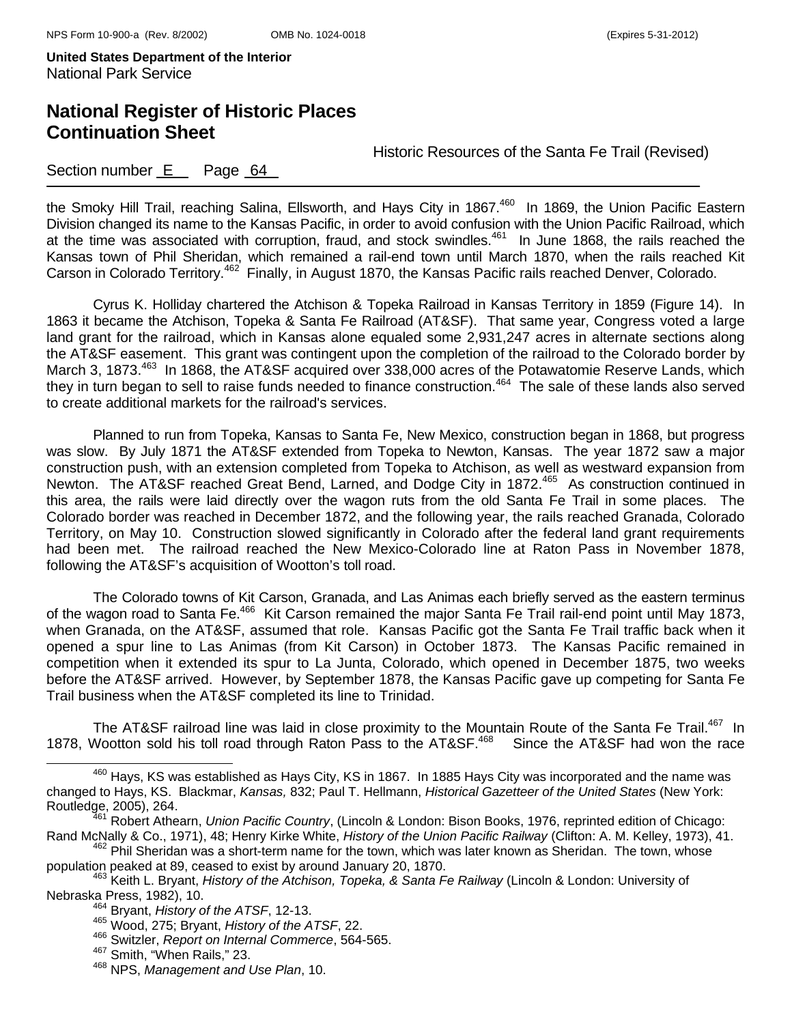# **National Register of Historic Places Continuation Sheet**

Historic Resources of the Santa Fe Trail (Revised)

### Section number E Page 64

the Smoky Hill Trail, reaching Salina, Ellsworth, and Hays City in 1867.<sup>460</sup> In 1869, the Union Pacific Eastern Division changed its name to the Kansas Pacific, in order to avoid confusion with the Union Pacific Railroad, which at the time was associated with corruption, fraud, and stock swindles.<sup>461</sup> In June 1868, the rails reached the Kansas town of Phil Sheridan, which remained a rail-end town until March 1870, when the rails reached Kit Carson in Colorado Territory.<sup>462</sup> Finally, in August 1870, the Kansas Pacific rails reached Denver, Colorado.

Cyrus K. Holliday chartered the Atchison & Topeka Railroad in Kansas Territory in 1859 (Figure 14). In 1863 it became the Atchison, Topeka & Santa Fe Railroad (AT&SF). That same year, Congress voted a large land grant for the railroad, which in Kansas alone equaled some 2,931,247 acres in alternate sections along the AT&SF easement. This grant was contingent upon the completion of the railroad to the Colorado border by March 3, 1873.<sup>463</sup> In 1868, the AT&SF acquired over 338,000 acres of the Potawatomie Reserve Lands, which they in turn began to sell to raise funds needed to finance construction.464 The sale of these lands also served to create additional markets for the railroad's services.

Planned to run from Topeka, Kansas to Santa Fe, New Mexico, construction began in 1868, but progress was slow. By July 1871 the AT&SF extended from Topeka to Newton, Kansas. The year 1872 saw a major construction push, with an extension completed from Topeka to Atchison, as well as westward expansion from Newton. The AT&SF reached Great Bend, Larned, and Dodge City in 1872.<sup>465</sup> As construction continued in this area, the rails were laid directly over the wagon ruts from the old Santa Fe Trail in some places. The Colorado border was reached in December 1872, and the following year, the rails reached Granada, Colorado Territory, on May 10. Construction slowed significantly in Colorado after the federal land grant requirements had been met. The railroad reached the New Mexico-Colorado line at Raton Pass in November 1878, following the AT&SF's acquisition of Wootton's toll road.

The Colorado towns of Kit Carson, Granada, and Las Animas each briefly served as the eastern terminus of the wagon road to Santa Fe.<sup>466</sup> Kit Carson remained the major Santa Fe Trail rail-end point until May 1873, when Granada, on the AT&SF, assumed that role. Kansas Pacific got the Santa Fe Trail traffic back when it opened a spur line to Las Animas (from Kit Carson) in October 1873. The Kansas Pacific remained in competition when it extended its spur to La Junta, Colorado, which opened in December 1875, two weeks before the AT&SF arrived. However, by September 1878, the Kansas Pacific gave up competing for Santa Fe Trail business when the AT&SF completed its line to Trinidad.

The AT&SF railroad line was laid in close proximity to the Mountain Route of the Santa Fe Trail.<sup>467</sup> In 1878. Wootton sold his toll road through Raton Pass to the AT&SF.<sup>468</sup> Since the AT&SF had won the race

<sup>&</sup>lt;sup>460</sup> Hays, KS was established as Hays City, KS in 1867. In 1885 Hays City was incorporated and the name was changed to Hays, KS. Blackmar, *Kansas,* 832; Paul T. Hellmann, *Historical Gazetteer of the United States* (New York:

Robert Athearn, *Union Pacific Country*, (Lincoln & London: Bison Books, 1976, reprinted edition of Chicago: Rand McNally & Co., 1971), 48; Henry Kirke White, *History of the Union Pacific Railway* (Clifton: A. M. Kelley, 1973), 41.<br><sup>462</sup> Phil Sheridan was a short-term name for the town, which was later known as Sheridan. The tow

population peaked at 89, ceased to exist by around January 20, 1870.<br><sup>463</sup> Keith L. Bryant, *History of the Atchison, Topeka, & Santa Fe Railway* (Lincoln & London: University of<br>Nebraska Press, 1982), 10.

<sup>&</sup>lt;sup>464</sup> Bryant, *History of the ATSF*, 12-13.

<sup>465</sup> Wood, 275; Bryant, *History of the ATSF*, 22.

<sup>466</sup> Switzler, *Report on Internal Commerce*, 564-565. 467 Smith, "When Rails," 23.

<sup>468</sup> NPS, *Management and Use Plan*, 10.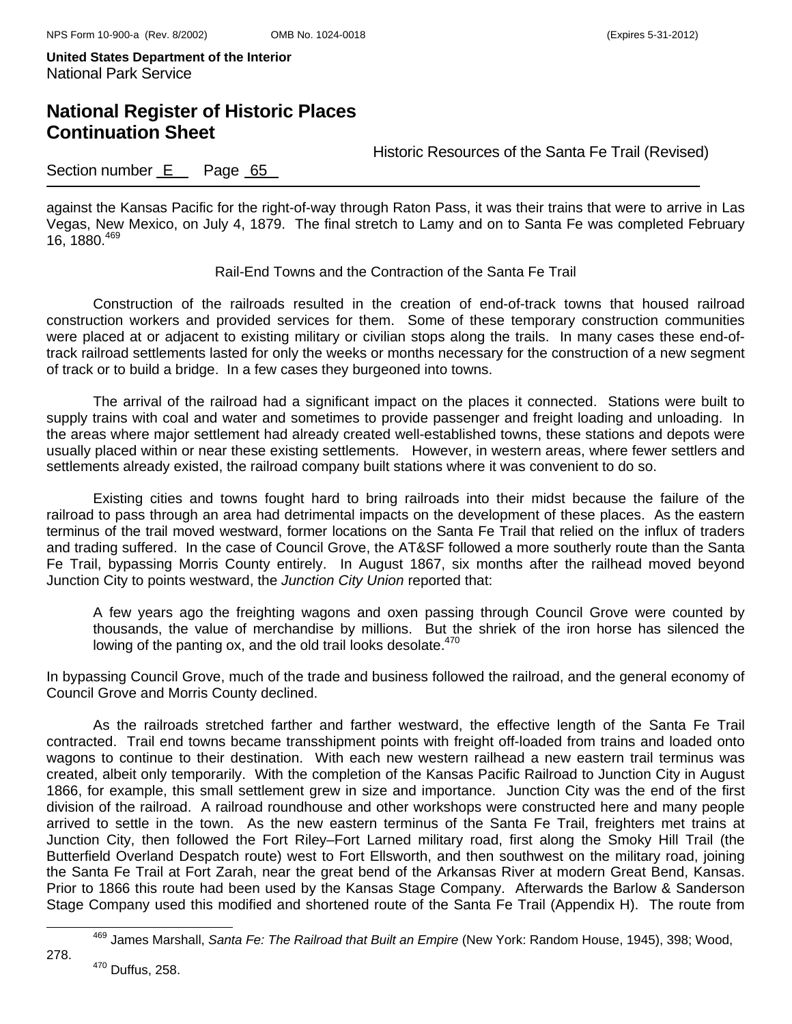# **National Register of Historic Places Continuation Sheet**

Historic Resources of the Santa Fe Trail (Revised)

### Section number E Page 65

against the Kansas Pacific for the right-of-way through Raton Pass, it was their trains that were to arrive in Las Vegas, New Mexico, on July 4, 1879. The final stretch to Lamy and on to Santa Fe was completed February 16, 1880. $469$ 

#### Rail-End Towns and the Contraction of the Santa Fe Trail

Construction of the railroads resulted in the creation of end-of-track towns that housed railroad construction workers and provided services for them. Some of these temporary construction communities were placed at or adjacent to existing military or civilian stops along the trails. In many cases these end-oftrack railroad settlements lasted for only the weeks or months necessary for the construction of a new segment of track or to build a bridge. In a few cases they burgeoned into towns.

The arrival of the railroad had a significant impact on the places it connected. Stations were built to supply trains with coal and water and sometimes to provide passenger and freight loading and unloading. In the areas where major settlement had already created well-established towns, these stations and depots were usually placed within or near these existing settlements. However, in western areas, where fewer settlers and settlements already existed, the railroad company built stations where it was convenient to do so.

Existing cities and towns fought hard to bring railroads into their midst because the failure of the railroad to pass through an area had detrimental impacts on the development of these places. As the eastern terminus of the trail moved westward, former locations on the Santa Fe Trail that relied on the influx of traders and trading suffered. In the case of Council Grove, the AT&SF followed a more southerly route than the Santa Fe Trail, bypassing Morris County entirely. In August 1867, six months after the railhead moved beyond Junction City to points westward, the *Junction City Union* reported that:

A few years ago the freighting wagons and oxen passing through Council Grove were counted by thousands, the value of merchandise by millions. But the shriek of the iron horse has silenced the lowing of the panting ox, and the old trail looks desolate.<sup>470</sup>

In bypassing Council Grove, much of the trade and business followed the railroad, and the general economy of Council Grove and Morris County declined.

As the railroads stretched farther and farther westward, the effective length of the Santa Fe Trail contracted. Trail end towns became transshipment points with freight off-loaded from trains and loaded onto wagons to continue to their destination. With each new western railhead a new eastern trail terminus was created, albeit only temporarily. With the completion of the Kansas Pacific Railroad to Junction City in August 1866, for example, this small settlement grew in size and importance. Junction City was the end of the first division of the railroad. A railroad roundhouse and other workshops were constructed here and many people arrived to settle in the town. As the new eastern terminus of the Santa Fe Trail, freighters met trains at Junction City, then followed the Fort Riley–Fort Larned military road, first along the Smoky Hill Trail (the Butterfield Overland Despatch route) west to Fort Ellsworth, and then southwest on the military road, joining the Santa Fe Trail at Fort Zarah, near the great bend of the Arkansas River at modern Great Bend, Kansas. Prior to 1866 this route had been used by the Kansas Stage Company. Afterwards the Barlow & Sanderson Stage Company used this modified and shortened route of the Santa Fe Trail (Appendix H). The route from

278.

469 James Marshall, *Santa Fe: The Railroad that Built an Empire* (New York: Random House, 1945), 398; Wood,

<sup>470</sup> Duffus, 258.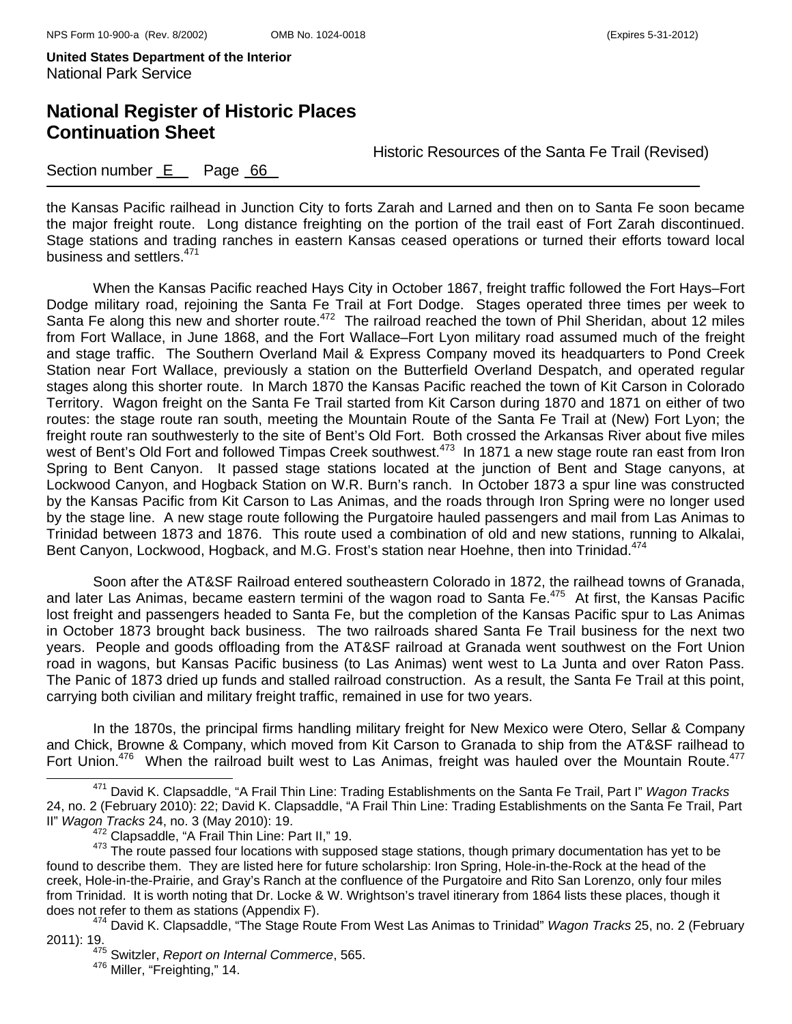# **National Register of Historic Places Continuation Sheet**

Historic Resources of the Santa Fe Trail (Revised)

### Section number E Page 66

the Kansas Pacific railhead in Junction City to forts Zarah and Larned and then on to Santa Fe soon became the major freight route. Long distance freighting on the portion of the trail east of Fort Zarah discontinued. Stage stations and trading ranches in eastern Kansas ceased operations or turned their efforts toward local business and settlers.<sup>471</sup>

When the Kansas Pacific reached Hays City in October 1867, freight traffic followed the Fort Hays–Fort Dodge military road, rejoining the Santa Fe Trail at Fort Dodge. Stages operated three times per week to Santa Fe along this new and shorter route.<sup>472</sup> The railroad reached the town of Phil Sheridan, about 12 miles from Fort Wallace, in June 1868, and the Fort Wallace–Fort Lyon military road assumed much of the freight and stage traffic. The Southern Overland Mail & Express Company moved its headquarters to Pond Creek Station near Fort Wallace, previously a station on the Butterfield Overland Despatch, and operated regular stages along this shorter route. In March 1870 the Kansas Pacific reached the town of Kit Carson in Colorado Territory. Wagon freight on the Santa Fe Trail started from Kit Carson during 1870 and 1871 on either of two routes: the stage route ran south, meeting the Mountain Route of the Santa Fe Trail at (New) Fort Lyon; the freight route ran southwesterly to the site of Bent's Old Fort. Both crossed the Arkansas River about five miles west of Bent's Old Fort and followed Timpas Creek southwest.<sup>473</sup> In 1871 a new stage route ran east from Iron Spring to Bent Canyon. It passed stage stations located at the junction of Bent and Stage canyons, at Lockwood Canyon, and Hogback Station on W.R. Burn's ranch. In October 1873 a spur line was constructed by the Kansas Pacific from Kit Carson to Las Animas, and the roads through Iron Spring were no longer used by the stage line. A new stage route following the Purgatoire hauled passengers and mail from Las Animas to Trinidad between 1873 and 1876. This route used a combination of old and new stations, running to Alkalai, Bent Canyon, Lockwood, Hogback, and M.G. Frost's station near Hoehne, then into Trinidad.<sup>474</sup>

Soon after the AT&SF Railroad entered southeastern Colorado in 1872, the railhead towns of Granada, and later Las Animas, became eastern termini of the wagon road to Santa Fe.<sup>475</sup> At first, the Kansas Pacific lost freight and passengers headed to Santa Fe, but the completion of the Kansas Pacific spur to Las Animas in October 1873 brought back business. The two railroads shared Santa Fe Trail business for the next two years. People and goods offloading from the AT&SF railroad at Granada went southwest on the Fort Union road in wagons, but Kansas Pacific business (to Las Animas) went west to La Junta and over Raton Pass. The Panic of 1873 dried up funds and stalled railroad construction. As a result, the Santa Fe Trail at this point, carrying both civilian and military freight traffic, remained in use for two years.

In the 1870s, the principal firms handling military freight for New Mexico were Otero, Sellar & Company and Chick, Browne & Company, which moved from Kit Carson to Granada to ship from the AT&SF railhead to Fort Union.<sup>476</sup> When the railroad built west to Las Animas, freight was hauled over the Mountain Route.<sup>477</sup>

471 David K. Clapsaddle, "A Frail Thin Line: Trading Establishments on the Santa Fe Trail, Part I" *Wagon Tracks* 24, no. 2 (February 2010): 22; David K. Clapsaddle, "A Frail Thin Line: Trading Establishments on the Santa Fe Trail, Part II" *Wagon Tracks* 24, no. 3 (May 2010): 19.

<sup>473</sup> Clapsadia,  $\frac{1}{100}$ ,  $\frac{1}{100}$ ,  $\frac{1}{100}$ ,  $\frac{1}{100}$  or this supposed stage stations, though primary documentation has yet to be found to describe them. They are listed here for future scholarship: Iron Spring, Hole-in-the-Rock at the head of the creek, Hole-in-the-Prairie, and Gray's Ranch at the confluence of the Purgatoire and Rito San Lorenzo, only four miles from Trinidad. It is worth noting that Dr. Locke & W. Wrightson's travel itinerary from 1864 lists these places, though it does not refer to them as stations (Appendix F).<br><sup>474</sup> David K. Clapsaddle, "The Stage Route From West Las Animas to Trinidad" *Wagon Tracks* 25, no. 2 (February

<sup>2011): 19. 475</sup> Switzler, *Report on Internal Commerce*, 565.

<sup>&</sup>lt;sup>476</sup> Miller, "Freighting," 14.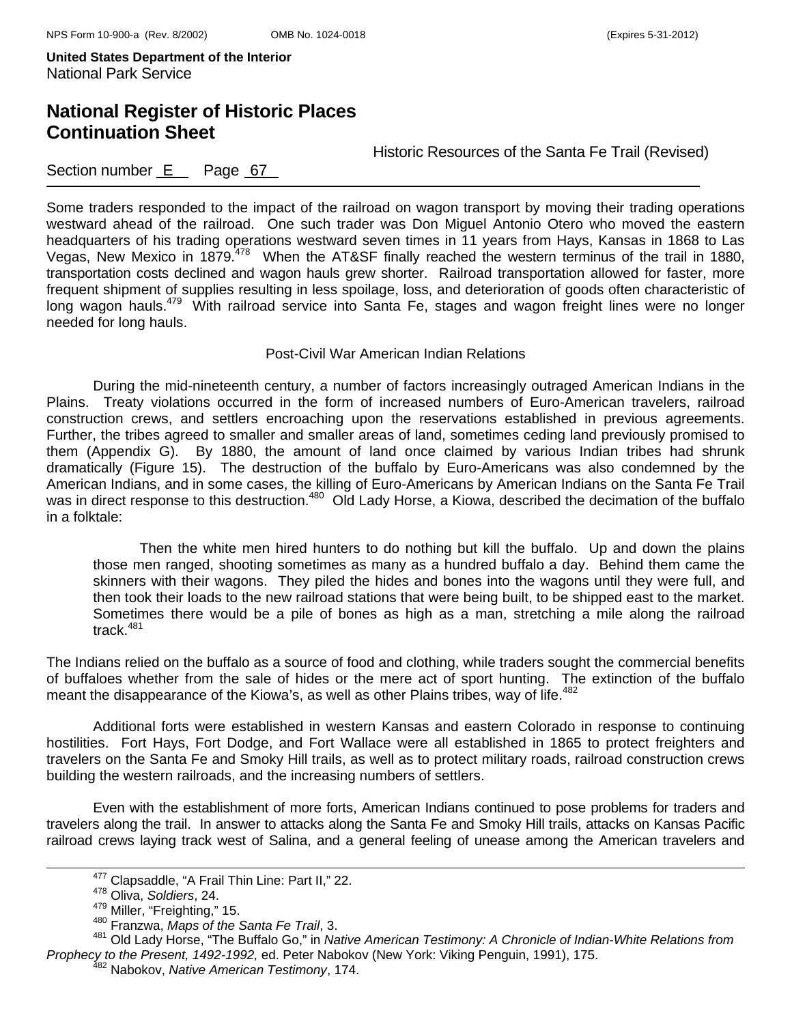## **National Register of Historic Places Continuation Sheet**

Historic Resources of the Santa Fe Trail (Revised)

### Section number E Page 67

Some traders responded to the impact of the railroad on wagon transport by moving their trading operations westward ahead of the railroad. One such trader was Don Miguel Antonio Otero who moved the eastern headquarters of his trading operations westward seven times in 11 years from Hays, Kansas in 1868 to Las Vegas, New Mexico in 1879.<sup>478</sup> When the AT&SF finally reached the western terminus of the trail in 1880, transportation costs declined and wagon hauls grew shorter. Railroad transportation allowed for faster, more frequent shipment of supplies resulting in less spoilage, loss, and deterioration of goods often characteristic of long wagon hauls.<sup>479</sup> With railroad service into Santa Fe, stages and wagon freight lines were no longer needed for long hauls.

#### Post-Civil War American Indian Relations

During the mid-nineteenth century, a number of factors increasingly outraged American Indians in the Plains. Treaty violations occurred in the form of increased numbers of Euro-American travelers, railroad construction crews, and settlers encroaching upon the reservations established in previous agreements. Further, the tribes agreed to smaller and smaller areas of land, sometimes ceding land previously promised to them (Appendix G). By 1880, the amount of land once claimed by various Indian tribes had shrunk dramatically (Figure 15). The destruction of the buffalo by Euro-Americans was also condemned by the American Indians, and in some cases, the killing of Euro-Americans by American Indians on the Santa Fe Trail was in direct response to this destruction.<sup>480</sup> Old Lady Horse, a Kiowa, described the decimation of the buffalo in a folktale:

Then the white men hired hunters to do nothing but kill the buffalo. Up and down the plains those men ranged, shooting sometimes as many as a hundred buffalo a day. Behind them came the skinners with their wagons. They piled the hides and bones into the wagons until they were full, and then took their loads to the new railroad stations that were being built, to be shipped east to the market. Sometimes there would be a pile of bones as high as a man, stretching a mile along the railroad track. $481$ 

The Indians relied on the buffalo as a source of food and clothing, while traders sought the commercial benefits of buffaloes whether from the sale of hides or the mere act of sport hunting. The extinction of the buffalo meant the disappearance of the Kiowa's, as well as other Plains tribes, way of life.<sup>482</sup>

Additional forts were established in western Kansas and eastern Colorado in response to continuing hostilities. Fort Hays, Fort Dodge, and Fort Wallace were all established in 1865 to protect freighters and travelers on the Santa Fe and Smoky Hill trails, as well as to protect military roads, railroad construction crews building the western railroads, and the increasing numbers of settlers.

Even with the establishment of more forts, American Indians continued to pose problems for traders and travelers along the trail. In answer to attacks along the Santa Fe and Smoky Hill trails, attacks on Kansas Pacific railroad crews laying track west of Salina, and a general feeling of unease among the American travelers and

477 Clapsaddle, "A Frail Thin Line: Part II," 22. 478 Oliva, *Soldiers*, 24.

<sup>&</sup>lt;sup>480</sup> Franzwa, Maps of the Santa Fe Trail, 3.

<sup>481</sup> Old Lady Horse, "The Buffalo Go," in *Native American Testimony: A Chronicle of Indian-White Relations from Prophecy to the Present, 1492-1992,* ed. Peter Nabokov (New York: Viking Penguin, 1991), 175. 482 Nabokov, *Native American Testimony*, 174.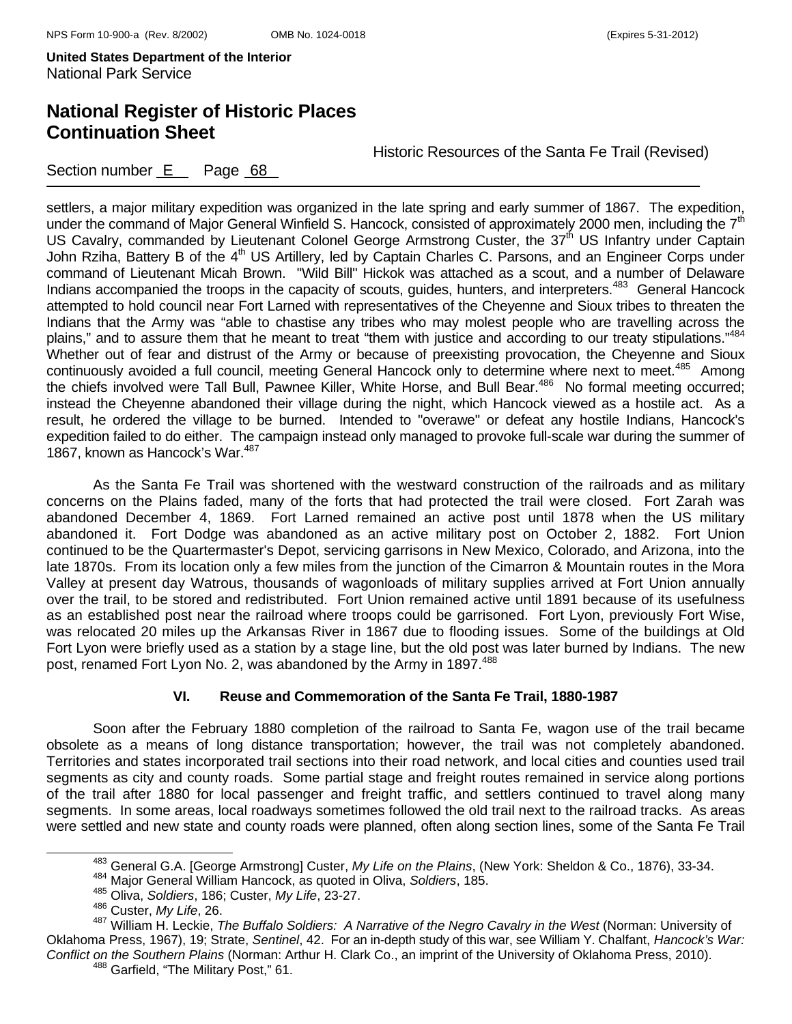# **National Register of Historic Places Continuation Sheet**

Historic Resources of the Santa Fe Trail (Revised)

Section number E Page 68

settlers, a major military expedition was organized in the late spring and early summer of 1867. The expedition, under the command of Major General Winfield S. Hancock, consisted of approximately 2000 men, including the  $7<sup>th</sup>$ US Cavalry, commanded by Lieutenant Colonel George Armstrong Custer, the 37<sup>th</sup> US Infantry under Captain John Rziha, Battery B of the 4<sup>th</sup> US Artillery, led by Captain Charles C. Parsons, and an Engineer Corps under command of Lieutenant Micah Brown. "Wild Bill" Hickok was attached as a scout, and a number of Delaware Indians accompanied the troops in the capacity of scouts, guides, hunters, and interpreters.<sup>483</sup> General Hancock attempted to hold council near Fort Larned with representatives of the Cheyenne and Sioux tribes to threaten the Indians that the Army was "able to chastise any tribes who may molest people who are travelling across the plains," and to assure them that he meant to treat "them with justice and according to our treaty stipulations."484 Whether out of fear and distrust of the Army or because of preexisting provocation, the Cheyenne and Sioux continuously avoided a full council, meeting General Hancock only to determine where next to meet.<sup>485</sup> Among the chiefs involved were Tall Bull, Pawnee Killer, White Horse, and Bull Bear.486 No formal meeting occurred; instead the Cheyenne abandoned their village during the night, which Hancock viewed as a hostile act. As a result, he ordered the village to be burned. Intended to "overawe" or defeat any hostile Indians, Hancock's expedition failed to do either. The campaign instead only managed to provoke full-scale war during the summer of 1867, known as Hancock's War.<sup>487</sup>

As the Santa Fe Trail was shortened with the westward construction of the railroads and as military concerns on the Plains faded, many of the forts that had protected the trail were closed. Fort Zarah was abandoned December 4, 1869. Fort Larned remained an active post until 1878 when the US military abandoned it. Fort Dodge was abandoned as an active military post on October 2, 1882. Fort Union continued to be the Quartermaster's Depot, servicing garrisons in New Mexico, Colorado, and Arizona, into the late 1870s. From its location only a few miles from the junction of the Cimarron & Mountain routes in the Mora Valley at present day Watrous, thousands of wagonloads of military supplies arrived at Fort Union annually over the trail, to be stored and redistributed. Fort Union remained active until 1891 because of its usefulness as an established post near the railroad where troops could be garrisoned. Fort Lyon, previously Fort Wise, was relocated 20 miles up the Arkansas River in 1867 due to flooding issues. Some of the buildings at Old Fort Lyon were briefly used as a station by a stage line, but the old post was later burned by Indians. The new post, renamed Fort Lyon No. 2, was abandoned by the Army in 1897.<sup>488</sup>

### **VI. Reuse and Commemoration of the Santa Fe Trail, 1880-1987**

Soon after the February 1880 completion of the railroad to Santa Fe, wagon use of the trail became obsolete as a means of long distance transportation; however, the trail was not completely abandoned. Territories and states incorporated trail sections into their road network, and local cities and counties used trail segments as city and county roads. Some partial stage and freight routes remained in service along portions of the trail after 1880 for local passenger and freight traffic, and settlers continued to travel along many segments. In some areas, local roadways sometimes followed the old trail next to the railroad tracks. As areas were settled and new state and county roads were planned, often along section lines, some of the Santa Fe Trail

483 General G.A. [George Armstrong] Custer, *My Life on the Plains*, (New York: Sheldon & Co., 1876), 33-34. 484 Major General William Hancock, as quoted in Oliva, *Soldiers*, 185.

<sup>485</sup> Oliva, *Soldiers*, 186; Custer, *My Life*, 23-27.

<sup>486</sup> Custer, *My Life*, 26.

<sup>487</sup> William H. Leckie, *The Buffalo Soldiers: A Narrative of the Negro Cavalry in the West* (Norman: University of Oklahoma Press, 1967), 19; Strate, *Sentinel*, 42. For an in-depth study of this war, see William Y. Chalfant, *Hancock's War: Conflict on the Southern Plains* (Norman: Arthur H. Clark Co., an imprint of the University of Oklahoma Press, 2010).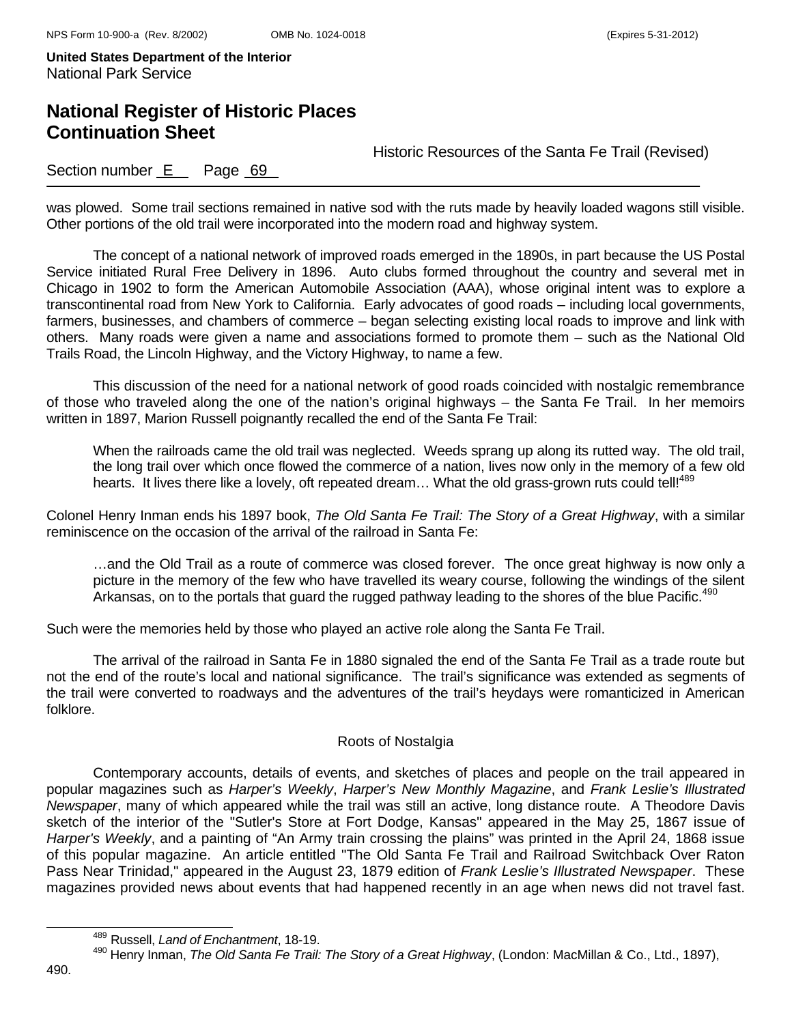# **National Register of Historic Places Continuation Sheet**

Historic Resources of the Santa Fe Trail (Revised)

### Section number E Page 69

was plowed. Some trail sections remained in native sod with the ruts made by heavily loaded wagons still visible. Other portions of the old trail were incorporated into the modern road and highway system.

The concept of a national network of improved roads emerged in the 1890s, in part because the US Postal Service initiated Rural Free Delivery in 1896. Auto clubs formed throughout the country and several met in Chicago in 1902 to form the American Automobile Association (AAA), whose original intent was to explore a transcontinental road from New York to California. Early advocates of good roads – including local governments, farmers, businesses, and chambers of commerce – began selecting existing local roads to improve and link with others. Many roads were given a name and associations formed to promote them – such as the National Old Trails Road, the Lincoln Highway, and the Victory Highway, to name a few.

This discussion of the need for a national network of good roads coincided with nostalgic remembrance of those who traveled along the one of the nation's original highways – the Santa Fe Trail. In her memoirs written in 1897, Marion Russell poignantly recalled the end of the Santa Fe Trail:

When the railroads came the old trail was neglected. Weeds sprang up along its rutted way. The old trail, the long trail over which once flowed the commerce of a nation, lives now only in the memory of a few old hearts. It lives there like a lovely, oft repeated dream... What the old grass-grown ruts could tell!<sup>489</sup>

Colonel Henry Inman ends his 1897 book, *The Old Santa Fe Trail: The Story of a Great Highway*, with a similar reminiscence on the occasion of the arrival of the railroad in Santa Fe:

…and the Old Trail as a route of commerce was closed forever. The once great highway is now only a picture in the memory of the few who have travelled its weary course, following the windings of the silent Arkansas, on to the portals that guard the rugged pathway leading to the shores of the blue Pacific.<sup>490</sup>

Such were the memories held by those who played an active role along the Santa Fe Trail.

The arrival of the railroad in Santa Fe in 1880 signaled the end of the Santa Fe Trail as a trade route but not the end of the route's local and national significance. The trail's significance was extended as segments of the trail were converted to roadways and the adventures of the trail's heydays were romanticized in American folklore.

#### Roots of Nostalgia

Contemporary accounts, details of events, and sketches of places and people on the trail appeared in popular magazines such as *Harper's Weekly*, *Harper's New Monthly Magazine*, and *Frank Leslie's Illustrated Newspaper*, many of which appeared while the trail was still an active, long distance route. A Theodore Davis sketch of the interior of the "Sutler's Store at Fort Dodge, Kansas" appeared in the May 25, 1867 issue of *Harper's Weekly*, and a painting of "An Army train crossing the plains" was printed in the April 24, 1868 issue of this popular magazine. An article entitled "The Old Santa Fe Trail and Railroad Switchback Over Raton Pass Near Trinidad," appeared in the August 23, 1879 edition of *Frank Leslie's Illustrated Newspaper*. These magazines provided news about events that had happened recently in an age when news did not travel fast.

489 Russell, *Land of Enchantment*, 18-19.

<sup>490</sup> Henry Inman, *The Old Santa Fe Trail: The Story of a Great Highway*, (London: MacMillan & Co., Ltd., 1897),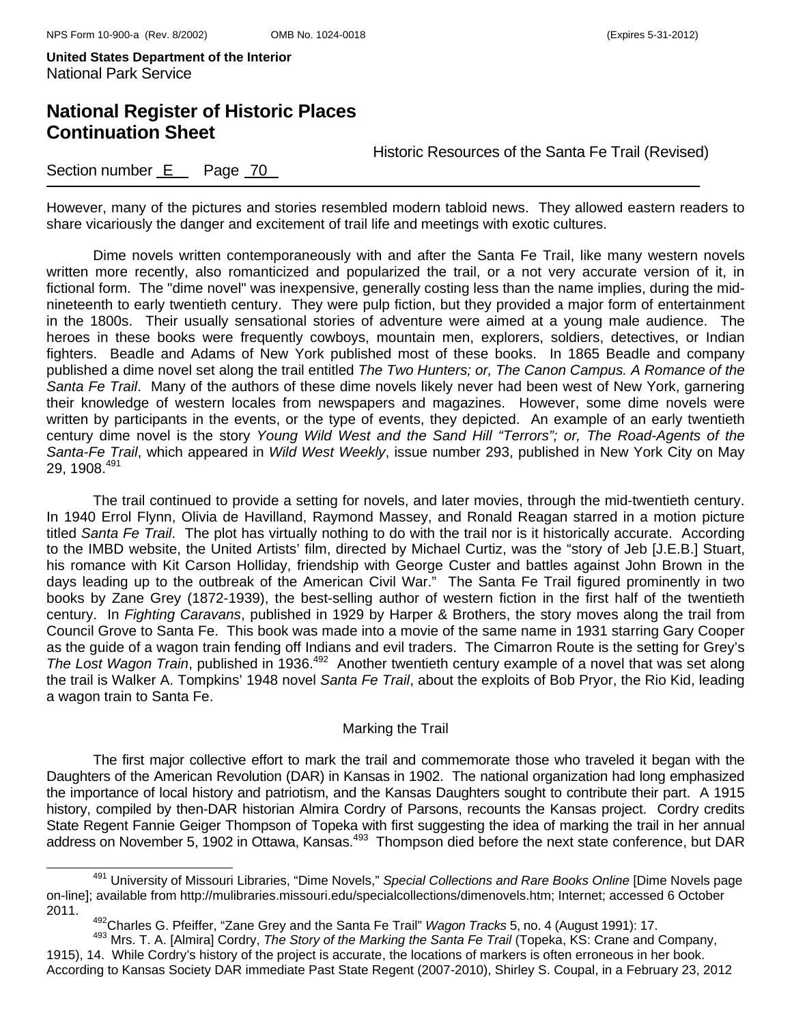# **National Register of Historic Places Continuation Sheet**

Historic Resources of the Santa Fe Trail (Revised)

### Section number E Page 70

However, many of the pictures and stories resembled modern tabloid news. They allowed eastern readers to share vicariously the danger and excitement of trail life and meetings with exotic cultures.

Dime novels written contemporaneously with and after the Santa Fe Trail, like many western novels written more recently, also romanticized and popularized the trail, or a not very accurate version of it, in fictional form. The "dime novel" was inexpensive, generally costing less than the name implies, during the midnineteenth to early twentieth century. They were pulp fiction, but they provided a major form of entertainment in the 1800s. Their usually sensational stories of adventure were aimed at a young male audience. The heroes in these books were frequently cowboys, mountain men, explorers, soldiers, detectives, or Indian fighters. Beadle and Adams of New York published most of these books. In 1865 Beadle and company published a dime novel set along the trail entitled *The Two Hunters; or, The Canon Campus. A Romance of the Santa Fe Trail*. Many of the authors of these dime novels likely never had been west of New York, garnering their knowledge of western locales from newspapers and magazines. However, some dime novels were written by participants in the events, or the type of events, they depicted. An example of an early twentieth century dime novel is the story *Young Wild West and the Sand Hill "Terrors"; or, The Road-Agents of the Santa-Fe Trail*, which appeared in *Wild West Weekly*, issue number 293, published in New York City on May 29, 1908.491

The trail continued to provide a setting for novels, and later movies, through the mid-twentieth century. In 1940 Errol Flynn, Olivia de Havilland, Raymond Massey, and Ronald Reagan starred in a motion picture titled *Santa Fe Trail*. The plot has virtually nothing to do with the trail nor is it historically accurate. According to the IMBD website, the United Artists' film, directed by Michael Curtiz, was the "story of Jeb [J.E.B.] Stuart, his romance with Kit Carson Holliday, friendship with George Custer and battles against John Brown in the days leading up to the outbreak of the American Civil War." The Santa Fe Trail figured prominently in two books by Zane Grey (1872-1939), the best-selling author of western fiction in the first half of the twentieth century. In *Fighting Caravans*, published in 1929 by Harper & Brothers, the story moves along the trail from Council Grove to Santa Fe. This book was made into a movie of the same name in 1931 starring Gary Cooper as the guide of a wagon train fending off Indians and evil traders. The Cimarron Route is the setting for Grey's *The Lost Wagon Train*, published in 1936.492 Another twentieth century example of a novel that was set along the trail is Walker A. Tompkins' 1948 novel *Santa Fe Trail*, about the exploits of Bob Pryor, the Rio Kid, leading a wagon train to Santa Fe.

#### Marking the Trail

The first major collective effort to mark the trail and commemorate those who traveled it began with the Daughters of the American Revolution (DAR) in Kansas in 1902. The national organization had long emphasized the importance of local history and patriotism, and the Kansas Daughters sought to contribute their part. A 1915 history, compiled by then-DAR historian Almira Cordry of Parsons, recounts the Kansas project. Cordry credits State Regent Fannie Geiger Thompson of Topeka with first suggesting the idea of marking the trail in her annual address on November 5, 1902 in Ottawa, Kansas.<sup>493</sup> Thompson died before the next state conference, but DAR

491 University of Missouri Libraries, "Dime Novels," *Special Collections and Rare Books Online* [Dime Novels page on-line]; available from http://mulibraries.missouri.edu/specialcollections/dimenovels.htm; Internet; accessed 6 October 2011.

<sup>&</sup>lt;sup>492</sup>Charles G. Pfeiffer, "Zane Grey and the Santa Fe Trail" *Wagon Tracks* 5, no. 4 (August 1991): 17.<br><sup>493</sup> Mrs. T. A. [Almira] Cordry, *The Story of the Marking the Santa Fe Trail* (Topeka, KS: Crane and Company,

<sup>1915), 14.</sup> While Cordry's history of the project is accurate, the locations of markers is often erroneous in her book. According to Kansas Society DAR immediate Past State Regent (2007-2010), Shirley S. Coupal, in a February 23, 2012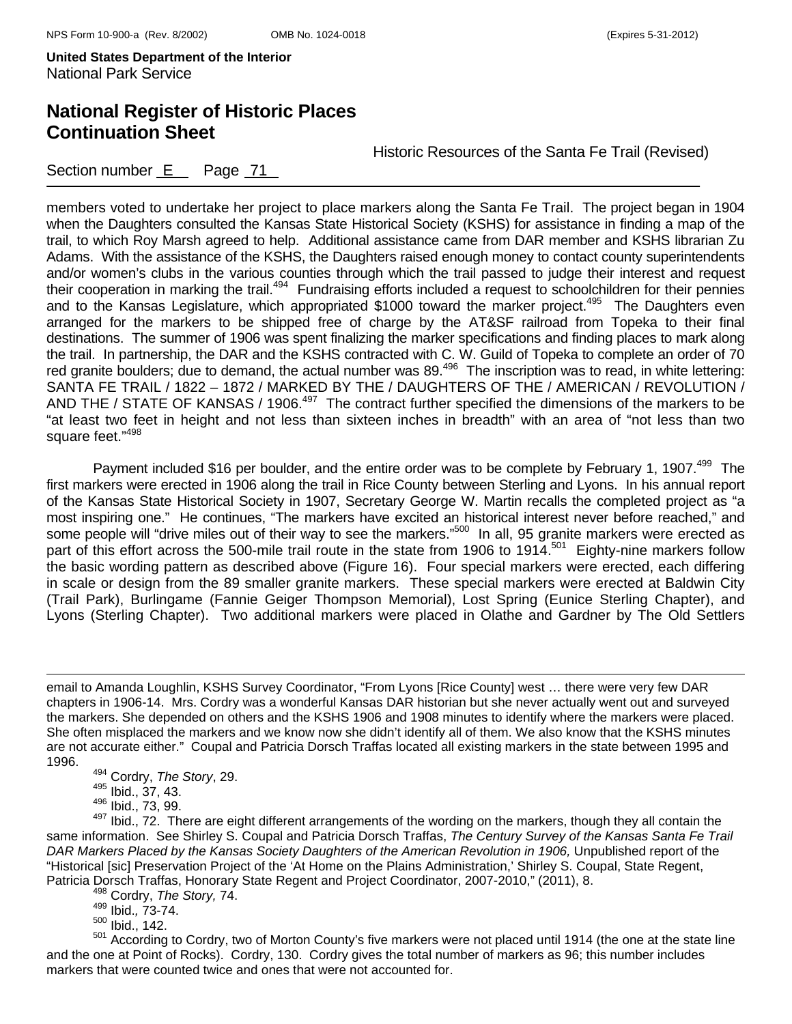# **National Register of Historic Places Continuation Sheet**

Historic Resources of the Santa Fe Trail (Revised)

Section number E Page 71

members voted to undertake her project to place markers along the Santa Fe Trail. The project began in 1904 when the Daughters consulted the Kansas State Historical Society (KSHS) for assistance in finding a map of the trail, to which Roy Marsh agreed to help. Additional assistance came from DAR member and KSHS librarian Zu Adams. With the assistance of the KSHS, the Daughters raised enough money to contact county superintendents and/or women's clubs in the various counties through which the trail passed to judge their interest and request their cooperation in marking the trail.<sup>494</sup> Fundraising efforts included a request to schoolchildren for their pennies and to the Kansas Legislature, which appropriated \$1000 toward the marker project.<sup>495</sup> The Daughters even arranged for the markers to be shipped free of charge by the AT&SF railroad from Topeka to their final destinations. The summer of 1906 was spent finalizing the marker specifications and finding places to mark along the trail. In partnership, the DAR and the KSHS contracted with C. W. Guild of Topeka to complete an order of 70 red granite boulders; due to demand, the actual number was 89.<sup>496</sup> The inscription was to read, in white lettering: SANTA FE TRAIL / 1822 – 1872 / MARKED BY THE / DAUGHTERS OF THE / AMERICAN / REVOLUTION / AND THE / STATE OF KANSAS / 1906.<sup>497</sup> The contract further specified the dimensions of the markers to be "at least two feet in height and not less than sixteen inches in breadth" with an area of "not less than two square feet."<sup>498</sup>

Payment included \$16 per boulder, and the entire order was to be complete by February 1, 1907.<sup>499</sup> The first markers were erected in 1906 along the trail in Rice County between Sterling and Lyons. In his annual report of the Kansas State Historical Society in 1907, Secretary George W. Martin recalls the completed project as "a most inspiring one." He continues, "The markers have excited an historical interest never before reached," and some people will "drive miles out of their way to see the markers."500 In all, 95 granite markers were erected as part of this effort across the 500-mile trail route in the state from 1906 to 1914.<sup>501</sup> Eighty-nine markers follow the basic wording pattern as described above (Figure 16). Four special markers were erected, each differing in scale or design from the 89 smaller granite markers. These special markers were erected at Baldwin City (Trail Park), Burlingame (Fannie Geiger Thompson Memorial), Lost Spring (Eunice Sterling Chapter), and Lyons (Sterling Chapter). Two additional markers were placed in Olathe and Gardner by The Old Settlers

499 Ibid.*,* 73-74.

500 Ibid., 142.

501 According to Cordry, two of Morton County's five markers were not placed until 1914 (the one at the state line and the one at Point of Rocks). Cordry, 130. Cordry gives the total number of markers as 96; this number includes markers that were counted twice and ones that were not accounted for.

i<br>L email to Amanda Loughlin, KSHS Survey Coordinator, "From Lyons [Rice County] west … there were very few DAR chapters in 1906-14. Mrs. Cordry was a wonderful Kansas DAR historian but she never actually went out and surveyed the markers. She depended on others and the KSHS 1906 and 1908 minutes to identify where the markers were placed. She often misplaced the markers and we know now she didn't identify all of them. We also know that the KSHS minutes are not accurate either." Coupal and Patricia Dorsch Traffas located all existing markers in the state between 1995 and 1996.

<sup>494</sup> Cordry, *The Story*, 29.

 $495$  Ibid.,  $37, 43$ .

<sup>496</sup> Ibid., 73, 99.

<sup>497</sup> Ibid., 7.0, 00.<br><sup>497</sup> Ibid., 72. There are eight different arrangements of the wording on the markers, though they all contain the same information. See Shirley S. Coupal and Patricia Dorsch Traffas, *The Century Survey of the Kansas Santa Fe Trail*  DAR Markers Placed by the Kansas Society Daughters of the American Revolution in 1906, Unpublished report of the "Historical [sic] Preservation Project of the 'At Home on the Plains Administration,' Shirley S. Coupal, State Regent, Patricia Dorsch Traffas, Honorary State Regent and Project Coordinator, 2007-2010," (2011), 8. 498 Cordry, *The Story,* 74.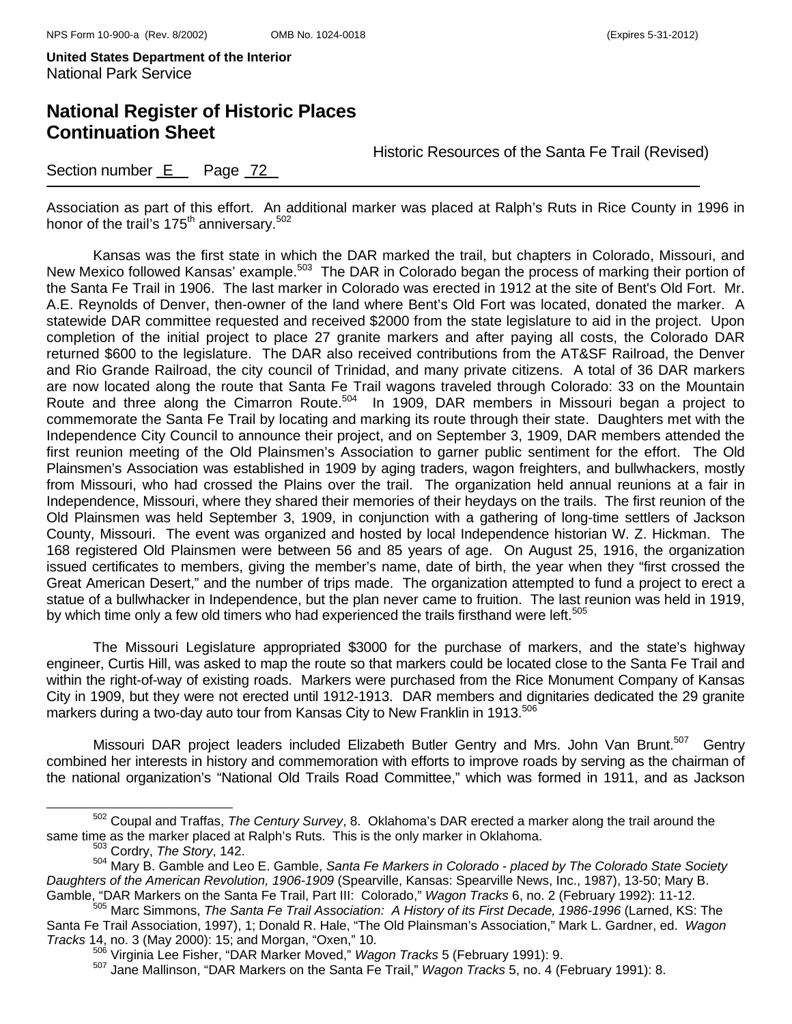## **National Register of Historic Places Continuation Sheet**

Historic Resources of the Santa Fe Trail (Revised)

### Section number E Page 72

Association as part of this effort. An additional marker was placed at Ralph's Ruts in Rice County in 1996 in honor of the trail's 175<sup>th</sup> anniversary.<sup>502</sup>

Kansas was the first state in which the DAR marked the trail, but chapters in Colorado, Missouri, and New Mexico followed Kansas' example.503 The DAR in Colorado began the process of marking their portion of the Santa Fe Trail in 1906. The last marker in Colorado was erected in 1912 at the site of Bent's Old Fort. Mr. A.E. Reynolds of Denver, then-owner of the land where Bent's Old Fort was located, donated the marker. A statewide DAR committee requested and received \$2000 from the state legislature to aid in the project. Upon completion of the initial project to place 27 granite markers and after paying all costs, the Colorado DAR returned \$600 to the legislature. The DAR also received contributions from the AT&SF Railroad, the Denver and Rio Grande Railroad, the city council of Trinidad, and many private citizens. A total of 36 DAR markers are now located along the route that Santa Fe Trail wagons traveled through Colorado: 33 on the Mountain Route and three along the Cimarron Route.<sup>504</sup> In 1909, DAR members in Missouri began a project to commemorate the Santa Fe Trail by locating and marking its route through their state. Daughters met with the Independence City Council to announce their project, and on September 3, 1909, DAR members attended the first reunion meeting of the Old Plainsmen's Association to garner public sentiment for the effort. The Old Plainsmen's Association was established in 1909 by aging traders, wagon freighters, and bullwhackers, mostly from Missouri, who had crossed the Plains over the trail. The organization held annual reunions at a fair in Independence, Missouri, where they shared their memories of their heydays on the trails. The first reunion of the Old Plainsmen was held September 3, 1909, in conjunction with a gathering of long-time settlers of Jackson County, Missouri. The event was organized and hosted by local Independence historian W. Z. Hickman. The 168 registered Old Plainsmen were between 56 and 85 years of age. On August 25, 1916, the organization issued certificates to members, giving the member's name, date of birth, the year when they "first crossed the Great American Desert," and the number of trips made. The organization attempted to fund a project to erect a statue of a bullwhacker in Independence, but the plan never came to fruition. The last reunion was held in 1919, by which time only a few old timers who had experienced the trails firsthand were left.<sup>505</sup>

The Missouri Legislature appropriated \$3000 for the purchase of markers, and the state's highway engineer, Curtis Hill, was asked to map the route so that markers could be located close to the Santa Fe Trail and within the right-of-way of existing roads. Markers were purchased from the Rice Monument Company of Kansas City in 1909, but they were not erected until 1912-1913. DAR members and dignitaries dedicated the 29 granite markers during a two-day auto tour from Kansas City to New Franklin in 1913.<sup>506</sup>

Missouri DAR project leaders included Elizabeth Butler Gentry and Mrs. John Van Brunt.<sup>507</sup> Gentry combined her interests in history and commemoration with efforts to improve roads by serving as the chairman of the national organization's "National Old Trails Road Committee," which was formed in 1911, and as Jackson

502 Coupal and Traffas, *The Century Survey*, 8. Oklahoma's DAR erected a marker along the trail around the same time as the marker placed at Ralph's Ruts. This is the only marker in Oklahoma. 503 Cordry, *The Story*, 142.

<sup>504</sup> Mary B. Gamble and Leo E. Gamble, *Santa Fe Markers in Colorado - placed by The Colorado State Society Daughters of the American Revolution, 1906-1909* (Spearville, Kansas: Spearville News, Inc., 1987), 13-50; Mary B. Gamble, "DAR Markers on the Santa Fe Trail, Part III: Colorado," Wagon Tracks 6, no. 2 (February 1992): 11-12.<br><sup>505</sup> Marc Simmons, *The Santa Fe Trail Association: A History of its First Decade, 1986-1996* (Larned, KS: The

Santa Fe Trail Association, 1997), 1; Donald R. Hale, "The Old Plainsman's Association," Mark L. Gardner, ed. *Wagon* 

<sup>&</sup>lt;sup>506</sup> Virginia Lee Fisher, "DAR Marker Moved," *Wagon Tracks* 5 (February 1991): 9.<br><sup>507</sup> Jane Mallinson, "DAR Markers on the Santa Fe Trail," *Wagon Tracks* 5, no. 4 (February 1991): 8.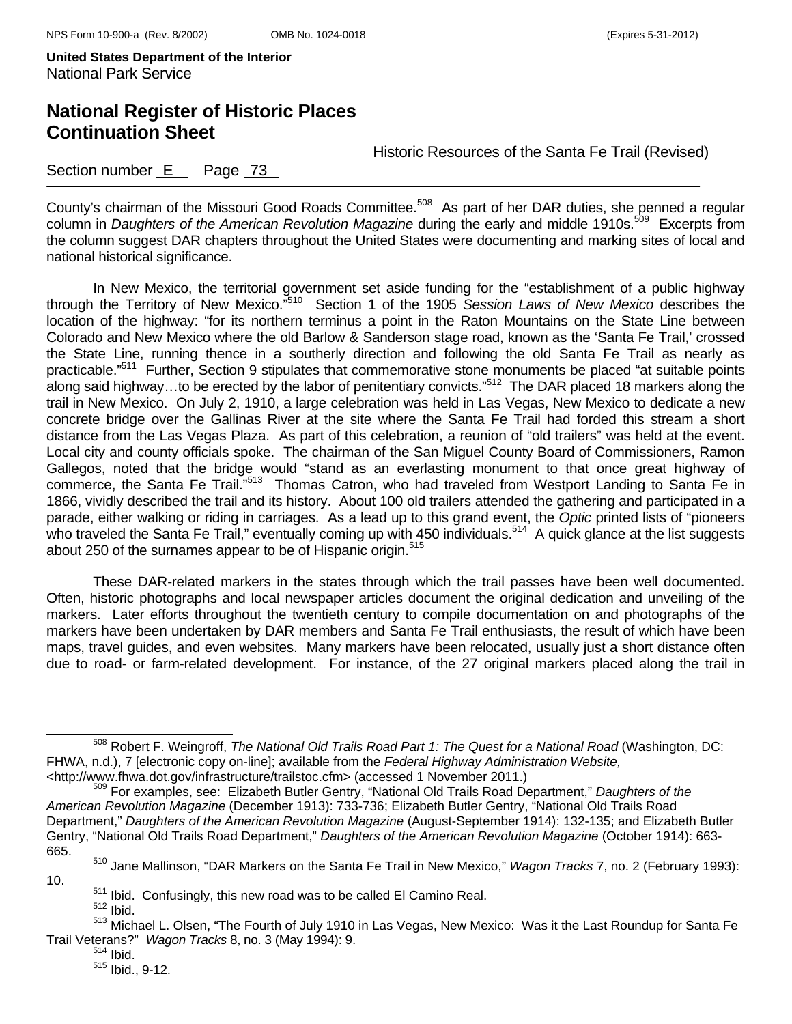# **National Register of Historic Places Continuation Sheet**

Historic Resources of the Santa Fe Trail (Revised)

### Section number E Page 73

County's chairman of the Missouri Good Roads Committee.<sup>508</sup> As part of her DAR duties, she penned a regular column in *Daughters of the American Revolution Magazine* during the early and middle 1910s.509 Excerpts from the column suggest DAR chapters throughout the United States were documenting and marking sites of local and national historical significance.

In New Mexico, the territorial government set aside funding for the "establishment of a public highway through the Territory of New Mexico."510 Section 1 of the 1905 *Session Laws of New Mexico* describes the location of the highway: "for its northern terminus a point in the Raton Mountains on the State Line between Colorado and New Mexico where the old Barlow & Sanderson stage road, known as the 'Santa Fe Trail,' crossed the State Line, running thence in a southerly direction and following the old Santa Fe Trail as nearly as practicable."511 Further, Section 9 stipulates that commemorative stone monuments be placed "at suitable points along said highway...to be erected by the labor of penitentiary convicts."<sup>512</sup> The DAR placed 18 markers along the trail in New Mexico. On July 2, 1910, a large celebration was held in Las Vegas, New Mexico to dedicate a new concrete bridge over the Gallinas River at the site where the Santa Fe Trail had forded this stream a short distance from the Las Vegas Plaza. As part of this celebration, a reunion of "old trailers" was held at the event. Local city and county officials spoke. The chairman of the San Miguel County Board of Commissioners, Ramon Gallegos, noted that the bridge would "stand as an everlasting monument to that once great highway of commerce, the Santa Fe Trail."<sup>513</sup> Thomas Catron, who had traveled from Westport Landing to Santa Fe in 1866, vividly described the trail and its history. About 100 old trailers attended the gathering and participated in a parade, either walking or riding in carriages. As a lead up to this grand event, the *Optic* printed lists of "pioneers who traveled the Santa Fe Trail," eventually coming up with 450 individuals.<sup>514</sup> A quick glance at the list suggests about 250 of the surnames appear to be of Hispanic origin.<sup>515</sup>

These DAR-related markers in the states through which the trail passes have been well documented. Often, historic photographs and local newspaper articles document the original dedication and unveiling of the markers. Later efforts throughout the twentieth century to compile documentation on and photographs of the markers have been undertaken by DAR members and Santa Fe Trail enthusiasts, the result of which have been maps, travel guides, and even websites. Many markers have been relocated, usually just a short distance often due to road- or farm-related development. For instance, of the 27 original markers placed along the trail in

 $511$  Ibid. Confusingly, this new road was to be called El Camino Real.<br> $512$  Ibid.

10.

508 Robert F. Weingroff, *The National Old Trails Road Part 1: The Quest for a National Road* (Washington, DC: FHWA, n.d.), 7 [electronic copy on-line]; available from the *Federal Highway Administration Website,*

<sup>&</sup>lt;http://www.fhwa.dot.gov/infrastructure/trailstoc.cfm> (accessed 1 November 2011.) 509 For examples, see: Elizabeth Butler Gentry, "National Old Trails Road Department," *Daughters of the American Revolution Magazine* (December 1913): 733-736; Elizabeth Butler Gentry, "National Old Trails Road Department," *Daughters of the American Revolution Magazine* (August-September 1914): 132-135; and Elizabeth Butler Gentry, "National Old Trails Road Department," *Daughters of the American Revolution Magazine* (October 1914): 663- 665.

<sup>510</sup> Jane Mallinson, "DAR Markers on the Santa Fe Trail in New Mexico," *Wagon Tracks* 7, no. 2 (February 1993):

<sup>513</sup> Michael L. Olsen, "The Fourth of July 1910 in Las Vegas, New Mexico: Was it the Last Roundup for Santa Fe Trail Veterans?" *Wagon Tracks* 8, no. 3 (May 1994): 9. 514 Ibid.

 $515$  Ibid., 9-12.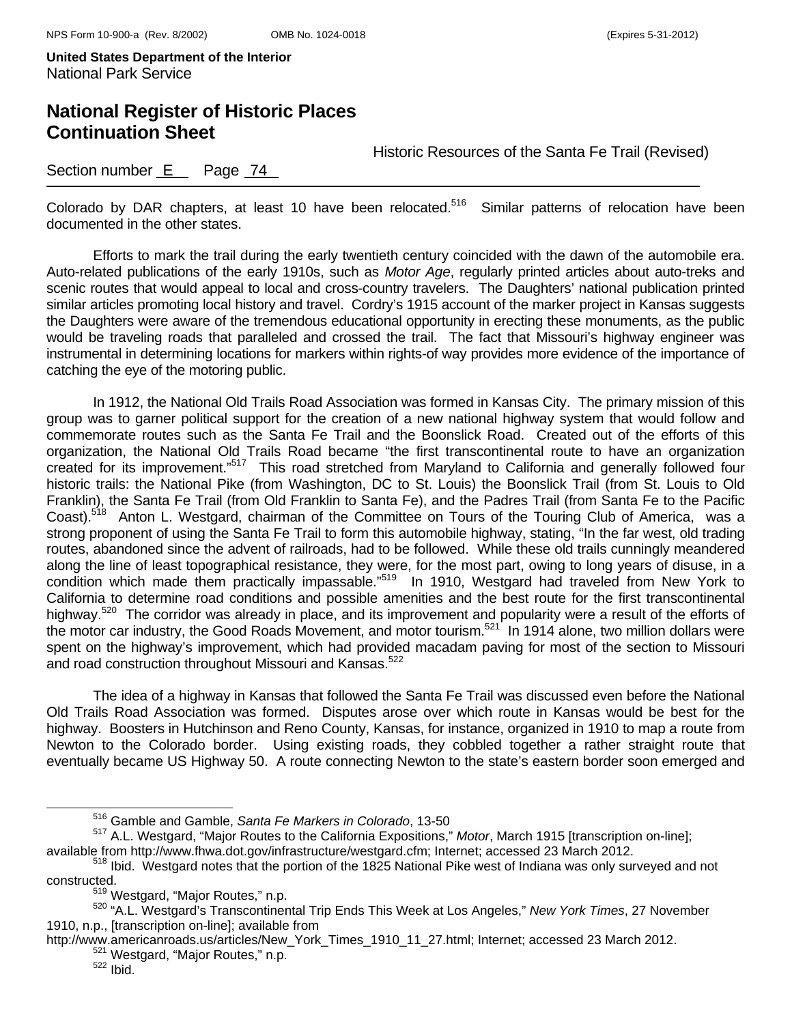## **National Register of Historic Places Continuation Sheet**

Historic Resources of the Santa Fe Trail (Revised)

### Section number  $E$  Page  $74$

Colorado by DAR chapters, at least 10 have been relocated.<sup>516</sup> Similar patterns of relocation have been documented in the other states.

Efforts to mark the trail during the early twentieth century coincided with the dawn of the automobile era. Auto-related publications of the early 1910s, such as *Motor Age*, regularly printed articles about auto-treks and scenic routes that would appeal to local and cross-country travelers. The Daughters' national publication printed similar articles promoting local history and travel. Cordry's 1915 account of the marker project in Kansas suggests the Daughters were aware of the tremendous educational opportunity in erecting these monuments, as the public would be traveling roads that paralleled and crossed the trail. The fact that Missouri's highway engineer was instrumental in determining locations for markers within rights-of way provides more evidence of the importance of catching the eye of the motoring public.

In 1912, the National Old Trails Road Association was formed in Kansas City. The primary mission of this group was to garner political support for the creation of a new national highway system that would follow and commemorate routes such as the Santa Fe Trail and the Boonslick Road. Created out of the efforts of this organization, the National Old Trails Road became "the first transcontinental route to have an organization created for its improvement."517 This road stretched from Maryland to California and generally followed four historic trails: the National Pike (from Washington, DC to St. Louis) the Boonslick Trail (from St. Louis to Old Franklin), the Santa Fe Trail (from Old Franklin to Santa Fe), and the Padres Trail (from Santa Fe to the Pacific Coast).518 Anton L. Westgard, chairman of the Committee on Tours of the Touring Club of America, was a strong proponent of using the Santa Fe Trail to form this automobile highway, stating, "In the far west, old trading routes, abandoned since the advent of railroads, had to be followed. While these old trails cunningly meandered along the line of least topographical resistance, they were, for the most part, owing to long years of disuse, in a condition which made them practically impassable."<sup>519</sup> In 1910, Westgard had traveled from New York to California to determine road conditions and possible amenities and the best route for the first transcontinental highway.<sup>520</sup> The corridor was already in place, and its improvement and popularity were a result of the efforts of the motor car industry, the Good Roads Movement, and motor tourism.<sup>521</sup> In 1914 alone, two million dollars were spent on the highway's improvement, which had provided macadam paving for most of the section to Missouri and road construction throughout Missouri and Kansas.<sup>522</sup>

The idea of a highway in Kansas that followed the Santa Fe Trail was discussed even before the National Old Trails Road Association was formed. Disputes arose over which route in Kansas would be best for the highway. Boosters in Hutchinson and Reno County, Kansas, for instance, organized in 1910 to map a route from Newton to the Colorado border. Using existing roads, they cobbled together a rather straight route that eventually became US Highway 50. A route connecting Newton to the state's eastern border soon emerged and

http://www.americanroads.us/articles/New\_York\_Times\_1910\_11\_27.html; Internet; accessed 23 March 2012.

516 Gamble and Gamble, *Santa Fe Markers in Colorado*, 13-50

<sup>517</sup> A.L. Westgard, "Major Routes to the California Expositions," *Motor*, March 1915 [transcription on-line];

available from http://www.fhwa.dot.gov/infrastructure/westgard.cfm; Internet; accessed 23 March 2012.<br><sup>518</sup> Ibid. Westgard notes that the portion of the 1825 National Pike west of Indiana was only surveyed and not constructed.<br><sup>519</sup> Westgard, "Major Routes," n.p.

<sup>519</sup> Westgard, "Major Routes," n.p. 520 "A.L. Westgard's Transcontinental Trip Ends This Week at Los Angeles," *New York Times*, 27 November 1910, n.p., [transcription on-line]; available from

<sup>&</sup>lt;sup>521</sup> Westgard, "Major Routes," n.p.<br><sup>522</sup> Ibid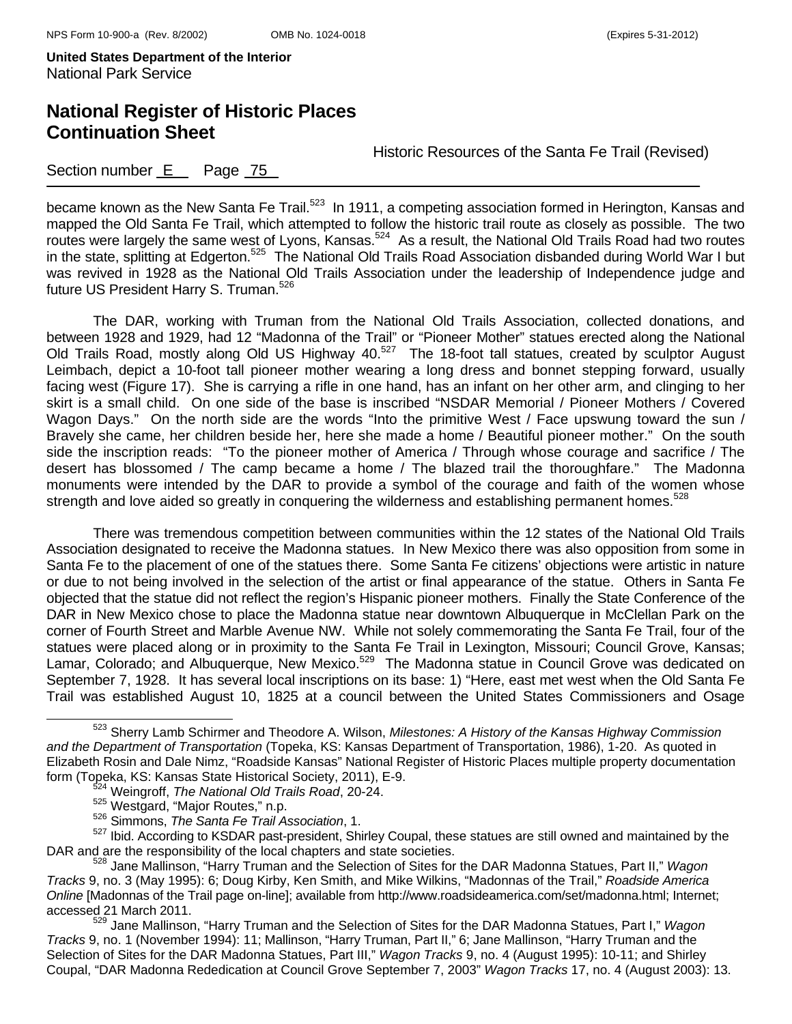## **National Register of Historic Places Continuation Sheet**

Historic Resources of the Santa Fe Trail (Revised)

### Section number E Page 75

became known as the New Santa Fe Trail.<sup>523</sup> In 1911, a competing association formed in Herington, Kansas and mapped the Old Santa Fe Trail, which attempted to follow the historic trail route as closely as possible. The two routes were largely the same west of Lyons, Kansas.<sup>524</sup> As a result, the National Old Trails Road had two routes in the state, splitting at Edgerton.525 The National Old Trails Road Association disbanded during World War I but was revived in 1928 as the National Old Trails Association under the leadership of Independence judge and future US President Harry S. Truman.<sup>526</sup>

The DAR, working with Truman from the National Old Trails Association, collected donations, and between 1928 and 1929, had 12 "Madonna of the Trail" or "Pioneer Mother" statues erected along the National Old Trails Road, mostly along Old US Highway 40.<sup>527</sup> The 18-foot tall statues, created by sculptor August Leimbach, depict a 10-foot tall pioneer mother wearing a long dress and bonnet stepping forward, usually facing west (Figure 17). She is carrying a rifle in one hand, has an infant on her other arm, and clinging to her skirt is a small child. On one side of the base is inscribed "NSDAR Memorial / Pioneer Mothers / Covered Wagon Days." On the north side are the words "Into the primitive West / Face upswung toward the sun / Bravely she came, her children beside her, here she made a home / Beautiful pioneer mother." On the south side the inscription reads: "To the pioneer mother of America / Through whose courage and sacrifice / The desert has blossomed / The camp became a home / The blazed trail the thoroughfare." The Madonna monuments were intended by the DAR to provide a symbol of the courage and faith of the women whose strength and love aided so greatly in conquering the wilderness and establishing permanent homes.<sup>528</sup>

There was tremendous competition between communities within the 12 states of the National Old Trails Association designated to receive the Madonna statues. In New Mexico there was also opposition from some in Santa Fe to the placement of one of the statues there. Some Santa Fe citizens' objections were artistic in nature or due to not being involved in the selection of the artist or final appearance of the statue. Others in Santa Fe objected that the statue did not reflect the region's Hispanic pioneer mothers. Finally the State Conference of the DAR in New Mexico chose to place the Madonna statue near downtown Albuquerque in McClellan Park on the corner of Fourth Street and Marble Avenue NW. While not solely commemorating the Santa Fe Trail, four of the statues were placed along or in proximity to the Santa Fe Trail in Lexington, Missouri; Council Grove, Kansas; Lamar, Colorado; and Albuquerque, New Mexico.<sup>529</sup> The Madonna statue in Council Grove was dedicated on September 7, 1928. It has several local inscriptions on its base: 1) "Here, east met west when the Old Santa Fe Trail was established August 10, 1825 at a council between the United States Commissioners and Osage

523 Sherry Lamb Schirmer and Theodore A. Wilson, *Milestones: A History of the Kansas Highway Commission and the Department of Transportation* (Topeka, KS: Kansas Department of Transportation, 1986), 1-20. As quoted in Elizabeth Rosin and Dale Nimz, "Roadside Kansas" National Register of Historic Places multiple property documentation form (Topeka, KS: Kansas State Historical Society, 2011), E-9. 524 Weingroff, *The National Old Trails Road*, 20-24.

<sup>525</sup> Westgard, "Major Routes," n.p. 526 Simmons, *The Santa Fe Trail Association*, 1.

<sup>527</sup> Ibid. According to KSDAR past-president, Shirley Coupal, these statues are still owned and maintained by the DAR and are the responsibility of the local chapters and state societies.

<sup>528</sup> Jane Mallinson, "Harry Truman and the Selection of Sites for the DAR Madonna Statues, Part II," *Wagon Tracks* 9, no. 3 (May 1995): 6; Doug Kirby, Ken Smith, and Mike Wilkins, "Madonnas of the Trail," *Roadside America Online* [Madonnas of the Trail page on-line]; available from http://www.roadsideamerica.com/set/madonna.html; Internet; accessed 21 March 2011.

<sup>529</sup> Jane Mallinson, "Harry Truman and the Selection of Sites for the DAR Madonna Statues, Part I," *Wagon Tracks* 9, no. 1 (November 1994): 11; Mallinson, "Harry Truman, Part II," 6; Jane Mallinson, "Harry Truman and the Selection of Sites for the DAR Madonna Statues, Part III," *Wagon Tracks* 9, no. 4 (August 1995): 10-11; and Shirley Coupal, "DAR Madonna Rededication at Council Grove September 7, 2003" *Wagon Tracks* 17, no. 4 (August 2003): 13.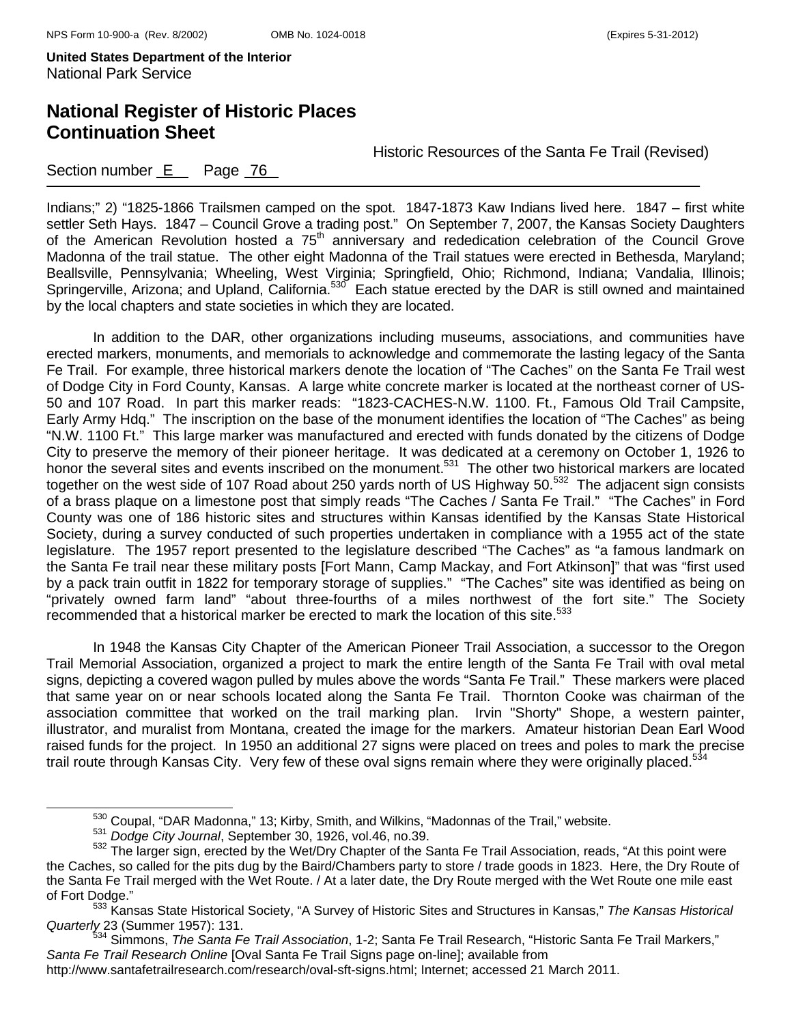# **National Register of Historic Places Continuation Sheet**

Historic Resources of the Santa Fe Trail (Revised)

### Section number E Page 76

Indians;" 2) "1825-1866 Trailsmen camped on the spot. 1847-1873 Kaw Indians lived here. 1847 – first white settler Seth Hays. 1847 – Council Grove a trading post." On September 7, 2007, the Kansas Society Daughters of the American Revolution hosted a 75<sup>th</sup> anniversary and rededication celebration of the Council Grove Madonna of the trail statue. The other eight Madonna of the Trail statues were erected in Bethesda, Maryland; Beallsville, Pennsylvania; Wheeling, West Virginia; Springfield, Ohio; Richmond, Indiana; Vandalia, Illinois; Springerville, Arizona; and Upland, California.<sup>530</sup> Each statue erected by the DAR is still owned and maintained by the local chapters and state societies in which they are located.

 In addition to the DAR, other organizations including museums, associations, and communities have erected markers, monuments, and memorials to acknowledge and commemorate the lasting legacy of the Santa Fe Trail. For example, three historical markers denote the location of "The Caches" on the Santa Fe Trail west of Dodge City in Ford County, Kansas. A large white concrete marker is located at the northeast corner of US-50 and 107 Road. In part this marker reads: "1823-CACHES-N.W. 1100. Ft., Famous Old Trail Campsite, Early Army Hdq." The inscription on the base of the monument identifies the location of "The Caches" as being "N.W. 1100 Ft." This large marker was manufactured and erected with funds donated by the citizens of Dodge City to preserve the memory of their pioneer heritage. It was dedicated at a ceremony on October 1, 1926 to honor the several sites and events inscribed on the monument.<sup>531</sup> The other two historical markers are located together on the west side of 107 Road about 250 yards north of US Highway 50.<sup>532</sup> The adjacent sign consists of a brass plaque on a limestone post that simply reads "The Caches / Santa Fe Trail." "The Caches" in Ford County was one of 186 historic sites and structures within Kansas identified by the Kansas State Historical Society, during a survey conducted of such properties undertaken in compliance with a 1955 act of the state legislature. The 1957 report presented to the legislature described "The Caches" as "a famous landmark on the Santa Fe trail near these military posts [Fort Mann, Camp Mackay, and Fort Atkinson]" that was "first used by a pack train outfit in 1822 for temporary storage of supplies." "The Caches" site was identified as being on "privately owned farm land" "about three-fourths of a miles northwest of the fort site." The Society recommended that a historical marker be erected to mark the location of this site.<sup>533</sup>

 In 1948 the Kansas City Chapter of the American Pioneer Trail Association, a successor to the Oregon Trail Memorial Association, organized a project to mark the entire length of the Santa Fe Trail with oval metal signs, depicting a covered wagon pulled by mules above the words "Santa Fe Trail." These markers were placed that same year on or near schools located along the Santa Fe Trail. Thornton Cooke was chairman of the association committee that worked on the trail marking plan. Irvin "Shorty" Shope, a western painter, illustrator, and muralist from Montana, created the image for the markers. Amateur historian Dean Earl Wood raised funds for the project. In 1950 an additional 27 signs were placed on trees and poles to mark the precise trail route through Kansas City. Very few of these oval signs remain where they were originally placed.<sup>534</sup>

 $^{530}$  Coupal, "DAR Madonna," 13; Kirby, Smith, and Wilkins, "Madonnas of the Trail," website.<br> $^{531}$  Dodge City Journal, September 30, 1926, vol.46, no.39.

<sup>532</sup> Dodge City Journal, September 30, 1926, 1916, 1916, 1926, 1926, 1938, p. 1936, s. a. 1946, s. a. 1946, s. s<br><sup>532</sup> The larger sign, erected by the Wet/Dry Chapter of the Santa Fe Trail Association, reads, "At this point the Caches, so called for the pits dug by the Baird/Chambers party to store / trade goods in 1823. Here, the Dry Route of the Santa Fe Trail merged with the Wet Route. / At a later date, the Dry Route merged with the Wet Route one mile east

of Fort Dodge." 533 Kansas State Historical Society, "A Survey of Historic Sites and Structures in Kansas," *The Kansas Historical Quarterly* 23 (Summer 1957): 131.

<sup>534</sup> Simmons, *The Santa Fe Trail Association*, 1-2; Santa Fe Trail Research, "Historic Santa Fe Trail Markers," *Santa Fe Trail Research Online* [Oval Santa Fe Trail Signs page on-line]; available from

http://www.santafetrailresearch.com/research/oval-sft-signs.html; Internet; accessed 21 March 2011.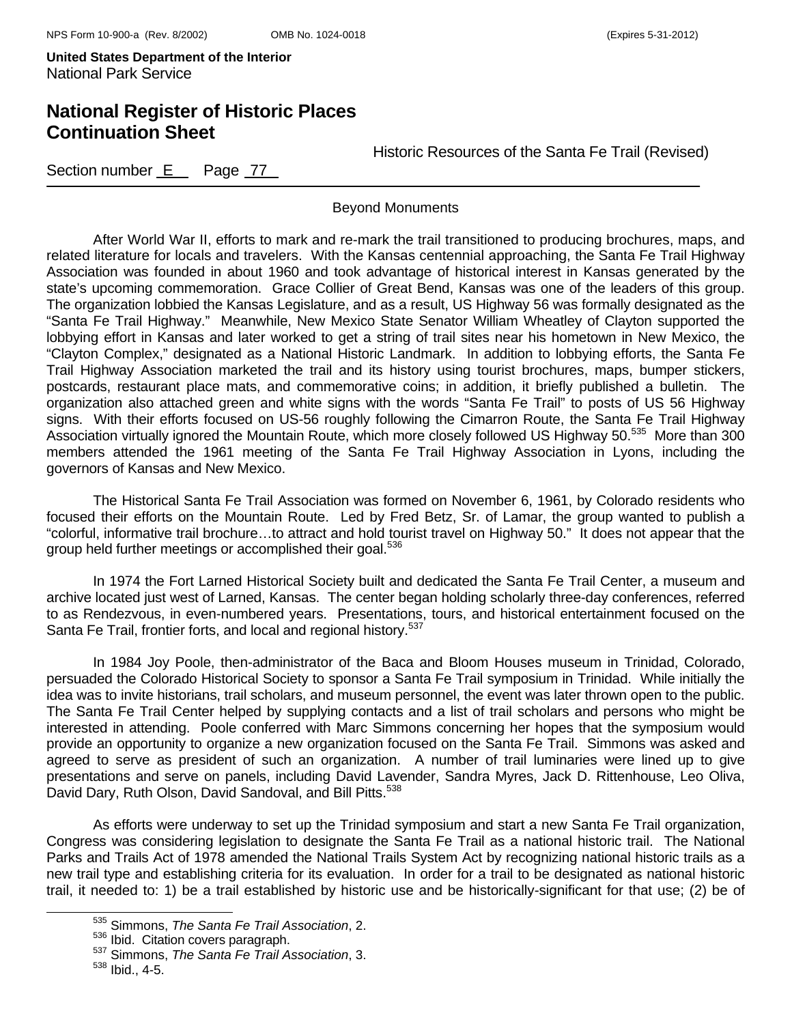## **National Register of Historic Places Continuation Sheet**

Historic Resources of the Santa Fe Trail (Revised)

Section number  $E$  Page  $77$ 

Beyond Monuments

 After World War II, efforts to mark and re-mark the trail transitioned to producing brochures, maps, and related literature for locals and travelers. With the Kansas centennial approaching, the Santa Fe Trail Highway Association was founded in about 1960 and took advantage of historical interest in Kansas generated by the state's upcoming commemoration. Grace Collier of Great Bend, Kansas was one of the leaders of this group. The organization lobbied the Kansas Legislature, and as a result, US Highway 56 was formally designated as the "Santa Fe Trail Highway." Meanwhile, New Mexico State Senator William Wheatley of Clayton supported the lobbying effort in Kansas and later worked to get a string of trail sites near his hometown in New Mexico, the "Clayton Complex," designated as a National Historic Landmark. In addition to lobbying efforts, the Santa Fe Trail Highway Association marketed the trail and its history using tourist brochures, maps, bumper stickers, postcards, restaurant place mats, and commemorative coins; in addition, it briefly published a bulletin. The organization also attached green and white signs with the words "Santa Fe Trail" to posts of US 56 Highway signs. With their efforts focused on US-56 roughly following the Cimarron Route, the Santa Fe Trail Highway Association virtually ignored the Mountain Route, which more closely followed US Highway 50.<sup>535</sup> More than 300 members attended the 1961 meeting of the Santa Fe Trail Highway Association in Lyons, including the governors of Kansas and New Mexico.

 The Historical Santa Fe Trail Association was formed on November 6, 1961, by Colorado residents who focused their efforts on the Mountain Route. Led by Fred Betz, Sr. of Lamar, the group wanted to publish a "colorful, informative trail brochure…to attract and hold tourist travel on Highway 50." It does not appear that the group held further meetings or accomplished their goal.<sup>536</sup>

In 1974 the Fort Larned Historical Society built and dedicated the Santa Fe Trail Center, a museum and archive located just west of Larned, Kansas. The center began holding scholarly three-day conferences, referred to as Rendezvous, in even-numbered years. Presentations, tours, and historical entertainment focused on the Santa Fe Trail, frontier forts, and local and regional history.<sup>537</sup>

 In 1984 Joy Poole, then-administrator of the Baca and Bloom Houses museum in Trinidad, Colorado, persuaded the Colorado Historical Society to sponsor a Santa Fe Trail symposium in Trinidad. While initially the idea was to invite historians, trail scholars, and museum personnel, the event was later thrown open to the public. The Santa Fe Trail Center helped by supplying contacts and a list of trail scholars and persons who might be interested in attending. Poole conferred with Marc Simmons concerning her hopes that the symposium would provide an opportunity to organize a new organization focused on the Santa Fe Trail. Simmons was asked and agreed to serve as president of such an organization. A number of trail luminaries were lined up to give presentations and serve on panels, including David Lavender, Sandra Myres, Jack D. Rittenhouse, Leo Oliva, David Dary, Ruth Olson, David Sandoval, and Bill Pitts.<sup>538</sup>

As efforts were underway to set up the Trinidad symposium and start a new Santa Fe Trail organization, Congress was considering legislation to designate the Santa Fe Trail as a national historic trail. The National Parks and Trails Act of 1978 amended the National Trails System Act by recognizing national historic trails as a new trail type and establishing criteria for its evaluation. In order for a trail to be designated as national historic trail, it needed to: 1) be a trail established by historic use and be historically-significant for that use; (2) be of

535 Simmons, *The Santa Fe Trail Association*, 2.

<sup>537</sup> Simmons, The Santa Fe Trail Association, 3.

 $538$  Ibid., 4-5.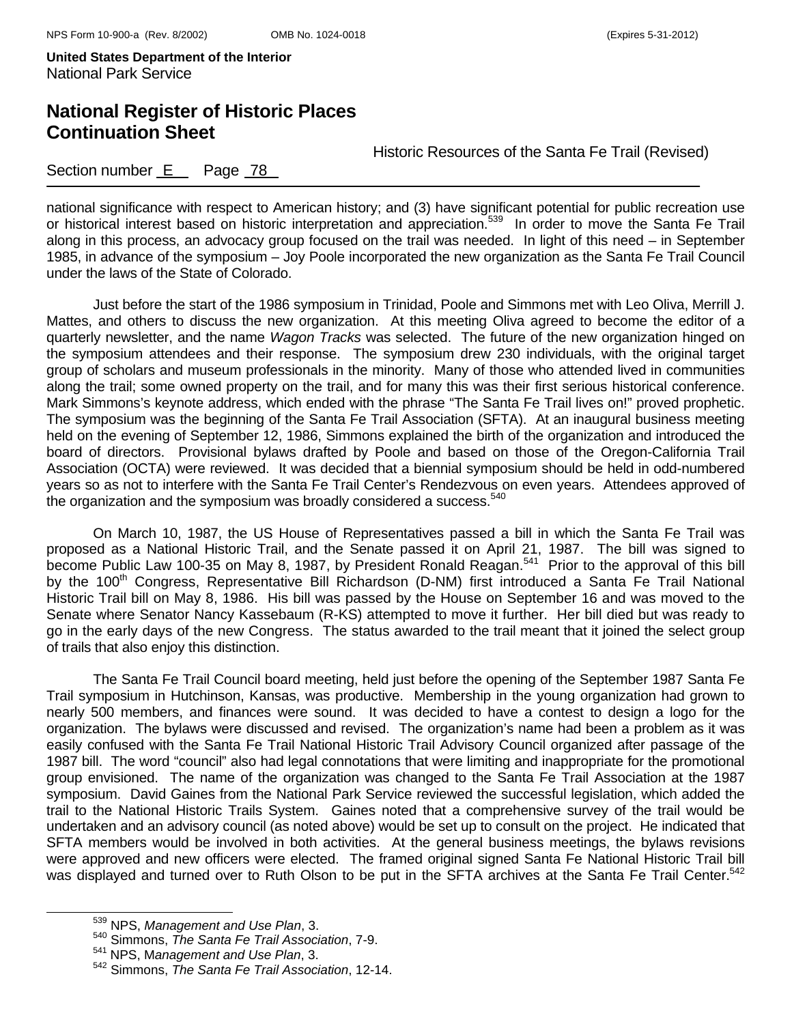# **National Register of Historic Places Continuation Sheet**

Historic Resources of the Santa Fe Trail (Revised)

Section number E Page 78

national significance with respect to American history; and (3) have significant potential for public recreation use or historical interest based on historic interpretation and appreciation.<sup>539</sup> In order to move the Santa Fe Trail along in this process, an advocacy group focused on the trail was needed. In light of this need – in September 1985, in advance of the symposium – Joy Poole incorporated the new organization as the Santa Fe Trail Council under the laws of the State of Colorado.

Just before the start of the 1986 symposium in Trinidad, Poole and Simmons met with Leo Oliva, Merrill J. Mattes, and others to discuss the new organization. At this meeting Oliva agreed to become the editor of a quarterly newsletter, and the name *Wagon Tracks* was selected. The future of the new organization hinged on the symposium attendees and their response. The symposium drew 230 individuals, with the original target group of scholars and museum professionals in the minority. Many of those who attended lived in communities along the trail; some owned property on the trail, and for many this was their first serious historical conference. Mark Simmons's keynote address, which ended with the phrase "The Santa Fe Trail lives on!" proved prophetic. The symposium was the beginning of the Santa Fe Trail Association (SFTA). At an inaugural business meeting held on the evening of September 12, 1986, Simmons explained the birth of the organization and introduced the board of directors. Provisional bylaws drafted by Poole and based on those of the Oregon-California Trail Association (OCTA) were reviewed. It was decided that a biennial symposium should be held in odd-numbered years so as not to interfere with the Santa Fe Trail Center's Rendezvous on even years. Attendees approved of the organization and the symposium was broadly considered a success. $540$ 

On March 10, 1987, the US House of Representatives passed a bill in which the Santa Fe Trail was proposed as a National Historic Trail, and the Senate passed it on April 21, 1987. The bill was signed to become Public Law 100-35 on May 8, 1987, by President Ronald Reagan.<sup>541</sup> Prior to the approval of this bill by the 100<sup>th</sup> Congress, Representative Bill Richardson (D-NM) first introduced a Santa Fe Trail National Historic Trail bill on May 8, 1986. His bill was passed by the House on September 16 and was moved to the Senate where Senator Nancy Kassebaum (R-KS) attempted to move it further. Her bill died but was ready to go in the early days of the new Congress. The status awarded to the trail meant that it joined the select group of trails that also enjoy this distinction.

The Santa Fe Trail Council board meeting, held just before the opening of the September 1987 Santa Fe Trail symposium in Hutchinson, Kansas, was productive. Membership in the young organization had grown to nearly 500 members, and finances were sound. It was decided to have a contest to design a logo for the organization. The bylaws were discussed and revised. The organization's name had been a problem as it was easily confused with the Santa Fe Trail National Historic Trail Advisory Council organized after passage of the 1987 bill. The word "council" also had legal connotations that were limiting and inappropriate for the promotional group envisioned. The name of the organization was changed to the Santa Fe Trail Association at the 1987 symposium. David Gaines from the National Park Service reviewed the successful legislation, which added the trail to the National Historic Trails System. Gaines noted that a comprehensive survey of the trail would be undertaken and an advisory council (as noted above) would be set up to consult on the project. He indicated that SFTA members would be involved in both activities. At the general business meetings, the bylaws revisions were approved and new officers were elected. The framed original signed Santa Fe National Historic Trail bill was displayed and turned over to Ruth Olson to be put in the SFTA archives at the Santa Fe Trail Center.<sup>542</sup>

539 NPS, *Management and Use Plan*, 3.

<sup>540</sup> Simmons, *The Santa Fe Trail Association*, 7-9.

<sup>541</sup> NPS, M*anagement and Use Plan*, 3.

<sup>542</sup> Simmons, *The Santa Fe Trail Association*, 12-14.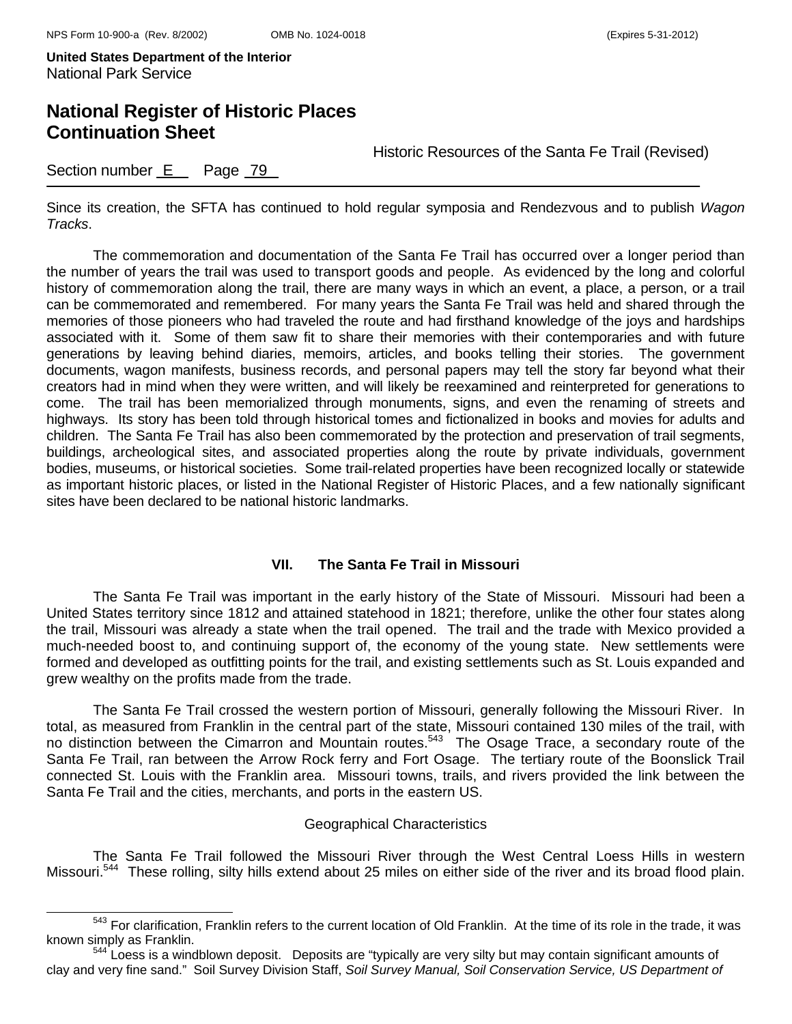## **National Register of Historic Places Continuation Sheet**

Historic Resources of the Santa Fe Trail (Revised)

Section number E Page 79

Since its creation, the SFTA has continued to hold regular symposia and Rendezvous and to publish *Wagon Tracks*.

The commemoration and documentation of the Santa Fe Trail has occurred over a longer period than the number of years the trail was used to transport goods and people. As evidenced by the long and colorful history of commemoration along the trail, there are many ways in which an event, a place, a person, or a trail can be commemorated and remembered. For many years the Santa Fe Trail was held and shared through the memories of those pioneers who had traveled the route and had firsthand knowledge of the joys and hardships associated with it. Some of them saw fit to share their memories with their contemporaries and with future generations by leaving behind diaries, memoirs, articles, and books telling their stories. The government documents, wagon manifests, business records, and personal papers may tell the story far beyond what their creators had in mind when they were written, and will likely be reexamined and reinterpreted for generations to come. The trail has been memorialized through monuments, signs, and even the renaming of streets and highways. Its story has been told through historical tomes and fictionalized in books and movies for adults and children. The Santa Fe Trail has also been commemorated by the protection and preservation of trail segments, buildings, archeological sites, and associated properties along the route by private individuals, government bodies, museums, or historical societies. Some trail-related properties have been recognized locally or statewide as important historic places, or listed in the National Register of Historic Places, and a few nationally significant sites have been declared to be national historic landmarks.

#### **VII. The Santa Fe Trail in Missouri**

The Santa Fe Trail was important in the early history of the State of Missouri. Missouri had been a United States territory since 1812 and attained statehood in 1821; therefore, unlike the other four states along the trail, Missouri was already a state when the trail opened. The trail and the trade with Mexico provided a much-needed boost to, and continuing support of, the economy of the young state. New settlements were formed and developed as outfitting points for the trail, and existing settlements such as St. Louis expanded and grew wealthy on the profits made from the trade.

The Santa Fe Trail crossed the western portion of Missouri, generally following the Missouri River. In total, as measured from Franklin in the central part of the state, Missouri contained 130 miles of the trail, with no distinction between the Cimarron and Mountain routes.<sup>543</sup> The Osage Trace, a secondary route of the Santa Fe Trail, ran between the Arrow Rock ferry and Fort Osage. The tertiary route of the Boonslick Trail connected St. Louis with the Franklin area. Missouri towns, trails, and rivers provided the link between the Santa Fe Trail and the cities, merchants, and ports in the eastern US.

#### Geographical Characteristics

The Santa Fe Trail followed the Missouri River through the West Central Loess Hills in western Missouri.<sup>544</sup> These rolling, silty hills extend about 25 miles on either side of the river and its broad flood plain.

<sup>&</sup>lt;sup>543</sup> For clarification, Franklin refers to the current location of Old Franklin. At the time of its role in the trade, it was known simply as Franklin.

<sup>&</sup>lt;sup>544</sup> Loess is a windblown deposit. Deposits are "typically are very silty but may contain significant amounts of clay and very fine sand." Soil Survey Division Staff, *Soil Survey Manual, Soil Conservation Service, US Department of*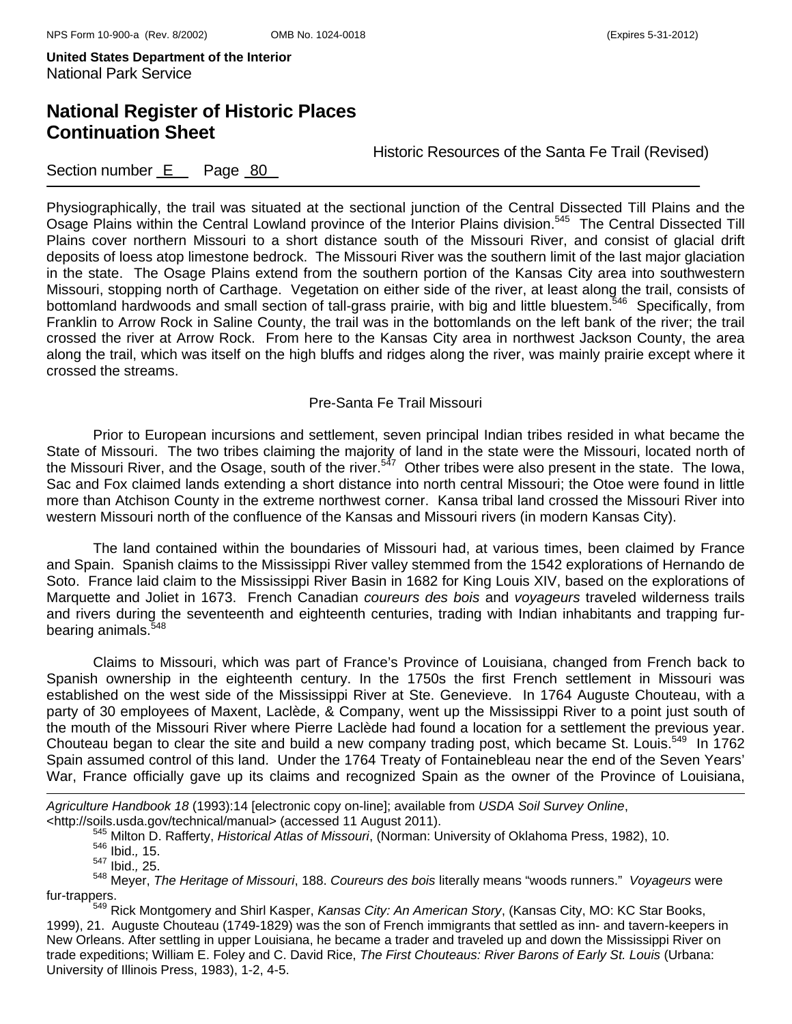# **National Register of Historic Places Continuation Sheet**

Historic Resources of the Santa Fe Trail (Revised)

### Section number E Page 80

Physiographically, the trail was situated at the sectional junction of the Central Dissected Till Plains and the Osage Plains within the Central Lowland province of the Interior Plains division.<sup>545</sup> The Central Dissected Till Plains cover northern Missouri to a short distance south of the Missouri River, and consist of glacial drift deposits of loess atop limestone bedrock. The Missouri River was the southern limit of the last major glaciation in the state. The Osage Plains extend from the southern portion of the Kansas City area into southwestern Missouri, stopping north of Carthage. Vegetation on either side of the river, at least along the trail, consists of bottomland hardwoods and small section of tall-grass prairie, with big and little bluestem.<sup>546</sup> Specifically, from Franklin to Arrow Rock in Saline County, the trail was in the bottomlands on the left bank of the river; the trail crossed the river at Arrow Rock. From here to the Kansas City area in northwest Jackson County, the area along the trail, which was itself on the high bluffs and ridges along the river, was mainly prairie except where it crossed the streams.

#### Pre-Santa Fe Trail Missouri

Prior to European incursions and settlement, seven principal Indian tribes resided in what became the State of Missouri. The two tribes claiming the majority of land in the state were the Missouri, located north of the Missouri River, and the Osage, south of the river.<sup>547</sup> Other tribes were also present in the state. The Iowa, Sac and Fox claimed lands extending a short distance into north central Missouri; the Otoe were found in little more than Atchison County in the extreme northwest corner. Kansa tribal land crossed the Missouri River into western Missouri north of the confluence of the Kansas and Missouri rivers (in modern Kansas City).

The land contained within the boundaries of Missouri had, at various times, been claimed by France and Spain. Spanish claims to the Mississippi River valley stemmed from the 1542 explorations of Hernando de Soto. France laid claim to the Mississippi River Basin in 1682 for King Louis XIV, based on the explorations of Marquette and Joliet in 1673. French Canadian *coureurs des bois* and *voyageurs* traveled wilderness trails and rivers during the seventeenth and eighteenth centuries, trading with Indian inhabitants and trapping furbearing animals.<sup>548</sup>

Claims to Missouri, which was part of France's Province of Louisiana, changed from French back to Spanish ownership in the eighteenth century. In the 1750s the first French settlement in Missouri was established on the west side of the Mississippi River at Ste. Genevieve. In 1764 Auguste Chouteau, with a party of 30 employees of Maxent, Laclède, & Company, went up the Mississippi River to a point just south of the mouth of the Missouri River where Pierre Laclède had found a location for a settlement the previous year. Chouteau began to clear the site and build a new company trading post, which became St. Louis.<sup>549</sup> In 1762 Spain assumed control of this land. Under the 1764 Treaty of Fontainebleau near the end of the Seven Years' War, France officially gave up its claims and recognized Spain as the owner of the Province of Louisiana,

*Agriculture Handbook 18* (1993):14 [electronic copy on-line]; available from *USDA Soil Survey Online*, <http://soils.usda.gov/technical/manual> (accessed 11 August 2011).545 Milton D. Rafferty, *Historical Atlas of Missouri*, (Norman: University of Oklahoma Press, 1982), 10. 546 Ibid.*,* 15.

÷,

548 Meyer, *The Heritage of Missouri*, 188. *Coureurs des bois* literally means "woods runners." *Voyageurs* were

fur-trappers. 549 Rick Montgomery and Shirl Kasper, *Kansas City: An American Story*, (Kansas City, MO: KC Star Books, 1999), 21. Auguste Chouteau (1749-1829) was the son of French immigrants that settled as inn- and tavern-keepers in New Orleans. After settling in upper Louisiana, he became a trader and traveled up and down the Mississippi River on trade expeditions; William E. Foley and C. David Rice, *The First Chouteaus: River Barons of Early St. Louis* (Urbana: University of Illinois Press, 1983), 1-2, 4-5.

<sup>547</sup> Ibid.*,* 25.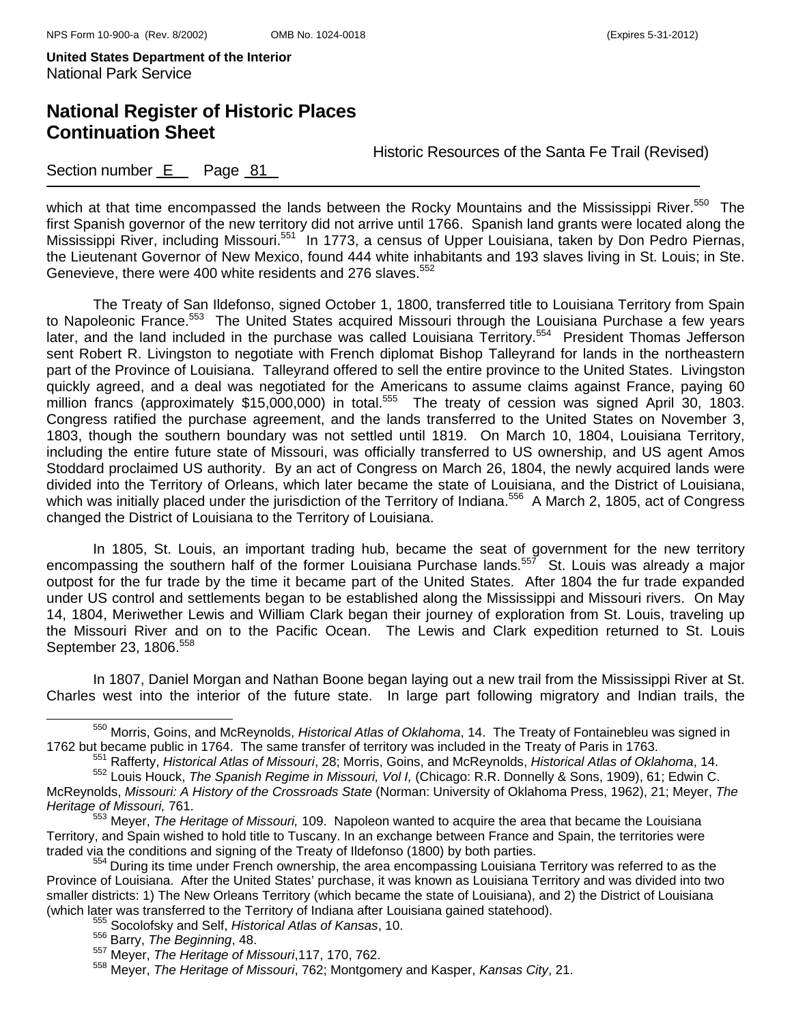# **National Register of Historic Places Continuation Sheet**

Historic Resources of the Santa Fe Trail (Revised)

### Section number E Page 81

which at that time encompassed the lands between the Rocky Mountains and the Mississippi River.<sup>550</sup> The first Spanish governor of the new territory did not arrive until 1766. Spanish land grants were located along the Mississippi River, including Missouri.<sup>551</sup> In 1773, a census of Upper Louisiana, taken by Don Pedro Piernas, the Lieutenant Governor of New Mexico, found 444 white inhabitants and 193 slaves living in St. Louis; in Ste. Genevieve, there were 400 white residents and 276 slaves.<sup>552</sup>

The Treaty of San Ildefonso, signed October 1, 1800, transferred title to Louisiana Territory from Spain to Napoleonic France.<sup>553</sup> The United States acquired Missouri through the Louisiana Purchase a few years later, and the land included in the purchase was called Louisiana Territory.<sup>554</sup> President Thomas Jefferson sent Robert R. Livingston to negotiate with French diplomat Bishop Talleyrand for lands in the northeastern part of the Province of Louisiana. Talleyrand offered to sell the entire province to the United States. Livingston quickly agreed, and a deal was negotiated for the Americans to assume claims against France, paying 60 million francs (approximately \$15,000,000) in total.<sup>555</sup> The treaty of cession was signed April 30, 1803. Congress ratified the purchase agreement, and the lands transferred to the United States on November 3, 1803, though the southern boundary was not settled until 1819. On March 10, 1804, Louisiana Territory, including the entire future state of Missouri, was officially transferred to US ownership, and US agent Amos Stoddard proclaimed US authority. By an act of Congress on March 26, 1804, the newly acquired lands were divided into the Territory of Orleans, which later became the state of Louisiana, and the District of Louisiana, which was initially placed under the jurisdiction of the Territory of Indiana.<sup>556</sup> A March 2, 1805, act of Congress changed the District of Louisiana to the Territory of Louisiana.

In 1805, St. Louis, an important trading hub, became the seat of government for the new territory encompassing the southern half of the former Louisiana Purchase lands.<sup>557</sup> St. Louis was already a major outpost for the fur trade by the time it became part of the United States. After 1804 the fur trade expanded under US control and settlements began to be established along the Mississippi and Missouri rivers. On May 14, 1804, Meriwether Lewis and William Clark began their journey of exploration from St. Louis, traveling up the Missouri River and on to the Pacific Ocean. The Lewis and Clark expedition returned to St. Louis September 23, 1806.<sup>558</sup>

In 1807, Daniel Morgan and Nathan Boone began laying out a new trail from the Mississippi River at St. Charles west into the interior of the future state. In large part following migratory and Indian trails, the

550 Morris, Goins, and McReynolds, *Historical Atlas of Oklahoma*, 14. The Treaty of Fontainebleu was signed in 1762 but became public in 1764. The same transfer of territory was included in the Treaty of Paris in 1763.<br><sup>551</sup> Rafferty, *Historical Atlas of Missouri*, 28; Morris, Goins, and McReynolds, *Historical Atlas of Oklahoma*,

<sup>552</sup> Louis Houck, *The Spanish Regime in Missouri, Vol I,* (Chicago: R.R. Donnelly & Sons, 1909), 61; Edwin C. McReynolds, *Missouri: A History of the Crossroads State* (Norman: University of Oklahoma Press, 1962), 21; Meyer, *The Heritage of Missouri,* 761.

<sup>553</sup> Meyer, *The Heritage of Missouri,* 109. Napoleon wanted to acquire the area that became the Louisiana Territory, and Spain wished to hold title to Tuscany. In an exchange between France and Spain, the territories were traded via the conditions and signing of the Treaty of Ildefonso (1800) by both parties.<br><sup>554</sup> During its time under French ownership, the area encompassing Louisiana Territory was referred to as the

Province of Louisiana. After the United States' purchase, it was known as Louisiana Territory and was divided into two smaller districts: 1) The New Orleans Territory (which became the state of Louisiana), and 2) the District of Louisiana (which later was transferred to the Territory of Indiana after Louisiana gained statehood). 555 Socolofsky and Self, *Historical Atlas of Kansas*, 10.

<sup>556</sup> Barry, *The Beginning*, 48.

<sup>557</sup> Meyer, *The Heritage of Missouri*,117, 170, 762.

<sup>558</sup> Meyer, *The Heritage of Missouri*, 762; Montgomery and Kasper, *Kansas City*, 21.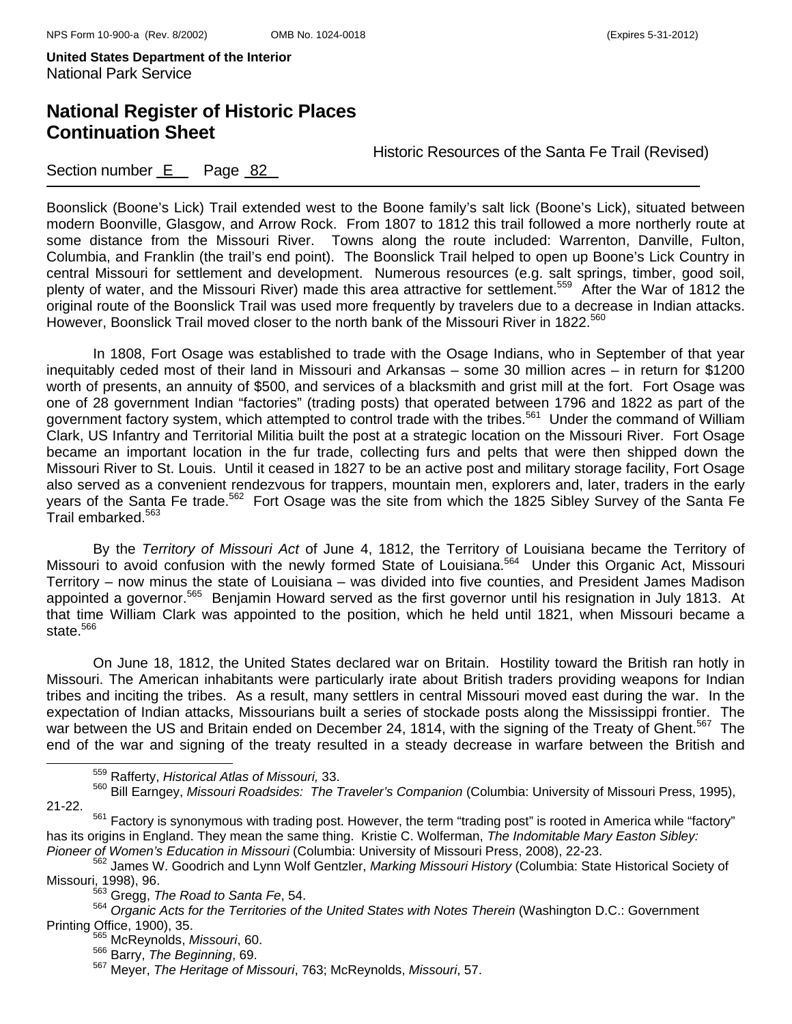## **National Register of Historic Places Continuation Sheet**

Historic Resources of the Santa Fe Trail (Revised)

### Section number  $E$  Page 82

Boonslick (Boone's Lick) Trail extended west to the Boone family's salt lick (Boone's Lick), situated between modern Boonville, Glasgow, and Arrow Rock. From 1807 to 1812 this trail followed a more northerly route at some distance from the Missouri River. Towns along the route included: Warrenton, Danville, Fulton, Columbia, and Franklin (the trail's end point). The Boonslick Trail helped to open up Boone's Lick Country in central Missouri for settlement and development. Numerous resources (e.g. salt springs, timber, good soil, plenty of water, and the Missouri River) made this area attractive for settlement.<sup>559</sup> After the War of 1812 the original route of the Boonslick Trail was used more frequently by travelers due to a decrease in Indian attacks. However, Boonslick Trail moved closer to the north bank of the Missouri River in 1822.<sup>560</sup>

In 1808, Fort Osage was established to trade with the Osage Indians, who in September of that year inequitably ceded most of their land in Missouri and Arkansas – some 30 million acres – in return for \$1200 worth of presents, an annuity of \$500, and services of a blacksmith and grist mill at the fort. Fort Osage was one of 28 government Indian "factories" (trading posts) that operated between 1796 and 1822 as part of the government factory system, which attempted to control trade with the tribes.<sup>561</sup> Under the command of William Clark, US Infantry and Territorial Militia built the post at a strategic location on the Missouri River. Fort Osage became an important location in the fur trade, collecting furs and pelts that were then shipped down the Missouri River to St. Louis. Until it ceased in 1827 to be an active post and military storage facility, Fort Osage also served as a convenient rendezvous for trappers, mountain men, explorers and, later, traders in the early years of the Santa Fe trade.<sup>562</sup> Fort Osage was the site from which the 1825 Sibley Survey of the Santa Fe Trail embarked.<sup>563</sup>

By the *Territory of Missouri Act* of June 4, 1812, the Territory of Louisiana became the Territory of Missouri to avoid confusion with the newly formed State of Louisiana.<sup>564</sup> Under this Organic Act, Missouri Territory – now minus the state of Louisiana – was divided into five counties, and President James Madison appointed a governor.<sup>565</sup> Benjamin Howard served as the first governor until his resignation in July 1813. At that time William Clark was appointed to the position, which he held until 1821, when Missouri became a state. $566$ 

On June 18, 1812, the United States declared war on Britain. Hostility toward the British ran hotly in Missouri. The American inhabitants were particularly irate about British traders providing weapons for Indian tribes and inciting the tribes. As a result, many settlers in central Missouri moved east during the war. In the expectation of Indian attacks, Missourians built a series of stockade posts along the Mississippi frontier. The war between the US and Britain ended on December 24, 1814, with the signing of the Treaty of Ghent.<sup>567</sup> The end of the war and signing of the treaty resulted in a steady decrease in warfare between the British and

<sup>561</sup> Factory is synonymous with trading post. However, the term "trading post" is rooted in America while "factory" has its origins in England. They mean the same thing. Kristie C. Wolferman, *The Indomitable Mary Easton Sibley:* 

<sup>562</sup> James W. Goodrich and Lynn Wolf Gentzler, *Marking Missouri History* (Columbia: State Historical Society of Missouri, 1998), 96.<br><sup>563</sup> Gregg, *The Road to Santa Fe*, 54.

559 Rafferty, *Historical Atlas of Missouri,* 33.

<sup>560</sup> Bill Earngey, *Missouri Roadsides: The Traveler's Companion* (Columbia: University of Missouri Press, 1995), 21-22.

<sup>564</sup> *Organic Acts for the Territories of the United States with Notes Therein* (Washington D.C.: Government Printing Office, 1900), 35.<br><sup>565</sup> McReynolds, *Missouri*, 60.

<sup>566</sup> Barry, *The Beginning*, 69.

<sup>567</sup> Meyer, *The Heritage of Missouri*, 763; McReynolds, *Missouri*, 57.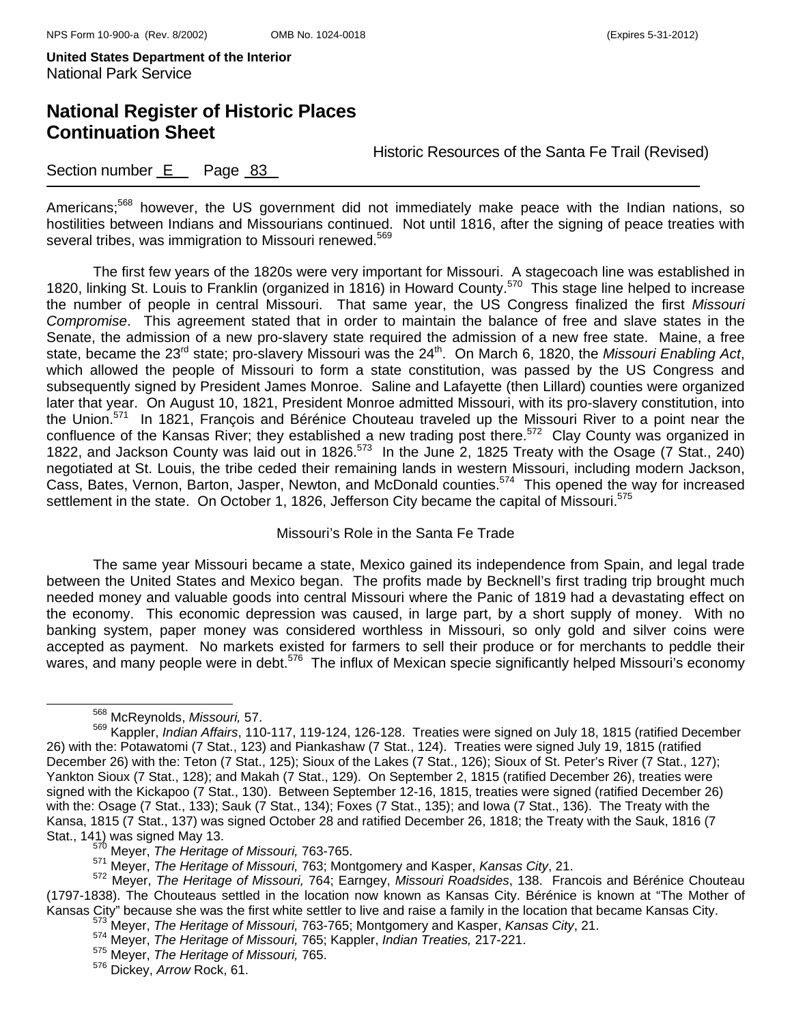## **National Register of Historic Places Continuation Sheet**

Historic Resources of the Santa Fe Trail (Revised)

### Section number E Page 83

Americans;<sup>568</sup> however, the US government did not immediately make peace with the Indian nations, so hostilities between Indians and Missourians continued. Not until 1816, after the signing of peace treaties with several tribes, was immigration to Missouri renewed.<sup>569</sup>

The first few years of the 1820s were very important for Missouri. A stagecoach line was established in 1820, linking St. Louis to Franklin (organized in 1816) in Howard County.<sup>570</sup> This stage line helped to increase the number of people in central Missouri. That same year, the US Congress finalized the first *Missouri Compromise*. This agreement stated that in order to maintain the balance of free and slave states in the Senate, the admission of a new pro-slavery state required the admission of a new free state. Maine, a free state, became the 23<sup>rd</sup> state; pro-slavery Missouri was the 24<sup>th</sup>. On March 6, 1820, the Missouri Enabling Act, which allowed the people of Missouri to form a state constitution, was passed by the US Congress and subsequently signed by President James Monroe. Saline and Lafayette (then Lillard) counties were organized later that year. On August 10, 1821, President Monroe admitted Missouri, with its pro-slavery constitution, into the Union.<sup>571</sup> In 1821, François and Bérénice Chouteau traveled up the Missouri River to a point near the confluence of the Kansas River; they established a new trading post there.<sup>572</sup> Clay County was organized in 1822, and Jackson County was laid out in 1826.573 In the June 2, 1825 Treaty with the Osage (7 Stat., 240) negotiated at St. Louis, the tribe ceded their remaining lands in western Missouri, including modern Jackson, Cass, Bates, Vernon, Barton, Jasper, Newton, and McDonald counties.574 This opened the way for increased settlement in the state. On October 1, 1826, Jefferson City became the capital of Missouri.<sup>575</sup>

Missouri's Role in the Santa Fe Trade

The same year Missouri became a state, Mexico gained its independence from Spain, and legal trade between the United States and Mexico began. The profits made by Becknell's first trading trip brought much needed money and valuable goods into central Missouri where the Panic of 1819 had a devastating effect on the economy. This economic depression was caused, in large part, by a short supply of money. With no banking system, paper money was considered worthless in Missouri, so only gold and silver coins were accepted as payment. No markets existed for farmers to sell their produce or for merchants to peddle their wares, and many people were in debt.<sup>576</sup> The influx of Mexican specie significantly helped Missouri's economy

568 McReynolds, *Missouri,* 57.

<sup>569</sup> Kappler, *Indian Affairs*, 110-117, 119-124, 126-128. Treaties were signed on July 18, 1815 (ratified December 26) with the: Potawatomi (7 Stat., 123) and Piankashaw (7 Stat., 124). Treaties were signed July 19, 1815 (ratified December 26) with the: Teton (7 Stat., 125); Sioux of the Lakes (7 Stat., 126); Sioux of St. Peter's River (7 Stat., 127); Yankton Sioux (7 Stat., 128); and Makah (7 Stat., 129). On September 2, 1815 (ratified December 26), treaties were signed with the Kickapoo (7 Stat., 130). Between September 12-16, 1815, treaties were signed (ratified December 26) with the: Osage (7 Stat., 133); Sauk (7 Stat., 134); Foxes (7 Stat., 135); and Iowa (7 Stat., 136). The Treaty with the Kansa, 1815 (7 Stat., 137) was signed October 28 and ratified December 26, 1818; the Treaty with the Sauk, 1816 (7 Stat., 141) was signed May 13. 570 Meyer, *The Heritage of Missouri,* 763-765.

<sup>571</sup> Meyer, *The Heritage of Missouri,* 763; Montgomery and Kasper, *Kansas City*, 21.

<sup>572</sup> Meyer, *The Heritage of Missouri,* 764; Earngey, *Missouri Roadsides*, 138. Francois and Bérénice Chouteau (1797-1838). The Chouteaus settled in the location now known as Kansas City. Bérénice is known at "The Mother of Kansas City" because she was the first white settler to live and raise a family in the location that became Kansas City. 573 Meyer, *The Heritage of Missouri,* 763-765; Montgomery and Kasper, *Kansas City*, 21.

<sup>574</sup> Meyer, *The Heritage of Missouri,* 765; Kappler, *Indian Treaties,* 217-221.

<sup>575</sup> Meyer, *The Heritage of Missouri,* 765.

<sup>576</sup> Dickey, *Arrow* Rock, 61.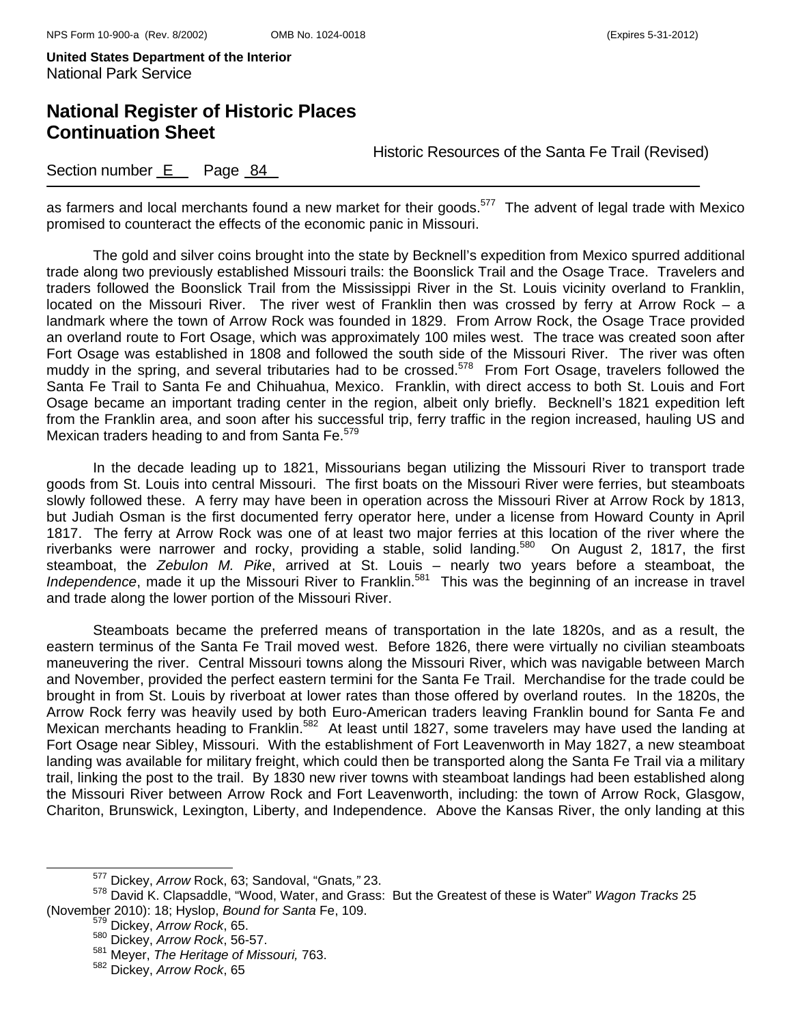# **National Register of Historic Places Continuation Sheet**

Historic Resources of the Santa Fe Trail (Revised)

### Section number E Page 84

as farmers and local merchants found a new market for their goods.<sup>577</sup> The advent of legal trade with Mexico promised to counteract the effects of the economic panic in Missouri.

The gold and silver coins brought into the state by Becknell's expedition from Mexico spurred additional trade along two previously established Missouri trails: the Boonslick Trail and the Osage Trace. Travelers and traders followed the Boonslick Trail from the Mississippi River in the St. Louis vicinity overland to Franklin, located on the Missouri River. The river west of Franklin then was crossed by ferry at Arrow Rock – a landmark where the town of Arrow Rock was founded in 1829. From Arrow Rock, the Osage Trace provided an overland route to Fort Osage, which was approximately 100 miles west. The trace was created soon after Fort Osage was established in 1808 and followed the south side of the Missouri River. The river was often muddy in the spring, and several tributaries had to be crossed.<sup>578</sup> From Fort Osage, travelers followed the Santa Fe Trail to Santa Fe and Chihuahua, Mexico. Franklin, with direct access to both St. Louis and Fort Osage became an important trading center in the region, albeit only briefly. Becknell's 1821 expedition left from the Franklin area, and soon after his successful trip, ferry traffic in the region increased, hauling US and Mexican traders heading to and from Santa Fe.<sup>579</sup>

In the decade leading up to 1821, Missourians began utilizing the Missouri River to transport trade goods from St. Louis into central Missouri. The first boats on the Missouri River were ferries, but steamboats slowly followed these. A ferry may have been in operation across the Missouri River at Arrow Rock by 1813, but Judiah Osman is the first documented ferry operator here, under a license from Howard County in April 1817. The ferry at Arrow Rock was one of at least two major ferries at this location of the river where the riverbanks were narrower and rocky, providing a stable, solid landing.<sup>580</sup> On August 2, 1817, the first steamboat, the *Zebulon M. Pike*, arrived at St. Louis – nearly two years before a steamboat, the *Independence*, made it up the Missouri River to Franklin.<sup>581</sup> This was the beginning of an increase in travel and trade along the lower portion of the Missouri River.

Steamboats became the preferred means of transportation in the late 1820s, and as a result, the eastern terminus of the Santa Fe Trail moved west. Before 1826, there were virtually no civilian steamboats maneuvering the river. Central Missouri towns along the Missouri River, which was navigable between March and November, provided the perfect eastern termini for the Santa Fe Trail. Merchandise for the trade could be brought in from St. Louis by riverboat at lower rates than those offered by overland routes. In the 1820s, the Arrow Rock ferry was heavily used by both Euro-American traders leaving Franklin bound for Santa Fe and Mexican merchants heading to Franklin.<sup>582</sup> At least until 1827, some travelers may have used the landing at Fort Osage near Sibley, Missouri. With the establishment of Fort Leavenworth in May 1827, a new steamboat landing was available for military freight, which could then be transported along the Santa Fe Trail via a military trail, linking the post to the trail. By 1830 new river towns with steamboat landings had been established along the Missouri River between Arrow Rock and Fort Leavenworth, including: the town of Arrow Rock, Glasgow, Chariton, Brunswick, Lexington, Liberty, and Independence. Above the Kansas River, the only landing at this

577 Dickey, *Arrow* Rock, 63; Sandoval, "Gnats*,"* 23.

<sup>578</sup> David K. Clapsaddle, "Wood, Water, and Grass: But the Greatest of these is Water" *Wagon Tracks* 25 (November 2010): 18; Hyslop, *Bound for Santa* Fe, 109.

<sup>579</sup> Dickey, *Arrow Rock*, 65.

<sup>580</sup> Dickey, *Arrow Rock*, 56-57.

<sup>581</sup> Meyer, *The Heritage of Missouri,* 763.

<sup>582</sup> Dickey, *Arrow Rock*, 65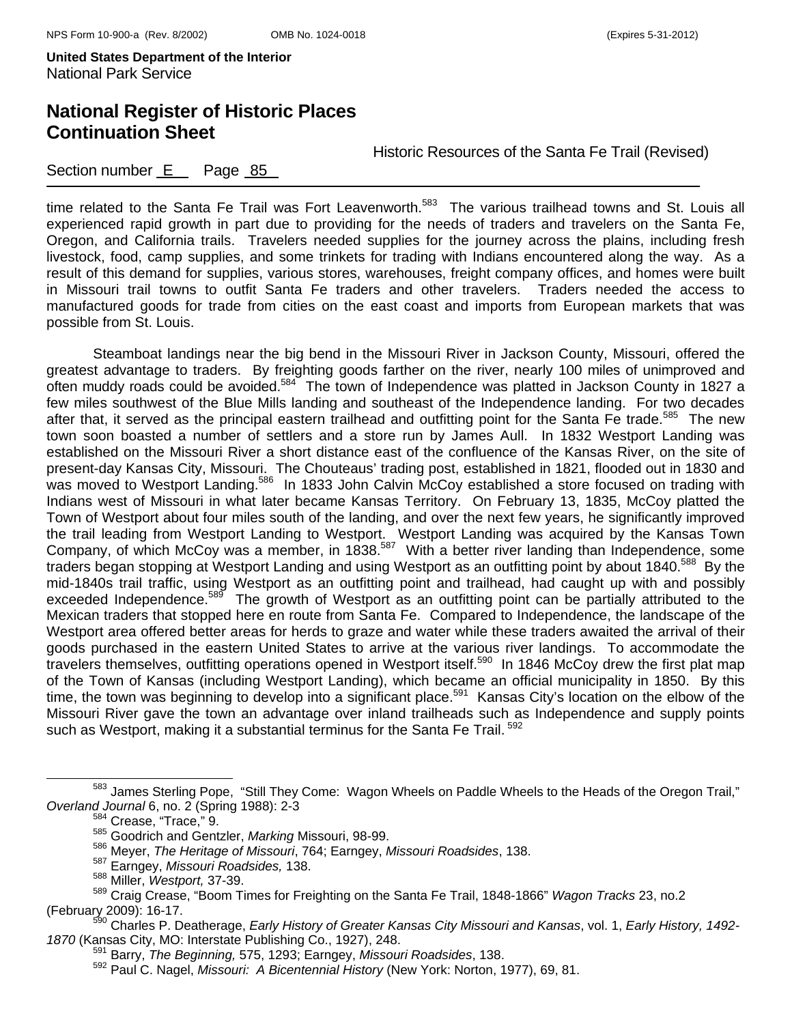# **National Register of Historic Places Continuation Sheet**

Historic Resources of the Santa Fe Trail (Revised)

### Section number E Page 85

time related to the Santa Fe Trail was Fort Leavenworth.<sup>583</sup> The various trailhead towns and St. Louis all experienced rapid growth in part due to providing for the needs of traders and travelers on the Santa Fe, Oregon, and California trails. Travelers needed supplies for the journey across the plains, including fresh livestock, food, camp supplies, and some trinkets for trading with Indians encountered along the way. As a result of this demand for supplies, various stores, warehouses, freight company offices, and homes were built in Missouri trail towns to outfit Santa Fe traders and other travelers. Traders needed the access to manufactured goods for trade from cities on the east coast and imports from European markets that was possible from St. Louis.

Steamboat landings near the big bend in the Missouri River in Jackson County, Missouri, offered the greatest advantage to traders. By freighting goods farther on the river, nearly 100 miles of unimproved and often muddy roads could be avoided.<sup>584</sup> The town of Independence was platted in Jackson County in 1827 a few miles southwest of the Blue Mills landing and southeast of the Independence landing. For two decades after that, it served as the principal eastern trailhead and outfitting point for the Santa Fe trade.<sup>585</sup> The new town soon boasted a number of settlers and a store run by James Aull. In 1832 Westport Landing was established on the Missouri River a short distance east of the confluence of the Kansas River, on the site of present-day Kansas City, Missouri. The Chouteaus' trading post, established in 1821, flooded out in 1830 and was moved to Westport Landing.<sup>586</sup> In 1833 John Calvin McCoy established a store focused on trading with Indians west of Missouri in what later became Kansas Territory. On February 13, 1835, McCoy platted the Town of Westport about four miles south of the landing, and over the next few years, he significantly improved the trail leading from Westport Landing to Westport. Westport Landing was acquired by the Kansas Town Company, of which McCoy was a member, in 1838.<sup>587</sup> With a better river landing than Independence, some traders began stopping at Westport Landing and using Westport as an outfitting point by about 1840.<sup>588</sup> By the mid-1840s trail traffic, using Westport as an outfitting point and trailhead, had caught up with and possibly exceeded Independence.<sup>589</sup> The growth of Westport as an outfitting point can be partially attributed to the Mexican traders that stopped here en route from Santa Fe. Compared to Independence, the landscape of the Westport area offered better areas for herds to graze and water while these traders awaited the arrival of their goods purchased in the eastern United States to arrive at the various river landings. To accommodate the travelers themselves, outfitting operations opened in Westport itself.<sup>590</sup> In 1846 McCoy drew the first plat map of the Town of Kansas (including Westport Landing), which became an official municipality in 1850. By this time, the town was beginning to develop into a significant place.<sup>591</sup> Kansas City's location on the elbow of the Missouri River gave the town an advantage over inland trailheads such as Independence and supply points such as Westport, making it a substantial terminus for the Santa Fe Trail.<sup>592</sup>

<sup>583</sup> James Sterling Pope, "Still They Come: Wagon Wheels on Paddle Wheels to the Heads of the Oregon Trail," *Overland Journal* 6, no. 2 (Spring 1988): 2-3 584 Crease, "Trace," 9.

<sup>585</sup> Goodrich and Gentzler, *Marking* Missouri, 98-99.

<sup>586</sup> Meyer, *The Heritage of Missouri*, 764; Earngey, *Missouri Roadsides*, 138.

<sup>587</sup> Earngey, *Missouri Roadsides,* 138.

<sup>588</sup> Miller, *Westport,* 37-39.

<sup>589</sup> Craig Crease, "Boom Times for Freighting on the Santa Fe Trail, 1848-1866" *Wagon Tracks* 23, no.2

<sup>(</sup>February 2009): 16-17. 590 Charles P. Deatherage, *Early History of Greater Kansas City Missouri and Kansas*, vol. 1, *Early History, 1492-*

*<sup>1870</sup>* (Kansas City, MO: Interstate Publishing Co., 1927), 248. 591 Barry, *The Beginning,* 575, 1293; Earngey, *Missouri Roadsides*, 138.

<sup>592</sup> Paul C. Nagel, *Missouri: A Bicentennial History* (New York: Norton, 1977), 69, 81.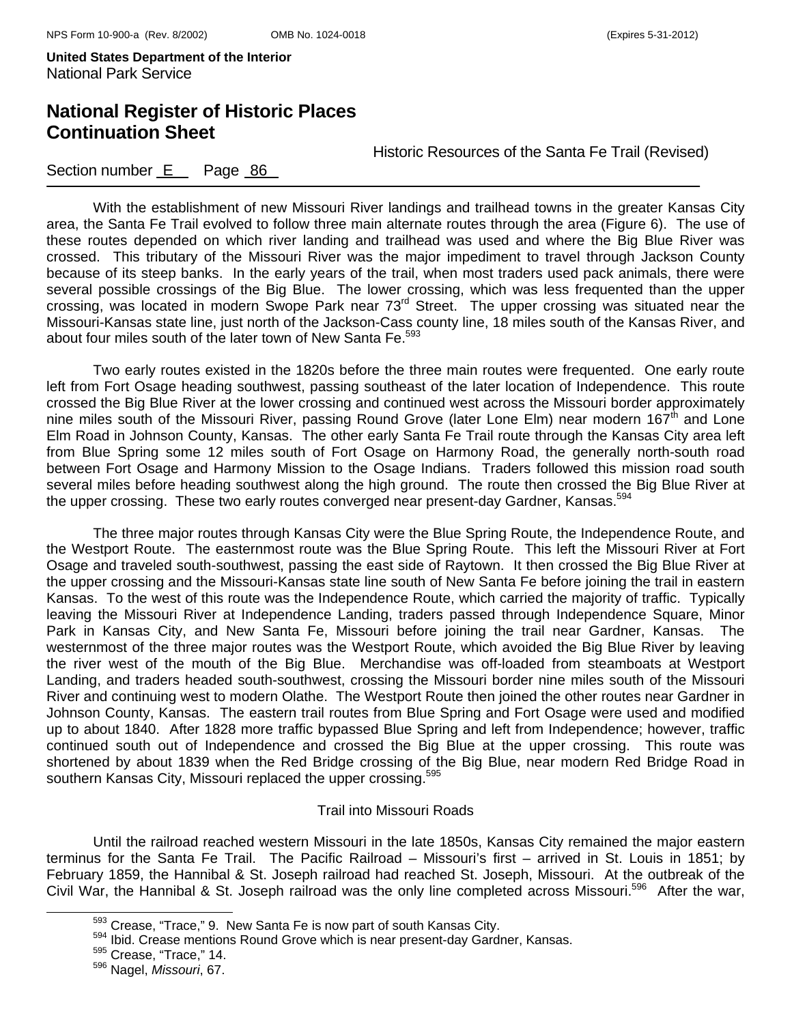# **National Register of Historic Places Continuation Sheet**

Historic Resources of the Santa Fe Trail (Revised)

### Section number E Page 86

With the establishment of new Missouri River landings and trailhead towns in the greater Kansas City area, the Santa Fe Trail evolved to follow three main alternate routes through the area (Figure 6). The use of these routes depended on which river landing and trailhead was used and where the Big Blue River was crossed. This tributary of the Missouri River was the major impediment to travel through Jackson County because of its steep banks. In the early years of the trail, when most traders used pack animals, there were several possible crossings of the Big Blue. The lower crossing, which was less frequented than the upper crossing, was located in modern Swope Park near 73<sup>rd</sup> Street. The upper crossing was situated near the Missouri-Kansas state line, just north of the Jackson-Cass county line, 18 miles south of the Kansas River, and about four miles south of the later town of New Santa Fe.<sup>593</sup>

Two early routes existed in the 1820s before the three main routes were frequented. One early route left from Fort Osage heading southwest, passing southeast of the later location of Independence. This route crossed the Big Blue River at the lower crossing and continued west across the Missouri border approximately nine miles south of the Missouri River, passing Round Grove (later Lone Elm) near modern 167<sup>th</sup> and Lone Elm Road in Johnson County, Kansas. The other early Santa Fe Trail route through the Kansas City area left from Blue Spring some 12 miles south of Fort Osage on Harmony Road, the generally north-south road between Fort Osage and Harmony Mission to the Osage Indians. Traders followed this mission road south several miles before heading southwest along the high ground. The route then crossed the Big Blue River at the upper crossing. These two early routes converged near present-day Gardner, Kansas.<sup>594</sup>

The three major routes through Kansas City were the Blue Spring Route, the Independence Route, and the Westport Route. The easternmost route was the Blue Spring Route. This left the Missouri River at Fort Osage and traveled south-southwest, passing the east side of Raytown. It then crossed the Big Blue River at the upper crossing and the Missouri-Kansas state line south of New Santa Fe before joining the trail in eastern Kansas. To the west of this route was the Independence Route, which carried the majority of traffic. Typically leaving the Missouri River at Independence Landing, traders passed through Independence Square, Minor Park in Kansas City, and New Santa Fe, Missouri before joining the trail near Gardner, Kansas. The westernmost of the three major routes was the Westport Route, which avoided the Big Blue River by leaving the river west of the mouth of the Big Blue. Merchandise was off-loaded from steamboats at Westport Landing, and traders headed south-southwest, crossing the Missouri border nine miles south of the Missouri River and continuing west to modern Olathe. The Westport Route then joined the other routes near Gardner in Johnson County, Kansas. The eastern trail routes from Blue Spring and Fort Osage were used and modified up to about 1840. After 1828 more traffic bypassed Blue Spring and left from Independence; however, traffic continued south out of Independence and crossed the Big Blue at the upper crossing. This route was shortened by about 1839 when the Red Bridge crossing of the Big Blue, near modern Red Bridge Road in southern Kansas City, Missouri replaced the upper crossing.<sup>595</sup>

#### Trail into Missouri Roads

Until the railroad reached western Missouri in the late 1850s, Kansas City remained the major eastern terminus for the Santa Fe Trail. The Pacific Railroad – Missouri's first – arrived in St. Louis in 1851; by February 1859, the Hannibal & St. Joseph railroad had reached St. Joseph, Missouri. At the outbreak of the Civil War, the Hannibal & St. Joseph railroad was the only line completed across Missouri.<sup>596</sup> After the war,

 $^{593}_{594}$  Crease, "Trace," 9. New Santa Fe is now part of south Kansas City.<br> $^{594}_{594}$  Ibid. Crease mentions Round Grove which is near present-day Gardner, Kansas.<br> $^{595}_{595}$  Crease, "Trace," 14.

<sup>596</sup> Nagel, *Missouri*, 67.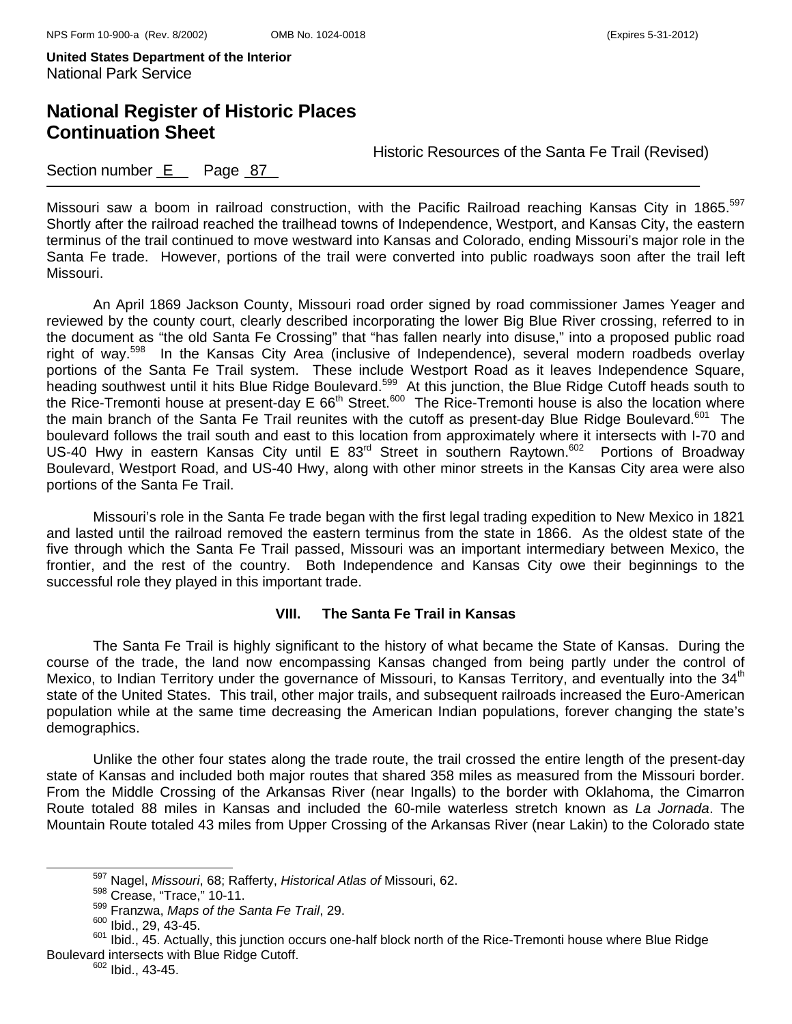# **National Register of Historic Places Continuation Sheet**

Historic Resources of the Santa Fe Trail (Revised)

### Section number  $E$  Page 87

Missouri saw a boom in railroad construction, with the Pacific Railroad reaching Kansas City in 1865.<sup>597</sup> Shortly after the railroad reached the trailhead towns of Independence, Westport, and Kansas City, the eastern terminus of the trail continued to move westward into Kansas and Colorado, ending Missouri's major role in the Santa Fe trade. However, portions of the trail were converted into public roadways soon after the trail left Missouri.

An April 1869 Jackson County, Missouri road order signed by road commissioner James Yeager and reviewed by the county court, clearly described incorporating the lower Big Blue River crossing, referred to in the document as "the old Santa Fe Crossing" that "has fallen nearly into disuse," into a proposed public road right of way.<sup>598</sup> In the Kansas City Area (inclusive of Independence), several modern roadbeds overlay portions of the Santa Fe Trail system. These include Westport Road as it leaves Independence Square, heading southwest until it hits Blue Ridge Boulevard.<sup>599</sup> At this junction, the Blue Ridge Cutoff heads south to the Rice-Tremonti house at present-day E 66<sup>th</sup> Street.<sup>600</sup> The Rice-Tremonti house is also the location where the main branch of the Santa Fe Trail reunites with the cutoff as present-day Blue Ridge Boulevard.<sup>601</sup> The boulevard follows the trail south and east to this location from approximately where it intersects with I-70 and US-40 Hwy in eastern Kansas City until E 83<sup>rd</sup> Street in southern Raytown.<sup>602</sup> Portions of Broadway Boulevard, Westport Road, and US-40 Hwy, along with other minor streets in the Kansas City area were also portions of the Santa Fe Trail.

Missouri's role in the Santa Fe trade began with the first legal trading expedition to New Mexico in 1821 and lasted until the railroad removed the eastern terminus from the state in 1866. As the oldest state of the five through which the Santa Fe Trail passed, Missouri was an important intermediary between Mexico, the frontier, and the rest of the country. Both Independence and Kansas City owe their beginnings to the successful role they played in this important trade.

### **VIII. The Santa Fe Trail in Kansas**

The Santa Fe Trail is highly significant to the history of what became the State of Kansas. During the course of the trade, the land now encompassing Kansas changed from being partly under the control of Mexico, to Indian Territory under the governance of Missouri, to Kansas Territory, and eventually into the 34<sup>th</sup> state of the United States. This trail, other major trails, and subsequent railroads increased the Euro-American population while at the same time decreasing the American Indian populations, forever changing the state's demographics.

Unlike the other four states along the trade route, the trail crossed the entire length of the present-day state of Kansas and included both major routes that shared 358 miles as measured from the Missouri border. From the Middle Crossing of the Arkansas River (near Ingalls) to the border with Oklahoma, the Cimarron Route totaled 88 miles in Kansas and included the 60-mile waterless stretch known as *La Jornada*. The Mountain Route totaled 43 miles from Upper Crossing of the Arkansas River (near Lakin) to the Colorado state

597 Nagel, *Missouri*, 68; Rafferty, *Historical Atlas of* Missouri, 62.

<sup>598</sup> Crease, "Trace," 10-11.

<sup>599</sup> Franzwa, *Maps of the Santa Fe Trail*, 29.

<sup>600</sup> Ibid., 29, 43-45.

<sup>&</sup>lt;sup>601</sup> Ibid., 45. Actually, this junction occurs one-half block north of the Rice-Tremonti house where Blue Ridge Boulevard intersects with Blue Ridge Cutoff.<br><sup>602</sup> Ibid., 43-45.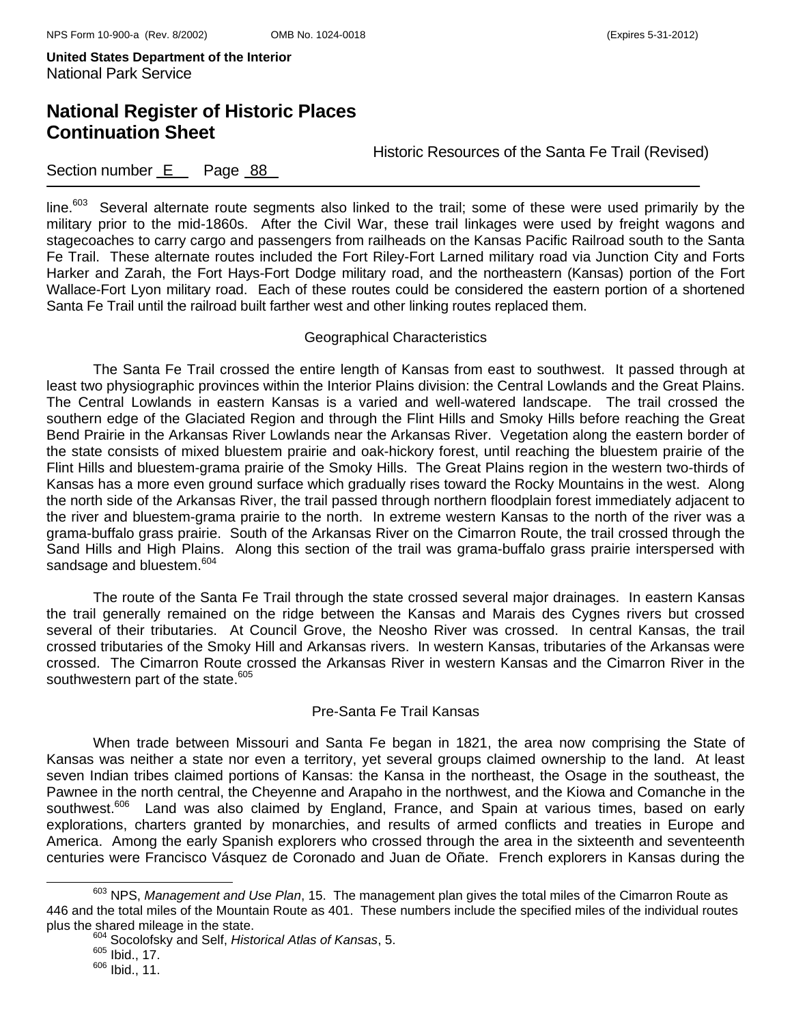## **National Register of Historic Places Continuation Sheet**

Historic Resources of the Santa Fe Trail (Revised)

### Section number E Page 88

line.<sup>603</sup> Several alternate route segments also linked to the trail; some of these were used primarily by the military prior to the mid-1860s. After the Civil War, these trail linkages were used by freight wagons and stagecoaches to carry cargo and passengers from railheads on the Kansas Pacific Railroad south to the Santa Fe Trail. These alternate routes included the Fort Riley-Fort Larned military road via Junction City and Forts Harker and Zarah, the Fort Hays-Fort Dodge military road, and the northeastern (Kansas) portion of the Fort Wallace-Fort Lyon military road. Each of these routes could be considered the eastern portion of a shortened Santa Fe Trail until the railroad built farther west and other linking routes replaced them.

#### Geographical Characteristics

 The Santa Fe Trail crossed the entire length of Kansas from east to southwest. It passed through at least two physiographic provinces within the Interior Plains division: the Central Lowlands and the Great Plains. The Central Lowlands in eastern Kansas is a varied and well-watered landscape. The trail crossed the southern edge of the Glaciated Region and through the Flint Hills and Smoky Hills before reaching the Great Bend Prairie in the Arkansas River Lowlands near the Arkansas River. Vegetation along the eastern border of the state consists of mixed bluestem prairie and oak-hickory forest, until reaching the bluestem prairie of the Flint Hills and bluestem-grama prairie of the Smoky Hills. The Great Plains region in the western two-thirds of Kansas has a more even ground surface which gradually rises toward the Rocky Mountains in the west. Along the north side of the Arkansas River, the trail passed through northern floodplain forest immediately adjacent to the river and bluestem-grama prairie to the north. In extreme western Kansas to the north of the river was a grama-buffalo grass prairie. South of the Arkansas River on the Cimarron Route, the trail crossed through the Sand Hills and High Plains. Along this section of the trail was grama-buffalo grass prairie interspersed with sandsage and bluestem.<sup>604</sup>

The route of the Santa Fe Trail through the state crossed several major drainages. In eastern Kansas the trail generally remained on the ridge between the Kansas and Marais des Cygnes rivers but crossed several of their tributaries. At Council Grove, the Neosho River was crossed. In central Kansas, the trail crossed tributaries of the Smoky Hill and Arkansas rivers. In western Kansas, tributaries of the Arkansas were crossed. The Cimarron Route crossed the Arkansas River in western Kansas and the Cimarron River in the southwestern part of the state.<sup>605</sup>

#### Pre-Santa Fe Trail Kansas

When trade between Missouri and Santa Fe began in 1821, the area now comprising the State of Kansas was neither a state nor even a territory, yet several groups claimed ownership to the land. At least seven Indian tribes claimed portions of Kansas: the Kansa in the northeast, the Osage in the southeast, the Pawnee in the north central, the Cheyenne and Arapaho in the northwest, and the Kiowa and Comanche in the southwest.<sup>606</sup> Land was also claimed by England, France, and Spain at various times, based on early explorations, charters granted by monarchies, and results of armed conflicts and treaties in Europe and America. Among the early Spanish explorers who crossed through the area in the sixteenth and seventeenth centuries were Francisco Vásquez de Coronado and Juan de Oñate. French explorers in Kansas during the

603 NPS, *Management and Use Plan*, 15. The management plan gives the total miles of the Cimarron Route as 446 and the total miles of the Mountain Route as 401. These numbers include the specified miles of the individual routes plus the shared mileage in the state. 604 Socolofsky and Self, *Historical Atlas of Kansas*, 5.

 $605$  Ibid., 17.

 $606$  Ibid., 11.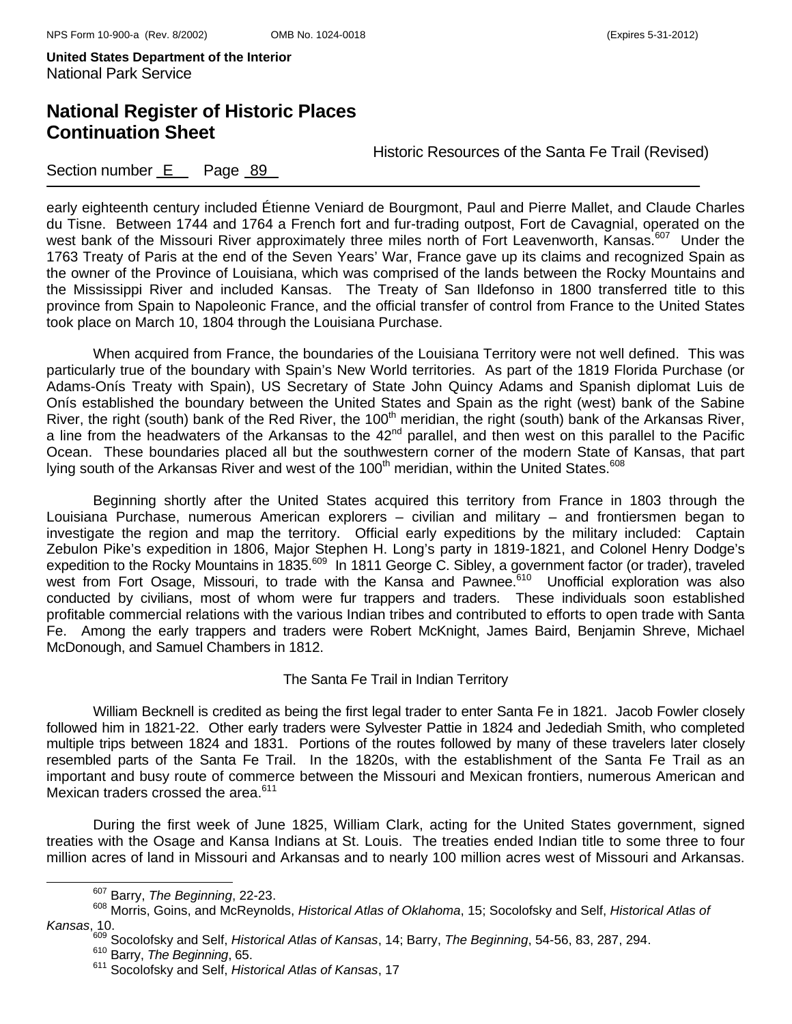# **National Register of Historic Places Continuation Sheet**

Historic Resources of the Santa Fe Trail (Revised)

### Section number E Page 89

early eighteenth century included Étienne Veniard de Bourgmont, Paul and Pierre Mallet, and Claude Charles du Tisne. Between 1744 and 1764 a French fort and fur-trading outpost, Fort de Cavagnial, operated on the west bank of the Missouri River approximately three miles north of Fort Leavenworth, Kansas.<sup>607</sup> Under the 1763 Treaty of Paris at the end of the Seven Years' War, France gave up its claims and recognized Spain as the owner of the Province of Louisiana, which was comprised of the lands between the Rocky Mountains and the Mississippi River and included Kansas. The Treaty of San Ildefonso in 1800 transferred title to this province from Spain to Napoleonic France, and the official transfer of control from France to the United States took place on March 10, 1804 through the Louisiana Purchase.

When acquired from France, the boundaries of the Louisiana Territory were not well defined. This was particularly true of the boundary with Spain's New World territories. As part of the 1819 Florida Purchase (or Adams-Onís Treaty with Spain), US Secretary of State John Quincy Adams and Spanish diplomat Luis de Onís established the boundary between the United States and Spain as the right (west) bank of the Sabine River, the right (south) bank of the Red River, the 100<sup>th</sup> meridian, the right (south) bank of the Arkansas River, a line from the headwaters of the Arkansas to the 42<sup>nd</sup> parallel, and then west on this parallel to the Pacific Ocean. These boundaries placed all but the southwestern corner of the modern State of Kansas, that part lying south of the Arkansas River and west of the 100<sup>th</sup> meridian, within the United States.<sup>608</sup>

Beginning shortly after the United States acquired this territory from France in 1803 through the Louisiana Purchase, numerous American explorers – civilian and military – and frontiersmen began to investigate the region and map the territory. Official early expeditions by the military included: Captain Zebulon Pike's expedition in 1806, Major Stephen H. Long's party in 1819-1821, and Colonel Henry Dodge's expedition to the Rocky Mountains in 1835.<sup>609</sup> In 1811 George C. Sibley, a government factor (or trader), traveled west from Fort Osage, Missouri, to trade with the Kansa and Pawnee.<sup>610</sup> Unofficial exploration was also conducted by civilians, most of whom were fur trappers and traders. These individuals soon established profitable commercial relations with the various Indian tribes and contributed to efforts to open trade with Santa Fe. Among the early trappers and traders were Robert McKnight, James Baird, Benjamin Shreve, Michael McDonough, and Samuel Chambers in 1812.

#### The Santa Fe Trail in Indian Territory

William Becknell is credited as being the first legal trader to enter Santa Fe in 1821. Jacob Fowler closely followed him in 1821-22. Other early traders were Sylvester Pattie in 1824 and Jedediah Smith, who completed multiple trips between 1824 and 1831. Portions of the routes followed by many of these travelers later closely resembled parts of the Santa Fe Trail. In the 1820s, with the establishment of the Santa Fe Trail as an important and busy route of commerce between the Missouri and Mexican frontiers, numerous American and Mexican traders crossed the area.<sup>611</sup>

During the first week of June 1825, William Clark, acting for the United States government, signed treaties with the Osage and Kansa Indians at St. Louis. The treaties ended Indian title to some three to four million acres of land in Missouri and Arkansas and to nearly 100 million acres west of Missouri and Arkansas.

607 Barry, *The Beginning*, 22-23.

<sup>608</sup> Morris, Goins, and McReynolds, *Historical Atlas of Oklahoma*, 15; Socolofsky and Self, *Historical Atlas of Kansas*, 10.

<sup>609</sup> Socolofsky and Self, *Historical Atlas of Kansas*, 14; Barry, *The Beginning*, 54-56, 83, 287, 294.

<sup>610</sup> Barry, *The Beginning*, 65.

<sup>611</sup> Socolofsky and Self, *Historical Atlas of Kansas*, 17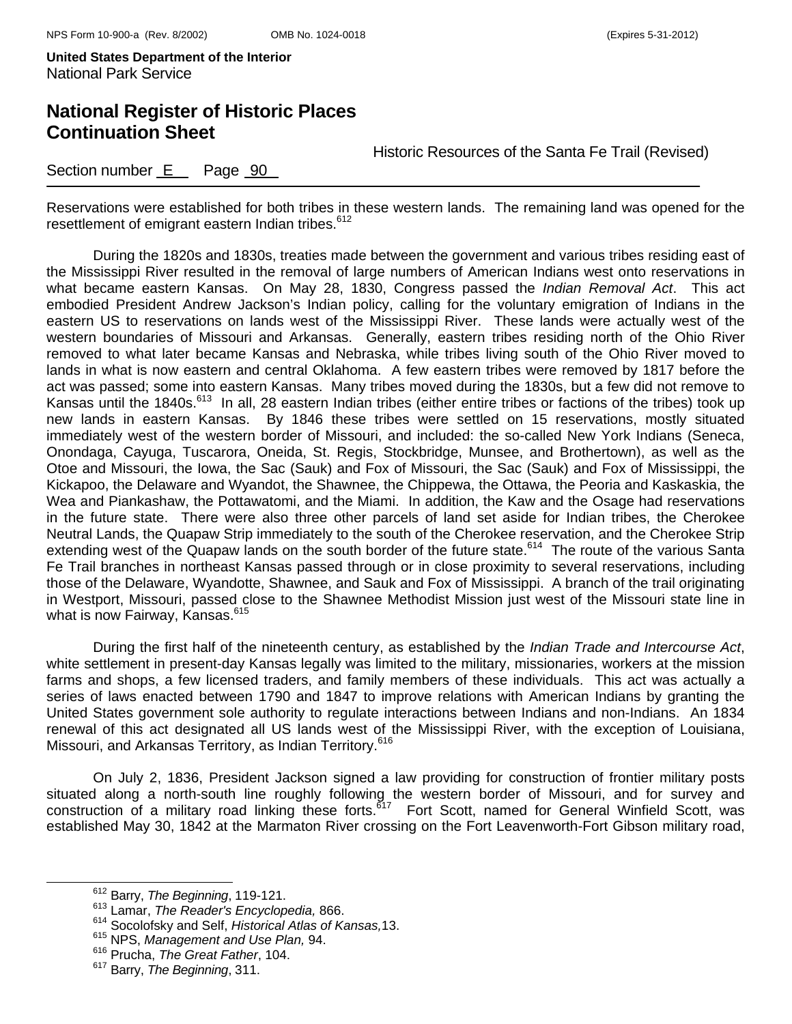# **National Register of Historic Places Continuation Sheet**

Historic Resources of the Santa Fe Trail (Revised)

Section number E Page 90

Reservations were established for both tribes in these western lands. The remaining land was opened for the resettlement of emigrant eastern Indian tribes.<sup>612</sup>

During the 1820s and 1830s, treaties made between the government and various tribes residing east of the Mississippi River resulted in the removal of large numbers of American Indians west onto reservations in what became eastern Kansas. On May 28, 1830, Congress passed the *Indian Removal Act*. This act embodied President Andrew Jackson's Indian policy, calling for the voluntary emigration of Indians in the eastern US to reservations on lands west of the Mississippi River. These lands were actually west of the western boundaries of Missouri and Arkansas. Generally, eastern tribes residing north of the Ohio River removed to what later became Kansas and Nebraska, while tribes living south of the Ohio River moved to lands in what is now eastern and central Oklahoma. A few eastern tribes were removed by 1817 before the act was passed; some into eastern Kansas. Many tribes moved during the 1830s, but a few did not remove to Kansas until the 1840s.<sup>613</sup> In all, 28 eastern Indian tribes (either entire tribes or factions of the tribes) took up new lands in eastern Kansas. By 1846 these tribes were settled on 15 reservations, mostly situated immediately west of the western border of Missouri, and included: the so-called New York Indians (Seneca, Onondaga, Cayuga, Tuscarora, Oneida, St. Regis, Stockbridge, Munsee, and Brothertown), as well as the Otoe and Missouri, the Iowa, the Sac (Sauk) and Fox of Missouri, the Sac (Sauk) and Fox of Mississippi, the Kickapoo, the Delaware and Wyandot, the Shawnee, the Chippewa, the Ottawa, the Peoria and Kaskaskia, the Wea and Piankashaw, the Pottawatomi, and the Miami. In addition, the Kaw and the Osage had reservations in the future state. There were also three other parcels of land set aside for Indian tribes, the Cherokee Neutral Lands, the Quapaw Strip immediately to the south of the Cherokee reservation, and the Cherokee Strip extending west of the Quapaw lands on the south border of the future state.<sup>614</sup> The route of the various Santa Fe Trail branches in northeast Kansas passed through or in close proximity to several reservations, including those of the Delaware, Wyandotte, Shawnee, and Sauk and Fox of Mississippi. A branch of the trail originating in Westport, Missouri, passed close to the Shawnee Methodist Mission just west of the Missouri state line in what is now Fairway, Kansas.<sup>615</sup>

During the first half of the nineteenth century, as established by the *Indian Trade and Intercourse Act*, white settlement in present-day Kansas legally was limited to the military, missionaries, workers at the mission farms and shops, a few licensed traders, and family members of these individuals. This act was actually a series of laws enacted between 1790 and 1847 to improve relations with American Indians by granting the United States government sole authority to regulate interactions between Indians and non-Indians. An 1834 renewal of this act designated all US lands west of the Mississippi River, with the exception of Louisiana, Missouri, and Arkansas Territory, as Indian Territory.<sup>616</sup>

On July 2, 1836, President Jackson signed a law providing for construction of frontier military posts situated along a north-south line roughly following the western border of Missouri, and for survey and construction of a military road linking these forts.617 Fort Scott, named for General Winfield Scott, was established May 30, 1842 at the Marmaton River crossing on the Fort Leavenworth-Fort Gibson military road,

612 Barry, *The Beginning*, 119-121.

<sup>613</sup> Lamar, *The Reader's Encyclopedia,* 866.

<sup>614</sup> Socolofsky and Self, *Historical Atlas of Kansas,*13.

<sup>615</sup> NPS, *Management and Use Plan,* 94.

<sup>616</sup> Prucha, *The Great Father*, 104.

<sup>617</sup> Barry, *The Beginning*, 311.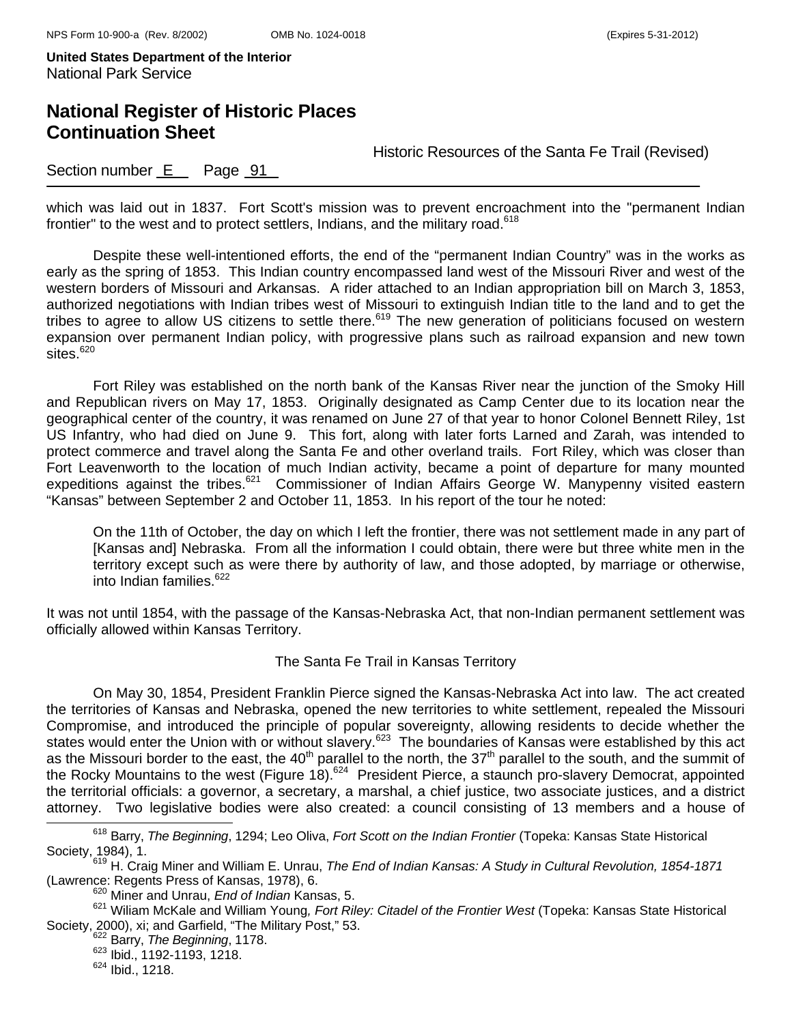# **National Register of Historic Places Continuation Sheet**

Historic Resources of the Santa Fe Trail (Revised)

### Section number E Page 91

which was laid out in 1837. Fort Scott's mission was to prevent encroachment into the "permanent Indian frontier" to the west and to protect settlers, Indians, and the military road.<sup>618</sup>

Despite these well-intentioned efforts, the end of the "permanent Indian Country" was in the works as early as the spring of 1853. This Indian country encompassed land west of the Missouri River and west of the western borders of Missouri and Arkansas. A rider attached to an Indian appropriation bill on March 3, 1853, authorized negotiations with Indian tribes west of Missouri to extinguish Indian title to the land and to get the tribes to agree to allow US citizens to settle there.<sup>619</sup> The new generation of politicians focused on western expansion over permanent Indian policy, with progressive plans such as railroad expansion and new town sites.<sup>620</sup>

Fort Riley was established on the north bank of the Kansas River near the junction of the Smoky Hill and Republican rivers on May 17, 1853. Originally designated as Camp Center due to its location near the geographical center of the country, it was renamed on June 27 of that year to honor Colonel Bennett Riley, 1st US Infantry, who had died on June 9. This fort, along with later forts Larned and Zarah, was intended to protect commerce and travel along the Santa Fe and other overland trails. Fort Riley, which was closer than Fort Leavenworth to the location of much Indian activity, became a point of departure for many mounted expeditions against the tribes.<sup>621</sup> Commissioner of Indian Affairs George W. Manypenny visited eastern "Kansas" between September 2 and October 11, 1853. In his report of the tour he noted:

On the 11th of October, the day on which I left the frontier, there was not settlement made in any part of [Kansas and] Nebraska. From all the information I could obtain, there were but three white men in the territory except such as were there by authority of law, and those adopted, by marriage or otherwise, into Indian families.<sup>622</sup>

It was not until 1854, with the passage of the Kansas-Nebraska Act, that non-Indian permanent settlement was officially allowed within Kansas Territory.

#### The Santa Fe Trail in Kansas Territory

On May 30, 1854, President Franklin Pierce signed the Kansas-Nebraska Act into law. The act created the territories of Kansas and Nebraska, opened the new territories to white settlement, repealed the Missouri Compromise, and introduced the principle of popular sovereignty, allowing residents to decide whether the states would enter the Union with or without slavery.<sup>623</sup> The boundaries of Kansas were established by this act as the Missouri border to the east, the 40<sup>th</sup> parallel to the north, the 37<sup>th</sup> parallel to the south, and the summit of the Rocky Mountains to the west (Figure 18).<sup>624</sup> President Pierce, a staunch pro-slavery Democrat, appointed the territorial officials: a governor, a secretary, a marshal, a chief justice, two associate justices, and a district attorney. Two legislative bodies were also created: a council consisting of 13 members and a house of

618 Barry, *The Beginning*, 1294; Leo Oliva, *Fort Scott on the Indian Frontier* (Topeka: Kansas State Historical Society, 1984), 1.<br><sup>619</sup> H. Craig Miner and William E. Unrau, *The End of Indian Kansas: A Study in Cultural Revolution, 1854-1871* 

<sup>(</sup>Lawrence: Regents Press of Kansas, 1978), 6. 620 Miner and Unrau, *End of Indian* Kansas, 5.

<sup>621</sup> Wiliam McKale and William Young*, Fort Riley: Citadel of the Frontier West* (Topeka: Kansas State Historical Society, 2000), xi; and Garfield, "The Military Post," 53.<br><sup>622</sup> Barry, *The Beginning*, 1178.

<sup>623</sup> Ibid., 1192-1193, 1218.

<sup>624</sup> Ibid., 1218.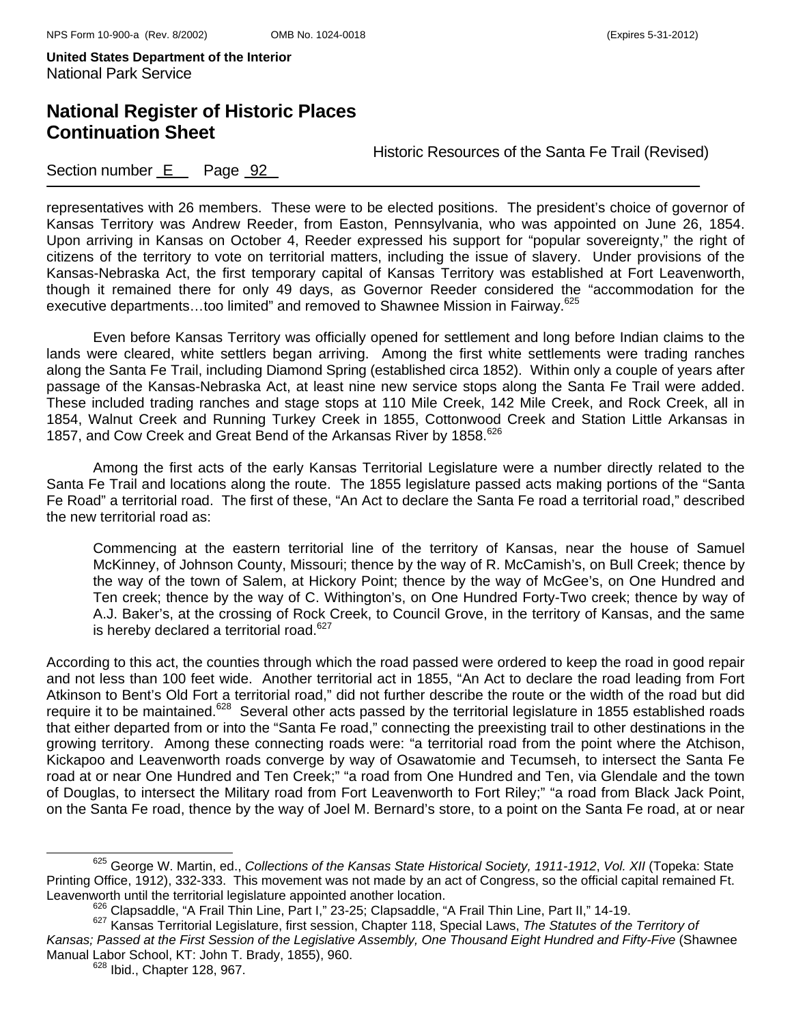## **National Register of Historic Places Continuation Sheet**

Historic Resources of the Santa Fe Trail (Revised)

### Section number E Page 92

representatives with 26 members. These were to be elected positions. The president's choice of governor of Kansas Territory was Andrew Reeder, from Easton, Pennsylvania, who was appointed on June 26, 1854. Upon arriving in Kansas on October 4, Reeder expressed his support for "popular sovereignty," the right of citizens of the territory to vote on territorial matters, including the issue of slavery. Under provisions of the Kansas-Nebraska Act, the first temporary capital of Kansas Territory was established at Fort Leavenworth, though it remained there for only 49 days, as Governor Reeder considered the "accommodation for the executive departments...too limited" and removed to Shawnee Mission in Fairway.<sup>625</sup>

 Even before Kansas Territory was officially opened for settlement and long before Indian claims to the lands were cleared, white settlers began arriving. Among the first white settlements were trading ranches along the Santa Fe Trail, including Diamond Spring (established circa 1852). Within only a couple of years after passage of the Kansas-Nebraska Act, at least nine new service stops along the Santa Fe Trail were added. These included trading ranches and stage stops at 110 Mile Creek, 142 Mile Creek, and Rock Creek, all in 1854, Walnut Creek and Running Turkey Creek in 1855, Cottonwood Creek and Station Little Arkansas in 1857, and Cow Creek and Great Bend of the Arkansas River by 1858.<sup>626</sup>

 Among the first acts of the early Kansas Territorial Legislature were a number directly related to the Santa Fe Trail and locations along the route. The 1855 legislature passed acts making portions of the "Santa Fe Road" a territorial road. The first of these, "An Act to declare the Santa Fe road a territorial road," described the new territorial road as:

Commencing at the eastern territorial line of the territory of Kansas, near the house of Samuel McKinney, of Johnson County, Missouri; thence by the way of R. McCamish's, on Bull Creek; thence by the way of the town of Salem, at Hickory Point; thence by the way of McGee's, on One Hundred and Ten creek; thence by the way of C. Withington's, on One Hundred Forty-Two creek; thence by way of A.J. Baker's, at the crossing of Rock Creek, to Council Grove, in the territory of Kansas, and the same is hereby declared a territorial road.<sup>627</sup>

According to this act, the counties through which the road passed were ordered to keep the road in good repair and not less than 100 feet wide. Another territorial act in 1855, "An Act to declare the road leading from Fort Atkinson to Bent's Old Fort a territorial road," did not further describe the route or the width of the road but did require it to be maintained.<sup>628</sup> Several other acts passed by the territorial legislature in 1855 established roads that either departed from or into the "Santa Fe road," connecting the preexisting trail to other destinations in the growing territory. Among these connecting roads were: "a territorial road from the point where the Atchison, Kickapoo and Leavenworth roads converge by way of Osawatomie and Tecumseh, to intersect the Santa Fe road at or near One Hundred and Ten Creek;" "a road from One Hundred and Ten, via Glendale and the town of Douglas, to intersect the Military road from Fort Leavenworth to Fort Riley;" "a road from Black Jack Point, on the Santa Fe road, thence by the way of Joel M. Bernard's store, to a point on the Santa Fe road, at or near

625 George W. Martin, ed., *Collections of the Kansas State Historical Society, 1911-1912*, *Vol. XII* (Topeka: State Printing Office, 1912), 332-333. This movement was not made by an act of Congress, so the official capital remained Ft.<br>Leavenworth until the territorial legislature appointed another location.

<sup>626</sup> Clapsaddle, "A Frail Thin Line, Part I," 23-25; Clapsaddle, "A Frail Thin Line, Part II," 14-19.<br>627 Kansas Territorial Legislature, first session, Chapter 118, Special Laws, The Statutes of the Territory of *Kansas; Passed at the First Session of the Legislative Assembly, One Thousand Eight Hundred and Fifty-Five* (Shawnee Manual Labor School, KT: John T. Brady, 1855), 960.<br><sup>628</sup> Ibid., Chapter 128, 967.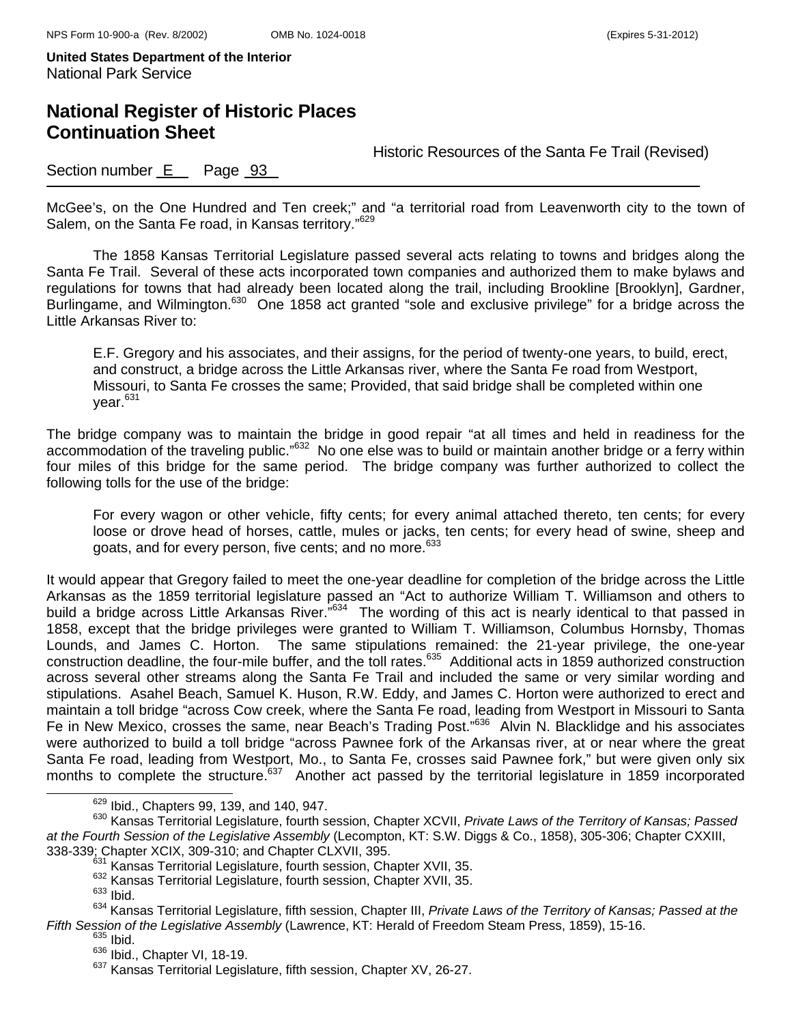# **National Register of Historic Places Continuation Sheet**

Historic Resources of the Santa Fe Trail (Revised)

### Section number  $E$  Page  $93$

McGee's, on the One Hundred and Ten creek;" and "a territorial road from Leavenworth city to the town of Salem, on the Santa Fe road, in Kansas territory."<sup>629</sup>

The 1858 Kansas Territorial Legislature passed several acts relating to towns and bridges along the Santa Fe Trail. Several of these acts incorporated town companies and authorized them to make bylaws and regulations for towns that had already been located along the trail, including Brookline [Brooklyn], Gardner, Burlingame, and Wilmington.<sup>630</sup> One 1858 act granted "sole and exclusive privilege" for a bridge across the Little Arkansas River to:

E.F. Gregory and his associates, and their assigns, for the period of twenty-one years, to build, erect, and construct, a bridge across the Little Arkansas river, where the Santa Fe road from Westport, Missouri, to Santa Fe crosses the same; Provided, that said bridge shall be completed within one year.<sup>631</sup>

The bridge company was to maintain the bridge in good repair "at all times and held in readiness for the accommodation of the traveling public."632 No one else was to build or maintain another bridge or a ferry within four miles of this bridge for the same period. The bridge company was further authorized to collect the following tolls for the use of the bridge:

For every wagon or other vehicle, fifty cents; for every animal attached thereto, ten cents; for every loose or drove head of horses, cattle, mules or jacks, ten cents; for every head of swine, sheep and goats, and for every person, five cents; and no more.<sup>633</sup>

It would appear that Gregory failed to meet the one-year deadline for completion of the bridge across the Little Arkansas as the 1859 territorial legislature passed an "Act to authorize William T. Williamson and others to build a bridge across Little Arkansas River."634 The wording of this act is nearly identical to that passed in 1858, except that the bridge privileges were granted to William T. Williamson, Columbus Hornsby, Thomas Lounds, and James C. Horton. The same stipulations remained: the 21-year privilege, the one-year construction deadline, the four-mile buffer, and the toll rates.<sup>635</sup> Additional acts in 1859 authorized construction across several other streams along the Santa Fe Trail and included the same or very similar wording and stipulations. Asahel Beach, Samuel K. Huson, R.W. Eddy, and James C. Horton were authorized to erect and maintain a toll bridge "across Cow creek, where the Santa Fe road, leading from Westport in Missouri to Santa Fe in New Mexico, crosses the same, near Beach's Trading Post."<sup>636</sup> Alvin N. Blacklidge and his associates were authorized to build a toll bridge "across Pawnee fork of the Arkansas river, at or near where the great Santa Fe road, leading from Westport, Mo., to Santa Fe, crosses said Pawnee fork," but were given only six months to complete the structure.<sup>637</sup> Another act passed by the territorial legislature in 1859 incorporated

629 Ibid., Chapters 99, 139, and 140, 947.

<sup>630</sup> Kansas Territorial Legislature, fourth session, Chapter XCVII, *Private Laws of the Territory of Kansas; Passed at the Fourth Session of the Legislative Assembly* (Lecompton, KT: S.W. Diggs & Co., 1858), 305-306; Chapter CXXIII,

<sup>338-339;</sup> Chapter XCIX, 309-310; and Chapter CLXVII, 395.<br><sup>631</sup> Kansas Territorial Legislature, fourth session, Chapter XVII, 35.<br><sup>632</sup> Kansas Territorial Legislature, fourth session, Chapter XVII, 35.<br><sup>633</sup> Ibid.

<sup>634</sup> Kansas Territorial Legislature, fifth session, Chapter III, *Private Laws of the Territory of Kansas; Passed at the Fifth Session of the Legislative Assembly* (Lawrence, KT: Herald of Freedom Steam Press, 1859), 15-16.<br><sup>635</sup> Ibid., Chapter VI, 18-19.<br><sup>636</sup> Ibid., Chapter VI, 18-19.

<sup>637</sup> Examples Territorial Legislature, fifth session, Chapter XV, 26-27.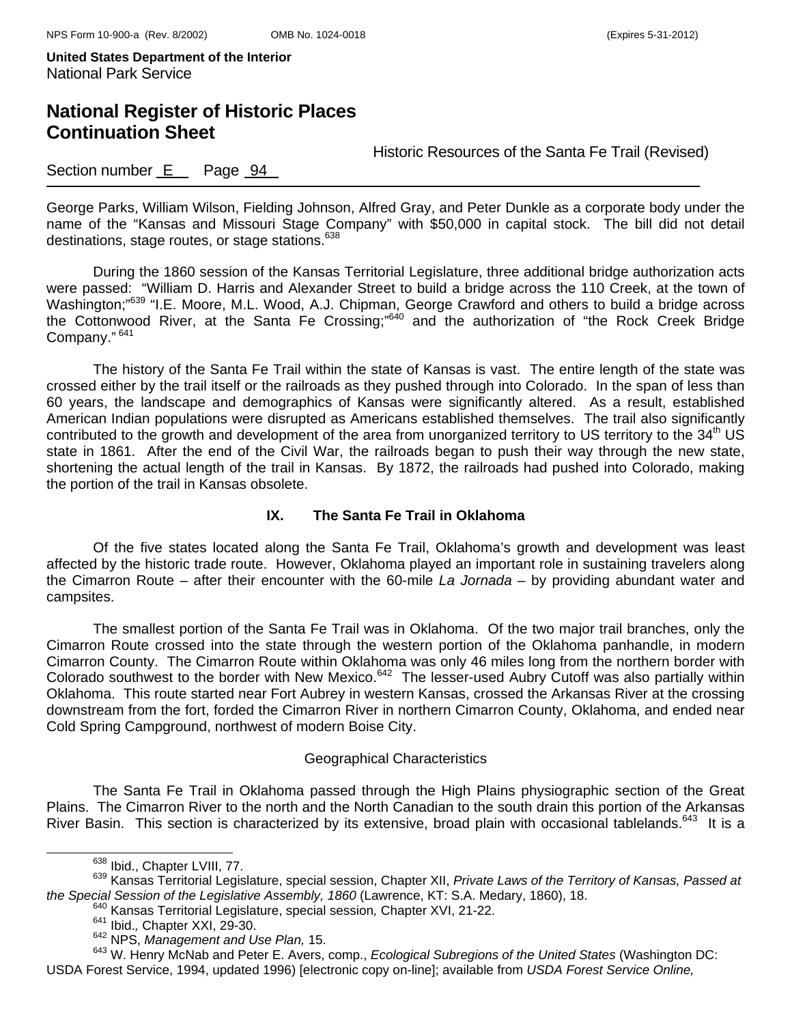## **National Register of Historic Places Continuation Sheet**

Historic Resources of the Santa Fe Trail (Revised)

### Section number E Page 94

George Parks, William Wilson, Fielding Johnson, Alfred Gray, and Peter Dunkle as a corporate body under the name of the "Kansas and Missouri Stage Company" with \$50,000 in capital stock. The bill did not detail destinations, stage routes, or stage stations.<sup>638</sup>

During the 1860 session of the Kansas Territorial Legislature, three additional bridge authorization acts were passed: "William D. Harris and Alexander Street to build a bridge across the 110 Creek, at the town of Washington;<sup>"639</sup> "I.E. Moore, M.L. Wood, A.J. Chipman, George Crawford and others to build a bridge across the Cottonwood River, at the Santa Fe Crossing;"640 and the authorization of "the Rock Creek Bridge Company." 641

The history of the Santa Fe Trail within the state of Kansas is vast. The entire length of the state was crossed either by the trail itself or the railroads as they pushed through into Colorado. In the span of less than 60 years, the landscape and demographics of Kansas were significantly altered. As a result, established American Indian populations were disrupted as Americans established themselves. The trail also significantly contributed to the growth and development of the area from unorganized territory to US territory to the 34<sup>th</sup> US state in 1861. After the end of the Civil War, the railroads began to push their way through the new state, shortening the actual length of the trail in Kansas. By 1872, the railroads had pushed into Colorado, making the portion of the trail in Kansas obsolete.

#### **IX. The Santa Fe Trail in Oklahoma**

Of the five states located along the Santa Fe Trail, Oklahoma's growth and development was least affected by the historic trade route. However, Oklahoma played an important role in sustaining travelers along the Cimarron Route – after their encounter with the 60-mile *La Jornada* – by providing abundant water and campsites.

The smallest portion of the Santa Fe Trail was in Oklahoma. Of the two major trail branches, only the Cimarron Route crossed into the state through the western portion of the Oklahoma panhandle, in modern Cimarron County. The Cimarron Route within Oklahoma was only 46 miles long from the northern border with Colorado southwest to the border with New Mexico.642 The lesser-used Aubry Cutoff was also partially within Oklahoma. This route started near Fort Aubrey in western Kansas, crossed the Arkansas River at the crossing downstream from the fort, forded the Cimarron River in northern Cimarron County, Oklahoma, and ended near Cold Spring Campground, northwest of modern Boise City.

#### Geographical Characteristics

The Santa Fe Trail in Oklahoma passed through the High Plains physiographic section of the Great Plains. The Cimarron River to the north and the North Canadian to the south drain this portion of the Arkansas River Basin. This section is characterized by its extensive, broad plain with occasional tablelands.<sup>643</sup> It is a

- -

<sup>&</sup>lt;sup>638</sup> Ibid., Chapter LVIII, 77.<br><sup>639</sup> Kansas Territorial Legislature, special session, Chapter XII, *Private Laws of the Territory of Kansas, Passed at* the Special Session of the Legislative Assembly, 1860 (Lawrence, KT: S.A. Medary, 1860), 18.<br><sup>640</sup> Kansas Territorial Legislature, special session, Chapter XVI, 21-22.<br><sup>641</sup> Ibid., Chapter XXI, 29-30.<br><sup>642</sup> NPS, *Managemen* 

<sup>643</sup> W. Henry McNab and Peter E. Avers, comp., *Ecological Subregions of the United States* (Washington DC: USDA Forest Service, 1994, updated 1996) [electronic copy on-line]; available from *USDA Forest Service Online,*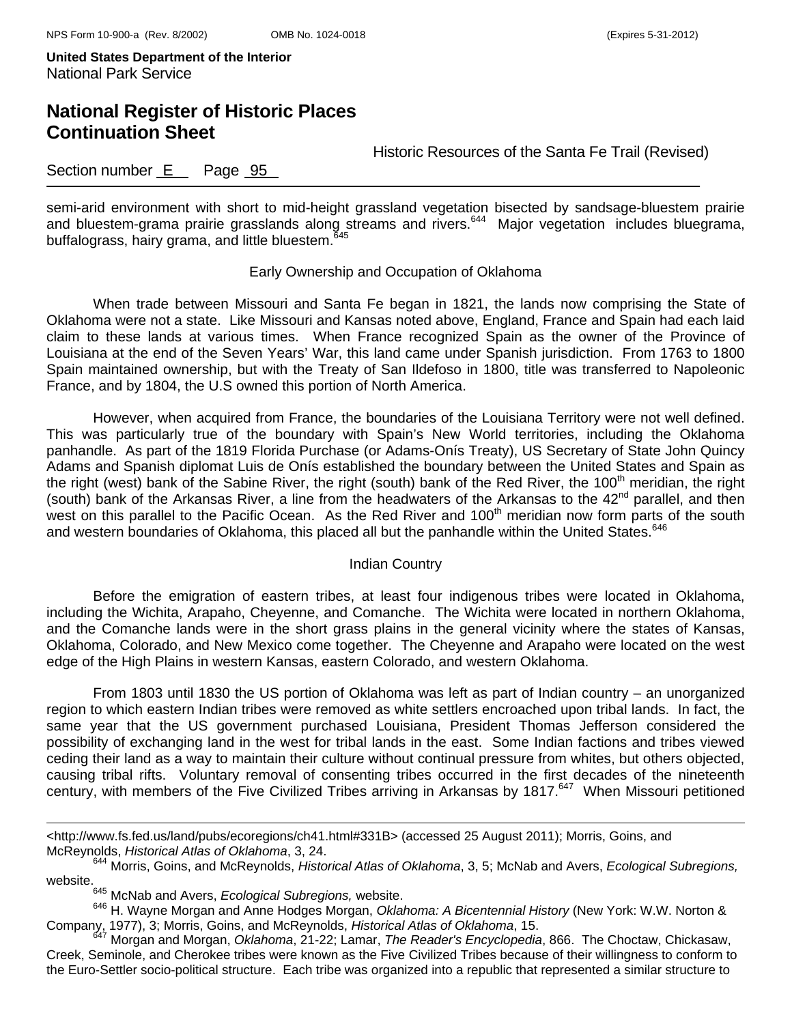## **National Register of Historic Places Continuation Sheet**

Historic Resources of the Santa Fe Trail (Revised)

### Section number E Page 95

semi-arid environment with short to mid-height grassland vegetation bisected by sandsage-bluestem prairie and bluestem-grama prairie grasslands along streams and rivers.<sup>644</sup> Major vegetation includes bluegrama, buffalograss, hairy grama, and little bluestem.<sup>645</sup>

#### Early Ownership and Occupation of Oklahoma

When trade between Missouri and Santa Fe began in 1821, the lands now comprising the State of Oklahoma were not a state. Like Missouri and Kansas noted above, England, France and Spain had each laid claim to these lands at various times. When France recognized Spain as the owner of the Province of Louisiana at the end of the Seven Years' War, this land came under Spanish jurisdiction. From 1763 to 1800 Spain maintained ownership, but with the Treaty of San Ildefoso in 1800, title was transferred to Napoleonic France, and by 1804, the U.S owned this portion of North America.

However, when acquired from France, the boundaries of the Louisiana Territory were not well defined. This was particularly true of the boundary with Spain's New World territories, including the Oklahoma panhandle. As part of the 1819 Florida Purchase (or Adams-Onís Treaty), US Secretary of State John Quincy Adams and Spanish diplomat Luis de Onís established the boundary between the United States and Spain as the right (west) bank of the Sabine River, the right (south) bank of the Red River, the 100<sup>th</sup> meridian, the right (south) bank of the Arkansas River, a line from the headwaters of the Arkansas to the  $42^{nd}$  parallel, and then west on this parallel to the Pacific Ocean. As the Red River and 100<sup>th</sup> meridian now form parts of the south and western boundaries of Oklahoma, this placed all but the panhandle within the United States.<sup>646</sup>

#### Indian Country

Before the emigration of eastern tribes, at least four indigenous tribes were located in Oklahoma, including the Wichita, Arapaho, Cheyenne, and Comanche. The Wichita were located in northern Oklahoma, and the Comanche lands were in the short grass plains in the general vicinity where the states of Kansas, Oklahoma, Colorado, and New Mexico come together. The Cheyenne and Arapaho were located on the west edge of the High Plains in western Kansas, eastern Colorado, and western Oklahoma.

From 1803 until 1830 the US portion of Oklahoma was left as part of Indian country – an unorganized region to which eastern Indian tribes were removed as white settlers encroached upon tribal lands. In fact, the same year that the US government purchased Louisiana, President Thomas Jefferson considered the possibility of exchanging land in the west for tribal lands in the east. Some Indian factions and tribes viewed ceding their land as a way to maintain their culture without continual pressure from whites, but others objected, causing tribal rifts. Voluntary removal of consenting tribes occurred in the first decades of the nineteenth century, with members of the Five Civilized Tribes arriving in Arkansas by 1817.<sup>647</sup> When Missouri petitioned

i<br>L

<sup>&</sup>lt;http://www.fs.fed.us/land/pubs/ecoregions/ch41.html#331B> (accessed 25 August 2011); Morris, Goins, and McReynolds, *Historical Atlas of Oklahoma*, 3, 24.

<sup>644</sup> Morris, Goins, and McReynolds, *Historical Atlas of Oklahoma*, 3, 5; McNab and Avers, *Ecological Subregions,*  website.

<sup>645</sup> McNab and Avers, *Ecological Subregions,* website.

<sup>646</sup> H. Wayne Morgan and Anne Hodges Morgan, *Oklahoma: A Bicentennial History* (New York: W.W. Norton & Company, 1977), 3; Morris, Goins, and McReynolds, *Historical Atlas of Oklahoma*, 15.

<sup>647</sup> Morgan and Morgan, *Oklahoma*, 21-22; Lamar, *The Reader's Encyclopedia*, 866. The Choctaw, Chickasaw, Creek, Seminole, and Cherokee tribes were known as the Five Civilized Tribes because of their willingness to conform to the Euro-Settler socio-political structure. Each tribe was organized into a republic that represented a similar structure to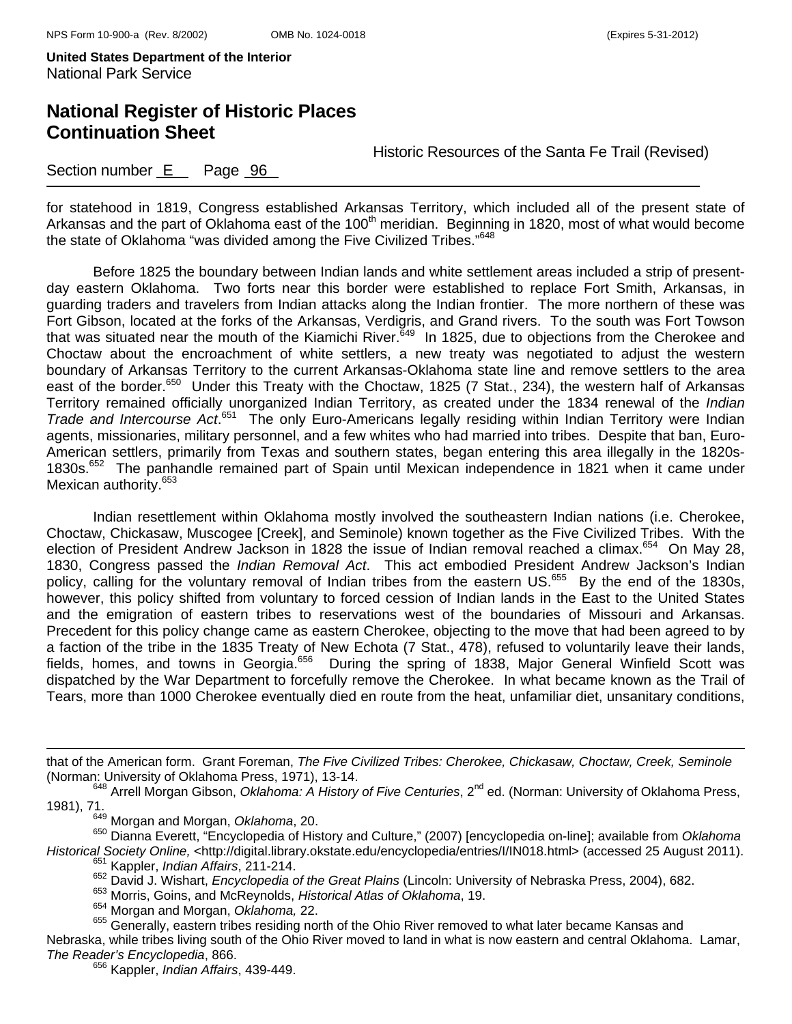# **National Register of Historic Places Continuation Sheet**

Historic Resources of the Santa Fe Trail (Revised)

### Section number E Page 96

for statehood in 1819, Congress established Arkansas Territory, which included all of the present state of Arkansas and the part of Oklahoma east of the 100<sup>th</sup> meridian. Beginning in 1820, most of what would become the state of Oklahoma "was divided among the Five Civilized Tribes."<sup>648</sup>

Before 1825 the boundary between Indian lands and white settlement areas included a strip of presentday eastern Oklahoma. Two forts near this border were established to replace Fort Smith, Arkansas, in guarding traders and travelers from Indian attacks along the Indian frontier. The more northern of these was Fort Gibson, located at the forks of the Arkansas, Verdigris, and Grand rivers. To the south was Fort Towson that was situated near the mouth of the Kiamichi River.<sup>649</sup> In 1825, due to objections from the Cherokee and Choctaw about the encroachment of white settlers, a new treaty was negotiated to adjust the western boundary of Arkansas Territory to the current Arkansas-Oklahoma state line and remove settlers to the area east of the border.<sup>650</sup> Under this Treaty with the Choctaw, 1825 (7 Stat., 234), the western half of Arkansas Territory remained officially unorganized Indian Territory, as created under the 1834 renewal of the *Indian*  Trade and Intercourse Act.<sup>651</sup> The only Euro-Americans legally residing within Indian Territory were Indian agents, missionaries, military personnel, and a few whites who had married into tribes. Despite that ban, Euro-American settlers, primarily from Texas and southern states, began entering this area illegally in the 1820s-1830s.652 The panhandle remained part of Spain until Mexican independence in 1821 when it came under Mexican authority.<sup>653</sup>

Indian resettlement within Oklahoma mostly involved the southeastern Indian nations (i.e. Cherokee, Choctaw, Chickasaw, Muscogee [Creek], and Seminole) known together as the Five Civilized Tribes. With the election of President Andrew Jackson in 1828 the issue of Indian removal reached a climax.<sup>654</sup> On May 28, 1830, Congress passed the *Indian Removal Act*. This act embodied President Andrew Jackson's Indian policy, calling for the voluntary removal of Indian tribes from the eastern US.<sup>655</sup> By the end of the 1830s, however, this policy shifted from voluntary to forced cession of Indian lands in the East to the United States and the emigration of eastern tribes to reservations west of the boundaries of Missouri and Arkansas. Precedent for this policy change came as eastern Cherokee, objecting to the move that had been agreed to by a faction of the tribe in the 1835 Treaty of New Echota (7 Stat., 478), refused to voluntarily leave their lands, fields, homes, and towns in Georgia.<sup>656</sup> During the spring of 1838, Major General Winfield Scott was dispatched by the War Department to forcefully remove the Cherokee. In what became known as the Trail of Tears, more than 1000 Cherokee eventually died en route from the heat, unfamiliar diet, unsanitary conditions,

that of the American form. Grant Foreman, *The Five Civilized Tribes: Cherokee, Chickasaw, Choctaw, Creek, Seminole* (Norman: University of Oklahoma Press, 1971), 13-14.<br><sup>648</sup> Arrell Morgan Gibson, *Oklahoma: A History of Five Centuries*, 2<sup>nd</sup> ed. (Norman: University of Oklahoma Press,

÷,

650 Dianna Everett, "Encyclopedia of History and Culture," (2007) [encyclopedia on-line]; available from *Oklahoma Historical Society Online,* <http://digital.library.okstate.edu/encyclopedia/entries/I/IN018.html> (accessed 25 August 2011). 651 Kappler, *Indian Affairs*, 211-214.

652 David J. Wishart, *Encyclopedia of the Great Plains* (Lincoln: University of Nebraska Press, 2004), 682. 653 Morris, Goins, and McReynolds, *Historical Atlas of Oklahoma*, 19.

654 Morgan and Morgan, *Oklahoma,* 22.

655 Generally, eastern tribes residing north of the Ohio River removed to what later became Kansas and

Nebraska, while tribes living south of the Ohio River moved to land in what is now eastern and central Oklahoma. Lamar, *The Reader's Encyclopedia*, 866.

656 Kappler, *Indian Affairs*, 439-449.

<sup>1981), 71. 649</sup> Morgan and Morgan, *Oklahoma*, 20.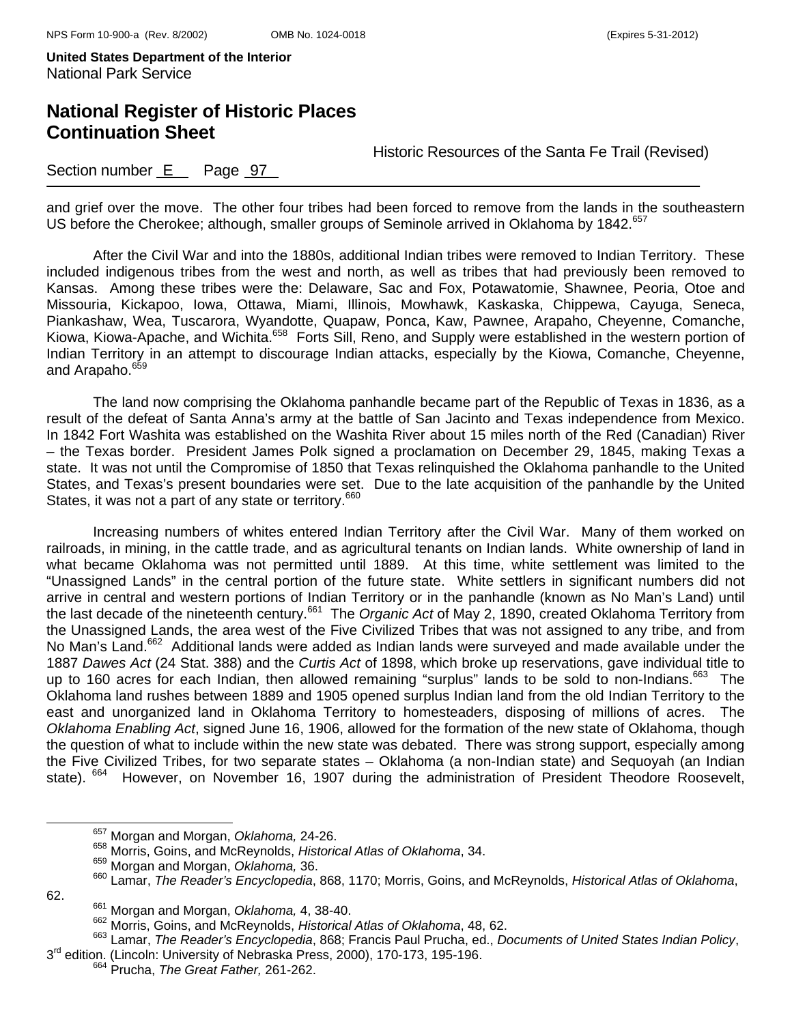# **National Register of Historic Places Continuation Sheet**

Historic Resources of the Santa Fe Trail (Revised)

### Section number E Page 97

and grief over the move. The other four tribes had been forced to remove from the lands in the southeastern US before the Cherokee; although, smaller groups of Seminole arrived in Oklahoma by 1842.<sup>657</sup>

After the Civil War and into the 1880s, additional Indian tribes were removed to Indian Territory. These included indigenous tribes from the west and north, as well as tribes that had previously been removed to Kansas. Among these tribes were the: Delaware, Sac and Fox, Potawatomie, Shawnee, Peoria, Otoe and Missouria, Kickapoo, Iowa, Ottawa, Miami, Illinois, Mowhawk, Kaskaska, Chippewa, Cayuga, Seneca, Piankashaw, Wea, Tuscarora, Wyandotte, Quapaw, Ponca, Kaw, Pawnee, Arapaho, Cheyenne, Comanche, Kiowa, Kiowa-Apache, and Wichita.658 Forts Sill, Reno, and Supply were established in the western portion of Indian Territory in an attempt to discourage Indian attacks, especially by the Kiowa, Comanche, Cheyenne, and Arapaho.<sup>659</sup>

The land now comprising the Oklahoma panhandle became part of the Republic of Texas in 1836, as a result of the defeat of Santa Anna's army at the battle of San Jacinto and Texas independence from Mexico. In 1842 Fort Washita was established on the Washita River about 15 miles north of the Red (Canadian) River – the Texas border. President James Polk signed a proclamation on December 29, 1845, making Texas a state. It was not until the Compromise of 1850 that Texas relinquished the Oklahoma panhandle to the United States, and Texas's present boundaries were set. Due to the late acquisition of the panhandle by the United States, it was not a part of any state or territory.<sup>660</sup>

Increasing numbers of whites entered Indian Territory after the Civil War. Many of them worked on railroads, in mining, in the cattle trade, and as agricultural tenants on Indian lands. White ownership of land in what became Oklahoma was not permitted until 1889. At this time, white settlement was limited to the "Unassigned Lands" in the central portion of the future state. White settlers in significant numbers did not arrive in central and western portions of Indian Territory or in the panhandle (known as No Man's Land) until the last decade of the nineteenth century.<sup>661</sup> The *Organic Act* of May 2, 1890, created Oklahoma Territory from the Unassigned Lands, the area west of the Five Civilized Tribes that was not assigned to any tribe, and from No Man's Land.<sup>662</sup> Additional lands were added as Indian lands were surveyed and made available under the 1887 *Dawes Act* (24 Stat. 388) and the *Curtis Act* of 1898, which broke up reservations, gave individual title to up to 160 acres for each Indian, then allowed remaining "surplus" lands to be sold to non-Indians.<sup>663</sup> The Oklahoma land rushes between 1889 and 1905 opened surplus Indian land from the old Indian Territory to the east and unorganized land in Oklahoma Territory to homesteaders, disposing of millions of acres. The *Oklahoma Enabling Act*, signed June 16, 1906, allowed for the formation of the new state of Oklahoma, though the question of what to include within the new state was debated. There was strong support, especially among the Five Civilized Tribes, for two separate states – Oklahoma (a non-Indian state) and Sequoyah (an Indian state). <sup>664</sup> However, on November 16, 1907 during the administration of President Theodore Roosevelt,

62.

657 Morgan and Morgan, *Oklahoma,* 24-26.

<sup>658</sup> Morris, Goins, and McReynolds, *Historical Atlas of Oklahoma*, 34.

<sup>659</sup> Morgan and Morgan, *Oklahoma,* 36.

<sup>660</sup> Lamar, *The Reader's Encyclopedia*, 868, 1170; Morris, Goins, and McReynolds, *Historical Atlas of Oklahoma*,

<sup>661</sup> Morgan and Morgan, *Oklahoma,* 4, 38-40.

<sup>662</sup> Morris, Goins, and McReynolds, *Historical Atlas of Oklahoma*, 48, 62.

<sup>663</sup> Lamar, *The Reader's Encyclopedia*, 868; Francis Paul Prucha, ed., *Documents of United States Indian Policy*, <sup>3</sup>rd edition. (Lincoln: University of Nebraska Press, 2000), 170-173, 195-196. 664 Prucha, *The Great Father,* 261-262.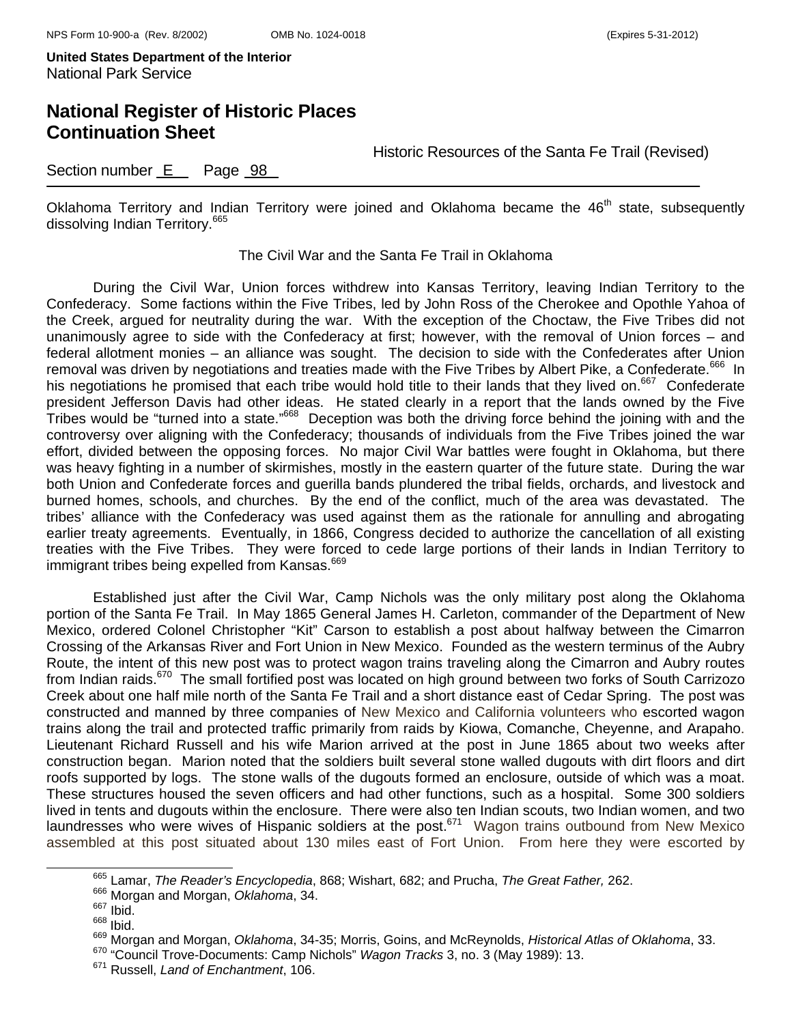### **National Register of Historic Places Continuation Sheet**

Historic Resources of the Santa Fe Trail (Revised)

### Section number E Page 98

Oklahoma Territory and Indian Territory were joined and Oklahoma became the 46<sup>th</sup> state, subsequently dissolving Indian Territory.<sup>665</sup>

#### The Civil War and the Santa Fe Trail in Oklahoma

During the Civil War, Union forces withdrew into Kansas Territory, leaving Indian Territory to the Confederacy. Some factions within the Five Tribes, led by John Ross of the Cherokee and Opothle Yahoa of the Creek, argued for neutrality during the war. With the exception of the Choctaw, the Five Tribes did not unanimously agree to side with the Confederacy at first; however, with the removal of Union forces – and federal allotment monies – an alliance was sought. The decision to side with the Confederates after Union removal was driven by negotiations and treaties made with the Five Tribes by Albert Pike, a Confederate.<sup>666</sup> In his negotiations he promised that each tribe would hold title to their lands that they lived on.<sup>667</sup> Confederate president Jefferson Davis had other ideas. He stated clearly in a report that the lands owned by the Five Tribes would be "turned into a state."668 Deception was both the driving force behind the joining with and the controversy over aligning with the Confederacy; thousands of individuals from the Five Tribes joined the war effort, divided between the opposing forces. No major Civil War battles were fought in Oklahoma, but there was heavy fighting in a number of skirmishes, mostly in the eastern quarter of the future state. During the war both Union and Confederate forces and guerilla bands plundered the tribal fields, orchards, and livestock and burned homes, schools, and churches. By the end of the conflict, much of the area was devastated. The tribes' alliance with the Confederacy was used against them as the rationale for annulling and abrogating earlier treaty agreements. Eventually, in 1866, Congress decided to authorize the cancellation of all existing treaties with the Five Tribes. They were forced to cede large portions of their lands in Indian Territory to immigrant tribes being expelled from Kansas.<sup>669</sup>

 Established just after the Civil War, Camp Nichols was the only military post along the Oklahoma portion of the Santa Fe Trail. In May 1865 General James H. Carleton, commander of the Department of New Mexico, ordered Colonel Christopher "Kit" Carson to establish a post about halfway between the Cimarron Crossing of the Arkansas River and Fort Union in New Mexico. Founded as the western terminus of the Aubry Route, the intent of this new post was to protect wagon trains traveling along the Cimarron and Aubry routes from Indian raids.<sup>670</sup> The small fortified post was located on high ground between two forks of South Carrizozo Creek about one half mile north of the Santa Fe Trail and a short distance east of Cedar Spring. The post was constructed and manned by three companies of New Mexico and California volunteers who escorted wagon trains along the trail and protected traffic primarily from raids by Kiowa, Comanche, Cheyenne, and Arapaho. Lieutenant Richard Russell and his wife Marion arrived at the post in June 1865 about two weeks after construction began. Marion noted that the soldiers built several stone walled dugouts with dirt floors and dirt roofs supported by logs. The stone walls of the dugouts formed an enclosure, outside of which was a moat. These structures housed the seven officers and had other functions, such as a hospital. Some 300 soldiers lived in tents and dugouts within the enclosure. There were also ten Indian scouts, two Indian women, and two laundresses who were wives of Hispanic soldiers at the post.<sup>671</sup> Wagon trains outbound from New Mexico assembled at this post situated about 130 miles east of Fort Union. From here they were escorted by

665 Lamar, *The Reader's Encyclopedia*, 868; Wishart, 682; and Prucha, *The Great Father,* 262.

<sup>666</sup> Morgan and Morgan, *Oklahoma*, 34.

<sup>667</sup> Ibid.

<sup>668</sup> Ibid.

<sup>669</sup> Morgan and Morgan, *Oklahoma*, 34-35; Morris, Goins, and McReynolds, *Historical Atlas of Oklahoma*, 33.

<sup>670 &</sup>quot;Council Trove-Documents: Camp Nichols" *Wagon Tracks* 3, no. 3 (May 1989): 13. 671 Russell, *Land of Enchantment*, 106.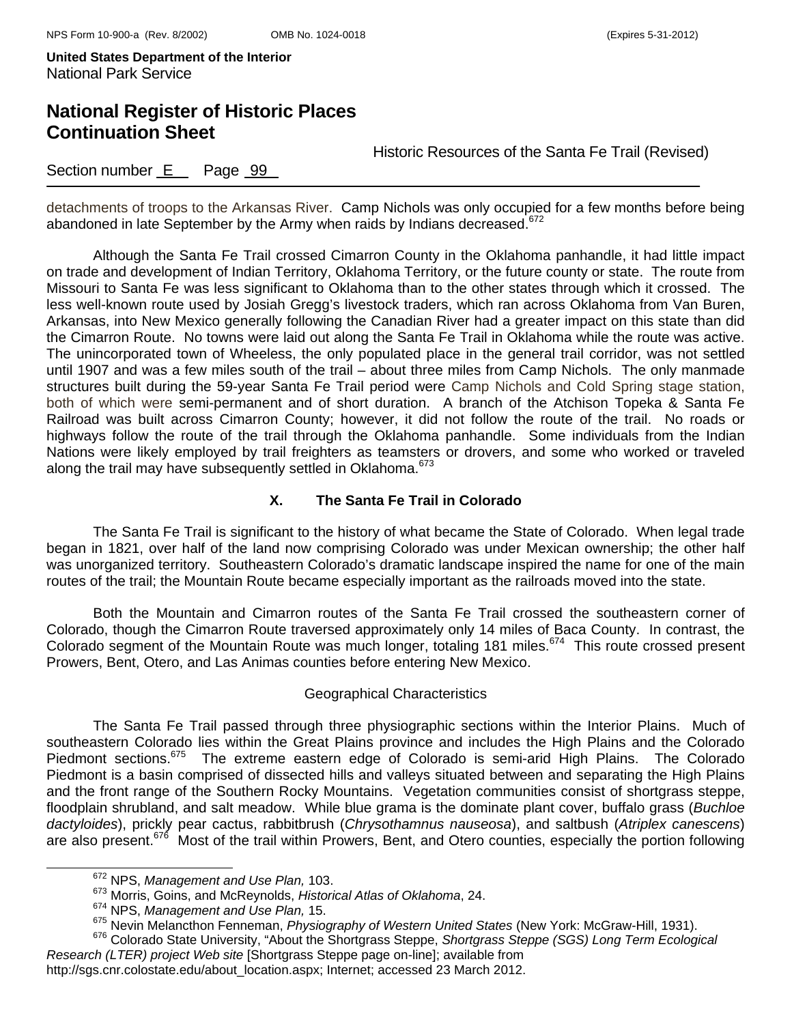# **National Register of Historic Places Continuation Sheet**

Historic Resources of the Santa Fe Trail (Revised)

Section number E Page 99

detachments of troops to the Arkansas River. Camp Nichols was only occupied for a few months before being abandoned in late September by the Army when raids by Indians decreased.<sup>672</sup>

 Although the Santa Fe Trail crossed Cimarron County in the Oklahoma panhandle, it had little impact on trade and development of Indian Territory, Oklahoma Territory, or the future county or state. The route from Missouri to Santa Fe was less significant to Oklahoma than to the other states through which it crossed. The less well-known route used by Josiah Gregg's livestock traders, which ran across Oklahoma from Van Buren, Arkansas, into New Mexico generally following the Canadian River had a greater impact on this state than did the Cimarron Route. No towns were laid out along the Santa Fe Trail in Oklahoma while the route was active. The unincorporated town of Wheeless, the only populated place in the general trail corridor, was not settled until 1907 and was a few miles south of the trail – about three miles from Camp Nichols. The only manmade structures built during the 59-year Santa Fe Trail period were Camp Nichols and Cold Spring stage station, both of which were semi-permanent and of short duration. A branch of the Atchison Topeka & Santa Fe Railroad was built across Cimarron County; however, it did not follow the route of the trail. No roads or highways follow the route of the trail through the Oklahoma panhandle. Some individuals from the Indian Nations were likely employed by trail freighters as teamsters or drovers, and some who worked or traveled along the trail may have subsequently settled in Oklahoma.<sup>673</sup>

### **X. The Santa Fe Trail in Colorado**

The Santa Fe Trail is significant to the history of what became the State of Colorado. When legal trade began in 1821, over half of the land now comprising Colorado was under Mexican ownership; the other half was unorganized territory. Southeastern Colorado's dramatic landscape inspired the name for one of the main routes of the trail; the Mountain Route became especially important as the railroads moved into the state.

Both the Mountain and Cimarron routes of the Santa Fe Trail crossed the southeastern corner of Colorado, though the Cimarron Route traversed approximately only 14 miles of Baca County. In contrast, the Colorado segment of the Mountain Route was much longer, totaling 181 miles.<sup>674</sup> This route crossed present Prowers, Bent, Otero, and Las Animas counties before entering New Mexico.

### Geographical Characteristics

The Santa Fe Trail passed through three physiographic sections within the Interior Plains. Much of southeastern Colorado lies within the Great Plains province and includes the High Plains and the Colorado Piedmont sections.<sup>675</sup> The extreme eastern edge of Colorado is semi-arid High Plains. The Colorado Piedmont is a basin comprised of dissected hills and valleys situated between and separating the High Plains and the front range of the Southern Rocky Mountains. Vegetation communities consist of shortgrass steppe, floodplain shrubland, and salt meadow. While blue grama is the dominate plant cover, buffalo grass (*Buchloe dactyloides*), prickly pear cactus, rabbitbrush (*Chrysothamnus nauseosa*), and saltbush (*Atriplex canescens*) are also present.<sup>676</sup> Most of the trail within Prowers, Bent, and Otero counties, especially the portion following

672 NPS, *Management and Use Plan,* 103.

<sup>673</sup> Morris, Goins, and McReynolds, *Historical Atlas of Oklahoma*, 24.

<sup>&</sup>lt;sup>674</sup> NPS, *Management and Use Plan,* 15.<br><sup>675</sup> Nevin Melancthon Fenneman, *Physiography of Western United States* (New York: McGraw-Hill, 1931).

<sup>&</sup>lt;sup>676</sup> Colorado State University, "About the Shortgrass Steppe, Shortgrass Steppe (SGS) Long Term Ecological *Research (LTER) project Web site* [Shortgrass Steppe page on-line]; available from http://sgs.cnr.colostate.edu/about\_location.aspx; Internet; accessed 23 March 2012.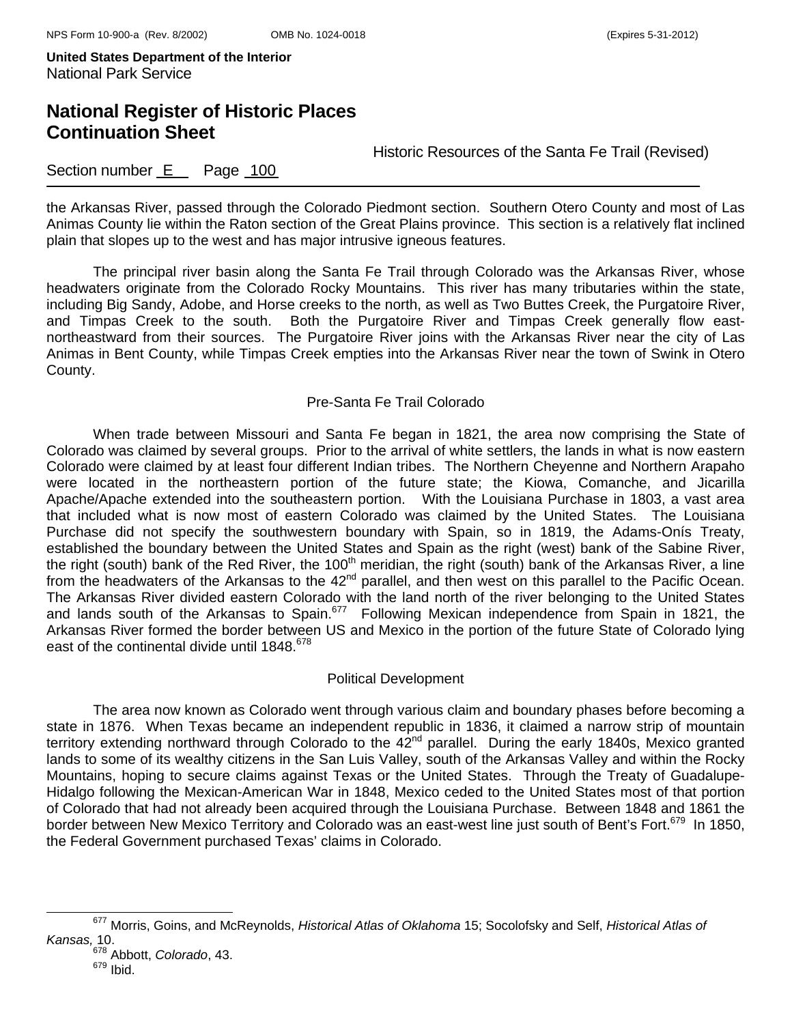# **National Register of Historic Places Continuation Sheet**

Historic Resources of the Santa Fe Trail (Revised)

### Section number E Page 100

the Arkansas River, passed through the Colorado Piedmont section. Southern Otero County and most of Las Animas County lie within the Raton section of the Great Plains province. This section is a relatively flat inclined plain that slopes up to the west and has major intrusive igneous features.

The principal river basin along the Santa Fe Trail through Colorado was the Arkansas River, whose headwaters originate from the Colorado Rocky Mountains. This river has many tributaries within the state, including Big Sandy, Adobe, and Horse creeks to the north, as well as Two Buttes Creek, the Purgatoire River, and Timpas Creek to the south. Both the Purgatoire River and Timpas Creek generally flow eastnortheastward from their sources. The Purgatoire River joins with the Arkansas River near the city of Las Animas in Bent County, while Timpas Creek empties into the Arkansas River near the town of Swink in Otero County.

### Pre-Santa Fe Trail Colorado

When trade between Missouri and Santa Fe began in 1821, the area now comprising the State of Colorado was claimed by several groups. Prior to the arrival of white settlers, the lands in what is now eastern Colorado were claimed by at least four different Indian tribes. The Northern Cheyenne and Northern Arapaho were located in the northeastern portion of the future state; the Kiowa, Comanche, and Jicarilla Apache/Apache extended into the southeastern portion. With the Louisiana Purchase in 1803, a vast area that included what is now most of eastern Colorado was claimed by the United States. The Louisiana Purchase did not specify the southwestern boundary with Spain, so in 1819, the Adams-Onís Treaty, established the boundary between the United States and Spain as the right (west) bank of the Sabine River, the right (south) bank of the Red River, the 100<sup>th</sup> meridian, the right (south) bank of the Arkansas River, a line from the headwaters of the Arkansas to the 42<sup>nd</sup> parallel, and then west on this parallel to the Pacific Ocean. The Arkansas River divided eastern Colorado with the land north of the river belonging to the United States and lands south of the Arkansas to Spain.<sup>677</sup> Following Mexican independence from Spain in 1821, the Arkansas River formed the border between US and Mexico in the portion of the future State of Colorado lying east of the continental divide until 1848.<sup>678</sup>

### Political Development

The area now known as Colorado went through various claim and boundary phases before becoming a state in 1876. When Texas became an independent republic in 1836, it claimed a narrow strip of mountain territory extending northward through Colorado to the 42<sup>nd</sup> parallel. During the early 1840s, Mexico granted lands to some of its wealthy citizens in the San Luis Valley, south of the Arkansas Valley and within the Rocky Mountains, hoping to secure claims against Texas or the United States. Through the Treaty of Guadalupe-Hidalgo following the Mexican-American War in 1848, Mexico ceded to the United States most of that portion of Colorado that had not already been acquired through the Louisiana Purchase. Between 1848 and 1861 the border between New Mexico Territory and Colorado was an east-west line just south of Bent's Fort.<sup>679</sup> In 1850, the Federal Government purchased Texas' claims in Colorado.

677 Morris, Goins, and McReynolds, *Historical Atlas of Oklahoma* 15; Socolofsky and Self, *Historical Atlas of Kansas,* 10.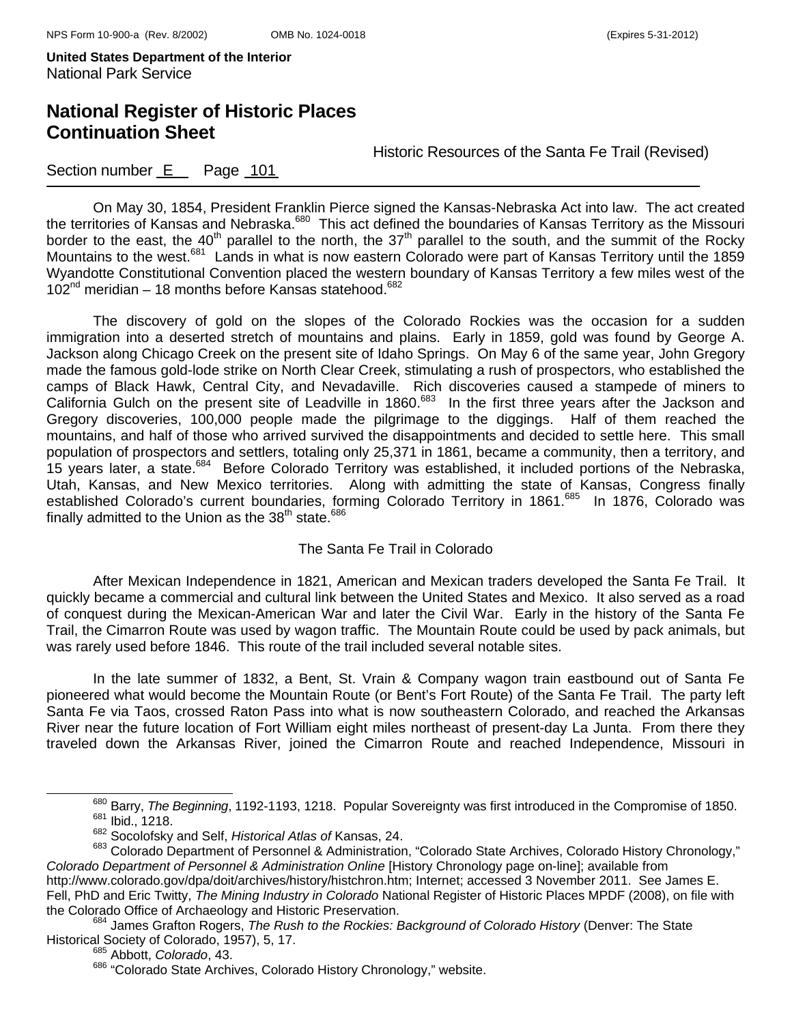# **National Register of Historic Places Continuation Sheet**

Historic Resources of the Santa Fe Trail (Revised)

### Section number E Page 101

On May 30, 1854, President Franklin Pierce signed the Kansas-Nebraska Act into law. The act created the territories of Kansas and Nebraska.<sup>680</sup> This act defined the boundaries of Kansas Territory as the Missouri border to the east, the 40<sup>th</sup> parallel to the north, the 37<sup>th</sup> parallel to the south, and the summit of the Rocky Mountains to the west.<sup>681</sup> Lands in what is now eastern Colorado were part of Kansas Territory until the 1859 Wyandotte Constitutional Convention placed the western boundary of Kansas Territory a few miles west of the 102 $^{\text{nd}}$  meridian – 18 months before Kansas statehood.<sup>682</sup>

The discovery of gold on the slopes of the Colorado Rockies was the occasion for a sudden immigration into a deserted stretch of mountains and plains. Early in 1859, gold was found by George A. Jackson along Chicago Creek on the present site of Idaho Springs. On May 6 of the same year, John Gregory made the famous gold-lode strike on North Clear Creek, stimulating a rush of prospectors, who established the camps of Black Hawk, Central City, and Nevadaville. Rich discoveries caused a stampede of miners to California Gulch on the present site of Leadville in 1860.<sup>683</sup> In the first three years after the Jackson and Gregory discoveries, 100,000 people made the pilgrimage to the diggings. Half of them reached the mountains, and half of those who arrived survived the disappointments and decided to settle here. This small population of prospectors and settlers, totaling only 25,371 in 1861, became a community, then a territory, and 15 years later, a state.<sup>684</sup> Before Colorado Territory was established, it included portions of the Nebraska, Utah, Kansas, and New Mexico territories. Along with admitting the state of Kansas, Congress finally established Colorado's current boundaries, forming Colorado Territory in 1861.<sup>685</sup> In 1876, Colorado was finally admitted to the Union as the  $38<sup>th</sup>$  state.<sup>686</sup>

### The Santa Fe Trail in Colorado

After Mexican Independence in 1821, American and Mexican traders developed the Santa Fe Trail. It quickly became a commercial and cultural link between the United States and Mexico. It also served as a road of conquest during the Mexican-American War and later the Civil War. Early in the history of the Santa Fe Trail, the Cimarron Route was used by wagon traffic. The Mountain Route could be used by pack animals, but was rarely used before 1846. This route of the trail included several notable sites.

In the late summer of 1832, a Bent, St. Vrain & Company wagon train eastbound out of Santa Fe pioneered what would become the Mountain Route (or Bent's Fort Route) of the Santa Fe Trail. The party left Santa Fe via Taos, crossed Raton Pass into what is now southeastern Colorado, and reached the Arkansas River near the future location of Fort William eight miles northeast of present-day La Junta. From there they traveled down the Arkansas River, joined the Cimarron Route and reached Independence, Missouri in

<sup>&</sup>lt;sup>680</sup> Barry, *The Beginning*, 1192-1193, 1218. Popular Sovereignty was first introduced in the Compromise of 1850.<br><sup>681</sup> Ibid., 1218.

<sup>682</sup> Socolofsky and Self, *Historical Atlas of* Kansas, 24.

<sup>683</sup> Colorado Department of Personnel & Administration, "Colorado State Archives, Colorado History Chronology," *Colorado Department of Personnel & Administration Online* [History Chronology page on-line]; available from

http://www.colorado.gov/dpa/doit/archives/history/histchron.htm; Internet; accessed 3 November 2011. See James E. Fell, PhD and Eric Twitty, *The Mining Industry in Colorado* National Register of Historic Places MPDF (2008), on file with the Colorado Office of Archaeology and Historic Preservation.<br><sup>684</sup> James Grafton Rogers, *The Rush to the Rockies: Background of Colorado History* (Denver: The State

Historical Society of Colorado, 1957), 5, 17. 685 Abbott, *Colorado*, 43.

<sup>686 &</sup>quot;Colorado State Archives, Colorado History Chronology," website.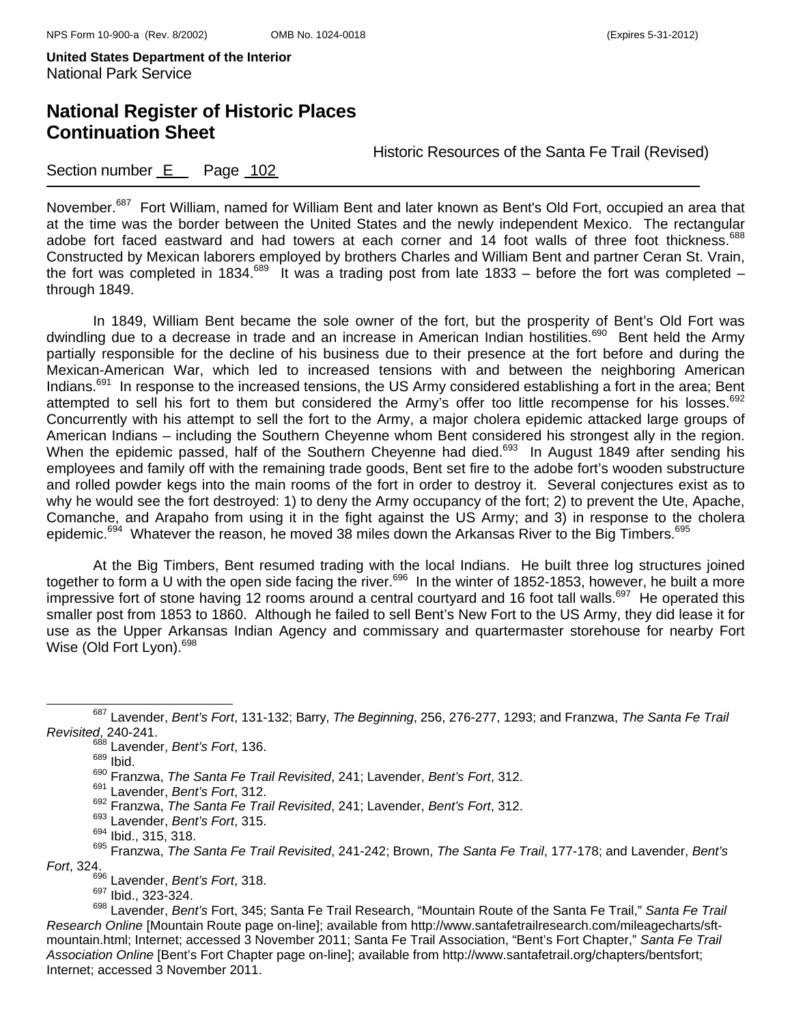## **National Register of Historic Places Continuation Sheet**

Historic Resources of the Santa Fe Trail (Revised)

### Section number E Page 102

November.<sup>687</sup> Fort William, named for William Bent and later known as Bent's Old Fort, occupied an area that at the time was the border between the United States and the newly independent Mexico. The rectangular adobe fort faced eastward and had towers at each corner and 14 foot walls of three foot thickness.<sup>688</sup> Constructed by Mexican laborers employed by brothers Charles and William Bent and partner Ceran St. Vrain, the fort was completed in 1834.<sup>689</sup> It was a trading post from late 1833 – before the fort was completed – through 1849.

In 1849, William Bent became the sole owner of the fort, but the prosperity of Bent's Old Fort was dwindling due to a decrease in trade and an increase in American Indian hostilities.<sup>690</sup> Bent held the Army partially responsible for the decline of his business due to their presence at the fort before and during the Mexican-American War, which led to increased tensions with and between the neighboring American Indians.<sup>691</sup> In response to the increased tensions, the US Army considered establishing a fort in the area; Bent attempted to sell his fort to them but considered the Army's offer too little recompense for his losses.<sup>692</sup> Concurrently with his attempt to sell the fort to the Army, a major cholera epidemic attacked large groups of American Indians – including the Southern Cheyenne whom Bent considered his strongest ally in the region. When the epidemic passed, half of the Southern Cheyenne had died.<sup>693</sup> In August 1849 after sending his employees and family off with the remaining trade goods, Bent set fire to the adobe fort's wooden substructure and rolled powder kegs into the main rooms of the fort in order to destroy it. Several conjectures exist as to why he would see the fort destroyed: 1) to deny the Army occupancy of the fort; 2) to prevent the Ute, Apache, Comanche, and Arapaho from using it in the fight against the US Army; and 3) in response to the cholera epidemic.<sup>694</sup> Whatever the reason, he moved 38 miles down the Arkansas River to the Big Timbers.<sup>695</sup>

At the Big Timbers, Bent resumed trading with the local Indians. He built three log structures joined together to form a U with the open side facing the river.<sup>696</sup> In the winter of 1852-1853, however, he built a more impressive fort of stone having 12 rooms around a central courtyard and 16 foot tall walls.<sup>697</sup> He operated this smaller post from 1853 to 1860. Although he failed to sell Bent's New Fort to the US Army, they did lease it for use as the Upper Arkansas Indian Agency and commissary and quartermaster storehouse for nearby Fort Wise (Old Fort Lyon).<sup>698</sup>

693 Lavender, *Bent's Fort*, 315.

- 696 Lavender, *Bent's Fort*, 318.
- <sup>697</sup> Ibid., 323-324.

687 Lavender, *Bent's Fort*, 131-132; Barry, *The Beginning*, 256, 276-277, 1293; and Franzwa, *The Santa Fe Trail Revisited*, 240-241.

<sup>688</sup> Lavender, *Bent's Fort*, 136.

<sup>689</sup> Ibid.

<sup>690</sup> Franzwa, *The Santa Fe Trail Revisited*, 241; Lavender, *Bent's Fort*, 312.

<sup>691</sup> Lavender, *Bent's Fort*, 312.

<sup>692</sup> Franzwa, *The Santa Fe Trail Revisited*, 241; Lavender, *Bent's Fort*, 312.

<sup>&</sup>lt;sup>694</sup> Ibid., 315, 318.

<sup>695</sup> Franzwa, *The Santa Fe Trail Revisited*, 241-242; Brown, *The Santa Fe Trail*, 177-178; and Lavender, *Bent's Fort*, 324.

<sup>698</sup> Lavender, *Bent's* Fort, 345; Santa Fe Trail Research, "Mountain Route of the Santa Fe Trail," *Santa Fe Trail Research Online* [Mountain Route page on-line]; available from http://www.santafetrailresearch.com/mileagecharts/sftmountain.html; Internet; accessed 3 November 2011; Santa Fe Trail Association, "Bent's Fort Chapter," *Santa Fe Trail Association Online* [Bent's Fort Chapter page on-line]; available from http://www.santafetrail.org/chapters/bentsfort; Internet; accessed 3 November 2011.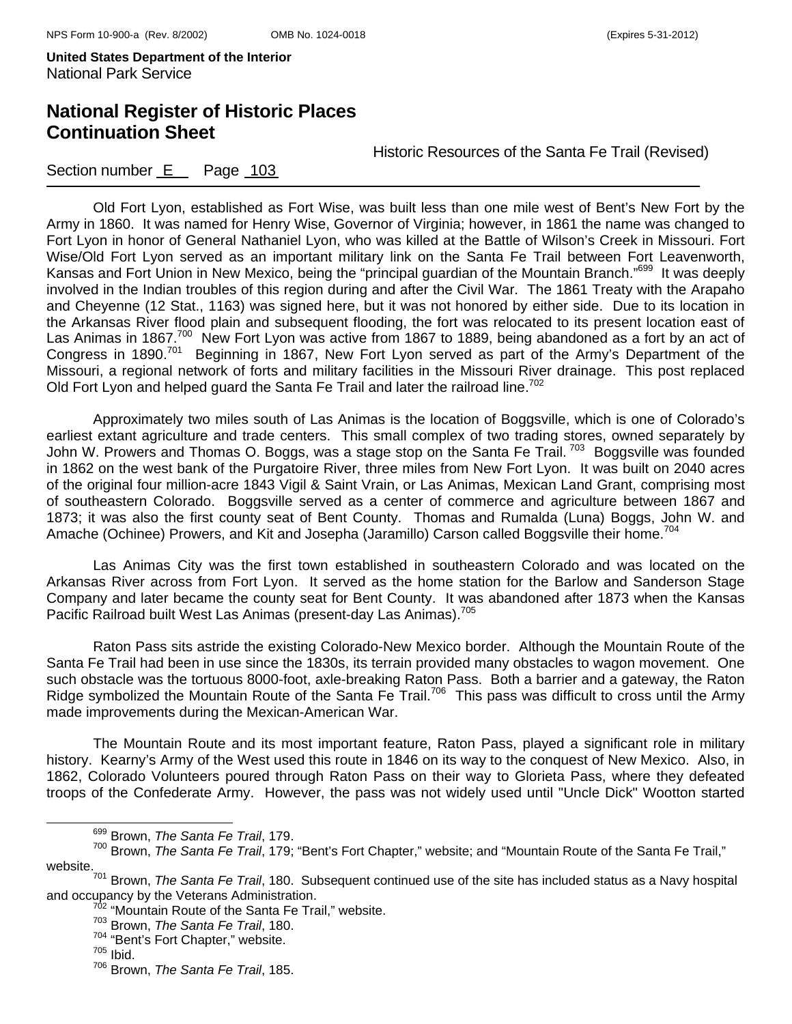# **National Register of Historic Places Continuation Sheet**

Historic Resources of the Santa Fe Trail (Revised)

### Section number E Page 103

Old Fort Lyon, established as Fort Wise, was built less than one mile west of Bent's New Fort by the Army in 1860. It was named for Henry Wise, Governor of Virginia; however, in 1861 the name was changed to Fort Lyon in honor of General Nathaniel Lyon, who was killed at the Battle of Wilson's Creek in Missouri. Fort Wise/Old Fort Lyon served as an important military link on the Santa Fe Trail between Fort Leavenworth, Kansas and Fort Union in New Mexico, being the "principal guardian of the Mountain Branch."<sup>699</sup> It was deeply involved in the Indian troubles of this region during and after the Civil War. The 1861 Treaty with the Arapaho and Cheyenne (12 Stat., 1163) was signed here, but it was not honored by either side. Due to its location in the Arkansas River flood plain and subsequent flooding, the fort was relocated to its present location east of Las Animas in 1867.<sup>700</sup> New Fort Lyon was active from 1867 to 1889, being abandoned as a fort by an act of Congress in 1890.701 Beginning in 1867, New Fort Lyon served as part of the Army's Department of the Missouri, a regional network of forts and military facilities in the Missouri River drainage. This post replaced Old Fort Lyon and helped guard the Santa Fe Trail and later the railroad line.<sup>702</sup>

Approximately two miles south of Las Animas is the location of Boggsville, which is one of Colorado's earliest extant agriculture and trade centers. This small complex of two trading stores, owned separately by John W. Prowers and Thomas O. Boggs, was a stage stop on the Santa Fe Trail.<sup>703</sup> Boggsville was founded in 1862 on the west bank of the Purgatoire River, three miles from New Fort Lyon. It was built on 2040 acres of the original four million-acre 1843 Vigil & Saint Vrain, or Las Animas, Mexican Land Grant, comprising most of southeastern Colorado. Boggsville served as a center of commerce and agriculture between 1867 and 1873; it was also the first county seat of Bent County. Thomas and Rumalda (Luna) Boggs, John W. and Amache (Ochinee) Prowers, and Kit and Josepha (Jaramillo) Carson called Boggsville their home.<sup>704</sup>

Las Animas City was the first town established in southeastern Colorado and was located on the Arkansas River across from Fort Lyon. It served as the home station for the Barlow and Sanderson Stage Company and later became the county seat for Bent County. It was abandoned after 1873 when the Kansas Pacific Railroad built West Las Animas (present-day Las Animas).<sup>705</sup>

Raton Pass sits astride the existing Colorado-New Mexico border. Although the Mountain Route of the Santa Fe Trail had been in use since the 1830s, its terrain provided many obstacles to wagon movement. One such obstacle was the tortuous 8000-foot, axle-breaking Raton Pass. Both a barrier and a gateway, the Raton Ridge symbolized the Mountain Route of the Santa Fe Trail.<sup>706</sup> This pass was difficult to cross until the Army made improvements during the Mexican-American War.

The Mountain Route and its most important feature, Raton Pass, played a significant role in military history. Kearny's Army of the West used this route in 1846 on its way to the conquest of New Mexico. Also, in 1862, Colorado Volunteers poured through Raton Pass on their way to Glorieta Pass, where they defeated troops of the Confederate Army. However, the pass was not widely used until "Uncle Dick" Wootton started

699 Brown, *The Santa Fe Trail*, 179.

<sup>700</sup> Brown, *The Santa Fe Trail*, 179; "Bent's Fort Chapter," website; and "Mountain Route of the Santa Fe Trail," website.

<sup>701</sup> Brown, *The Santa Fe Trail*, 180. Subsequent continued use of the site has included status as a Navy hospital and occupancy by the Veterans Administration.<br><sup>702</sup> "Mountain Route of the Santa Fe Trail," website.

<sup>703</sup> Brown, *The Santa Fe Trail*, 180.

 $704$  "Bent's Fort Chapter," website.<br> $705$  Ibid.

<sup>706</sup> Brown, *The Santa Fe Trail*, 185.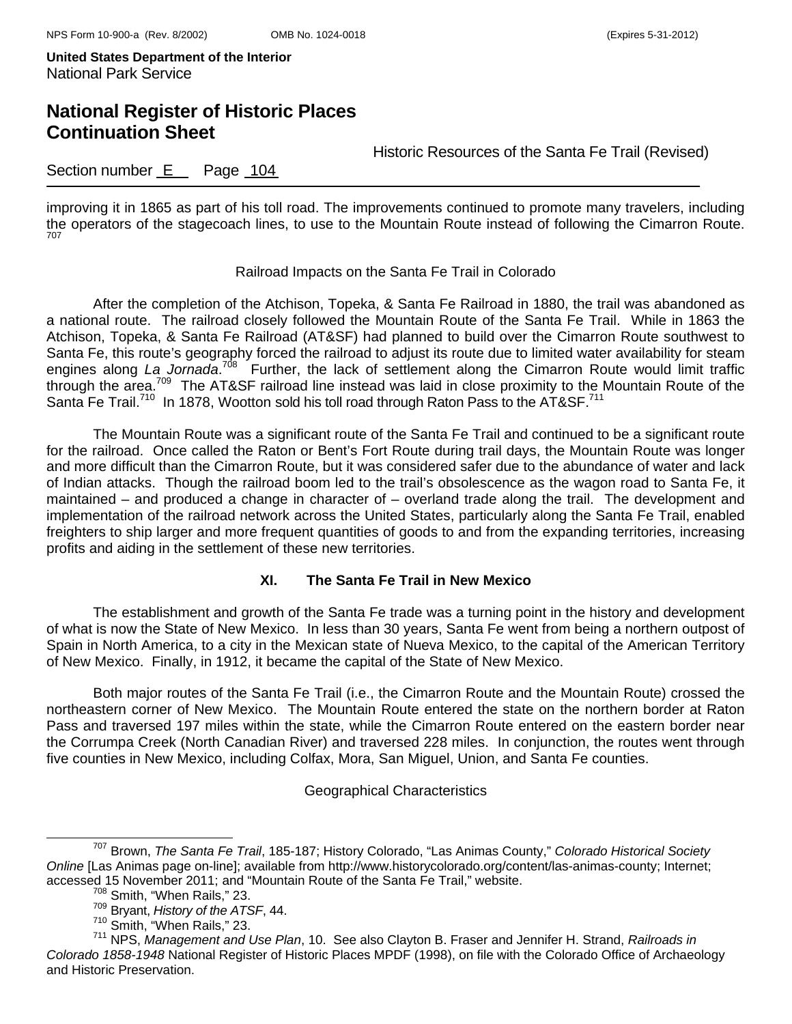## **National Register of Historic Places Continuation Sheet**

Historic Resources of the Santa Fe Trail (Revised)

### Section number E Page 104

improving it in 1865 as part of his toll road. The improvements continued to promote many travelers, including the operators of the stagecoach lines, to use to the Mountain Route instead of following the Cimarron Route. 707

#### Railroad Impacts on the Santa Fe Trail in Colorado

After the completion of the Atchison, Topeka, & Santa Fe Railroad in 1880, the trail was abandoned as a national route. The railroad closely followed the Mountain Route of the Santa Fe Trail. While in 1863 the Atchison, Topeka, & Santa Fe Railroad (AT&SF) had planned to build over the Cimarron Route southwest to Santa Fe, this route's geography forced the railroad to adjust its route due to limited water availability for steam engines along La Jornada.<sup>708</sup> Further, the lack of settlement along the Cimarron Route would limit traffic through the area.<sup>709</sup> The AT&SF railroad line instead was laid in close proximity to the Mountain Route of the Santa Fe Trail.<sup>710</sup> In 1878, Wootton sold his toll road through Raton Pass to the AT&SF.<sup>711</sup>

The Mountain Route was a significant route of the Santa Fe Trail and continued to be a significant route for the railroad. Once called the Raton or Bent's Fort Route during trail days, the Mountain Route was longer and more difficult than the Cimarron Route, but it was considered safer due to the abundance of water and lack of Indian attacks. Though the railroad boom led to the trail's obsolescence as the wagon road to Santa Fe, it maintained – and produced a change in character of – overland trade along the trail. The development and implementation of the railroad network across the United States, particularly along the Santa Fe Trail, enabled freighters to ship larger and more frequent quantities of goods to and from the expanding territories, increasing profits and aiding in the settlement of these new territories.

#### **XI. The Santa Fe Trail in New Mexico**

The establishment and growth of the Santa Fe trade was a turning point in the history and development of what is now the State of New Mexico. In less than 30 years, Santa Fe went from being a northern outpost of Spain in North America, to a city in the Mexican state of Nueva Mexico, to the capital of the American Territory of New Mexico. Finally, in 1912, it became the capital of the State of New Mexico.

Both major routes of the Santa Fe Trail (i.e., the Cimarron Route and the Mountain Route) crossed the northeastern corner of New Mexico. The Mountain Route entered the state on the northern border at Raton Pass and traversed 197 miles within the state, while the Cimarron Route entered on the eastern border near the Corrumpa Creek (North Canadian River) and traversed 228 miles. In conjunction, the routes went through five counties in New Mexico, including Colfax, Mora, San Miguel, Union, and Santa Fe counties.

#### Geographical Characteristics

707 Brown, *The Santa Fe Trail*, 185-187; History Colorado, "Las Animas County," *Colorado Historical Society Online* [Las Animas page on-line]; available from http://www.historycolorado.org/content/las-animas-county; Internet; accessed 15 November 2011; and "Mountain Route of the Santa Fe Trail," website.

<sup>&</sup>lt;sup>708</sup> Smith, "When Rails," 23.

<sup>709</sup> Bryant, *History of the ATSF*, 44.

<sup>710</sup> Smith, "When Rails," 23.

<sup>711</sup> NPS, *Management and Use Plan*, 10. See also Clayton B. Fraser and Jennifer H. Strand, *Railroads in Colorado 1858-1948* National Register of Historic Places MPDF (1998), on file with the Colorado Office of Archaeology and Historic Preservation.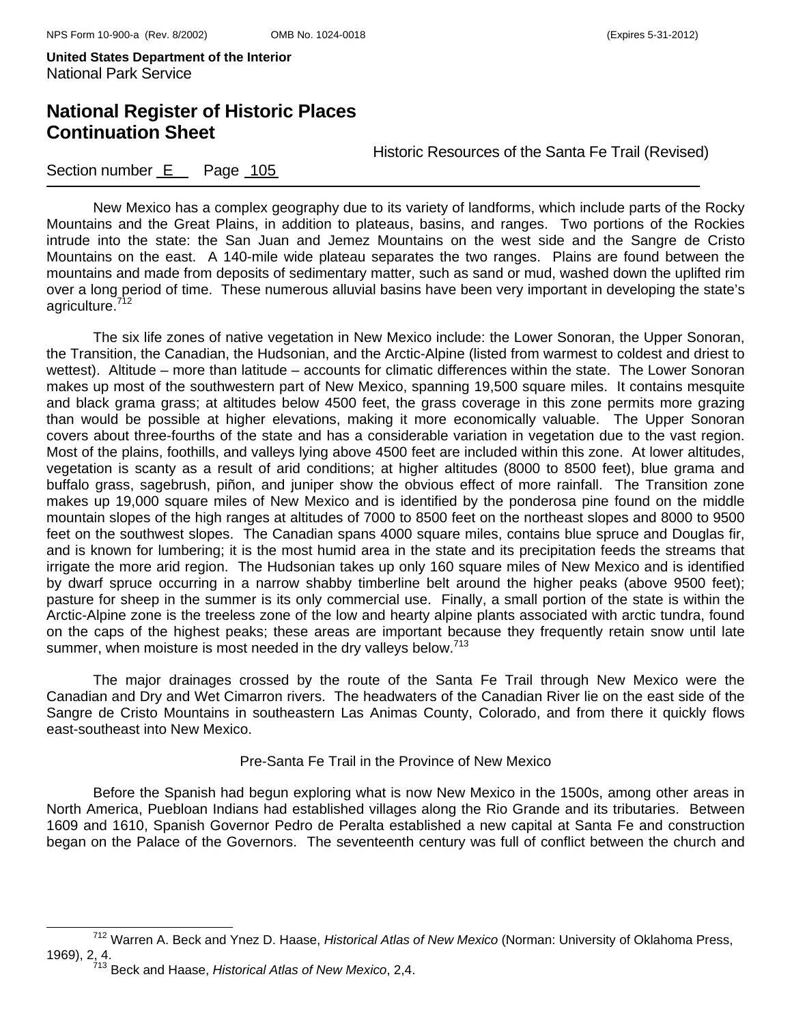# **National Register of Historic Places Continuation Sheet**

Historic Resources of the Santa Fe Trail (Revised)

### Section number E Page 105

New Mexico has a complex geography due to its variety of landforms, which include parts of the Rocky Mountains and the Great Plains, in addition to plateaus, basins, and ranges. Two portions of the Rockies intrude into the state: the San Juan and Jemez Mountains on the west side and the Sangre de Cristo Mountains on the east. A 140-mile wide plateau separates the two ranges. Plains are found between the mountains and made from deposits of sedimentary matter, such as sand or mud, washed down the uplifted rim over a long period of time. These numerous alluvial basins have been very important in developing the state's agriculture.712

The six life zones of native vegetation in New Mexico include: the Lower Sonoran, the Upper Sonoran, the Transition, the Canadian, the Hudsonian, and the Arctic-Alpine (listed from warmest to coldest and driest to wettest). Altitude – more than latitude – accounts for climatic differences within the state. The Lower Sonoran makes up most of the southwestern part of New Mexico, spanning 19,500 square miles. It contains mesquite and black grama grass; at altitudes below 4500 feet, the grass coverage in this zone permits more grazing than would be possible at higher elevations, making it more economically valuable. The Upper Sonoran covers about three-fourths of the state and has a considerable variation in vegetation due to the vast region. Most of the plains, foothills, and valleys lying above 4500 feet are included within this zone. At lower altitudes, vegetation is scanty as a result of arid conditions; at higher altitudes (8000 to 8500 feet), blue grama and buffalo grass, sagebrush, piñon, and juniper show the obvious effect of more rainfall. The Transition zone makes up 19,000 square miles of New Mexico and is identified by the ponderosa pine found on the middle mountain slopes of the high ranges at altitudes of 7000 to 8500 feet on the northeast slopes and 8000 to 9500 feet on the southwest slopes. The Canadian spans 4000 square miles, contains blue spruce and Douglas fir, and is known for lumbering; it is the most humid area in the state and its precipitation feeds the streams that irrigate the more arid region. The Hudsonian takes up only 160 square miles of New Mexico and is identified by dwarf spruce occurring in a narrow shabby timberline belt around the higher peaks (above 9500 feet); pasture for sheep in the summer is its only commercial use. Finally, a small portion of the state is within the Arctic-Alpine zone is the treeless zone of the low and hearty alpine plants associated with arctic tundra, found on the caps of the highest peaks; these areas are important because they frequently retain snow until late summer, when moisture is most needed in the dry valleys below.<sup>713</sup>

The major drainages crossed by the route of the Santa Fe Trail through New Mexico were the Canadian and Dry and Wet Cimarron rivers. The headwaters of the Canadian River lie on the east side of the Sangre de Cristo Mountains in southeastern Las Animas County, Colorado, and from there it quickly flows east-southeast into New Mexico.

### Pre-Santa Fe Trail in the Province of New Mexico

Before the Spanish had begun exploring what is now New Mexico in the 1500s, among other areas in North America, Puebloan Indians had established villages along the Rio Grande and its tributaries. Between 1609 and 1610, Spanish Governor Pedro de Peralta established a new capital at Santa Fe and construction began on the Palace of the Governors. The seventeenth century was full of conflict between the church and

712 Warren A. Beck and Ynez D. Haase, *Historical Atlas of New Mexico* (Norman: University of Oklahoma Press, 1969), 2, 4. 713 Beck and Haase, *Historical Atlas of New Mexico*, 2,4.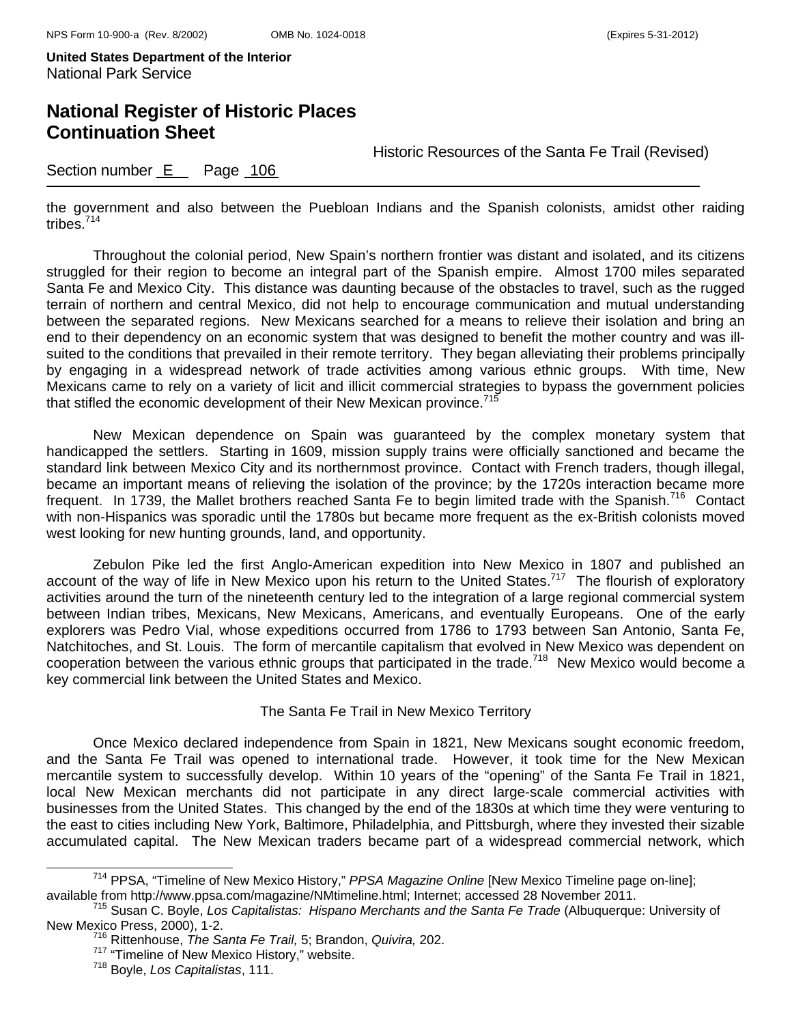## **National Register of Historic Places Continuation Sheet**

Historic Resources of the Santa Fe Trail (Revised)

### Section number E Page 106

the government and also between the Puebloan Indians and the Spanish colonists, amidst other raiding tribes.714

Throughout the colonial period, New Spain's northern frontier was distant and isolated, and its citizens struggled for their region to become an integral part of the Spanish empire. Almost 1700 miles separated Santa Fe and Mexico City. This distance was daunting because of the obstacles to travel, such as the rugged terrain of northern and central Mexico, did not help to encourage communication and mutual understanding between the separated regions. New Mexicans searched for a means to relieve their isolation and bring an end to their dependency on an economic system that was designed to benefit the mother country and was illsuited to the conditions that prevailed in their remote territory. They began alleviating their problems principally by engaging in a widespread network of trade activities among various ethnic groups. With time, New Mexicans came to rely on a variety of licit and illicit commercial strategies to bypass the government policies that stifled the economic development of their New Mexican province.<sup>715</sup>

New Mexican dependence on Spain was guaranteed by the complex monetary system that handicapped the settlers. Starting in 1609, mission supply trains were officially sanctioned and became the standard link between Mexico City and its northernmost province. Contact with French traders, though illegal, became an important means of relieving the isolation of the province; by the 1720s interaction became more frequent. In 1739, the Mallet brothers reached Santa Fe to begin limited trade with the Spanish.<sup>716</sup> Contact with non-Hispanics was sporadic until the 1780s but became more frequent as the ex-British colonists moved west looking for new hunting grounds, land, and opportunity.

Zebulon Pike led the first Anglo-American expedition into New Mexico in 1807 and published an account of the way of life in New Mexico upon his return to the United States.<sup>717</sup> The flourish of exploratory activities around the turn of the nineteenth century led to the integration of a large regional commercial system between Indian tribes, Mexicans, New Mexicans, Americans, and eventually Europeans. One of the early explorers was Pedro Vial, whose expeditions occurred from 1786 to 1793 between San Antonio, Santa Fe, Natchitoches, and St. Louis. The form of mercantile capitalism that evolved in New Mexico was dependent on cooperation between the various ethnic groups that participated in the trade.<sup>718</sup> New Mexico would become a key commercial link between the United States and Mexico.

#### The Santa Fe Trail in New Mexico Territory

Once Mexico declared independence from Spain in 1821, New Mexicans sought economic freedom, and the Santa Fe Trail was opened to international trade. However, it took time for the New Mexican mercantile system to successfully develop. Within 10 years of the "opening" of the Santa Fe Trail in 1821, local New Mexican merchants did not participate in any direct large-scale commercial activities with businesses from the United States. This changed by the end of the 1830s at which time they were venturing to the east to cities including New York, Baltimore, Philadelphia, and Pittsburgh, where they invested their sizable accumulated capital. The New Mexican traders became part of a widespread commercial network, which

<sup>&</sup>lt;sup>714</sup> PPSA, "Timeline of New Mexico History," *PPSA Magazine Online* [New Mexico Timeline page on-line];<br>available from http://www.ppsa.com/magazine/NMtimeline.html; Internet; accessed 28 November 2011.

<sup>&</sup>lt;sup>715</sup> Susan C. Boyle, Los Capitalistas: Hispano Merchants and the Santa Fe Trade (Albuquerque: University of New Mexico Press, 2000), 1-2. 716 Rittenhouse, *The Santa Fe Trail,* 5; Brandon, *Quivira,* 202.

<sup>717 &</sup>quot;Timeline of New Mexico History," website. 718 Boyle, *Los Capitalistas*, 111.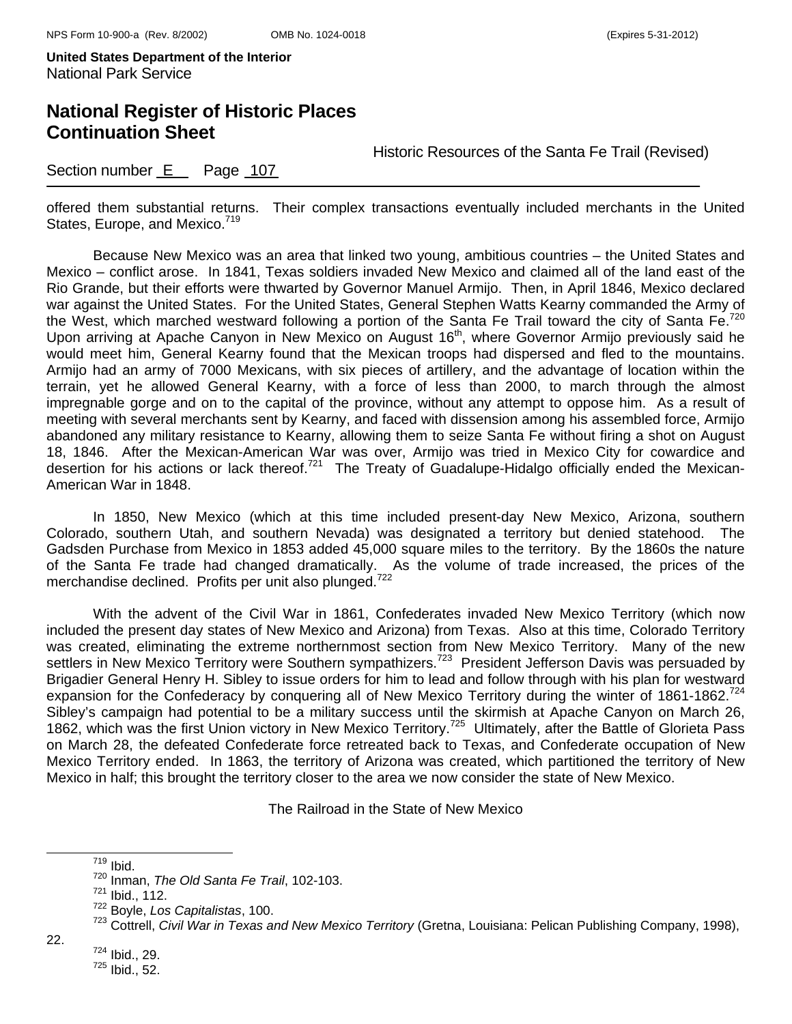**United States Department of the Interior**  National Park Service

# **National Register of Historic Places Continuation Sheet**

Historic Resources of the Santa Fe Trail (Revised)

### Section number E Page 107

offered them substantial returns. Their complex transactions eventually included merchants in the United States, Europe, and Mexico.<sup>719</sup>

Because New Mexico was an area that linked two young, ambitious countries – the United States and Mexico – conflict arose. In 1841, Texas soldiers invaded New Mexico and claimed all of the land east of the Rio Grande, but their efforts were thwarted by Governor Manuel Armijo. Then, in April 1846, Mexico declared war against the United States. For the United States, General Stephen Watts Kearny commanded the Army of the West, which marched westward following a portion of the Santa Fe Trail toward the city of Santa Fe.<sup>720</sup> Upon arriving at Apache Canyon in New Mexico on August 16<sup>th</sup>, where Governor Armijo previously said he would meet him, General Kearny found that the Mexican troops had dispersed and fled to the mountains. Armijo had an army of 7000 Mexicans, with six pieces of artillery, and the advantage of location within the terrain, yet he allowed General Kearny, with a force of less than 2000, to march through the almost impregnable gorge and on to the capital of the province, without any attempt to oppose him. As a result of meeting with several merchants sent by Kearny, and faced with dissension among his assembled force, Armijo abandoned any military resistance to Kearny, allowing them to seize Santa Fe without firing a shot on August 18, 1846. After the Mexican-American War was over, Armijo was tried in Mexico City for cowardice and desertion for his actions or lack thereof.<sup>721</sup> The Treaty of Guadalupe-Hidalgo officially ended the Mexican-American War in 1848.

In 1850, New Mexico (which at this time included present-day New Mexico, Arizona, southern Colorado, southern Utah, and southern Nevada) was designated a territory but denied statehood. The Gadsden Purchase from Mexico in 1853 added 45,000 square miles to the territory. By the 1860s the nature of the Santa Fe trade had changed dramatically. As the volume of trade increased, the prices of the merchandise declined. Profits per unit also plunged.<sup>722</sup>

With the advent of the Civil War in 1861, Confederates invaded New Mexico Territory (which now included the present day states of New Mexico and Arizona) from Texas. Also at this time, Colorado Territory was created, eliminating the extreme northernmost section from New Mexico Territory. Many of the new settlers in New Mexico Territory were Southern sympathizers.<sup>723</sup> President Jefferson Davis was persuaded by Brigadier General Henry H. Sibley to issue orders for him to lead and follow through with his plan for westward expansion for the Confederacy by conquering all of New Mexico Territory during the winter of 1861-1862.<sup>724</sup> Sibley's campaign had potential to be a military success until the skirmish at Apache Canyon on March 26, 1862, which was the first Union victory in New Mexico Territory.<sup>725</sup> Ultimately, after the Battle of Glorieta Pass on March 28, the defeated Confederate force retreated back to Texas, and Confederate occupation of New Mexico Territory ended. In 1863, the territory of Arizona was created, which partitioned the territory of New Mexico in half; this brought the territory closer to the area we now consider the state of New Mexico.

The Railroad in the State of New Mexico

724 Ibid., 29.

22.

719 Ibid.

<sup>720</sup> Inman, *The Old Santa Fe Trail*, 102-103.

<sup>721</sup> Ibid., 112.

<sup>722</sup> Boyle, *Los Capitalistas*, 100.

<sup>723</sup> Cottrell, *Civil War in Texas and New Mexico Territory* (Gretna, Louisiana: Pelican Publishing Company, 1998),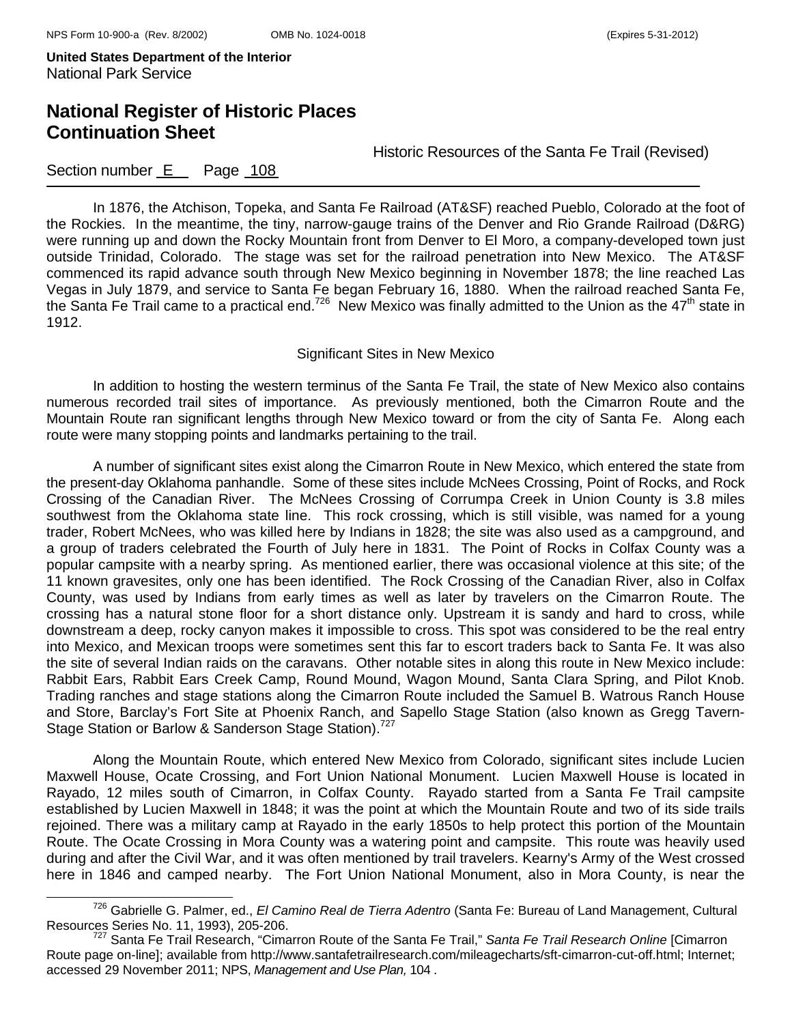**United States Department of the Interior**  National Park Service

# **National Register of Historic Places Continuation Sheet**

Historic Resources of the Santa Fe Trail (Revised)

### Section number E Page 108

In 1876, the Atchison, Topeka, and Santa Fe Railroad (AT&SF) reached Pueblo, Colorado at the foot of the Rockies. In the meantime, the tiny, narrow-gauge trains of the Denver and Rio Grande Railroad (D&RG) were running up and down the Rocky Mountain front from Denver to El Moro, a company-developed town just outside Trinidad, Colorado. The stage was set for the railroad penetration into New Mexico. The AT&SF commenced its rapid advance south through New Mexico beginning in November 1878; the line reached Las Vegas in July 1879, and service to Santa Fe began February 16, 1880. When the railroad reached Santa Fe, the Santa Fe Trail came to a practical end.<sup>726</sup> New Mexico was finally admitted to the Union as the  $47<sup>th</sup>$  state in 1912.

#### Significant Sites in New Mexico

In addition to hosting the western terminus of the Santa Fe Trail, the state of New Mexico also contains numerous recorded trail sites of importance. As previously mentioned, both the Cimarron Route and the Mountain Route ran significant lengths through New Mexico toward or from the city of Santa Fe. Along each route were many stopping points and landmarks pertaining to the trail.

A number of significant sites exist along the Cimarron Route in New Mexico, which entered the state from the present-day Oklahoma panhandle. Some of these sites include McNees Crossing, Point of Rocks, and Rock Crossing of the Canadian River. The McNees Crossing of Corrumpa Creek in Union County is 3.8 miles southwest from the Oklahoma state line. This rock crossing, which is still visible, was named for a young trader, Robert McNees, who was killed here by Indians in 1828; the site was also used as a campground, and a group of traders celebrated the Fourth of July here in 1831. The Point of Rocks in Colfax County was a popular campsite with a nearby spring. As mentioned earlier, there was occasional violence at this site; of the 11 known gravesites, only one has been identified. The Rock Crossing of the Canadian River, also in Colfax County, was used by Indians from early times as well as later by travelers on the Cimarron Route. The crossing has a natural stone floor for a short distance only. Upstream it is sandy and hard to cross, while downstream a deep, rocky canyon makes it impossible to cross. This spot was considered to be the real entry into Mexico, and Mexican troops were sometimes sent this far to escort traders back to Santa Fe. It was also the site of several Indian raids on the caravans. Other notable sites in along this route in New Mexico include: Rabbit Ears, Rabbit Ears Creek Camp, Round Mound, Wagon Mound, Santa Clara Spring, and Pilot Knob. Trading ranches and stage stations along the Cimarron Route included the Samuel B. Watrous Ranch House and Store, Barclay's Fort Site at Phoenix Ranch, and Sapello Stage Station (also known as Gregg Tavern-Stage Station or Barlow & Sanderson Stage Station).<sup>727</sup>

Along the Mountain Route, which entered New Mexico from Colorado, significant sites include Lucien Maxwell House, Ocate Crossing, and Fort Union National Monument. Lucien Maxwell House is located in Rayado, 12 miles south of Cimarron, in Colfax County. Rayado started from a Santa Fe Trail campsite established by Lucien Maxwell in 1848; it was the point at which the Mountain Route and two of its side trails rejoined. There was a military camp at Rayado in the early 1850s to help protect this portion of the Mountain Route. The Ocate Crossing in Mora County was a watering point and campsite. This route was heavily used during and after the Civil War, and it was often mentioned by trail travelers. Kearny's Army of the West crossed here in 1846 and camped nearby. The Fort Union National Monument, also in Mora County, is near the

726 Gabrielle G. Palmer, ed., *El Camino Real de Tierra Adentro* (Santa Fe: Bureau of Land Management, Cultural

<sup>&</sup>lt;sup>727</sup> Santa Fe Trail Research, "Cimarron Route of the Santa Fe Trail," *Santa Fe Trail Research Online* [Cimarron Route page on-line]; available from http://www.santafetrailresearch.com/mileagecharts/sft-cimarron-cut-off.html; Internet; accessed 29 November 2011; NPS, *Management and Use Plan,* 104 .